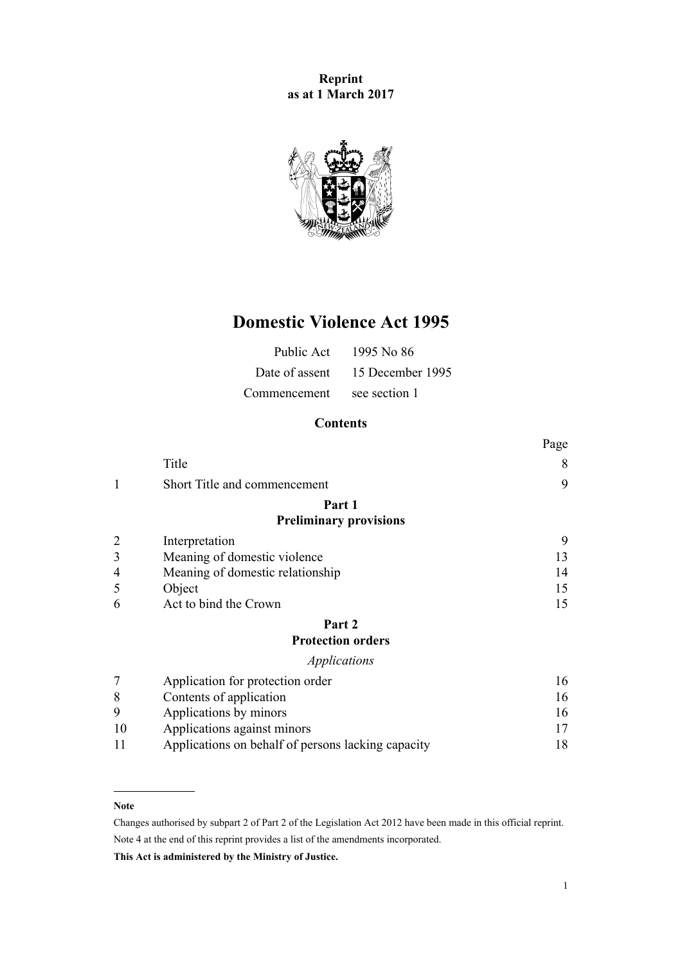**Reprint as at 1 March 2017**



# **Domestic Violence Act 1995**

| Public Act     | 1995 No 86       |
|----------------|------------------|
| Date of assent | 15 December 1995 |
| Commencement   | see section 1    |

# **Contents**

|    |                                                    | Page |
|----|----------------------------------------------------|------|
|    | Title                                              | 8    |
| 1  | Short Title and commencement                       | 9    |
|    | Part 1                                             |      |
|    | <b>Preliminary provisions</b>                      |      |
|    | Interpretation                                     | 9    |
| 3  | Meaning of domestic violence                       | 13   |
| 4  | Meaning of domestic relationship                   | 14   |
| 5  | Object                                             | 15   |
| 6  | Act to bind the Crown                              | 15   |
|    | Part 2                                             |      |
|    | <b>Protection orders</b>                           |      |
|    | Applications                                       |      |
|    | Application for protection order                   | 16   |
| 8  | Contents of application                            | 16   |
| 9  | Applications by minors                             | 16   |
| 10 | Applications against minors                        | 17   |
| 11 | Applications on behalf of persons lacking capacity | 18   |

#### **Note**

Changes authorised by [subpart 2](http://prd-lgnz-nlb.prd.pco.net.nz/pdflink.aspx?id=DLM2998524) of Part 2 of the Legislation Act 2012 have been made in this official reprint. Note 4 at the end of this reprint provides a list of the amendments incorporated.

**This Act is administered by the Ministry of Justice.**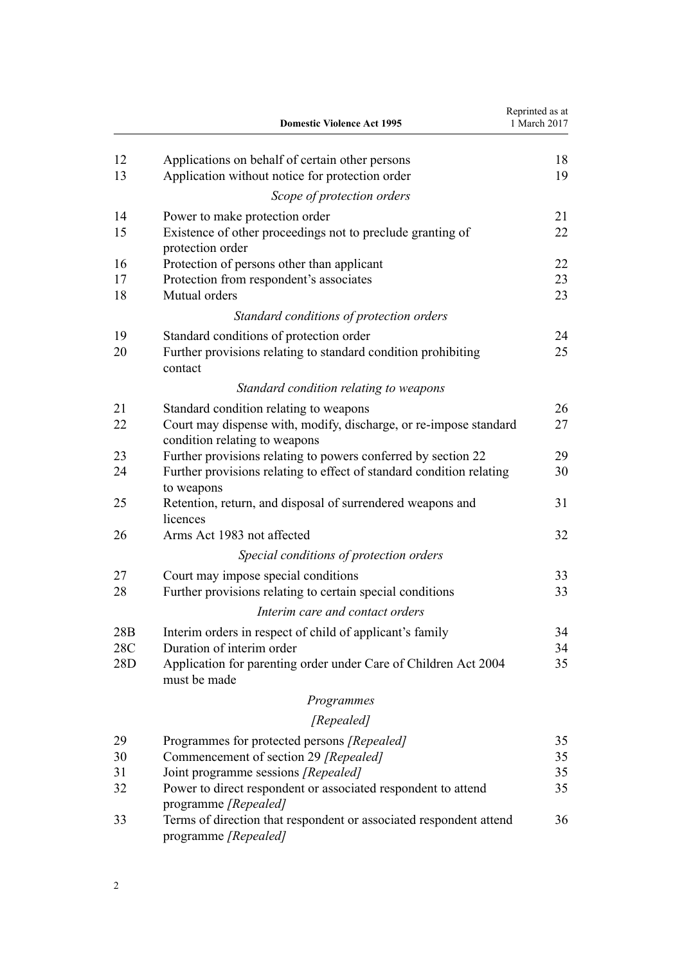|            | <b>Domestic Violence Act 1995</b>                                                                                  | Reprinted as at<br>1 March 2017 |
|------------|--------------------------------------------------------------------------------------------------------------------|---------------------------------|
| 12         | Applications on behalf of certain other persons                                                                    | 18                              |
| 13         | Application without notice for protection order                                                                    | 19                              |
|            | Scope of protection orders                                                                                         |                                 |
| 14         | Power to make protection order                                                                                     | 21                              |
| 15         | Existence of other proceedings not to preclude granting of<br>protection order                                     | 22                              |
| 16         | Protection of persons other than applicant                                                                         | 22                              |
| 17<br>18   | Protection from respondent's associates<br>Mutual orders                                                           | 23<br>23                        |
|            | Standard conditions of protection orders                                                                           |                                 |
| 19         | Standard conditions of protection order                                                                            | 24                              |
| 20         | Further provisions relating to standard condition prohibiting<br>contact                                           | 25                              |
|            | Standard condition relating to weapons                                                                             |                                 |
| 21         | Standard condition relating to weapons                                                                             | 26                              |
| 22         | Court may dispense with, modify, discharge, or re-impose standard<br>condition relating to weapons                 | 27                              |
| 23         | Further provisions relating to powers conferred by section 22                                                      | 29                              |
| 24         | Further provisions relating to effect of standard condition relating<br>to weapons                                 | 30                              |
| 25         | Retention, return, and disposal of surrendered weapons and<br>licences                                             | 31                              |
| 26         | Arms Act 1983 not affected                                                                                         | 32                              |
|            | Special conditions of protection orders                                                                            |                                 |
| 27         | Court may impose special conditions                                                                                | 33                              |
| 28         | Further provisions relating to certain special conditions                                                          | 33                              |
|            | Interim care and contact orders                                                                                    |                                 |
| 28B        | Interim orders in respect of child of applicant's family                                                           | 34                              |
| 28C<br>28D | Duration of interim order<br>Application for parenting order under Care of Children Act 2004<br>must be made       | 34<br>35                        |
|            | Programmes                                                                                                         |                                 |
|            | [Repealed]                                                                                                         |                                 |
| 29         | Programmes for protected persons [Repealed]                                                                        | 35                              |
| 30         | Commencement of section 29 [Repealed]                                                                              | 35                              |
| 31         | Joint programme sessions [Repealed]                                                                                | 35                              |
| 32         | Power to direct respondent or associated respondent to attend                                                      | 35                              |
| 33         | programme [Repealed]<br>Terms of direction that respondent or associated respondent attend<br>programme [Repealed] | 36                              |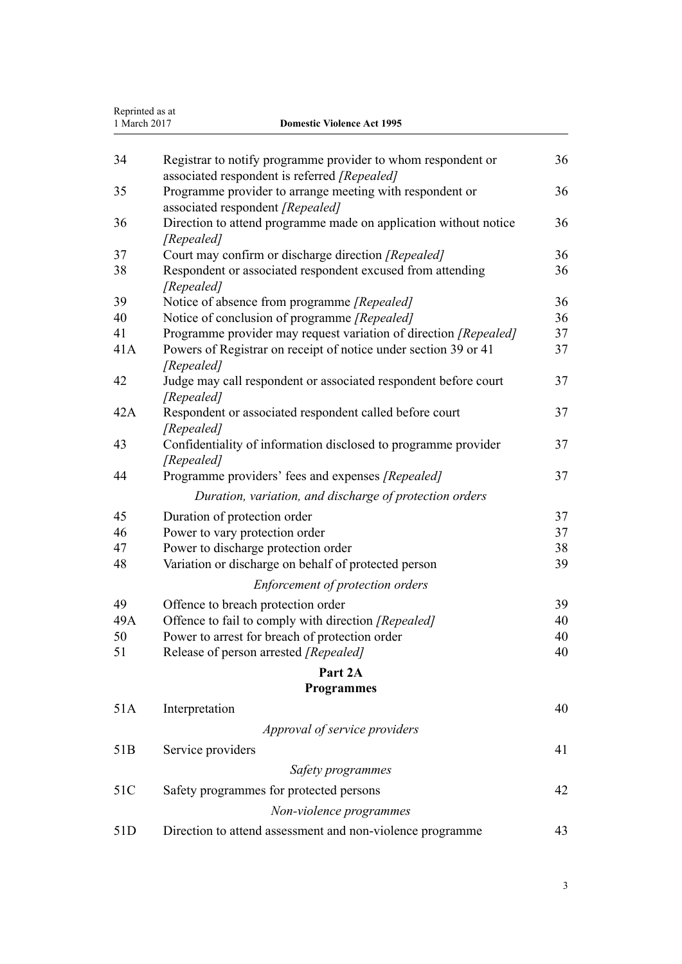|                 | Reprinted as at<br>1 March 2017<br><b>Domestic Violence Act 1995</b>                                         |    |
|-----------------|--------------------------------------------------------------------------------------------------------------|----|
| 34              | Registrar to notify programme provider to whom respondent or<br>associated respondent is referred [Repealed] | 36 |
| 35              | Programme provider to arrange meeting with respondent or<br>associated respondent [Repealed]                 | 36 |
| 36              | Direction to attend programme made on application without notice<br>[Repealed]                               | 36 |
| 37              | Court may confirm or discharge direction [Repealed]                                                          | 36 |
| 38              | Respondent or associated respondent excused from attending<br>[Repealed]                                     | 36 |
| 39              | Notice of absence from programme [Repealed]                                                                  | 36 |
| 40              | Notice of conclusion of programme [Repealed]                                                                 | 36 |
| 41              | Programme provider may request variation of direction [Repealed]                                             | 37 |
| 41A             | Powers of Registrar on receipt of notice under section 39 or 41<br>[Repealed]                                | 37 |
| 42              | Judge may call respondent or associated respondent before court<br>[Repealed]                                | 37 |
| 42A             | Respondent or associated respondent called before court<br>[Repealed]                                        | 37 |
| 43              | Confidentiality of information disclosed to programme provider<br>[Repealed]                                 | 37 |
| 44              | Programme providers' fees and expenses [Repealed]                                                            | 37 |
|                 | Duration, variation, and discharge of protection orders                                                      |    |
| 45              | Duration of protection order                                                                                 | 37 |
| 46              | Power to vary protection order                                                                               | 37 |
| 47              | Power to discharge protection order                                                                          | 38 |
| 48              | Variation or discharge on behalf of protected person                                                         | 39 |
|                 | Enforcement of protection orders                                                                             |    |
| 49              | Offence to breach protection order                                                                           | 39 |
| 49A             | Offence to fail to comply with direction [Repealed]                                                          | 40 |
| 50              | Power to arrest for breach of protection order                                                               | 40 |
| 51              | Release of person arrested [Repealed]                                                                        | 40 |
|                 | Part 2A                                                                                                      |    |
|                 | <b>Programmes</b>                                                                                            |    |
| 51A             | Interpretation                                                                                               | 40 |
|                 | Approval of service providers                                                                                |    |
| 51 <sub>B</sub> | Service providers                                                                                            | 41 |
|                 | Safety programmes                                                                                            |    |
| 51C             | Safety programmes for protected persons                                                                      | 42 |
|                 | Non-violence programmes                                                                                      |    |
| 51D             | Direction to attend assessment and non-violence programme                                                    | 43 |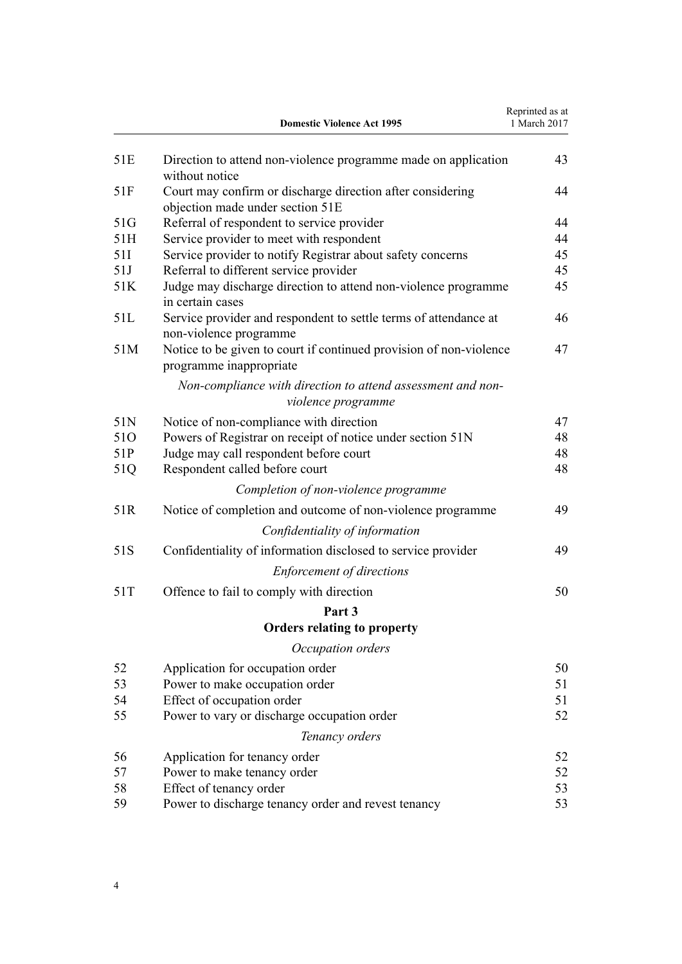|     | <b>Domestic Violence Act 1995</b>                                                              | Reprinted as at<br>1 March 2017 |
|-----|------------------------------------------------------------------------------------------------|---------------------------------|
| 51E | Direction to attend non-violence programme made on application<br>without notice               | 43                              |
| 51F | Court may confirm or discharge direction after considering<br>objection made under section 51E | 44                              |
| 51G | Referral of respondent to service provider                                                     | 44                              |
| 51H | Service provider to meet with respondent                                                       | 44                              |
| 51I | Service provider to notify Registrar about safety concerns                                     | 45                              |
| 51J | Referral to different service provider                                                         | 45                              |
| 51K | Judge may discharge direction to attend non-violence programme<br>in certain cases             | 45                              |
| 51L | Service provider and respondent to settle terms of attendance at<br>non-violence programme     | 46                              |
| 51M | Notice to be given to court if continued provision of non-violence<br>programme inappropriate  | 47                              |
|     | Non-compliance with direction to attend assessment and non-<br>violence programme              |                                 |
| 51N | Notice of non-compliance with direction                                                        | 47                              |
| 510 | Powers of Registrar on receipt of notice under section 51N                                     | 48                              |
| 51P | Judge may call respondent before court                                                         | 48                              |
| 51Q | Respondent called before court                                                                 | 48                              |
|     | Completion of non-violence programme                                                           |                                 |
| 51R | Notice of completion and outcome of non-violence programme                                     | 49                              |
|     | Confidentiality of information                                                                 |                                 |
| 51S | Confidentiality of information disclosed to service provider                                   | 49                              |
|     | <b>Enforcement of directions</b>                                                               |                                 |
| 51T | Offence to fail to comply with direction                                                       | 50                              |
|     | Part 3                                                                                         |                                 |
|     | <b>Orders relating to property</b>                                                             |                                 |
|     | Occupation orders                                                                              |                                 |
| 52  | Application for occupation order                                                               | 50                              |
| 53  | Power to make occupation order                                                                 | 51                              |
| 54  | Effect of occupation order                                                                     | 51                              |
| 55  | Power to vary or discharge occupation order                                                    | 52                              |
|     | Tenancy orders                                                                                 |                                 |
| 56  | Application for tenancy order                                                                  | 52                              |
| 57  | Power to make tenancy order                                                                    | 52                              |
| 58  | Effect of tenancy order                                                                        | 53                              |
| 59  | Power to discharge tenancy order and revest tenancy                                            | 53                              |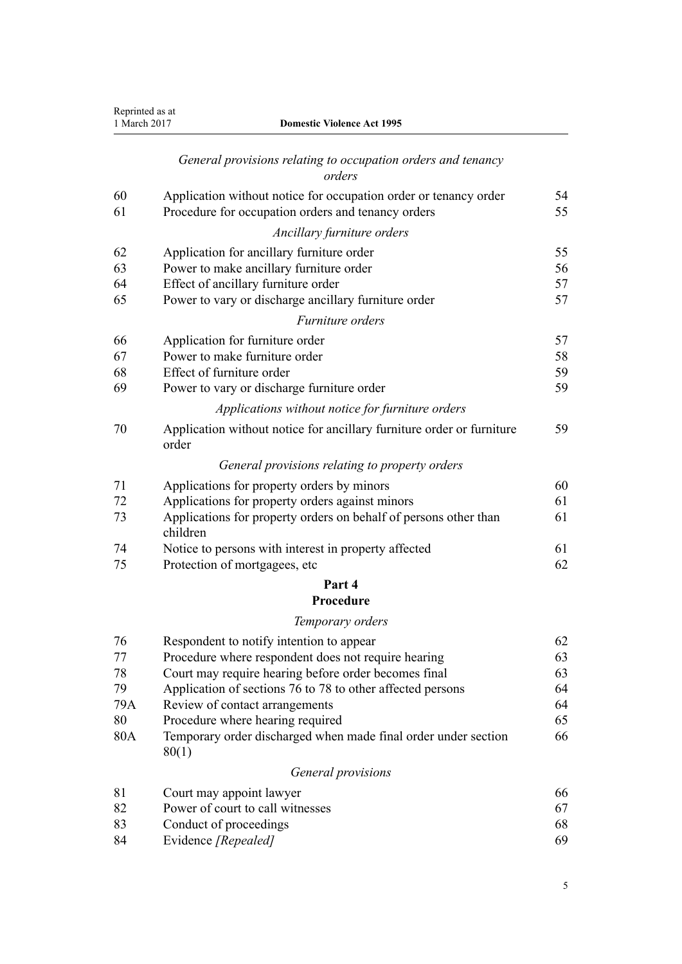| Reprinted as at<br>1 March 2017 | <b>Domestic Violence Act 1995</b>                                              |    |
|---------------------------------|--------------------------------------------------------------------------------|----|
|                                 | General provisions relating to occupation orders and tenancy<br>orders         |    |
| 60                              | Application without notice for occupation order or tenancy order               | 54 |
| 61                              | Procedure for occupation orders and tenancy orders                             | 55 |
|                                 | Ancillary furniture orders                                                     |    |
| 62                              | Application for ancillary furniture order                                      | 55 |
| 63                              | Power to make ancillary furniture order                                        | 56 |
| 64                              | Effect of ancillary furniture order                                            | 57 |
| 65                              | Power to vary or discharge ancillary furniture order                           | 57 |
|                                 | Furniture orders                                                               |    |
| 66                              | Application for furniture order                                                | 57 |
| 67                              | Power to make furniture order                                                  | 58 |
| 68                              | Effect of furniture order                                                      | 59 |
| 69                              | Power to vary or discharge furniture order                                     | 59 |
|                                 | Applications without notice for furniture orders                               |    |
| 70                              | Application without notice for ancillary furniture order or furniture<br>order | 59 |
|                                 | General provisions relating to property orders                                 |    |
| 71                              | Applications for property orders by minors                                     | 60 |
| 72                              | Applications for property orders against minors                                | 61 |
| 73                              | Applications for property orders on behalf of persons other than<br>children   | 61 |
| 74                              | Notice to persons with interest in property affected                           | 61 |
| 75                              | Protection of mortgagees, etc                                                  | 62 |
|                                 | Part 4                                                                         |    |
|                                 | Procedure                                                                      |    |
|                                 | Temporary orders                                                               |    |
| 76                              | Respondent to notify intention to appear                                       | 62 |
| 77                              | Procedure where respondent does not require hearing                            | 63 |
| 78                              | Court may require hearing before order becomes final                           | 63 |
| 79                              | Application of sections 76 to 78 to other affected persons                     | 64 |
| 79A                             | Review of contact arrangements                                                 | 64 |
| 80                              | Procedure where hearing required                                               | 65 |
| 80A                             | Temporary order discharged when made final order under section<br>80(1)        | 66 |
|                                 | General provisions                                                             |    |
| 81                              | Court may appoint lawyer                                                       | 66 |
| 82                              | Power of court to call witnesses                                               | 67 |
| 83                              | Conduct of proceedings                                                         | 68 |
| 84                              | Evidence [Repealed]                                                            | 69 |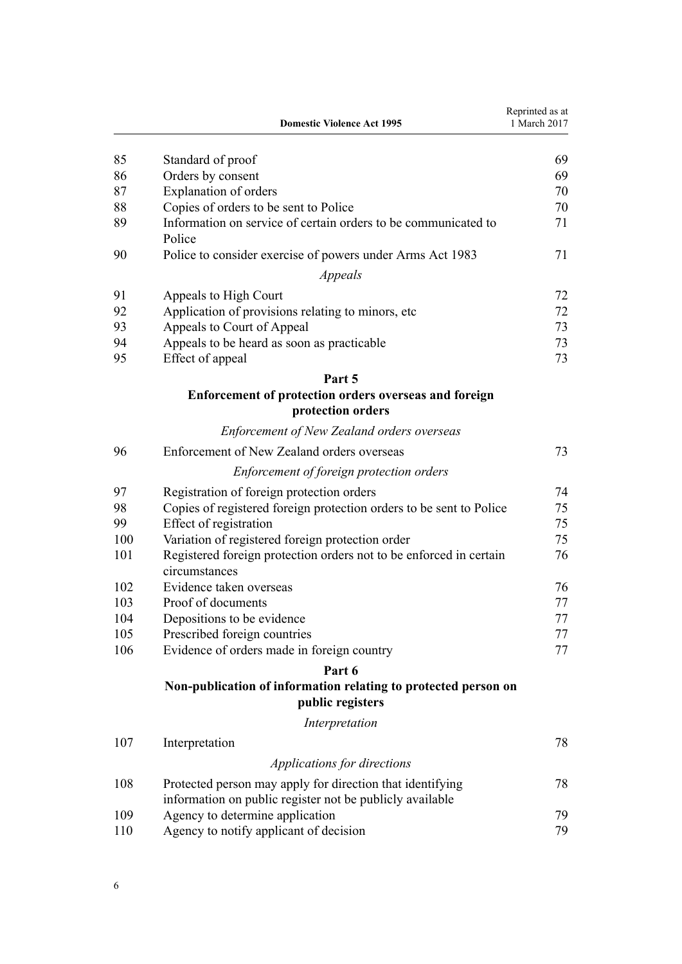|     | <b>Domestic Violence Act 1995</b>                                                   | Reprinted as at<br>1 March 2017 |
|-----|-------------------------------------------------------------------------------------|---------------------------------|
| 85  | Standard of proof                                                                   | 69                              |
| 86  | Orders by consent                                                                   | 69                              |
| 87  | <b>Explanation of orders</b>                                                        | 70                              |
| 88  | Copies of orders to be sent to Police                                               | 70                              |
| 89  | Information on service of certain orders to be communicated to<br>Police            | 71                              |
| 90  | Police to consider exercise of powers under Arms Act 1983                           | 71                              |
|     | Appeals                                                                             |                                 |
| 91  | Appeals to High Court                                                               | 72                              |
| 92  | Application of provisions relating to minors, etc.                                  | 72                              |
| 93  | Appeals to Court of Appeal                                                          | 73                              |
| 94  | Appeals to be heard as soon as practicable                                          | 73                              |
| 95  | Effect of appeal                                                                    | 73                              |
|     | Part 5                                                                              |                                 |
|     | Enforcement of protection orders overseas and foreign<br>protection orders          |                                 |
|     | <b>Enforcement of New Zealand orders overseas</b>                                   |                                 |
| 96  | Enforcement of New Zealand orders overseas                                          | 73                              |
|     | Enforcement of foreign protection orders                                            |                                 |
| 97  | Registration of foreign protection orders                                           | 74                              |
| 98  | Copies of registered foreign protection orders to be sent to Police                 | 75                              |
| 99  | Effect of registration                                                              | 75                              |
| 100 | Variation of registered foreign protection order                                    | 75                              |
| 101 | Registered foreign protection orders not to be enforced in certain<br>circumstances | 76                              |
| 102 | Evidence taken overseas                                                             | 76                              |
| 103 | Proof of documents                                                                  | 77                              |
| 104 | Depositions to be evidence                                                          | 77                              |
| 105 | Prescribed foreign countries                                                        | 77                              |
| 106 | Evidence of orders made in foreign country                                          | 77                              |
|     | Part 6                                                                              |                                 |
|     | Non-publication of information relating to protected person on<br>public registers  |                                 |
|     | Interpretation                                                                      |                                 |
| 107 | Interpretation                                                                      | 78                              |
|     | Applications for directions                                                         |                                 |
| 108 | Protected person may apply for direction that identifying                           | 78                              |
|     | information on public register not be publicly available                            |                                 |
| 109 | Agency to determine application                                                     | 79                              |
| 110 | Agency to notify applicant of decision                                              | 79                              |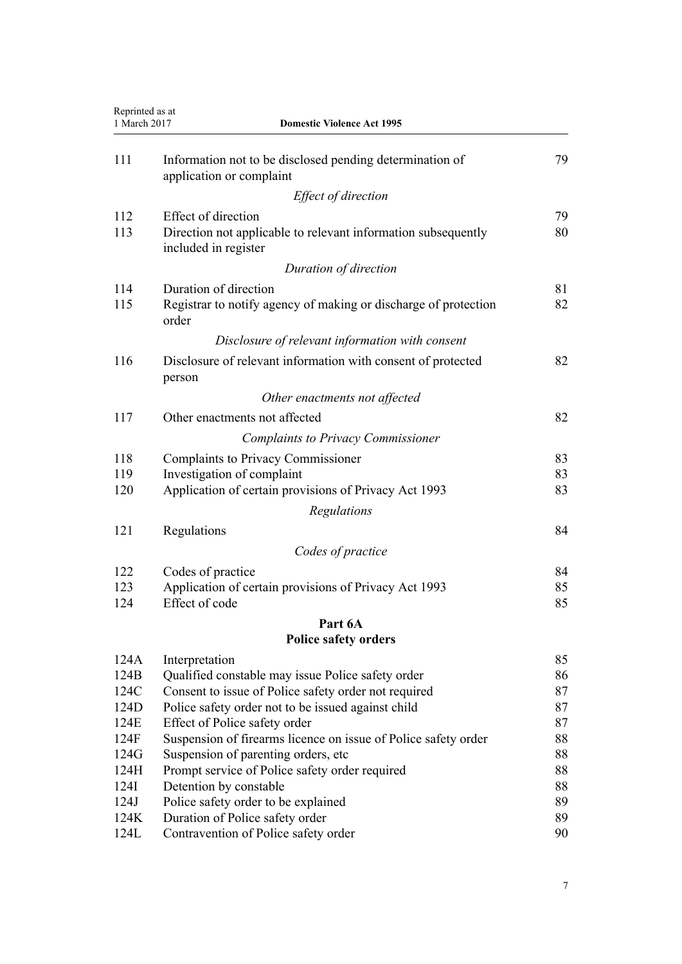| Reprinted as at<br>1 March 2017 | <b>Domestic Violence Act 1995</b>                                                     |          |
|---------------------------------|---------------------------------------------------------------------------------------|----------|
| 111                             | Information not to be disclosed pending determination of<br>application or complaint  | 79       |
|                                 | Effect of direction                                                                   |          |
| 112                             | <b>Effect of direction</b>                                                            | 79       |
| 113                             | Direction not applicable to relevant information subsequently<br>included in register | 80       |
|                                 | Duration of direction                                                                 |          |
| 114                             | Duration of direction                                                                 | 81       |
| 115                             | Registrar to notify agency of making or discharge of protection<br>order              | 82       |
|                                 | Disclosure of relevant information with consent                                       |          |
| 116                             | Disclosure of relevant information with consent of protected<br>person                | 82       |
|                                 | Other enactments not affected                                                         |          |
| 117                             | Other enactments not affected                                                         | 82       |
|                                 | <b>Complaints to Privacy Commissioner</b>                                             |          |
| 118                             | <b>Complaints to Privacy Commissioner</b>                                             | 83       |
| 119                             | Investigation of complaint                                                            | 83       |
| 120                             | Application of certain provisions of Privacy Act 1993                                 | 83       |
|                                 | Regulations                                                                           |          |
| 121                             | Regulations                                                                           | 84       |
|                                 | Codes of practice                                                                     |          |
| 122                             | Codes of practice                                                                     | 84       |
| 123                             | Application of certain provisions of Privacy Act 1993                                 | 85       |
| 124                             | Effect of code                                                                        | 85       |
|                                 | Part 6A                                                                               |          |
|                                 | <b>Police safety orders</b>                                                           |          |
| 124A                            | Interpretation                                                                        | 85       |
| 124B                            | Qualified constable may issue Police safety order                                     | 86       |
| 124C                            | Consent to issue of Police safety order not required                                  | 87       |
| 124D                            | Police safety order not to be issued against child                                    | 87       |
| 124E                            | Effect of Police safety order                                                         | 87       |
| 124F                            | Suspension of firearms licence on issue of Police safety order                        | 88       |
| 124G                            | Suspension of parenting orders, etc.                                                  | 88       |
| 124H<br>124I                    | Prompt service of Police safety order required                                        | 88       |
| 124J                            | Detention by constable<br>Police safety order to be explained                         | 88<br>89 |
| 124K                            | Duration of Police safety order                                                       | 89       |
| 124L                            | Contravention of Police safety order                                                  | 90       |
|                                 |                                                                                       |          |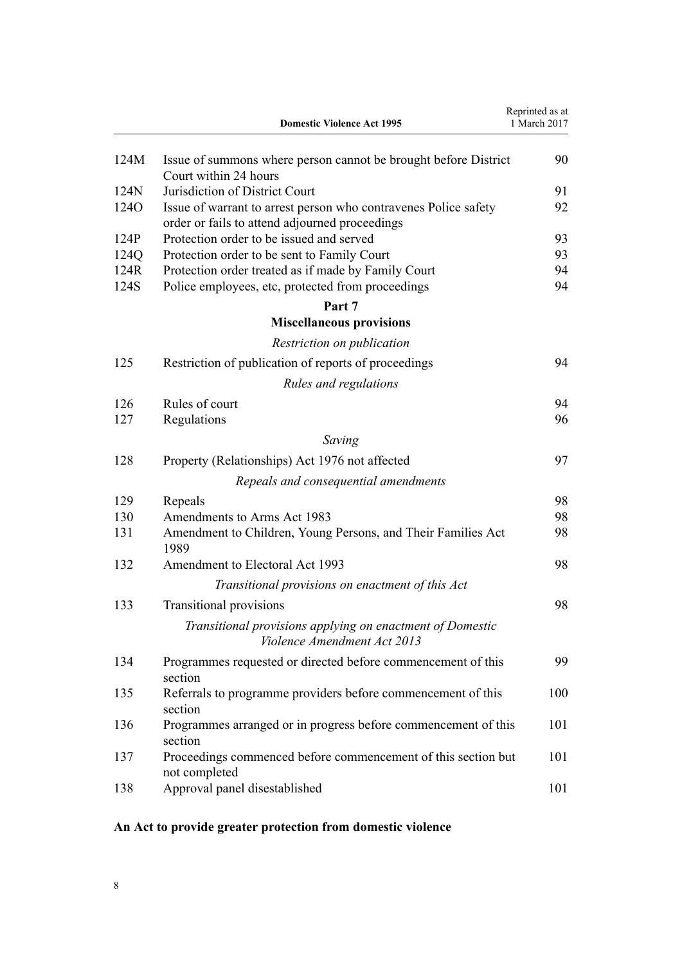<span id="page-7-0"></span>

|                  | <b>Domestic Violence Act 1995</b>                                                                                 | Reprinted as at<br>1 March 2017 |
|------------------|-------------------------------------------------------------------------------------------------------------------|---------------------------------|
| 124M             | Issue of summons where person cannot be brought before District<br>Court within 24 hours                          | 90                              |
| 124N             | Jurisdiction of District Court                                                                                    | 91                              |
| 124 <sub>O</sub> | Issue of warrant to arrest person who contravenes Police safety<br>order or fails to attend adjourned proceedings | 92                              |
| 124P             | Protection order to be issued and served                                                                          | 93                              |
| 124Q             | Protection order to be sent to Family Court                                                                       | 93                              |
| 124R             | Protection order treated as if made by Family Court                                                               | 94                              |
| 124S             | Police employees, etc, protected from proceedings                                                                 | 94                              |
|                  | Part 7                                                                                                            |                                 |
|                  | <b>Miscellaneous provisions</b>                                                                                   |                                 |
|                  | Restriction on publication                                                                                        |                                 |
| 125              | Restriction of publication of reports of proceedings                                                              | 94                              |
|                  | Rules and regulations                                                                                             |                                 |
| 126              | Rules of court                                                                                                    | 94                              |
| 127              | Regulations                                                                                                       | 96                              |
|                  | Saving                                                                                                            |                                 |
| 128              | Property (Relationships) Act 1976 not affected                                                                    | 97                              |
|                  | Repeals and consequential amendments                                                                              |                                 |
| 129              | Repeals                                                                                                           | 98                              |
| 130              | Amendments to Arms Act 1983                                                                                       | 98                              |
| 131              | Amendment to Children, Young Persons, and Their Families Act<br>1989                                              | 98                              |
| 132              | Amendment to Electoral Act 1993                                                                                   | 98                              |
|                  | Transitional provisions on enactment of this Act                                                                  |                                 |
| 133              | <b>Transitional provisions</b>                                                                                    | 98                              |
|                  | Transitional provisions applying on enactment of Domestic<br>Violence Amendment Act 2013                          |                                 |
| 134              | Programmes requested or directed before commencement of this<br>section                                           | 99                              |
| 135              | Referrals to programme providers before commencement of this<br>section                                           | 100                             |
| 136              | Programmes arranged or in progress before commencement of this<br>section                                         | 101                             |
| 137              | Proceedings commenced before commencement of this section but<br>not completed                                    | 101                             |
| 138              | Approval panel disestablished                                                                                     | 101                             |

# **An Act to provide greater protection from domestic violence**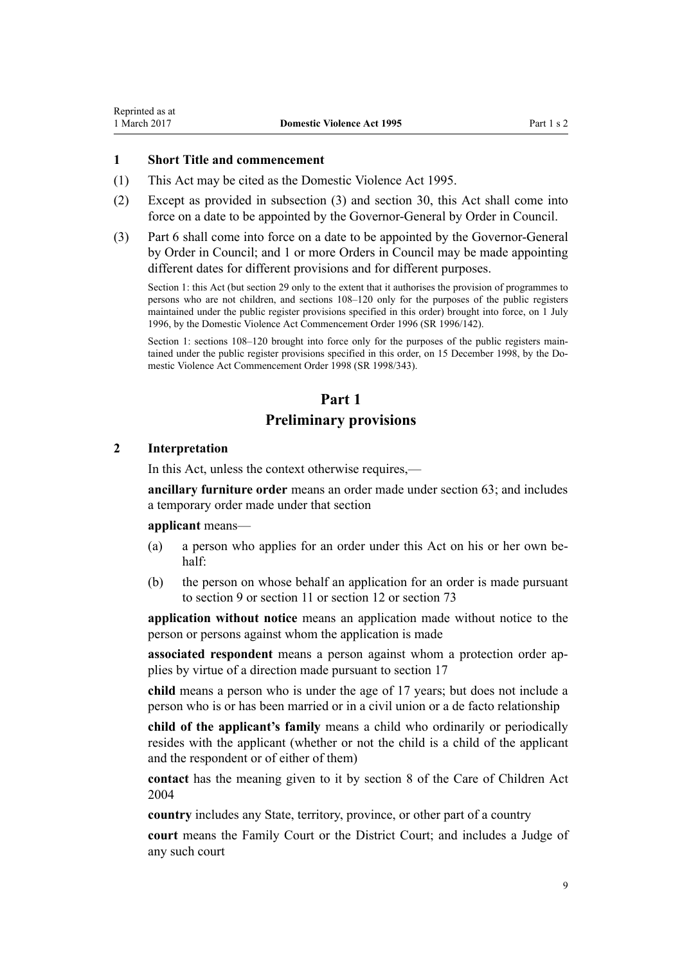#### <span id="page-8-0"></span>**1 Short Title and commencement**

- (1) This Act may be cited as the Domestic Violence Act 1995.
- (2) Except as provided in subsection (3) and [section 30](#page-34-0), this Act shall come into force on a date to be appointed by the Governor-General by Order in Council.
- (3) [Part 6](#page-77-0) shall come into force on a date to be appointed by the Governor-General by Order in Council; and 1 or more Orders in Council may be made appointing different dates for different provisions and for different purposes.

Section 1: this Act (but section 29 only to the extent that it authorises the provision of programmes to persons who are not children, and sections 108–120 only for the purposes of the public registers maintained under the public register provisions specified in this order) brought into force, on 1 July 1996, by the [Domestic Violence Act Commencement Order 1996](http://prd-lgnz-nlb.prd.pco.net.nz/pdflink.aspx?id=DLM212125) (SR 1996/142).

Section 1: sections 108–120 brought into force only for the purposes of the public registers maintained under the public register provisions specified in this order, on 15 December 1998, by the [Do](http://prd-lgnz-nlb.prd.pco.net.nz/pdflink.aspx?id=DLM264465)[mestic Violence Act Commencement Order 1998](http://prd-lgnz-nlb.prd.pco.net.nz/pdflink.aspx?id=DLM264465) (SR 1998/343).

# **Part 1**

# **Preliminary provisions**

## **2 Interpretation**

In this Act, unless the context otherwise requires,—

**ancillary furniture order** means an order made under [section 63;](#page-55-0) and includes a temporary order made under that section

#### **applicant** means—

- (a) a person who applies for an order under this Act on his or her own behalf:
- (b) the person on whose behalf an application for an order is made pursuant to [section 9](#page-15-0) or [section 11](#page-17-0) or [section 12](#page-17-0) or [section 73](#page-60-0)

**application without notice** means an application made without notice to the person or persons against whom the application is made

**associated respondent** means a person against whom a protection order applies by virtue of a direction made pursuant to [section 17](#page-22-0)

**child** means a person who is under the age of 17 years; but does not include a person who is or has been married or in a civil union or a de facto relationship

**child of the applicant's family** means a child who ordinarily or periodically resides with the applicant (whether or not the child is a child of the applicant and the respondent or of either of them)

**contact** has the meaning given to it by [section 8](http://prd-lgnz-nlb.prd.pco.net.nz/pdflink.aspx?id=DLM317244) of the Care of Children Act 2004

**country** includes any State, territory, province, or other part of a country

**court** means the Family Court or the District Court; and includes a Judge of any such court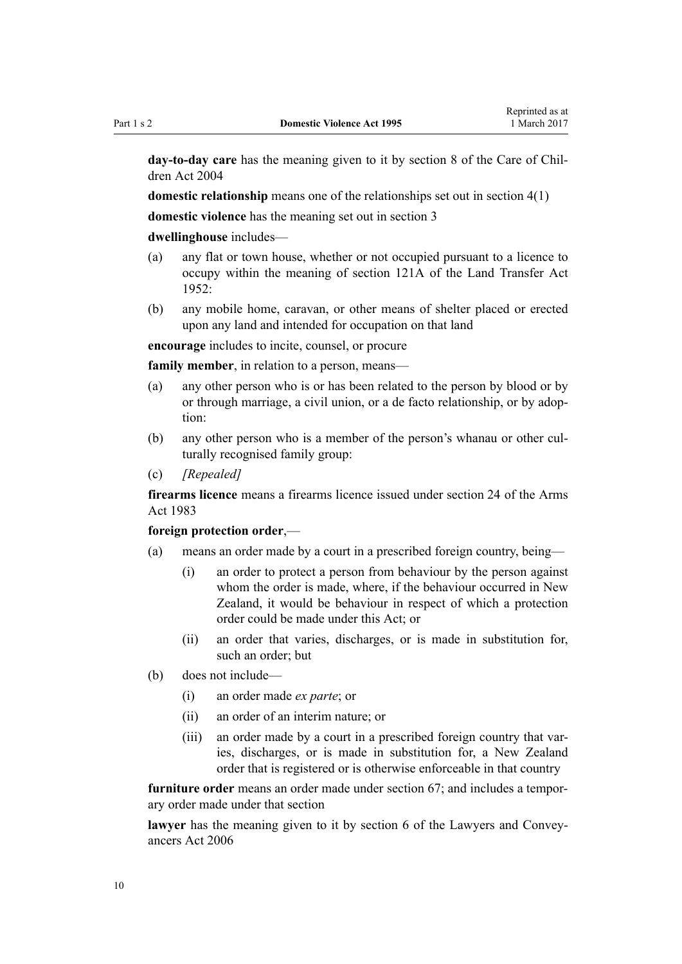**day-to-day care** has the meaning given to it by [section 8](http://prd-lgnz-nlb.prd.pco.net.nz/pdflink.aspx?id=DLM317244) of the Care of Children Act 2004

**domestic relationship** means one of the relationships set out in [section 4\(1\)](#page-13-0)

**domestic violence** has the meaning set out in [section 3](#page-12-0)

#### **dwellinghouse** includes—

- (a) any flat or town house, whether or not occupied pursuant to a licence to occupy within the meaning of [section 121A](http://prd-lgnz-nlb.prd.pco.net.nz/pdflink.aspx?id=DLM271049) of the Land Transfer Act  $1952$
- (b) any mobile home, caravan, or other means of shelter placed or erected upon any land and intended for occupation on that land

**encourage** includes to incite, counsel, or procure

**family member**, in relation to a person, means—

- (a) any other person who is or has been related to the person by blood or by or through marriage, a civil union, or a de facto relationship, or by adoption:
- (b) any other person who is a member of the person's whanau or other culturally recognised family group:
- (c) *[Repealed]*

**firearms licence** means a firearms licence issued under [section 24](http://prd-lgnz-nlb.prd.pco.net.nz/pdflink.aspx?id=DLM72923) of the Arms Act 1983

#### **foreign protection order**,—

- (a) means an order made by a court in a prescribed foreign country, being—
	- (i) an order to protect a person from behaviour by the person against whom the order is made, where, if the behaviour occurred in New Zealand, it would be behaviour in respect of which a protection order could be made under this Act; or
	- (ii) an order that varies, discharges, or is made in substitution for, such an order; but
- (b) does not include—
	- (i) an order made *ex parte*; or
	- (ii) an order of an interim nature; or
	- (iii) an order made by a court in a prescribed foreign country that varies, discharges, or is made in substitution for, a New Zealand order that is registered or is otherwise enforceable in that country

**furniture order** means an order made under [section 67;](#page-57-0) and includes a temporary order made under that section

**lawyer** has the meaning given to it by [section 6](http://prd-lgnz-nlb.prd.pco.net.nz/pdflink.aspx?id=DLM364948) of the Lawyers and Conveyancers Act 2006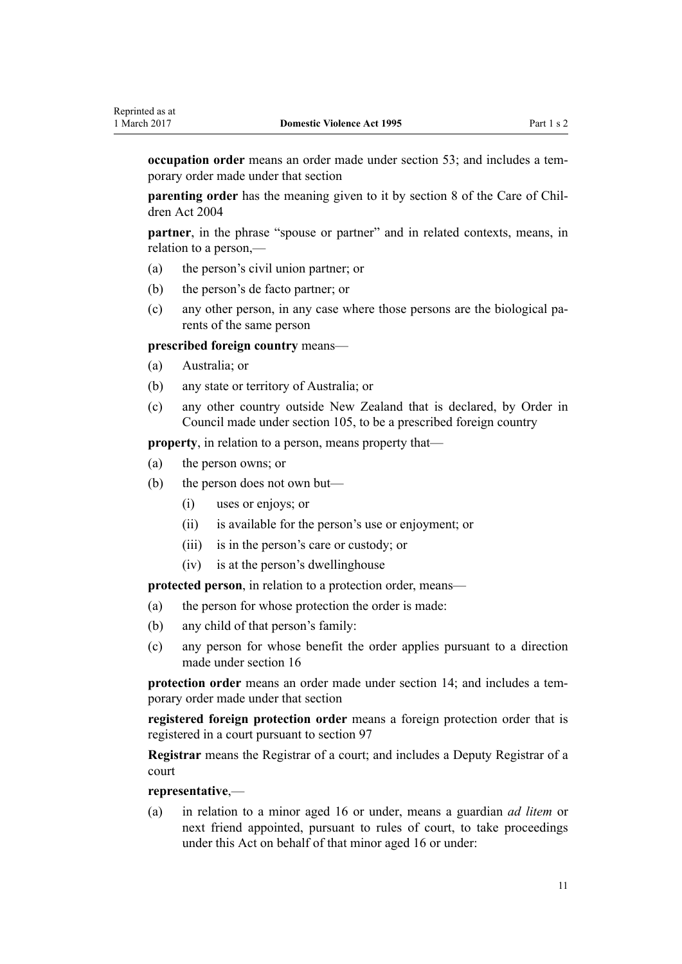**occupation order** means an order made under [section 53;](#page-50-0) and includes a temporary order made under that section

**parenting order** has the meaning given to it by [section 8](http://prd-lgnz-nlb.prd.pco.net.nz/pdflink.aspx?id=DLM317244) of the Care of Children Act 2004

**partner**, in the phrase "spouse or partner" and in related contexts, means, in relation to a person,—

- (a) the person's civil union partner; or
- (b) the person's de facto partner; or
- (c) any other person, in any case where those persons are the biological parents of the same person

**prescribed foreign country** means—

- (a) Australia; or
- (b) any state or territory of Australia; or
- (c) any other country outside New Zealand that is declared, by Order in Council made under [section 105](#page-76-0), to be a prescribed foreign country

**property**, in relation to a person, means property that—

- (a) the person owns; or
- (b) the person does not own but—
	- (i) uses or enjoys; or
	- (ii) is available for the person's use or enjoyment; or
	- (iii) is in the person's care or custody; or
	- (iv) is at the person's dwellinghouse

**protected person**, in relation to a protection order, means—

- (a) the person for whose protection the order is made:
- (b) any child of that person's family:
- (c) any person for whose benefit the order applies pursuant to a direction made under [section 16](#page-21-0)

**protection order** means an order made under [section 14;](#page-20-0) and includes a temporary order made under that section

**registered foreign protection order** means a foreign protection order that is registered in a court pursuant to [section 97](#page-73-0)

**Registrar** means the Registrar of a court; and includes a Deputy Registrar of a court

#### **representative**,—

(a) in relation to a minor aged 16 or under, means a guardian *ad litem* or next friend appointed, pursuant to rules of court, to take proceedings under this Act on behalf of that minor aged 16 or under: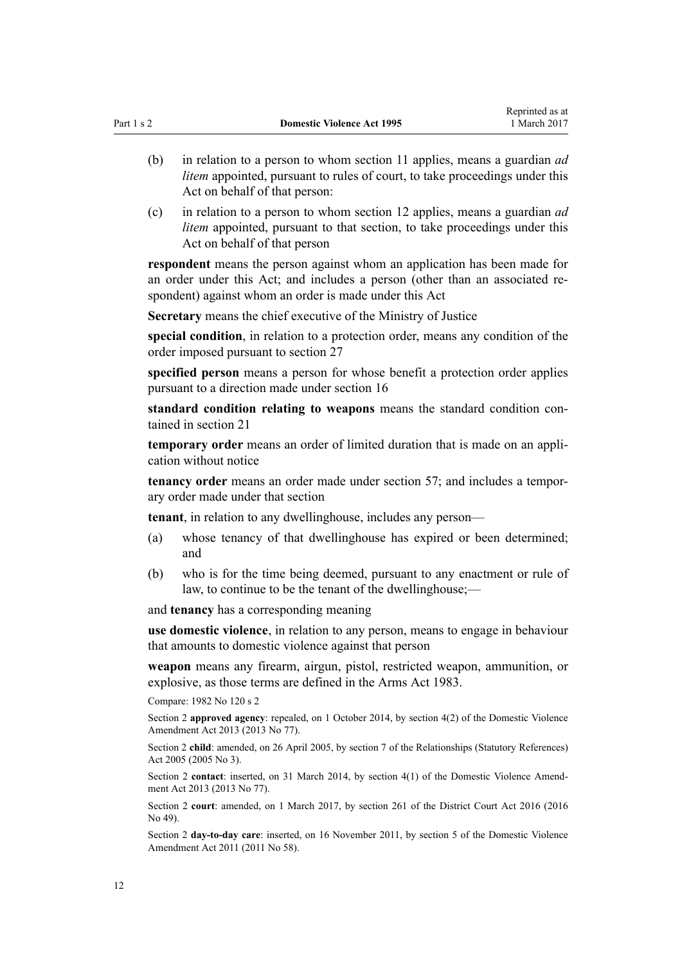- (b) in relation to a person to whom [section 11](#page-17-0) applies, means a guardian *ad litem* appointed, pursuant to rules of court, to take proceedings under this Act on behalf of that person:
- (c) in relation to a person to whom [section 12](#page-17-0) applies, means a guardian *ad litem* appointed, pursuant to that section, to take proceedings under this Act on behalf of that person

**respondent** means the person against whom an application has been made for an order under this Act; and includes a person (other than an associated respondent) against whom an order is made under this Act

**Secretary** means the chief executive of the Ministry of Justice

**special condition**, in relation to a protection order, means any condition of the order imposed pursuant to [section 27](#page-32-0)

**specified person** means a person for whose benefit a protection order applies pursuant to a direction made under [section 16](#page-21-0)

**standard condition relating to weapons** means the standard condition contained in [section 21](#page-25-0)

**temporary order** means an order of limited duration that is made on an application without notice

**tenancy order** means an order made under [section 57;](#page-51-0) and includes a temporary order made under that section

**tenant**, in relation to any dwellinghouse, includes any person—

- (a) whose tenancy of that dwellinghouse has expired or been determined; and
- (b) who is for the time being deemed, pursuant to any enactment or rule of law, to continue to be the tenant of the dwellinghouse;—

and **tenancy** has a corresponding meaning

**use domestic violence**, in relation to any person, means to engage in behaviour that amounts to domestic violence against that person

**weapon** means any firearm, airgun, pistol, restricted weapon, ammunition, or explosive, as those terms are defined in the [Arms Act 1983.](http://prd-lgnz-nlb.prd.pco.net.nz/pdflink.aspx?id=DLM72621)

Compare: 1982 No 120 [s 2](http://prd-lgnz-nlb.prd.pco.net.nz/pdflink.aspx?id=DLM81596)

Section 2 **approved agency**: repealed, on 1 October 2014, by [section 4\(2\)](http://prd-lgnz-nlb.prd.pco.net.nz/pdflink.aspx?id=DLM5615642) of the Domestic Violence Amendment Act 2013 (2013 No 77).

Section 2 **child**: amended, on 26 April 2005, by [section 7](http://prd-lgnz-nlb.prd.pco.net.nz/pdflink.aspx?id=DLM333795) of the Relationships (Statutory References) Act 2005 (2005 No 3).

Section 2 **contact**: inserted, on 31 March 2014, by [section 4\(1\)](http://prd-lgnz-nlb.prd.pco.net.nz/pdflink.aspx?id=DLM5615642) of the Domestic Violence Amendment Act 2013 (2013 No 77).

Section 2 **court**: amended, on 1 March 2017, by [section 261](http://prd-lgnz-nlb.prd.pco.net.nz/pdflink.aspx?id=DLM6942680) of the District Court Act 2016 (2016 No 49).

Section 2 **day-to-day care**: inserted, on 16 November 2011, by [section 5](http://prd-lgnz-nlb.prd.pco.net.nz/pdflink.aspx?id=DLM1955505) of the Domestic Violence Amendment Act 2011 (2011 No 58).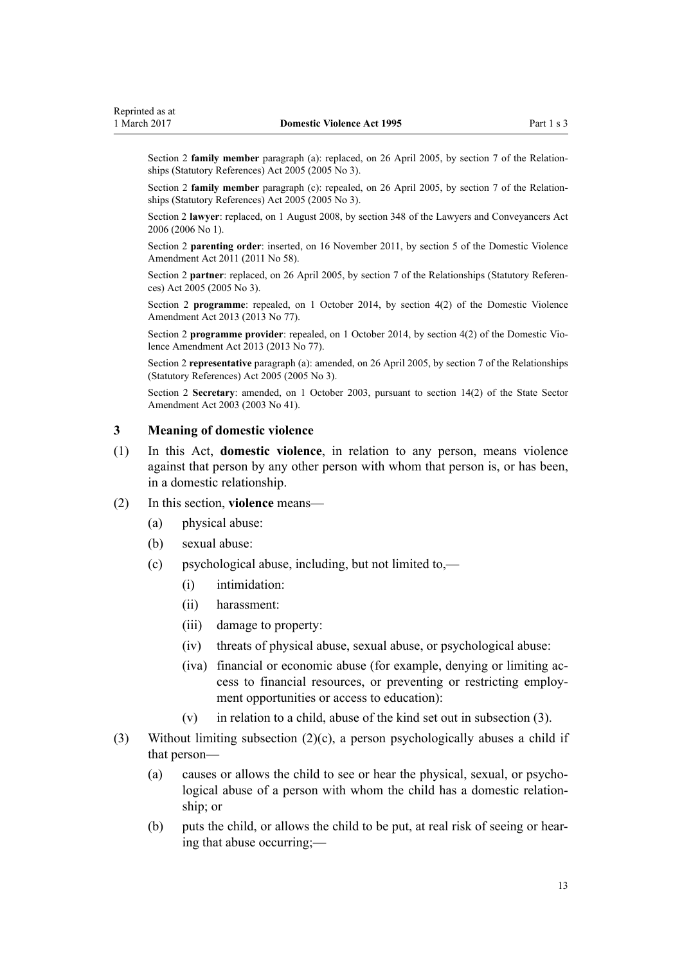<span id="page-12-0"></span>Section 2 **family member** paragraph (a): replaced, on 26 April 2005, by [section 7](http://prd-lgnz-nlb.prd.pco.net.nz/pdflink.aspx?id=DLM333795) of the Relationships (Statutory References) Act 2005 (2005 No 3).

Section 2 **family member** paragraph (c): repealed, on 26 April 2005, by [section 7](http://prd-lgnz-nlb.prd.pco.net.nz/pdflink.aspx?id=DLM333795) of the Relationships (Statutory References) Act 2005 (2005 No 3).

Section 2 **lawyer**: replaced, on 1 August 2008, by [section 348](http://prd-lgnz-nlb.prd.pco.net.nz/pdflink.aspx?id=DLM367849) of the Lawyers and Conveyancers Act 2006 (2006 No 1).

Section 2 **parenting order**: inserted, on 16 November 2011, by [section 5](http://prd-lgnz-nlb.prd.pco.net.nz/pdflink.aspx?id=DLM1955505) of the Domestic Violence Amendment Act 2011 (2011 No 58).

Section 2 **partner**: replaced, on 26 April 2005, by [section 7](http://prd-lgnz-nlb.prd.pco.net.nz/pdflink.aspx?id=DLM333795) of the Relationships (Statutory References) Act 2005 (2005 No 3).

Section 2 **programme**: repealed, on 1 October 2014, by [section 4\(2\)](http://prd-lgnz-nlb.prd.pco.net.nz/pdflink.aspx?id=DLM5615642) of the Domestic Violence Amendment Act 2013 (2013 No 77).

Section 2 **programme provider**: repealed, on 1 October 2014, by [section 4\(2\)](http://prd-lgnz-nlb.prd.pco.net.nz/pdflink.aspx?id=DLM5615642) of the Domestic Violence Amendment Act 2013 (2013 No 77).

Section 2 **representative** paragraph (a): amended, on 26 April 2005, by [section 7](http://prd-lgnz-nlb.prd.pco.net.nz/pdflink.aspx?id=DLM333795) of the Relationships (Statutory References) Act 2005 (2005 No 3).

Section 2 **Secretary**: amended, on 1 October 2003, pursuant to [section 14\(2\)](http://prd-lgnz-nlb.prd.pco.net.nz/pdflink.aspx?id=DLM201378) of the State Sector Amendment Act 2003 (2003 No 41).

# **3 Meaning of domestic violence**

(1) In this Act, **domestic violence**, in relation to any person, means violence against that person by any other person with whom that person is, or has been, in a domestic relationship.

#### (2) In this section, **violence** means—

- (a) physical abuse:
- (b) sexual abuse:
- (c) psychological abuse, including, but not limited to,—
	- (i) intimidation:
	- (ii) harassment:
	- (iii) damage to property:
	- (iv) threats of physical abuse, sexual abuse, or psychological abuse:
	- (iva) financial or economic abuse (for example, denying or limiting access to financial resources, or preventing or restricting employment opportunities or access to education):
	- (v) in relation to a child, abuse of the kind set out in subsection (3).
- (3) Without limiting subsection (2)(c), a person psychologically abuses a child if that person—
	- (a) causes or allows the child to see or hear the physical, sexual, or psychological abuse of a person with whom the child has a domestic relationship; or
	- (b) puts the child, or allows the child to be put, at real risk of seeing or hearing that abuse occurring;—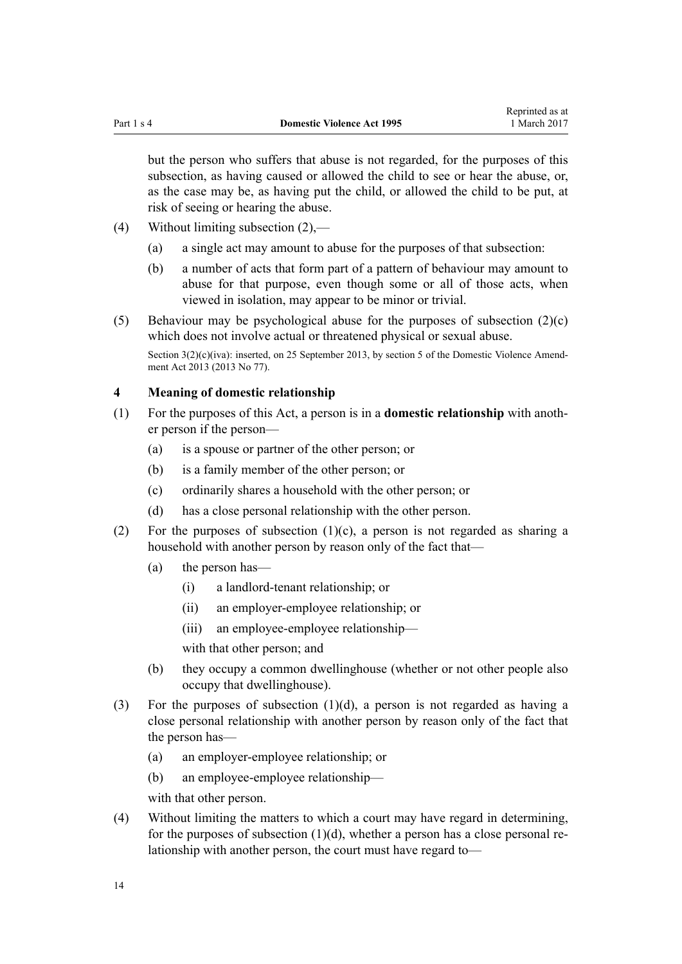<span id="page-13-0"></span>but the person who suffers that abuse is not regarded, for the purposes of this subsection, as having caused or allowed the child to see or hear the abuse, or, as the case may be, as having put the child, or allowed the child to be put, at risk of seeing or hearing the abuse.

- (4) Without limiting subsection (2),—
	- (a) a single act may amount to abuse for the purposes of that subsection:
	- (b) a number of acts that form part of a pattern of behaviour may amount to abuse for that purpose, even though some or all of those acts, when viewed in isolation, may appear to be minor or trivial.

(5) Behaviour may be psychological abuse for the purposes of subsection  $(2)(c)$ which does not involve actual or threatened physical or sexual abuse. Section  $3(2)(c)(iva)$ : inserted, on 25 September 2013, by [section 5](http://prd-lgnz-nlb.prd.pco.net.nz/pdflink.aspx?id=DLM5615651) of the Domestic Violence Amendment Act 2013 (2013 No 77).

# **4 Meaning of domestic relationship**

- (1) For the purposes of this Act, a person is in a **domestic relationship** with another person if the person—
	- (a) is a spouse or partner of the other person; or
	- (b) is a family member of the other person; or
	- (c) ordinarily shares a household with the other person; or
	- (d) has a close personal relationship with the other person.
- (2) For the purposes of subsection  $(1)(c)$ , a person is not regarded as sharing a household with another person by reason only of the fact that—
	- (a) the person has—
		- (i) a landlord-tenant relationship; or
		- (ii) an employer-employee relationship; or
		- (iii) an employee-employee relationship—

with that other person; and

- (b) they occupy a common dwellinghouse (whether or not other people also occupy that dwellinghouse).
- (3) For the purposes of subsection (1)(d), a person is not regarded as having a close personal relationship with another person by reason only of the fact that the person has—
	- (a) an employer-employee relationship; or
	- (b) an employee-employee relationship—

with that other person.

(4) Without limiting the matters to which a court may have regard in determining, for the purposes of subsection  $(1)(d)$ , whether a person has a close personal relationship with another person, the court must have regard to—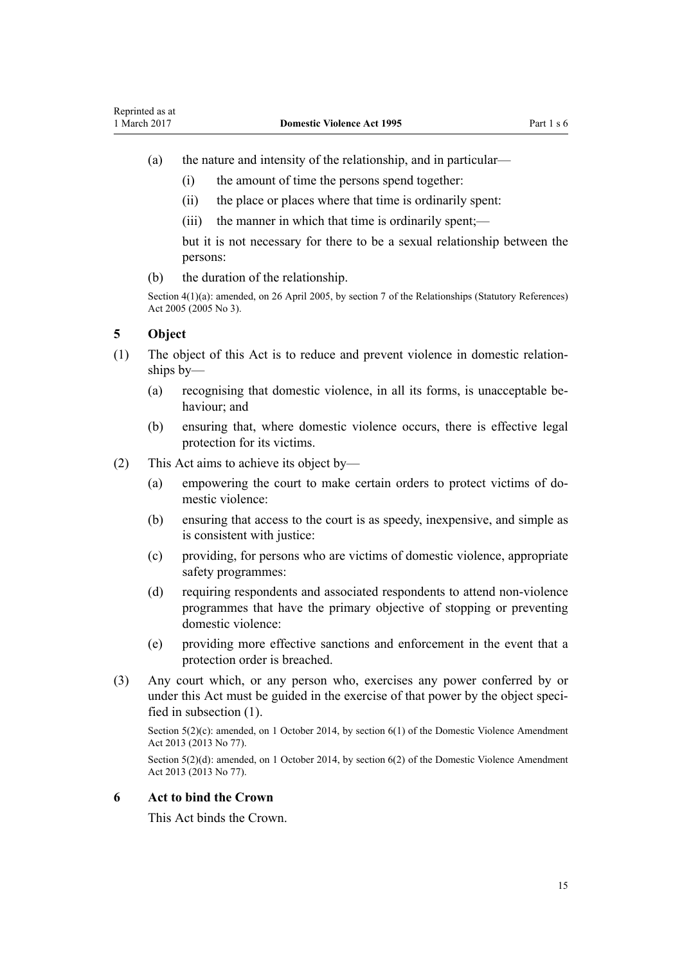- <span id="page-14-0"></span>(a) the nature and intensity of the relationship, and in particular—
	- (i) the amount of time the persons spend together:
	- (ii) the place or places where that time is ordinarily spent:
	- (iii) the manner in which that time is ordinarily spent;—

but it is not necessary for there to be a sexual relationship between the persons:

(b) the duration of the relationship.

Section 4(1)(a): amended, on 26 April 2005, by [section 7](http://prd-lgnz-nlb.prd.pco.net.nz/pdflink.aspx?id=DLM333795) of the Relationships (Statutory References) Act 2005 (2005 No 3).

# **5 Object**

- (1) The object of this Act is to reduce and prevent violence in domestic relationships by—
	- (a) recognising that domestic violence, in all its forms, is unacceptable behaviour; and
	- (b) ensuring that, where domestic violence occurs, there is effective legal protection for its victims.
- (2) This Act aims to achieve its object by—
	- (a) empowering the court to make certain orders to protect victims of domestic violence:
	- (b) ensuring that access to the court is as speedy, inexpensive, and simple as is consistent with justice:
	- (c) providing, for persons who are victims of domestic violence, appropriate safety programmes:
	- (d) requiring respondents and associated respondents to attend non-violence programmes that have the primary objective of stopping or preventing domestic violence:
	- (e) providing more effective sanctions and enforcement in the event that a protection order is breached.
- (3) Any court which, or any person who, exercises any power conferred by or under this Act must be guided in the exercise of that power by the object specified in subsection (1).

Section 5(2)(c): amended, on 1 October 2014, by [section 6\(1\)](http://prd-lgnz-nlb.prd.pco.net.nz/pdflink.aspx?id=DLM5615652) of the Domestic Violence Amendment Act 2013 (2013 No 77).

Section 5(2)(d): amended, on 1 October 2014, by [section 6\(2\)](http://prd-lgnz-nlb.prd.pco.net.nz/pdflink.aspx?id=DLM5615652) of the Domestic Violence Amendment Act 2013 (2013 No 77).

# **6 Act to bind the Crown**

This Act binds the Crown.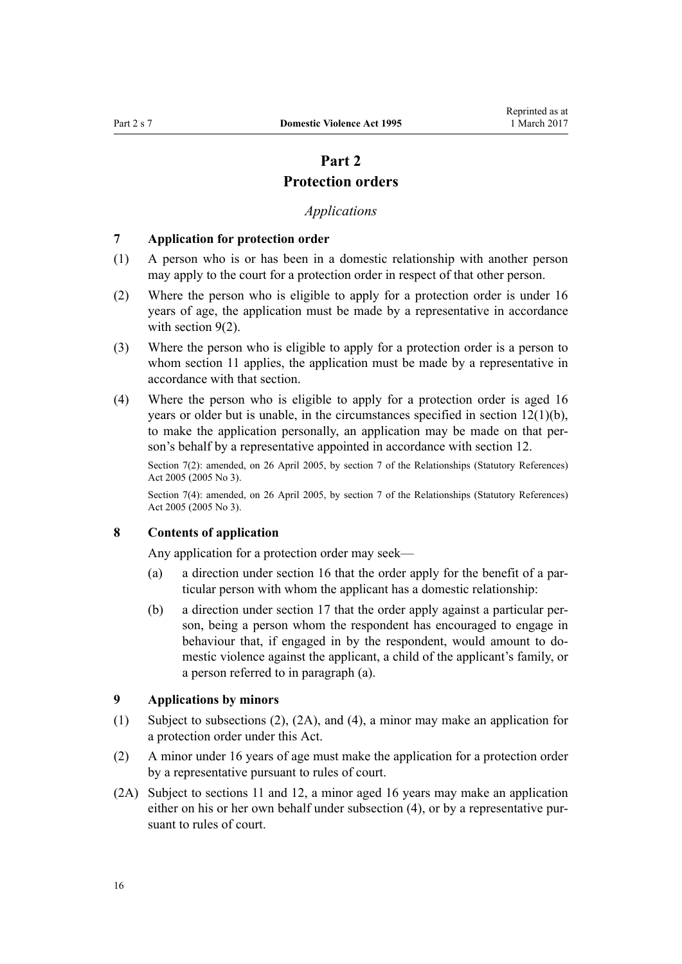# **Part 2**

# **Protection orders**

# *Applications*

#### <span id="page-15-0"></span>**7 Application for protection order**

- (1) A person who is or has been in a domestic relationship with another person may apply to the court for a protection order in respect of that other person.
- (2) Where the person who is eligible to apply for a protection order is under 16 years of age, the application must be made by a representative in accordance with section  $9(2)$ .
- (3) Where the person who is eligible to apply for a protection order is a person to whom [section 11](#page-17-0) applies, the application must be made by a representative in accordance with that section.
- (4) Where the person who is eligible to apply for a protection order is aged 16 years or older but is unable, in the circumstances specified in [section 12\(1\)\(b\)](#page-17-0), to make the application personally, an application may be made on that person's behalf by a representative appointed in accordance with section 12.

Section 7(2): amended, on 26 April 2005, by [section 7](http://prd-lgnz-nlb.prd.pco.net.nz/pdflink.aspx?id=DLM333795) of the Relationships (Statutory References) Act 2005 (2005 No 3).

Section 7(4): amended, on 26 April 2005, by [section 7](http://prd-lgnz-nlb.prd.pco.net.nz/pdflink.aspx?id=DLM333795) of the Relationships (Statutory References) Act 2005 (2005 No 3).

# **8 Contents of application**

Any application for a protection order may seek—

- (a) a direction under [section 16](#page-21-0) that the order apply for the benefit of a particular person with whom the applicant has a domestic relationship:
- (b) a direction under [section 17](#page-22-0) that the order apply against a particular person, being a person whom the respondent has encouraged to engage in behaviour that, if engaged in by the respondent, would amount to domestic violence against the applicant, a child of the applicant's family, or a person referred to in paragraph (a).

# **9 Applications by minors**

- (1) Subject to subsections (2), (2A), and (4), a minor may make an application for a protection order under this Act.
- (2) A minor under 16 years of age must make the application for a protection order by a representative pursuant to rules of court.
- (2A) Subject to [sections 11](#page-17-0) and [12,](#page-17-0) a minor aged 16 years may make an application either on his or her own behalf under subsection (4), or by a representative pursuant to rules of court.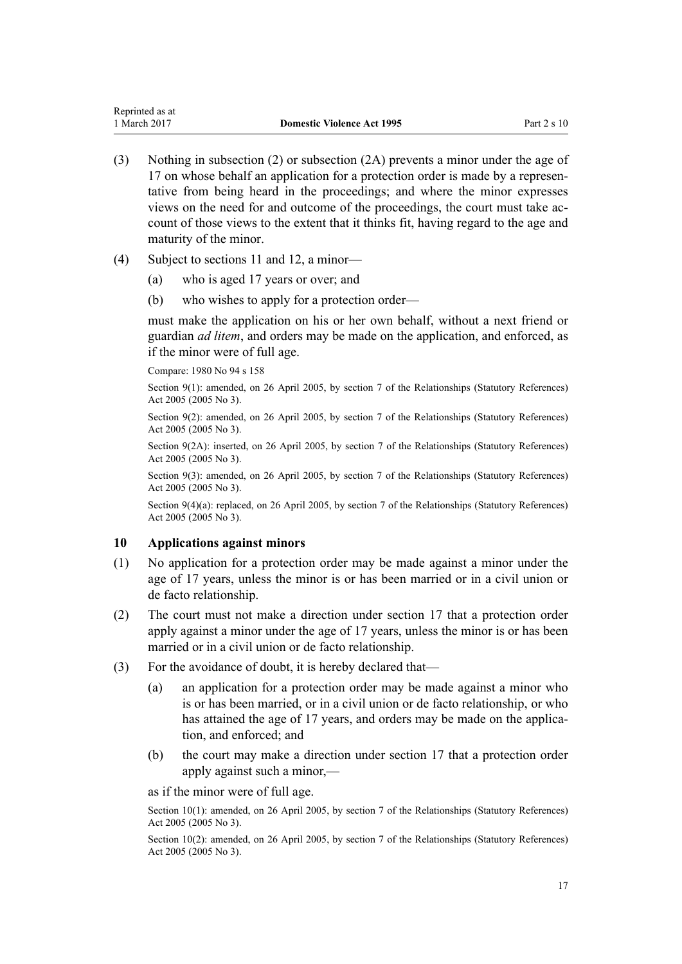- <span id="page-16-0"></span>(3) Nothing in subsection (2) or subsection (2A) prevents a minor under the age of 17 on whose behalf an application for a protection order is made by a representative from being heard in the proceedings; and where the minor expresses views on the need for and outcome of the proceedings, the court must take account of those views to the extent that it thinks fit, having regard to the age and maturity of the minor.
- (4) Subject to [sections 11](#page-17-0) and [12](#page-17-0), a minor—
	- (a) who is aged 17 years or over; and
	- (b) who wishes to apply for a protection order—

must make the application on his or her own behalf, without a next friend or guardian *ad litem*, and orders may be made on the application, and enforced, as if the minor were of full age.

Compare: 1980 No 94 [s 158](http://prd-lgnz-nlb.prd.pco.net.nz/pdflink.aspx?id=DLM41829)

Section 9(1): amended, on 26 April 2005, by [section 7](http://prd-lgnz-nlb.prd.pco.net.nz/pdflink.aspx?id=DLM333795) of the Relationships (Statutory References) Act 2005 (2005 No 3).

Section 9(2): amended, on 26 April 2005, by [section 7](http://prd-lgnz-nlb.prd.pco.net.nz/pdflink.aspx?id=DLM333795) of the Relationships (Statutory References) Act 2005 (2005 No 3).

Section 9(2A): inserted, on 26 April 2005, by [section 7](http://prd-lgnz-nlb.prd.pco.net.nz/pdflink.aspx?id=DLM333795) of the Relationships (Statutory References) Act 2005 (2005 No 3).

Section 9(3): amended, on 26 April 2005, by [section 7](http://prd-lgnz-nlb.prd.pco.net.nz/pdflink.aspx?id=DLM333795) of the Relationships (Statutory References) Act 2005 (2005 No 3).

Section 9(4)(a): replaced, on 26 April 2005, by [section 7](http://prd-lgnz-nlb.prd.pco.net.nz/pdflink.aspx?id=DLM333795) of the Relationships (Statutory References) Act 2005 (2005 No 3).

### **10 Applications against minors**

- (1) No application for a protection order may be made against a minor under the age of 17 years, unless the minor is or has been married or in a civil union or de facto relationship.
- (2) The court must not make a direction under [section 17](#page-22-0) that a protection order apply against a minor under the age of 17 years, unless the minor is or has been married or in a civil union or de facto relationship.
- (3) For the avoidance of doubt, it is hereby declared that—
	- (a) an application for a protection order may be made against a minor who is or has been married, or in a civil union or de facto relationship, or who has attained the age of 17 years, and orders may be made on the application, and enforced; and
	- (b) the court may make a direction under [section 17](#page-22-0) that a protection order apply against such a minor,—

as if the minor were of full age.

Section 10(1): amended, on 26 April 2005, by [section 7](http://prd-lgnz-nlb.prd.pco.net.nz/pdflink.aspx?id=DLM333795) of the Relationships (Statutory References) Act 2005 (2005 No 3).

Section 10(2): amended, on 26 April 2005, by [section 7](http://prd-lgnz-nlb.prd.pco.net.nz/pdflink.aspx?id=DLM333795) of the Relationships (Statutory References) Act 2005 (2005 No 3).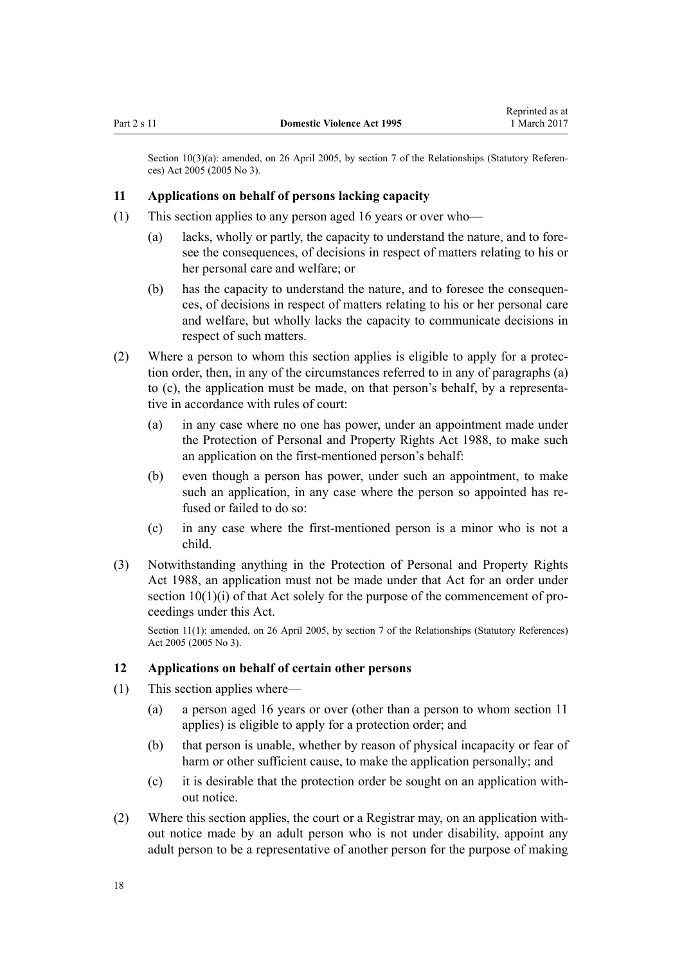<span id="page-17-0"></span>Section 10(3)(a): amended, on 26 April 2005, by [section 7](http://prd-lgnz-nlb.prd.pco.net.nz/pdflink.aspx?id=DLM333795) of the Relationships (Statutory References) Act 2005 (2005 No 3).

#### **11 Applications on behalf of persons lacking capacity**

- (1) This section applies to any person aged 16 years or over who—
	- (a) lacks, wholly or partly, the capacity to understand the nature, and to foresee the consequences, of decisions in respect of matters relating to his or her personal care and welfare; or
	- (b) has the capacity to understand the nature, and to foresee the consequences, of decisions in respect of matters relating to his or her personal care and welfare, but wholly lacks the capacity to communicate decisions in respect of such matters.
- (2) Where a person to whom this section applies is eligible to apply for a protection order, then, in any of the circumstances referred to in any of paragraphs (a) to (c), the application must be made, on that person's behalf, by a representative in accordance with rules of court:
	- (a) in any case where no one has power, under an appointment made under the [Protection of Personal and Property Rights Act 1988,](http://prd-lgnz-nlb.prd.pco.net.nz/pdflink.aspx?id=DLM126527) to make such an application on the first-mentioned person's behalf:
	- (b) even though a person has power, under such an appointment, to make such an application, in any case where the person so appointed has refused or failed to do so:
	- (c) in any case where the first-mentioned person is a minor who is not a child.
- (3) Notwithstanding anything in the [Protection of Personal and Property Rights](http://prd-lgnz-nlb.prd.pco.net.nz/pdflink.aspx?id=DLM126527) [Act 1988,](http://prd-lgnz-nlb.prd.pco.net.nz/pdflink.aspx?id=DLM126527) an application must not be made under that Act for an order under [section 10\(1\)\(i\)](http://prd-lgnz-nlb.prd.pco.net.nz/pdflink.aspx?id=DLM126583) of that Act solely for the purpose of the commencement of proceedings under this Act.

Section 11(1): amended, on 26 April 2005, by [section 7](http://prd-lgnz-nlb.prd.pco.net.nz/pdflink.aspx?id=DLM333795) of the Relationships (Statutory References) Act 2005 (2005 No 3).

# **12 Applications on behalf of certain other persons**

- (1) This section applies where—
	- (a) a person aged 16 years or over (other than a person to whom section 11 applies) is eligible to apply for a protection order; and
	- (b) that person is unable, whether by reason of physical incapacity or fear of harm or other sufficient cause, to make the application personally; and
	- (c) it is desirable that the protection order be sought on an application without notice.
- (2) Where this section applies, the court or a Registrar may, on an application without notice made by an adult person who is not under disability, appoint any adult person to be a representative of another person for the purpose of making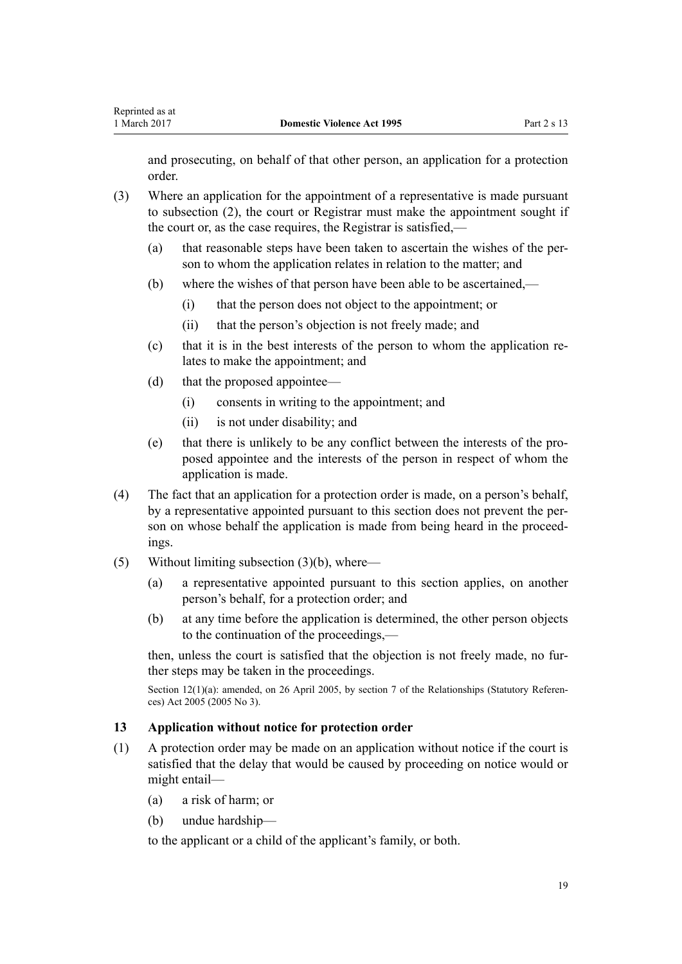<span id="page-18-0"></span>and prosecuting, on behalf of that other person, an application for a protection order.

- (3) Where an application for the appointment of a representative is made pursuant to subsection (2), the court or Registrar must make the appointment sought if the court or, as the case requires, the Registrar is satisfied,—
	- (a) that reasonable steps have been taken to ascertain the wishes of the person to whom the application relates in relation to the matter; and
	- (b) where the wishes of that person have been able to be ascertained,—
		- (i) that the person does not object to the appointment; or
		- (ii) that the person's objection is not freely made; and
	- (c) that it is in the best interests of the person to whom the application relates to make the appointment; and
	- (d) that the proposed appointee—
		- (i) consents in writing to the appointment; and
		- (ii) is not under disability; and
	- (e) that there is unlikely to be any conflict between the interests of the proposed appointee and the interests of the person in respect of whom the application is made.
- (4) The fact that an application for a protection order is made, on a person's behalf, by a representative appointed pursuant to this section does not prevent the person on whose behalf the application is made from being heard in the proceedings.
- (5) Without limiting subsection (3)(b), where—
	- (a) a representative appointed pursuant to this section applies, on another person's behalf, for a protection order; and
	- (b) at any time before the application is determined, the other person objects to the continuation of the proceedings,—

then, unless the court is satisfied that the objection is not freely made, no further steps may be taken in the proceedings.

Section 12(1)(a): amended, on 26 April 2005, by [section 7](http://prd-lgnz-nlb.prd.pco.net.nz/pdflink.aspx?id=DLM333795) of the Relationships (Statutory References) Act 2005 (2005 No 3).

#### **13 Application without notice for protection order**

- (1) A protection order may be made on an application without notice if the court is satisfied that the delay that would be caused by proceeding on notice would or might entail—
	- (a) a risk of harm; or
	- (b) undue hardship—

to the applicant or a child of the applicant's family, or both.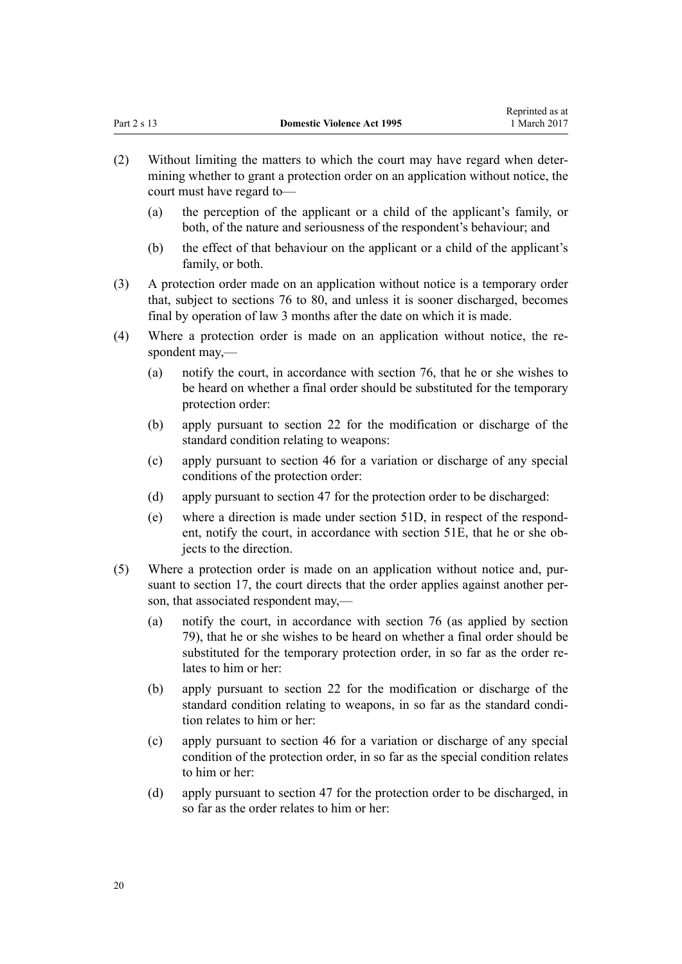- (2) Without limiting the matters to which the court may have regard when determining whether to grant a protection order on an application without notice, the court must have regard to—
	- (a) the perception of the applicant or a child of the applicant's family, or both, of the nature and seriousness of the respondent's behaviour; and
	- (b) the effect of that behaviour on the applicant or a child of the applicant's family, or both.
- (3) A protection order made on an application without notice is a temporary order that, subject to [sections 76 to 80](#page-61-0), and unless it is sooner discharged, becomes final by operation of law 3 months after the date on which it is made.
- (4) Where a protection order is made on an application without notice, the respondent may,—
	- (a) notify the court, in accordance with [section 76](#page-61-0), that he or she wishes to be heard on whether a final order should be substituted for the temporary protection order:
	- (b) apply pursuant to [section 22](#page-26-0) for the modification or discharge of the standard condition relating to weapons:
	- (c) apply pursuant to [section 46](#page-36-0) for a variation or discharge of any special conditions of the protection order:
	- (d) apply pursuant to [section 47](#page-37-0) for the protection order to be discharged:
	- (e) where a direction is made under [section 51D,](#page-42-0) in respect of the respondent, notify the court, in accordance with [section 51E](#page-42-0), that he or she objects to the direction.
- (5) Where a protection order is made on an application without notice and, pursuant to [section 17,](#page-22-0) the court directs that the order applies against another person, that associated respondent may,—
	- (a) notify the court, in accordance with [section 76](#page-61-0) (as applied by [section](#page-63-0) [79\)](#page-63-0), that he or she wishes to be heard on whether a final order should be substituted for the temporary protection order, in so far as the order relates to him or her:
	- (b) apply pursuant to [section 22](#page-26-0) for the modification or discharge of the standard condition relating to weapons, in so far as the standard condition relates to him or her:
	- (c) apply pursuant to [section 46](#page-36-0) for a variation or discharge of any special condition of the protection order, in so far as the special condition relates to him or her:
	- (d) apply pursuant to [section 47](#page-37-0) for the protection order to be discharged, in so far as the order relates to him or her: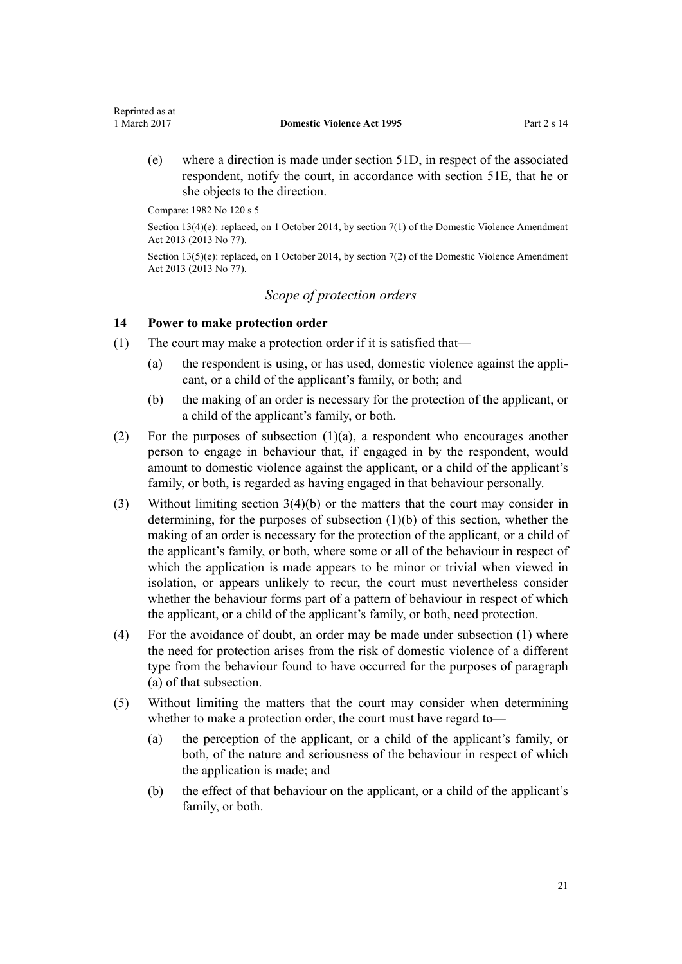(e) where a direction is made under [section 51D,](#page-42-0) in respect of the associated respondent, notify the court, in accordance with [section 51E,](#page-42-0) that he or she objects to the direction.

Compare: 1982 No 120 s 5

<span id="page-20-0"></span>Reprinted as at

Section 13(4)(e): replaced, on 1 October 2014, by [section 7\(1\)](http://prd-lgnz-nlb.prd.pco.net.nz/pdflink.aspx?id=DLM5615653) of the Domestic Violence Amendment Act 2013 (2013 No 77).

Section 13(5)(e): replaced, on 1 October 2014, by [section 7\(2\)](http://prd-lgnz-nlb.prd.pco.net.nz/pdflink.aspx?id=DLM5615653) of the Domestic Violence Amendment Act 2013 (2013 No 77).

# *Scope of protection orders*

#### **14 Power to make protection order**

- (1) The court may make a protection order if it is satisfied that—
	- (a) the respondent is using, or has used, domestic violence against the applicant, or a child of the applicant's family, or both; and
	- (b) the making of an order is necessary for the protection of the applicant, or a child of the applicant's family, or both.
- (2) For the purposes of subsection  $(1)(a)$ , a respondent who encourages another person to engage in behaviour that, if engaged in by the respondent, would amount to domestic violence against the applicant, or a child of the applicant's family, or both, is regarded as having engaged in that behaviour personally.
- (3) Without limiting [section 3\(4\)\(b\)](#page-12-0) or the matters that the court may consider in determining, for the purposes of subsection (1)(b) of this section, whether the making of an order is necessary for the protection of the applicant, or a child of the applicant's family, or both, where some or all of the behaviour in respect of which the application is made appears to be minor or trivial when viewed in isolation, or appears unlikely to recur, the court must nevertheless consider whether the behaviour forms part of a pattern of behaviour in respect of which the applicant, or a child of the applicant's family, or both, need protection.
- (4) For the avoidance of doubt, an order may be made under subsection (1) where the need for protection arises from the risk of domestic violence of a different type from the behaviour found to have occurred for the purposes of paragraph (a) of that subsection.
- (5) Without limiting the matters that the court may consider when determining whether to make a protection order, the court must have regard to—
	- (a) the perception of the applicant, or a child of the applicant's family, or both, of the nature and seriousness of the behaviour in respect of which the application is made; and
	- (b) the effect of that behaviour on the applicant, or a child of the applicant's family, or both.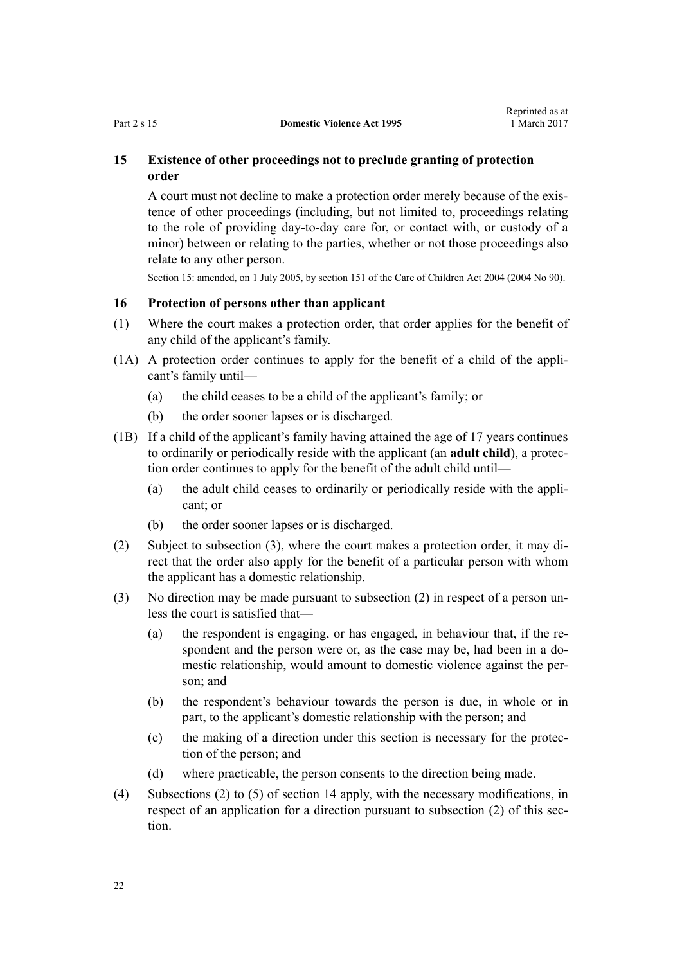# <span id="page-21-0"></span>**15 Existence of other proceedings not to preclude granting of protection order**

A court must not decline to make a protection order merely because of the existence of other proceedings (including, but not limited to, proceedings relating to the role of providing day-to-day care for, or contact with, or custody of a minor) between or relating to the parties, whether or not those proceedings also relate to any other person.

Section 15: amended, on 1 July 2005, by [section 151](http://prd-lgnz-nlb.prd.pco.net.nz/pdflink.aspx?id=DLM317988) of the Care of Children Act 2004 (2004 No 90).

# **16 Protection of persons other than applicant**

- (1) Where the court makes a protection order, that order applies for the benefit of any child of the applicant's family.
- (1A) A protection order continues to apply for the benefit of a child of the applicant's family until—
	- (a) the child ceases to be a child of the applicant's family; or
	- (b) the order sooner lapses or is discharged.
- (1B) If a child of the applicant's family having attained the age of 17 years continues to ordinarily or periodically reside with the applicant (an **adult child**), a protection order continues to apply for the benefit of the adult child until—
	- (a) the adult child ceases to ordinarily or periodically reside with the applicant; or
	- (b) the order sooner lapses or is discharged.
- (2) Subject to subsection (3), where the court makes a protection order, it may direct that the order also apply for the benefit of a particular person with whom the applicant has a domestic relationship.
- (3) No direction may be made pursuant to subsection (2) in respect of a person unless the court is satisfied that—
	- (a) the respondent is engaging, or has engaged, in behaviour that, if the respondent and the person were or, as the case may be, had been in a domestic relationship, would amount to domestic violence against the person; and
	- (b) the respondent's behaviour towards the person is due, in whole or in part, to the applicant's domestic relationship with the person; and
	- (c) the making of a direction under this section is necessary for the protection of the person; and
	- (d) where practicable, the person consents to the direction being made.
- (4) Subsections (2) to (5) of [section 14](#page-20-0) apply, with the necessary modifications, in respect of an application for a direction pursuant to subsection (2) of this section.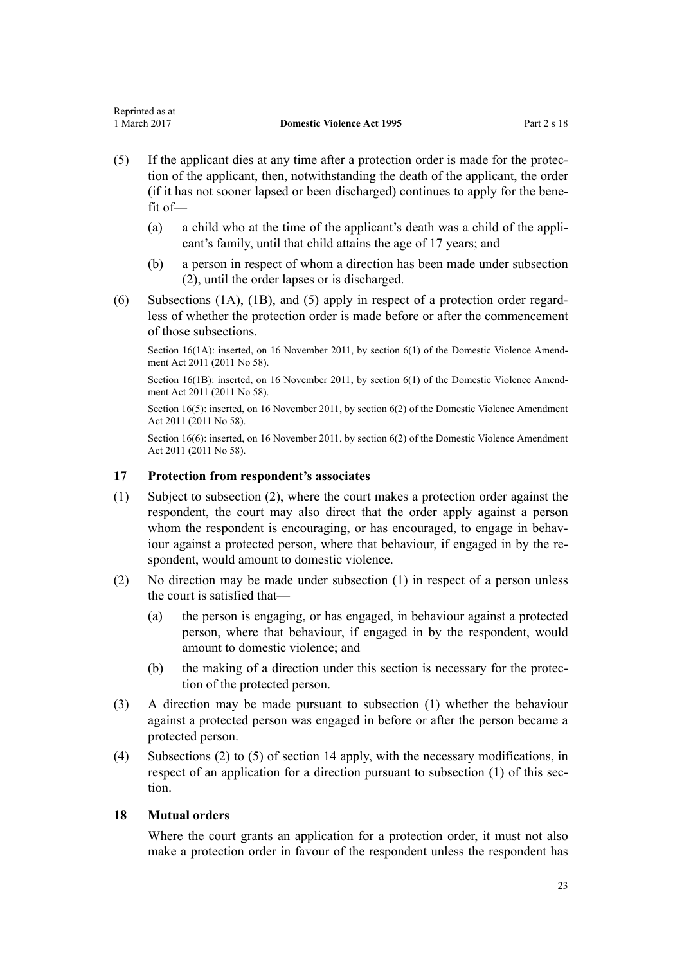- <span id="page-22-0"></span>(5) If the applicant dies at any time after a protection order is made for the protection of the applicant, then, notwithstanding the death of the applicant, the order (if it has not sooner lapsed or been discharged) continues to apply for the benefit of—
	- (a) a child who at the time of the applicant's death was a child of the applicant's family, until that child attains the age of 17 years; and
	- (b) a person in respect of whom a direction has been made under subsection (2), until the order lapses or is discharged.
- (6) Subsections (1A), (1B), and (5) apply in respect of a protection order regardless of whether the protection order is made before or after the commencement of those subsections.

Section 16(1A): inserted, on 16 November 2011, by [section 6\(1\)](http://prd-lgnz-nlb.prd.pco.net.nz/pdflink.aspx?id=DLM1955515) of the Domestic Violence Amendment Act 2011 (2011 No 58).

Section 16(1B): inserted, on 16 November 2011, by [section 6\(1\)](http://prd-lgnz-nlb.prd.pco.net.nz/pdflink.aspx?id=DLM1955515) of the Domestic Violence Amendment Act 2011 (2011 No 58).

Section 16(5): inserted, on 16 November 2011, by [section 6\(2\)](http://prd-lgnz-nlb.prd.pco.net.nz/pdflink.aspx?id=DLM1955515) of the Domestic Violence Amendment Act 2011 (2011 No 58).

Section 16(6): inserted, on 16 November 2011, by [section 6\(2\)](http://prd-lgnz-nlb.prd.pco.net.nz/pdflink.aspx?id=DLM1955515) of the Domestic Violence Amendment Act 2011 (2011 No 58).

# **17 Protection from respondent's associates**

- (1) Subject to subsection (2), where the court makes a protection order against the respondent, the court may also direct that the order apply against a person whom the respondent is encouraging, or has encouraged, to engage in behaviour against a protected person, where that behaviour, if engaged in by the respondent, would amount to domestic violence.
- (2) No direction may be made under subsection (1) in respect of a person unless the court is satisfied that—
	- (a) the person is engaging, or has engaged, in behaviour against a protected person, where that behaviour, if engaged in by the respondent, would amount to domestic violence; and
	- (b) the making of a direction under this section is necessary for the protection of the protected person.
- (3) A direction may be made pursuant to subsection (1) whether the behaviour against a protected person was engaged in before or after the person became a protected person.
- (4) Subsections (2) to (5) of [section 14](#page-20-0) apply, with the necessary modifications, in respect of an application for a direction pursuant to subsection (1) of this section.

## **18 Mutual orders**

Where the court grants an application for a protection order, it must not also make a protection order in favour of the respondent unless the respondent has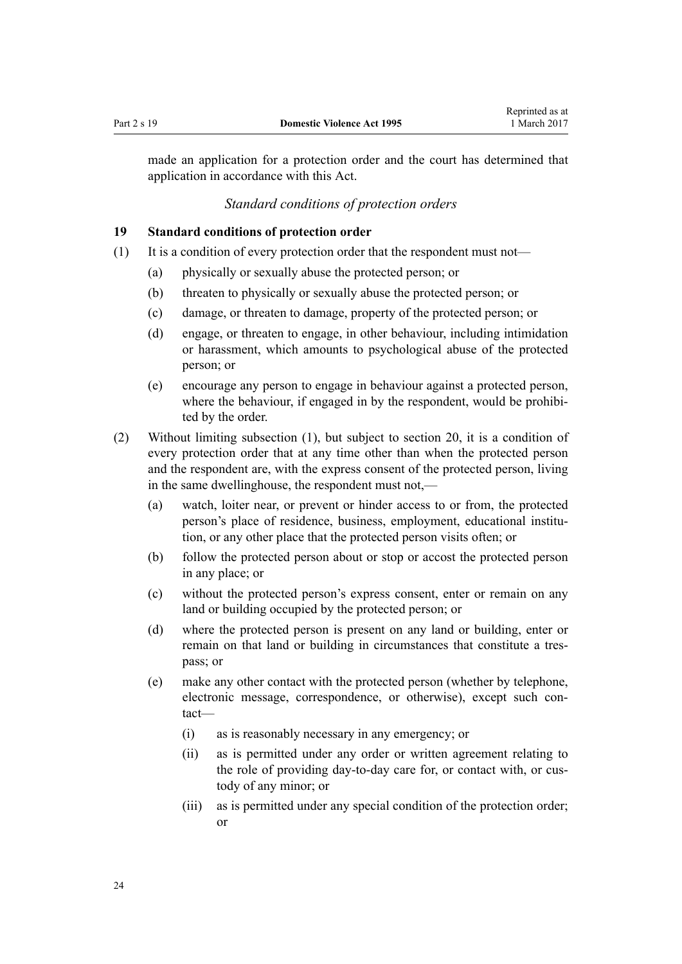<span id="page-23-0"></span>made an application for a protection order and the court has determined that application in accordance with this Act.

### *Standard conditions of protection orders*

#### **19 Standard conditions of protection order**

- (1) It is a condition of every protection order that the respondent must not—
	- (a) physically or sexually abuse the protected person; or
	- (b) threaten to physically or sexually abuse the protected person; or
	- (c) damage, or threaten to damage, property of the protected person; or
	- (d) engage, or threaten to engage, in other behaviour, including intimidation or harassment, which amounts to psychological abuse of the protected person; or
	- (e) encourage any person to engage in behaviour against a protected person, where the behaviour, if engaged in by the respondent, would be prohibited by the order.
- (2) Without limiting subsection (1), but subject to [section 20,](#page-24-0) it is a condition of every protection order that at any time other than when the protected person and the respondent are, with the express consent of the protected person, living in the same dwellinghouse, the respondent must not,—
	- (a) watch, loiter near, or prevent or hinder access to or from, the protected person's place of residence, business, employment, educational institution, or any other place that the protected person visits often; or
	- (b) follow the protected person about or stop or accost the protected person in any place; or
	- (c) without the protected person's express consent, enter or remain on any land or building occupied by the protected person; or
	- (d) where the protected person is present on any land or building, enter or remain on that land or building in circumstances that constitute a trespass; or
	- (e) make any other contact with the protected person (whether by telephone, electronic message, correspondence, or otherwise), except such contact—
		- (i) as is reasonably necessary in any emergency; or
		- (ii) as is permitted under any order or written agreement relating to the role of providing day-to-day care for, or contact with, or custody of any minor; or
		- (iii) as is permitted under any special condition of the protection order; or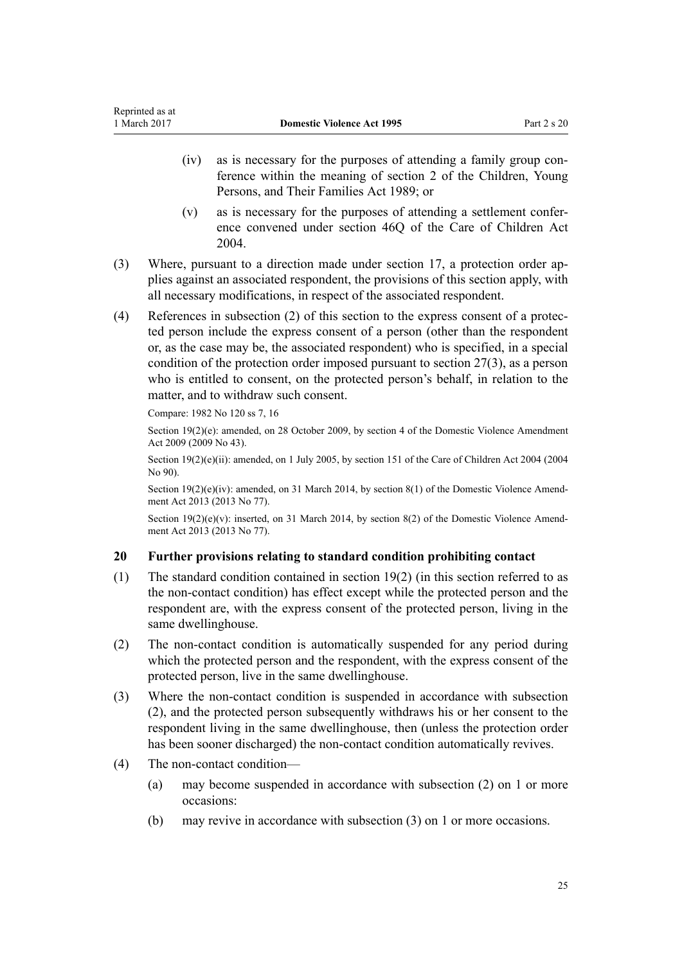- <span id="page-24-0"></span>(iv) as is necessary for the purposes of attending a family group conference within the meaning of [section 2](http://prd-lgnz-nlb.prd.pco.net.nz/pdflink.aspx?id=DLM147094) of the Children, Young Persons, and Their Families Act 1989; or
- (v) as is necessary for the purposes of attending a settlement conference convened under [section 46Q](http://prd-lgnz-nlb.prd.pco.net.nz/pdflink.aspx?id=DLM6027393) of the Care of Children Act 2004.
- (3) Where, pursuant to a direction made under [section 17,](#page-22-0) a protection order applies against an associated respondent, the provisions of this section apply, with all necessary modifications, in respect of the associated respondent.
- (4) References in subsection (2) of this section to the express consent of a protected person include the express consent of a person (other than the respondent or, as the case may be, the associated respondent) who is specified, in a special condition of the protection order imposed pursuant to [section 27\(3\),](#page-32-0) as a person who is entitled to consent, on the protected person's behalf, in relation to the matter, and to withdraw such consent.

Compare: 1982 No 120 ss 7, 16

Section 19(2)(e): amended, on 28 October 2009, by [section 4](http://prd-lgnz-nlb.prd.pco.net.nz/pdflink.aspx?id=DLM2181002) of the Domestic Violence Amendment Act 2009 (2009 No 43).

Section 19(2)(e)(ii): amended, on 1 July 2005, by [section 151](http://prd-lgnz-nlb.prd.pco.net.nz/pdflink.aspx?id=DLM317988) of the Care of Children Act 2004 (2004) No 90).

Section  $19(2)(e)(iv)$ : amended, on 31 March 2014, by [section 8\(1\)](http://prd-lgnz-nlb.prd.pco.net.nz/pdflink.aspx?id=DLM5615654) of the Domestic Violence Amendment Act 2013 (2013 No 77).

Section 19(2)(e)(v): inserted, on 31 March 2014, by [section 8\(2\)](http://prd-lgnz-nlb.prd.pco.net.nz/pdflink.aspx?id=DLM5615654) of the Domestic Violence Amendment Act 2013 (2013 No 77).

### **20 Further provisions relating to standard condition prohibiting contact**

- (1) The standard condition contained in [section 19\(2\)](#page-23-0) (in this section referred to as the non-contact condition) has effect except while the protected person and the respondent are, with the express consent of the protected person, living in the same dwellinghouse.
- (2) The non-contact condition is automatically suspended for any period during which the protected person and the respondent, with the express consent of the protected person, live in the same dwellinghouse.
- (3) Where the non-contact condition is suspended in accordance with subsection (2), and the protected person subsequently withdraws his or her consent to the respondent living in the same dwellinghouse, then (unless the protection order has been sooner discharged) the non-contact condition automatically revives.
- (4) The non-contact condition—
	- (a) may become suspended in accordance with subsection (2) on 1 or more occasions:
	- (b) may revive in accordance with subsection (3) on 1 or more occasions.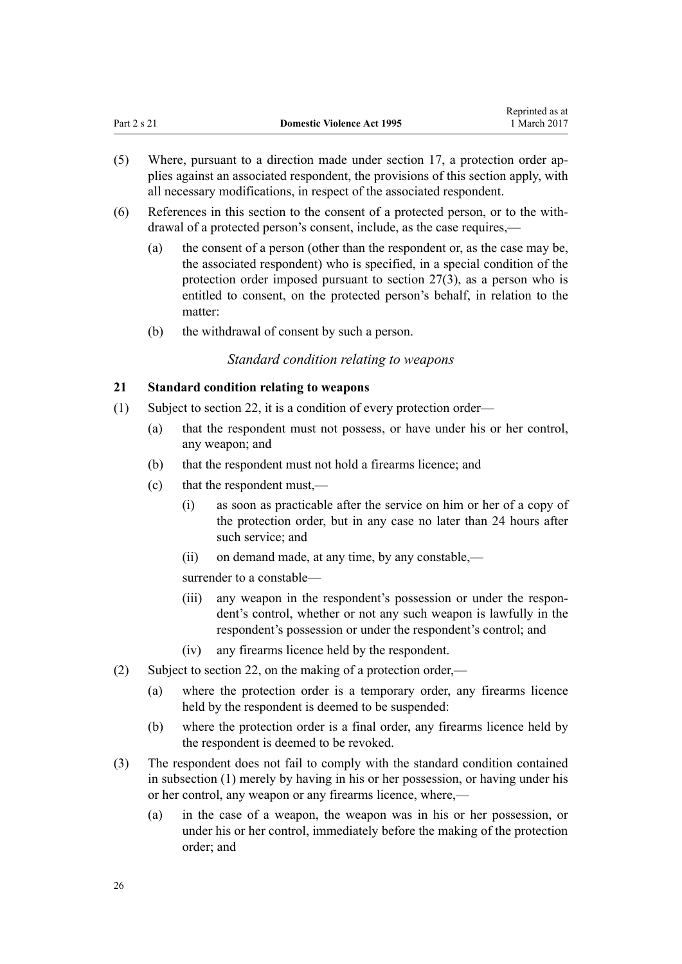- <span id="page-25-0"></span>(5) Where, pursuant to a direction made under [section 17,](#page-22-0) a protection order applies against an associated respondent, the provisions of this section apply, with all necessary modifications, in respect of the associated respondent.
- (6) References in this section to the consent of a protected person, or to the withdrawal of a protected person's consent, include, as the case requires,—
	- (a) the consent of a person (other than the respondent or, as the case may be, the associated respondent) who is specified, in a special condition of the protection order imposed pursuant to [section 27\(3\),](#page-32-0) as a person who is entitled to consent, on the protected person's behalf, in relation to the matter:
	- (b) the withdrawal of consent by such a person.

# *Standard condition relating to weapons*

# **21 Standard condition relating to weapons**

- (1) Subject to [section 22](#page-26-0), it is a condition of every protection order—
	- (a) that the respondent must not possess, or have under his or her control, any weapon; and
	- (b) that the respondent must not hold a firearms licence; and
	- (c) that the respondent must,—
		- (i) as soon as practicable after the service on him or her of a copy of the protection order, but in any case no later than 24 hours after such service; and
		- (ii) on demand made, at any time, by any constable,—

surrender to a constable—

- (iii) any weapon in the respondent's possession or under the respondent's control, whether or not any such weapon is lawfully in the respondent's possession or under the respondent's control; and
- (iv) any firearms licence held by the respondent.
- (2) Subject to [section 22](#page-26-0), on the making of a protection order,—
	- (a) where the protection order is a temporary order, any firearms licence held by the respondent is deemed to be suspended:
	- (b) where the protection order is a final order, any firearms licence held by the respondent is deemed to be revoked.
- (3) The respondent does not fail to comply with the standard condition contained in subsection (1) merely by having in his or her possession, or having under his or her control, any weapon or any firearms licence, where,—
	- (a) in the case of a weapon, the weapon was in his or her possession, or under his or her control, immediately before the making of the protection order; and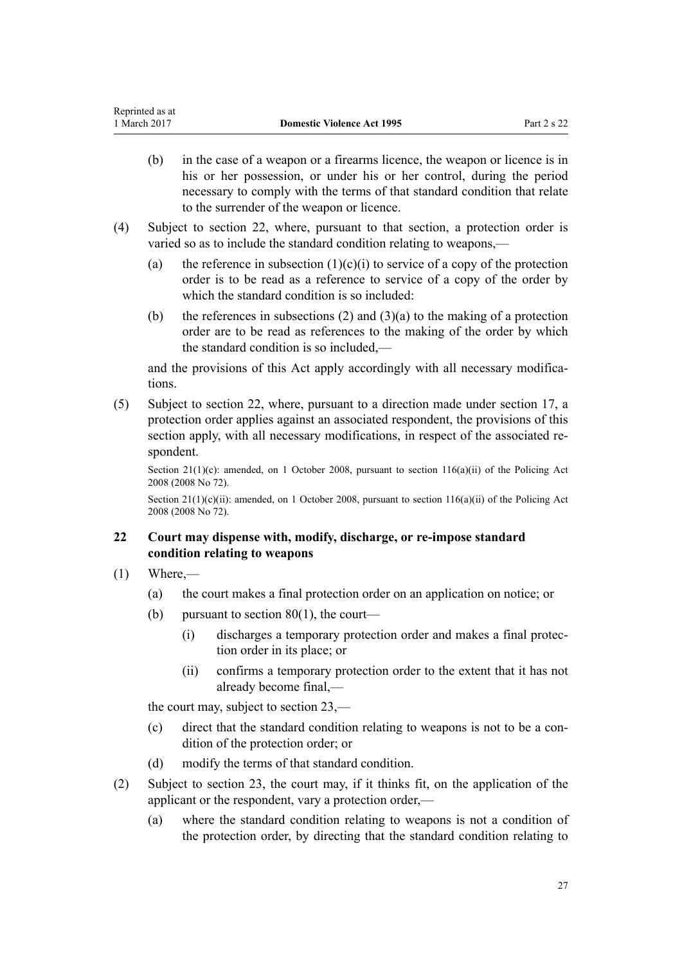- <span id="page-26-0"></span>(b) in the case of a weapon or a firearms licence, the weapon or licence is in his or her possession, or under his or her control, during the period necessary to comply with the terms of that standard condition that relate to the surrender of the weapon or licence.
- (4) Subject to section 22, where, pursuant to that section, a protection order is varied so as to include the standard condition relating to weapons,—
	- (a) the reference in subsection  $(1)(c)(i)$  to service of a copy of the protection order is to be read as a reference to service of a copy of the order by which the standard condition is so included:
	- (b) the references in subsections (2) and  $(3)(a)$  to the making of a protection order are to be read as references to the making of the order by which the standard condition is so included,—

and the provisions of this Act apply accordingly with all necessary modifications.

(5) Subject to section 22, where, pursuant to a direction made under [section 17](#page-22-0), a protection order applies against an associated respondent, the provisions of this section apply, with all necessary modifications, in respect of the associated respondent.

Section 21(1)(c): amended, on 1 October 2008, pursuant to [section 116\(a\)\(ii\)](http://prd-lgnz-nlb.prd.pco.net.nz/pdflink.aspx?id=DLM1102349) of the Policing Act 2008 (2008 No 72).

Section 21(1)(c)(ii): amended, on 1 October 2008, pursuant to [section 116\(a\)\(ii\)](http://prd-lgnz-nlb.prd.pco.net.nz/pdflink.aspx?id=DLM1102349) of the Policing Act 2008 (2008 No 72).

# **22 Court may dispense with, modify, discharge, or re-impose standard condition relating to weapons**

- $(1)$  Where,—
	- (a) the court makes a final protection order on an application on notice; or
	- (b) pursuant to section  $80(1)$ , the court—
		- (i) discharges a temporary protection order and makes a final protection order in its place; or
		- (ii) confirms a temporary protection order to the extent that it has not already become final,—

the court may, subject to [section 23,](#page-28-0)—

- (c) direct that the standard condition relating to weapons is not to be a condition of the protection order; or
- (d) modify the terms of that standard condition.
- (2) Subject to [section 23](#page-28-0), the court may, if it thinks fit, on the application of the applicant or the respondent, vary a protection order,—
	- (a) where the standard condition relating to weapons is not a condition of the protection order, by directing that the standard condition relating to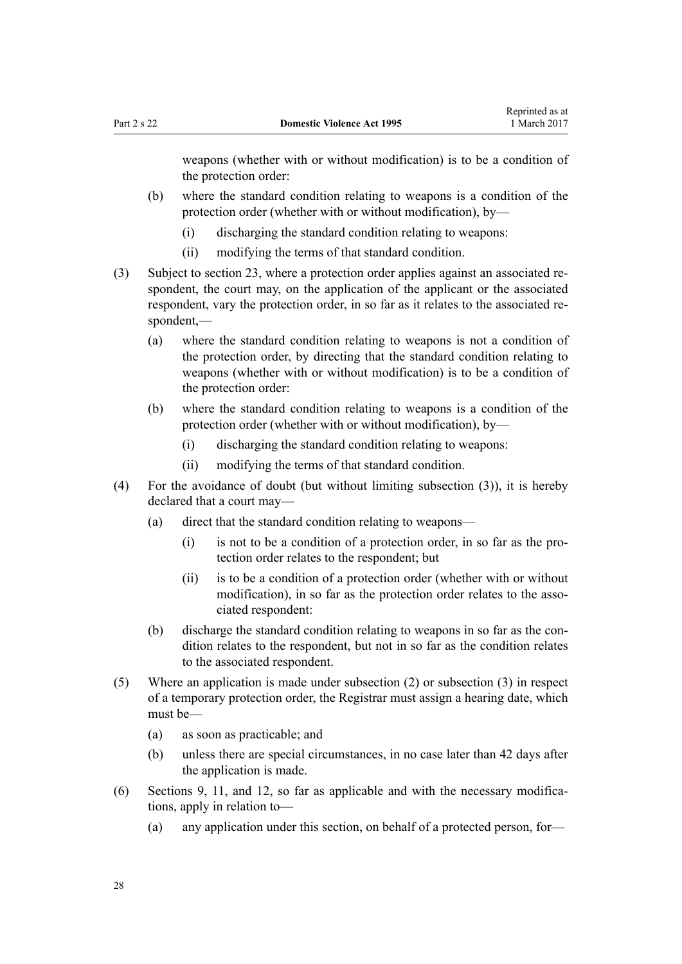weapons (whether with or without modification) is to be a condition of the protection order:

- (b) where the standard condition relating to weapons is a condition of the protection order (whether with or without modification), by—
	- (i) discharging the standard condition relating to weapons:
	- (ii) modifying the terms of that standard condition.
- (3) Subject to [section 23,](#page-28-0) where a protection order applies against an associated respondent, the court may, on the application of the applicant or the associated respondent, vary the protection order, in so far as it relates to the associated respondent,—
	- (a) where the standard condition relating to weapons is not a condition of the protection order, by directing that the standard condition relating to weapons (whether with or without modification) is to be a condition of the protection order:
	- (b) where the standard condition relating to weapons is a condition of the protection order (whether with or without modification), by—
		- (i) discharging the standard condition relating to weapons:
		- (ii) modifying the terms of that standard condition.
- (4) For the avoidance of doubt (but without limiting subsection (3)), it is hereby declared that a court may—
	- (a) direct that the standard condition relating to weapons—
		- (i) is not to be a condition of a protection order, in so far as the protection order relates to the respondent; but
		- (ii) is to be a condition of a protection order (whether with or without modification), in so far as the protection order relates to the associated respondent:
	- (b) discharge the standard condition relating to weapons in so far as the condition relates to the respondent, but not in so far as the condition relates to the associated respondent.
- (5) Where an application is made under subsection (2) or subsection (3) in respect of a temporary protection order, the Registrar must assign a hearing date, which must be—
	- (a) as soon as practicable; and
	- (b) unless there are special circumstances, in no case later than 42 days after the application is made.
- (6) [Sections 9](#page-15-0), [11](#page-17-0), and [12](#page-17-0), so far as applicable and with the necessary modifications, apply in relation to—
	- (a) any application under this section, on behalf of a protected person, for—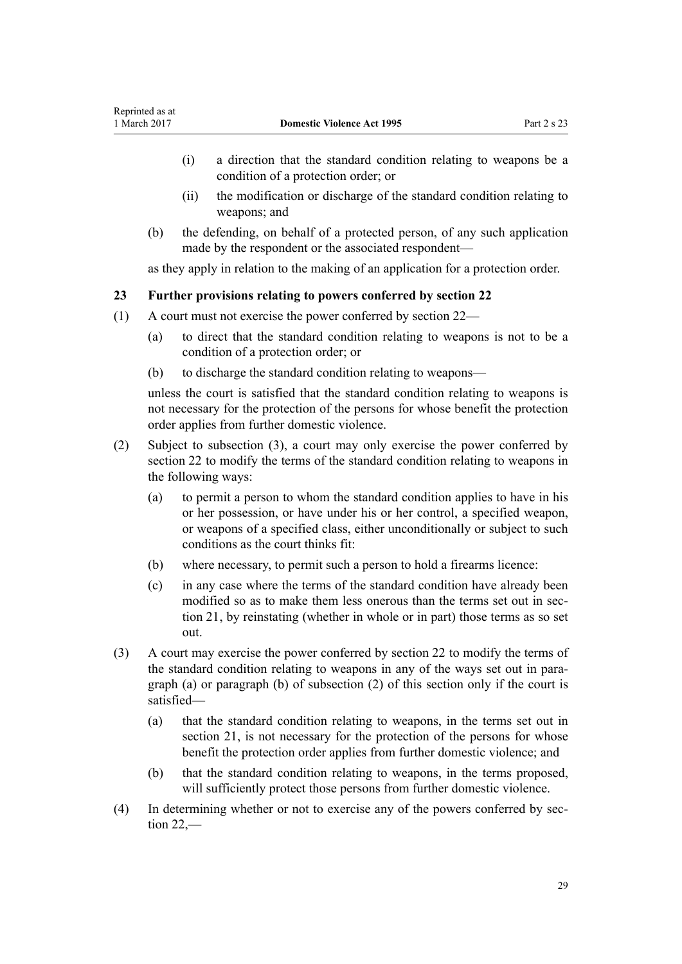- <span id="page-28-0"></span>(i) a direction that the standard condition relating to weapons be a condition of a protection order; or
- (ii) the modification or discharge of the standard condition relating to weapons; and
- (b) the defending, on behalf of a protected person, of any such application made by the respondent or the associated respondent—

as they apply in relation to the making of an application for a protection order.

# **23 Further provisions relating to powers conferred by section 22**

- (1) A court must not exercise the power conferred by [section 22](#page-26-0)
	- (a) to direct that the standard condition relating to weapons is not to be a condition of a protection order; or
	- (b) to discharge the standard condition relating to weapons—

unless the court is satisfied that the standard condition relating to weapons is not necessary for the protection of the persons for whose benefit the protection order applies from further domestic violence.

- (2) Subject to subsection (3), a court may only exercise the power conferred by [section 22](#page-26-0) to modify the terms of the standard condition relating to weapons in the following ways:
	- (a) to permit a person to whom the standard condition applies to have in his or her possession, or have under his or her control, a specified weapon, or weapons of a specified class, either unconditionally or subject to such conditions as the court thinks fit:
	- (b) where necessary, to permit such a person to hold a firearms licence:
	- (c) in any case where the terms of the standard condition have already been modified so as to make them less onerous than the terms set out in [sec](#page-25-0)[tion 21,](#page-25-0) by reinstating (whether in whole or in part) those terms as so set out.
- (3) A court may exercise the power conferred by [section 22](#page-26-0) to modify the terms of the standard condition relating to weapons in any of the ways set out in paragraph (a) or paragraph (b) of subsection (2) of this section only if the court is satisfied—
	- (a) that the standard condition relating to weapons, in the terms set out in [section 21](#page-25-0), is not necessary for the protection of the persons for whose benefit the protection order applies from further domestic violence; and
	- (b) that the standard condition relating to weapons, in the terms proposed, will sufficiently protect those persons from further domestic violence.
- (4) In determining whether or not to exercise any of the powers conferred by [sec](#page-26-0)[tion 22](#page-26-0),—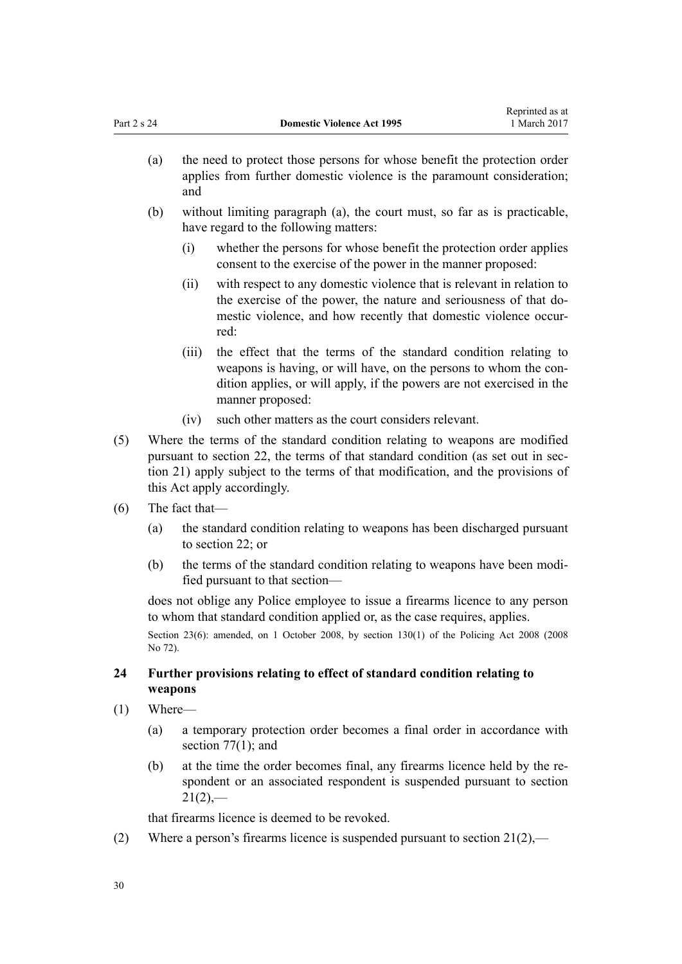| (a) | the need to protect those persons for whose benefit the protection order |
|-----|--------------------------------------------------------------------------|
|     | applies from further domestic violence is the paramount consideration;   |
|     | and                                                                      |

<span id="page-29-0"></span>Part 2 s 24 **Domestic Violence Act 1995**

- (b) without limiting paragraph (a), the court must, so far as is practicable, have regard to the following matters:
	- (i) whether the persons for whose benefit the protection order applies consent to the exercise of the power in the manner proposed:

Reprinted as at 1 March 2017

- (ii) with respect to any domestic violence that is relevant in relation to the exercise of the power, the nature and seriousness of that domestic violence, and how recently that domestic violence occurred:
- (iii) the effect that the terms of the standard condition relating to weapons is having, or will have, on the persons to whom the condition applies, or will apply, if the powers are not exercised in the manner proposed:
- (iv) such other matters as the court considers relevant.
- (5) Where the terms of the standard condition relating to weapons are modified pursuant to [section 22](#page-26-0), the terms of that standard condition (as set out in [sec](#page-25-0)[tion 21](#page-25-0)) apply subject to the terms of that modification, and the provisions of this Act apply accordingly.
- (6) The fact that—
	- (a) the standard condition relating to weapons has been discharged pursuant to [section 22;](#page-26-0) or
	- (b) the terms of the standard condition relating to weapons have been modified pursuant to that section—

does not oblige any Police employee to issue a firearms licence to any person to whom that standard condition applied or, as the case requires, applies.

Section 23(6): amended, on 1 October 2008, by [section 130\(1\)](http://prd-lgnz-nlb.prd.pco.net.nz/pdflink.aspx?id=DLM1102383) of the Policing Act 2008 (2008) No 72).

# **24 Further provisions relating to effect of standard condition relating to weapons**

- (1) Where—
	- (a) a temporary protection order becomes a final order in accordance with section  $77(1)$ ; and
	- (b) at the time the order becomes final, any firearms licence held by the respondent or an associated respondent is suspended pursuant to [section](#page-25-0)  $21(2)$ ,—

that firearms licence is deemed to be revoked.

(2) Where a person's firearms licence is suspended pursuant to section  $21(2)$ ,—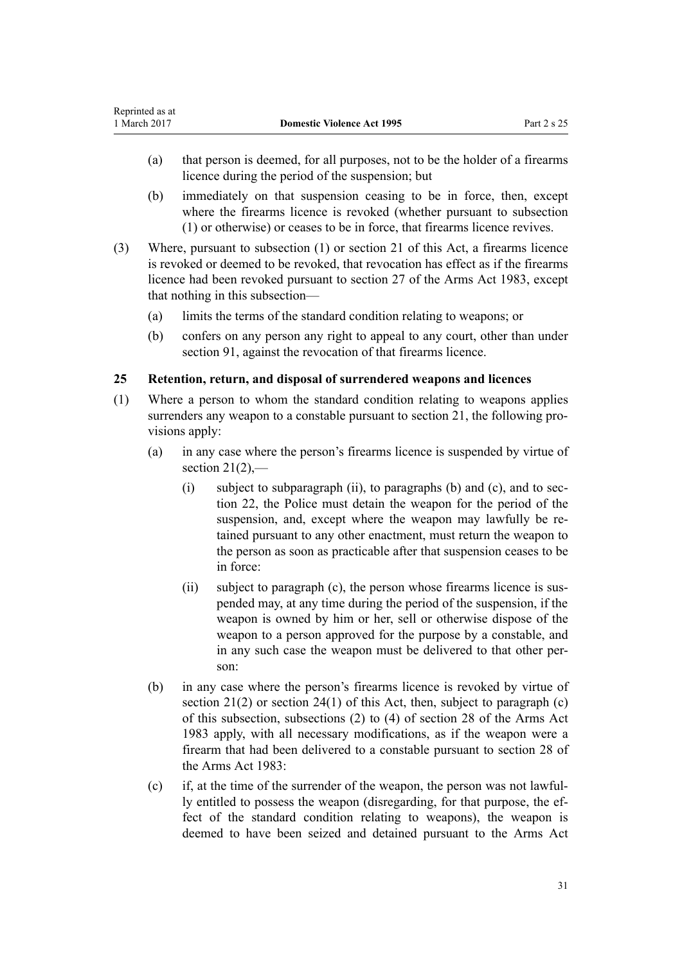- <span id="page-30-0"></span>(a) that person is deemed, for all purposes, not to be the holder of a firearms licence during the period of the suspension; but
- (b) immediately on that suspension ceasing to be in force, then, except where the firearms licence is revoked (whether pursuant to subsection (1) or otherwise) or ceases to be in force, that firearms licence revives.
- (3) Where, pursuant to subsection (1) or [section 21](#page-25-0) of this Act, a firearms licence is revoked or deemed to be revoked, that revocation has effect as if the firearms licence had been revoked pursuant to [section 27](http://prd-lgnz-nlb.prd.pco.net.nz/pdflink.aspx?id=DLM72928) of the Arms Act 1983, except that nothing in this subsection—
	- (a) limits the terms of the standard condition relating to weapons; or
	- (b) confers on any person any right to appeal to any court, other than under [section 91](#page-71-0), against the revocation of that firearms licence.

# **25 Retention, return, and disposal of surrendered weapons and licences**

- (1) Where a person to whom the standard condition relating to weapons applies surrenders any weapon to a constable pursuant to [section 21](#page-25-0), the following provisions apply:
	- (a) in any case where the person's firearms licence is suspended by virtue of section  $21(2)$ ,
		- (i) subject to subparagraph (ii), to paragraphs (b) and (c), and to [sec](#page-26-0)[tion 22,](#page-26-0) the Police must detain the weapon for the period of the suspension, and, except where the weapon may lawfully be retained pursuant to any other enactment, must return the weapon to the person as soon as practicable after that suspension ceases to be in force:
		- (ii) subject to paragraph (c), the person whose firearms licence is suspended may, at any time during the period of the suspension, if the weapon is owned by him or her, sell or otherwise dispose of the weapon to a person approved for the purpose by a constable, and in any such case the weapon must be delivered to that other person:
	- (b) in any case where the person's firearms licence is revoked by virtue of section  $21(2)$  or section  $24(1)$  of this Act, then, subject to paragraph (c) of this subsection, subsections (2) to (4) of [section 28](http://prd-lgnz-nlb.prd.pco.net.nz/pdflink.aspx?id=DLM72932) of the Arms Act 1983 apply, with all necessary modifications, as if the weapon were a firearm that had been delivered to a constable pursuant to section 28 of the Arms Act 1983:
	- (c) if, at the time of the surrender of the weapon, the person was not lawfully entitled to possess the weapon (disregarding, for that purpose, the effect of the standard condition relating to weapons), the weapon is deemed to have been seized and detained pursuant to the [Arms Act](http://prd-lgnz-nlb.prd.pco.net.nz/pdflink.aspx?id=DLM72621)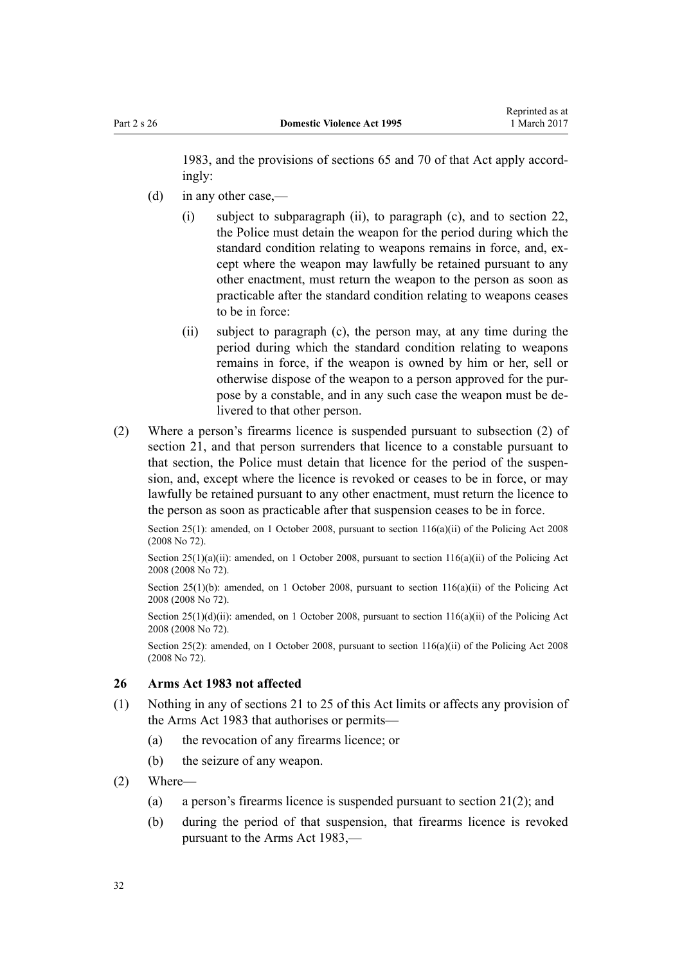<span id="page-31-0"></span>[1983](http://prd-lgnz-nlb.prd.pco.net.nz/pdflink.aspx?id=DLM72621), and the provisions of [sections 65](http://prd-lgnz-nlb.prd.pco.net.nz/pdflink.aspx?id=DLM73326) and [70](http://prd-lgnz-nlb.prd.pco.net.nz/pdflink.aspx?id=DLM73358) of that Act apply accordingly:

- (d) in any other case,—
	- (i) subject to subparagraph (ii), to paragraph (c), and to [section 22](#page-26-0), the Police must detain the weapon for the period during which the standard condition relating to weapons remains in force, and, except where the weapon may lawfully be retained pursuant to any other enactment, must return the weapon to the person as soon as practicable after the standard condition relating to weapons ceases to be in force:
	- (ii) subject to paragraph (c), the person may, at any time during the period during which the standard condition relating to weapons remains in force, if the weapon is owned by him or her, sell or otherwise dispose of the weapon to a person approved for the purpose by a constable, and in any such case the weapon must be delivered to that other person.
- (2) Where a person's firearms licence is suspended pursuant to subsection (2) of [section 21,](#page-25-0) and that person surrenders that licence to a constable pursuant to that section, the Police must detain that licence for the period of the suspension, and, except where the licence is revoked or ceases to be in force, or may lawfully be retained pursuant to any other enactment, must return the licence to the person as soon as practicable after that suspension ceases to be in force.

Section 25(1): amended, on 1 October 2008, pursuant to section  $116(a)(ii)$  of the Policing Act 2008 (2008 No 72).

Section  $25(1)(a)(ii)$ : amended, on 1 October 2008, pursuant to section  $116(a)(ii)$  of the Policing Act 2008 (2008 No 72).

Section 25(1)(b): amended, on 1 October 2008, pursuant to section  $116(a)(ii)$  of the Policing Act 2008 (2008 No 72).

Section  $25(1)(d)(ii)$ : amended, on 1 October 2008, pursuant to section  $116(a)(ii)$  of the Policing Act 2008 (2008 No 72).

Section 25(2): amended, on 1 October 2008, pursuant to [section 116\(a\)\(ii\)](http://prd-lgnz-nlb.prd.pco.net.nz/pdflink.aspx?id=DLM1102349) of the Policing Act 2008 (2008 No 72).

#### **26 Arms Act 1983 not affected**

- (1) Nothing in any of [sections 21 to 25](#page-25-0) of this Act limits or affects any provision of the [Arms Act 1983](http://prd-lgnz-nlb.prd.pco.net.nz/pdflink.aspx?id=DLM72621) that authorises or permits—
	- (a) the revocation of any firearms licence; or
	- (b) the seizure of any weapon.
- (2) Where—
	- (a) a person's firearms licence is suspended pursuant to [section 21\(2\);](#page-25-0) and
	- (b) during the period of that suspension, that firearms licence is revoked pursuant to the [Arms Act 1983](http://prd-lgnz-nlb.prd.pco.net.nz/pdflink.aspx?id=DLM72621),—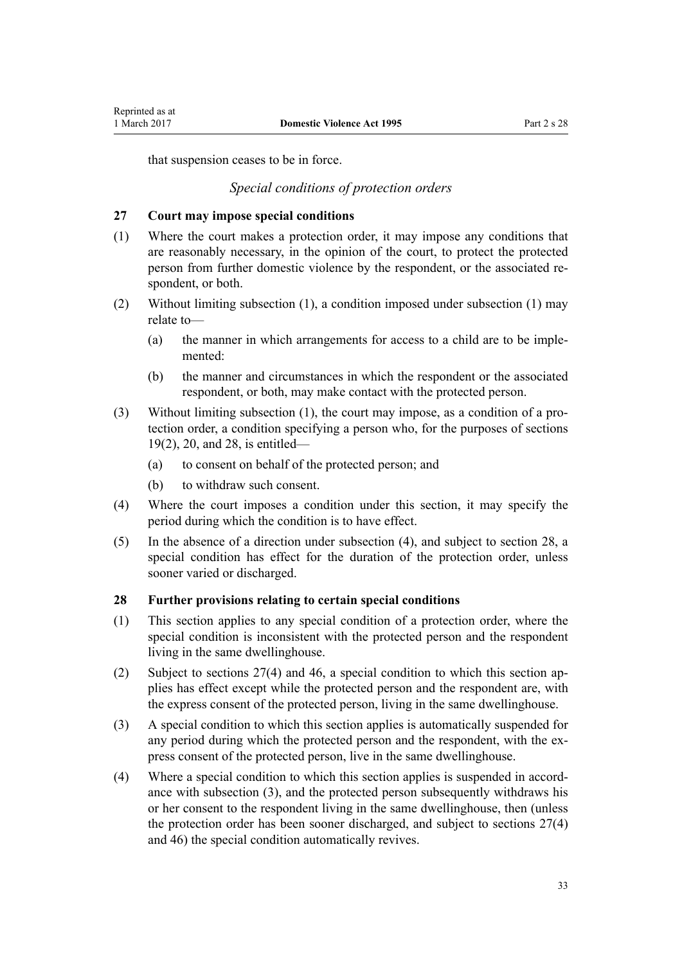<span id="page-32-0"></span>that suspension ceases to be in force.

# *Special conditions of protection orders*

#### **27 Court may impose special conditions**

- (1) Where the court makes a protection order, it may impose any conditions that are reasonably necessary, in the opinion of the court, to protect the protected person from further domestic violence by the respondent, or the associated respondent, or both.
- (2) Without limiting subsection (1), a condition imposed under subsection (1) may relate to—
	- (a) the manner in which arrangements for access to a child are to be implemented:
	- (b) the manner and circumstances in which the respondent or the associated respondent, or both, may make contact with the protected person.
- (3) Without limiting subsection (1), the court may impose, as a condition of a protection order, a condition specifying a person who, for the purposes of [sections](#page-23-0) [19\(2\)](#page-23-0), [20](#page-24-0), and 28, is entitled—
	- (a) to consent on behalf of the protected person; and
	- (b) to withdraw such consent.
- (4) Where the court imposes a condition under this section, it may specify the period during which the condition is to have effect.
- (5) In the absence of a direction under subsection (4), and subject to section 28, a special condition has effect for the duration of the protection order, unless sooner varied or discharged.

# **28 Further provisions relating to certain special conditions**

- (1) This section applies to any special condition of a protection order, where the special condition is inconsistent with the protected person and the respondent living in the same dwellinghouse.
- (2) Subject to sections 27(4) and [46,](#page-36-0) a special condition to which this section applies has effect except while the protected person and the respondent are, with the express consent of the protected person, living in the same dwellinghouse.
- (3) A special condition to which this section applies is automatically suspended for any period during which the protected person and the respondent, with the express consent of the protected person, live in the same dwellinghouse.
- (4) Where a special condition to which this section applies is suspended in accordance with subsection (3), and the protected person subsequently withdraws his or her consent to the respondent living in the same dwellinghouse, then (unless the protection order has been sooner discharged, and subject to sections 27(4) and [46](#page-36-0)) the special condition automatically revives.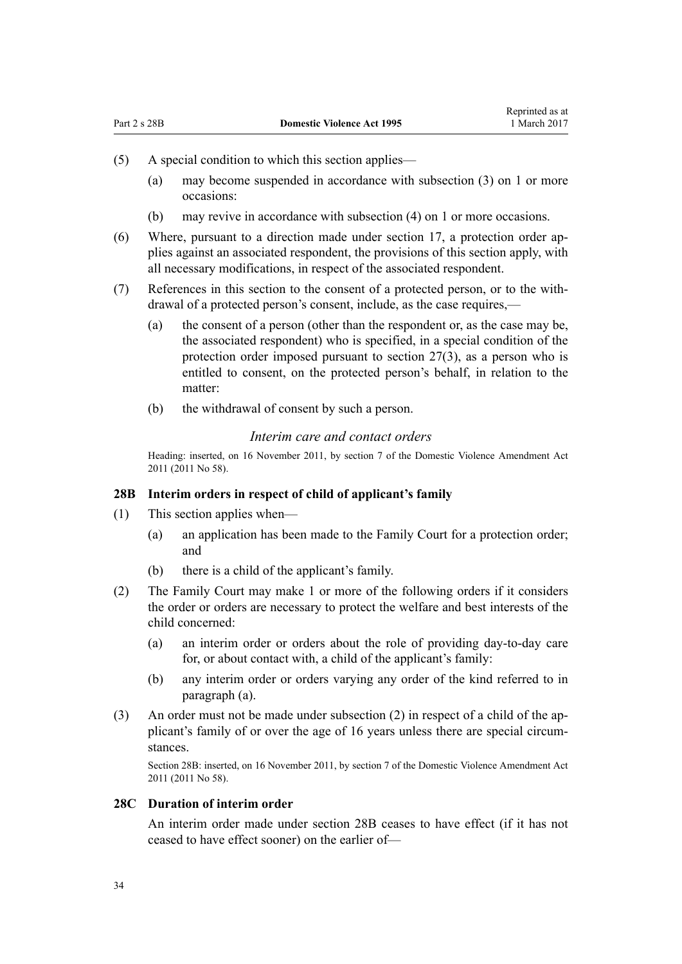- <span id="page-33-0"></span>(5) A special condition to which this section applies—
	- (a) may become suspended in accordance with subsection (3) on 1 or more occasions:
	- (b) may revive in accordance with subsection (4) on 1 or more occasions.
- (6) Where, pursuant to a direction made under [section 17,](#page-22-0) a protection order applies against an associated respondent, the provisions of this section apply, with all necessary modifications, in respect of the associated respondent.
- (7) References in this section to the consent of a protected person, or to the withdrawal of a protected person's consent, include, as the case requires,—
	- (a) the consent of a person (other than the respondent or, as the case may be, the associated respondent) who is specified, in a special condition of the protection order imposed pursuant to [section 27\(3\),](#page-32-0) as a person who is entitled to consent, on the protected person's behalf, in relation to the matter:
	- (b) the withdrawal of consent by such a person.

#### *Interim care and contact orders*

Heading: inserted, on 16 November 2011, by [section 7](http://prd-lgnz-nlb.prd.pco.net.nz/pdflink.aspx?id=DLM1955516) of the Domestic Violence Amendment Act 2011 (2011 No 58).

#### **28B Interim orders in respect of child of applicant's family**

- (1) This section applies when—
	- (a) an application has been made to the Family Court for a protection order; and
	- (b) there is a child of the applicant's family.
- (2) The Family Court may make 1 or more of the following orders if it considers the order or orders are necessary to protect the welfare and best interests of the child concerned:
	- (a) an interim order or orders about the role of providing day-to-day care for, or about contact with, a child of the applicant's family:
	- (b) any interim order or orders varying any order of the kind referred to in paragraph (a).
- (3) An order must not be made under subsection (2) in respect of a child of the applicant's family of or over the age of 16 years unless there are special circumstances.

Section 28B: inserted, on 16 November 2011, by [section 7](http://prd-lgnz-nlb.prd.pco.net.nz/pdflink.aspx?id=DLM1955516) of the Domestic Violence Amendment Act 2011 (2011 No 58).

#### **28C Duration of interim order**

An interim order made under section 28B ceases to have effect (if it has not ceased to have effect sooner) on the earlier of—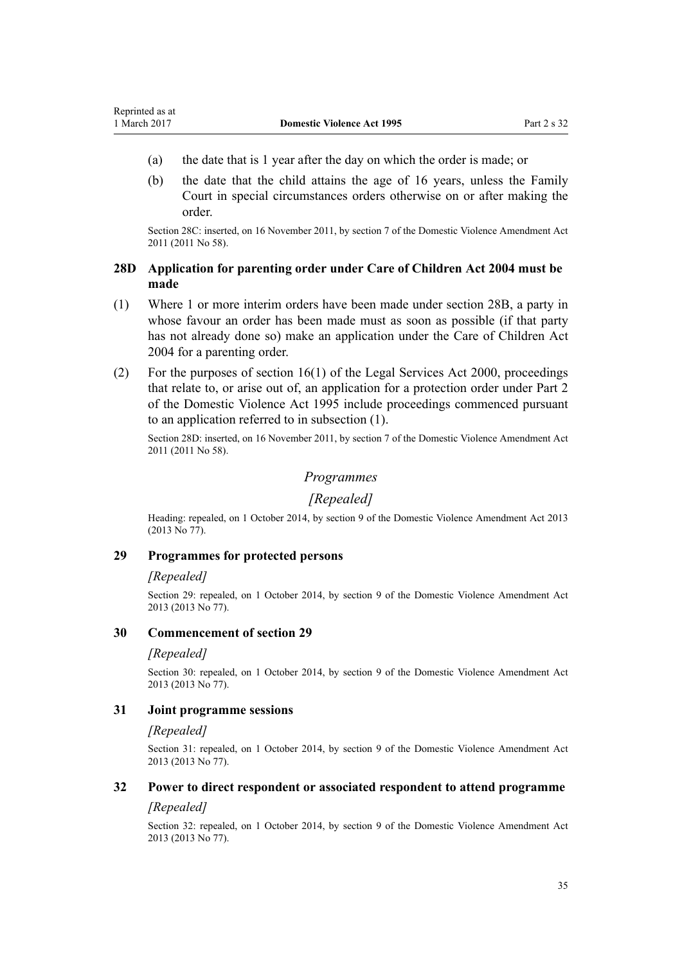- <span id="page-34-0"></span>(a) the date that is 1 year after the day on which the order is made; or
- (b) the date that the child attains the age of 16 years, unless the Family Court in special circumstances orders otherwise on or after making the order.

Section 28C: inserted, on 16 November 2011, by [section 7](http://prd-lgnz-nlb.prd.pco.net.nz/pdflink.aspx?id=DLM1955516) of the Domestic Violence Amendment Act 2011 (2011 No 58).

# **28D Application for parenting order under Care of Children Act 2004 must be made**

- (1) Where 1 or more interim orders have been made under [section 28B](#page-33-0), a party in whose favour an order has been made must as soon as possible (if that party has not already done so) make an application under the [Care of Children Act](http://prd-lgnz-nlb.prd.pco.net.nz/pdflink.aspx?id=DLM317232) [2004](http://prd-lgnz-nlb.prd.pco.net.nz/pdflink.aspx?id=DLM317232) for a parenting order.
- (2) For the purposes of section  $16(1)$  of the Legal Services Act 2000, proceedings that relate to, or arise out of, an application for a protection order under [Part 2](#page-15-0) of the Domestic Violence Act 1995 include proceedings commenced pursuant to an application referred to in subsection (1).

Section 28D: inserted, on 16 November 2011, by [section 7](http://prd-lgnz-nlb.prd.pco.net.nz/pdflink.aspx?id=DLM1955516) of the Domestic Violence Amendment Act 2011 (2011 No 58).

# *Programmes*

# *[Repealed]*

Heading: repealed, on 1 October 2014, by [section 9](http://prd-lgnz-nlb.prd.pco.net.nz/pdflink.aspx?id=DLM5615655) of the Domestic Violence Amendment Act 2013 (2013 No 77).

#### **29 Programmes for protected persons**

#### *[Repealed]*

Section 29: repealed, on 1 October 2014, by [section 9](http://prd-lgnz-nlb.prd.pco.net.nz/pdflink.aspx?id=DLM5615655) of the Domestic Violence Amendment Act 2013 (2013 No 77).

#### **30 Commencement of section 29**

#### *[Repealed]*

Section 30: repealed, on 1 October 2014, by [section 9](http://prd-lgnz-nlb.prd.pco.net.nz/pdflink.aspx?id=DLM5615655) of the Domestic Violence Amendment Act 2013 (2013 No 77).

#### **31 Joint programme sessions**

#### *[Repealed]*

Section 31: repealed, on 1 October 2014, by [section 9](http://prd-lgnz-nlb.prd.pco.net.nz/pdflink.aspx?id=DLM5615655) of the Domestic Violence Amendment Act 2013 (2013 No 77).

# **32 Power to direct respondent or associated respondent to attend programme**

# *[Repealed]*

Section 32: repealed, on 1 October 2014, by [section 9](http://prd-lgnz-nlb.prd.pco.net.nz/pdflink.aspx?id=DLM5615655) of the Domestic Violence Amendment Act 2013 (2013 No 77).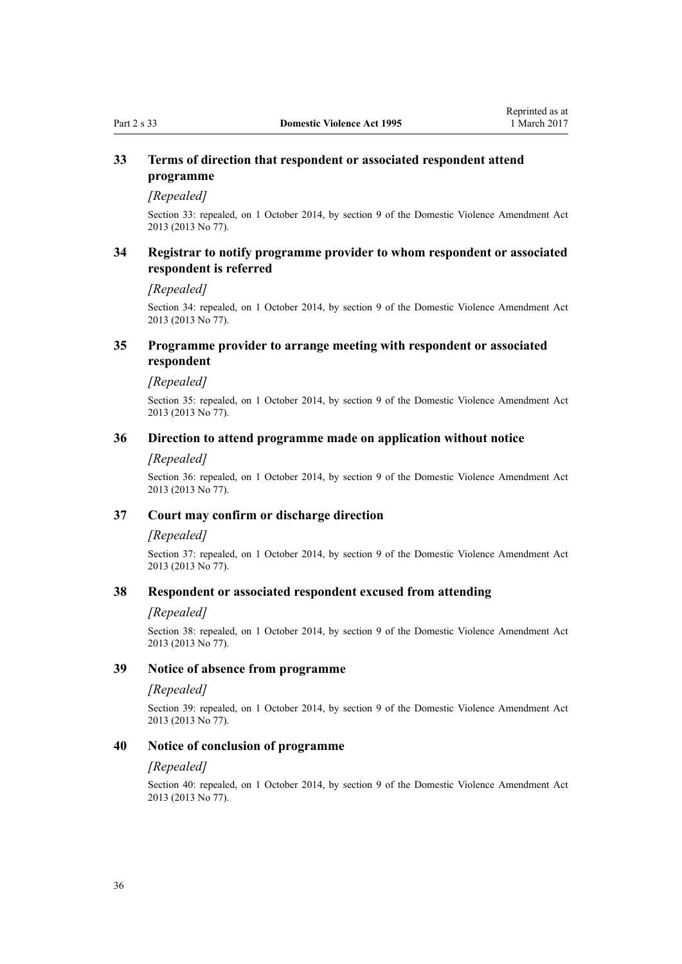# <span id="page-35-0"></span>**33 Terms of direction that respondent or associated respondent attend programme**

# *[Repealed]*

Section 33: repealed, on 1 October 2014, by [section 9](http://prd-lgnz-nlb.prd.pco.net.nz/pdflink.aspx?id=DLM5615655) of the Domestic Violence Amendment Act 2013 (2013 No 77).

# **34 Registrar to notify programme provider to whom respondent or associated respondent is referred**

#### *[Repealed]*

Section 34: repealed, on 1 October 2014, by [section 9](http://prd-lgnz-nlb.prd.pco.net.nz/pdflink.aspx?id=DLM5615655) of the Domestic Violence Amendment Act 2013 (2013 No 77).

# **35 Programme provider to arrange meeting with respondent or associated respondent**

#### *[Repealed]*

Section 35: repealed, on 1 October 2014, by [section 9](http://prd-lgnz-nlb.prd.pco.net.nz/pdflink.aspx?id=DLM5615655) of the Domestic Violence Amendment Act 2013 (2013 No 77).

### **36 Direction to attend programme made on application without notice**

#### *[Repealed]*

Section 36: repealed, on 1 October 2014, by [section 9](http://prd-lgnz-nlb.prd.pco.net.nz/pdflink.aspx?id=DLM5615655) of the Domestic Violence Amendment Act 2013 (2013 No 77).

#### **37 Court may confirm or discharge direction**

#### *[Repealed]*

Section 37: repealed, on 1 October 2014, by [section 9](http://prd-lgnz-nlb.prd.pco.net.nz/pdflink.aspx?id=DLM5615655) of the Domestic Violence Amendment Act 2013 (2013 No 77).

#### **38 Respondent or associated respondent excused from attending**

#### *[Repealed]*

Section 38: repealed, on 1 October 2014, by [section 9](http://prd-lgnz-nlb.prd.pco.net.nz/pdflink.aspx?id=DLM5615655) of the Domestic Violence Amendment Act 2013 (2013 No 77).

#### **39 Notice of absence from programme**

#### *[Repealed]*

Section 39: repealed, on 1 October 2014, by [section 9](http://prd-lgnz-nlb.prd.pco.net.nz/pdflink.aspx?id=DLM5615655) of the Domestic Violence Amendment Act 2013 (2013 No 77).

#### **40 Notice of conclusion of programme**

#### *[Repealed]*

Section 40: repealed, on 1 October 2014, by [section 9](http://prd-lgnz-nlb.prd.pco.net.nz/pdflink.aspx?id=DLM5615655) of the Domestic Violence Amendment Act 2013 (2013 No 77).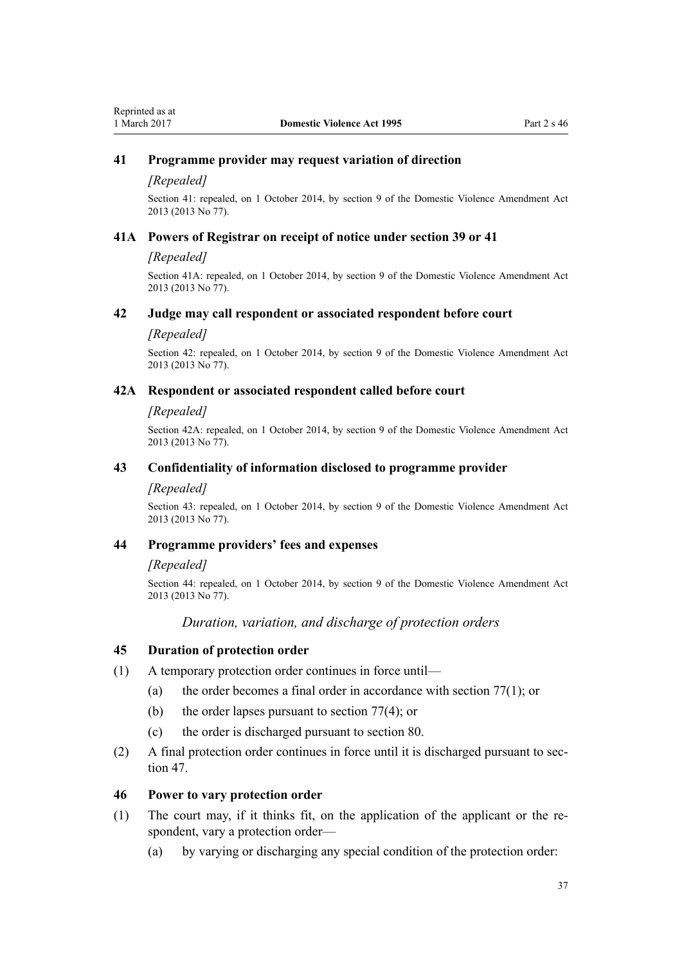### **41 Programme provider may request variation of direction**

#### *[Repealed]*

Section 41: repealed, on 1 October 2014, by [section 9](http://prd-lgnz-nlb.prd.pco.net.nz/pdflink.aspx?id=DLM5615655) of the Domestic Violence Amendment Act 2013 (2013 No 77).

#### **41A Powers of Registrar on receipt of notice under section 39 or 41**

#### *[Repealed]*

Section 41A: repealed, on 1 October 2014, by [section 9](http://prd-lgnz-nlb.prd.pco.net.nz/pdflink.aspx?id=DLM5615655) of the Domestic Violence Amendment Act 2013 (2013 No 77).

### **42 Judge may call respondent or associated respondent before court**

#### *[Repealed]*

Section 42: repealed, on 1 October 2014, by [section 9](http://prd-lgnz-nlb.prd.pco.net.nz/pdflink.aspx?id=DLM5615655) of the Domestic Violence Amendment Act 2013 (2013 No 77).

#### **42A Respondent or associated respondent called before court**

#### *[Repealed]*

Section 42A: repealed, on 1 October 2014, by [section 9](http://prd-lgnz-nlb.prd.pco.net.nz/pdflink.aspx?id=DLM5615655) of the Domestic Violence Amendment Act 2013 (2013 No 77).

#### **43 Confidentiality of information disclosed to programme provider**

#### *[Repealed]*

Section 43: repealed, on 1 October 2014, by [section 9](http://prd-lgnz-nlb.prd.pco.net.nz/pdflink.aspx?id=DLM5615655) of the Domestic Violence Amendment Act 2013 (2013 No 77).

#### **44 Programme providers' fees and expenses**

#### *[Repealed]*

Section 44: repealed, on 1 October 2014, by [section 9](http://prd-lgnz-nlb.prd.pco.net.nz/pdflink.aspx?id=DLM5615655) of the Domestic Violence Amendment Act 2013 (2013 No 77).

## *Duration, variation, and discharge of protection orders*

#### **45 Duration of protection order**

- (1) A temporary protection order continues in force until—
	- (a) the order becomes a final order in accordance with [section 77\(1\);](#page-62-0) or
	- (b) the order lapses pursuant to [section 77\(4\);](#page-62-0) or
	- (c) the order is discharged pursuant to [section 80.](#page-64-0)
- (2) A final protection order continues in force until it is discharged pursuant to [sec](#page-37-0)[tion 47](#page-37-0).

#### **46 Power to vary protection order**

- (1) The court may, if it thinks fit, on the application of the applicant or the respondent, vary a protection order—
	- (a) by varying or discharging any special condition of the protection order: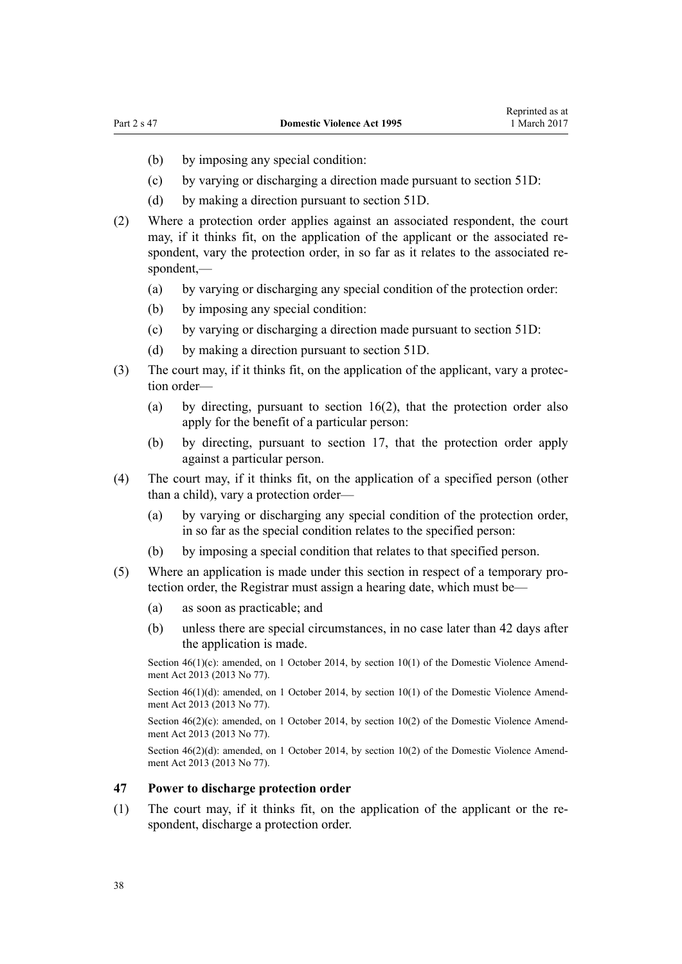- <span id="page-37-0"></span>(b) by imposing any special condition:
- (c) by varying or discharging a direction made pursuant to [section 51D](#page-42-0):
- (d) by making a direction pursuant to [section 51D](#page-42-0).
- (2) Where a protection order applies against an associated respondent, the court may, if it thinks fit, on the application of the applicant or the associated respondent, vary the protection order, in so far as it relates to the associated respondent,—
	- (a) by varying or discharging any special condition of the protection order:
	- (b) by imposing any special condition:
	- (c) by varying or discharging a direction made pursuant to [section 51D](#page-42-0):
	- (d) by making a direction pursuant to [section 51D](#page-42-0).
- (3) The court may, if it thinks fit, on the application of the applicant, vary a protection order—
	- (a) by directing, pursuant to [section 16\(2\)](#page-21-0), that the protection order also apply for the benefit of a particular person:
	- (b) by directing, pursuant to [section 17](#page-22-0), that the protection order apply against a particular person.
- (4) The court may, if it thinks fit, on the application of a specified person (other than a child), vary a protection order—
	- (a) by varying or discharging any special condition of the protection order, in so far as the special condition relates to the specified person:
	- (b) by imposing a special condition that relates to that specified person.
- (5) Where an application is made under this section in respect of a temporary protection order, the Registrar must assign a hearing date, which must be—
	- (a) as soon as practicable; and
	- (b) unless there are special circumstances, in no case later than 42 days after the application is made.

Section  $46(1)(c)$ : amended, on 1 October 2014, by [section 10\(1\)](http://prd-lgnz-nlb.prd.pco.net.nz/pdflink.aspx?id=DLM5615656) of the Domestic Violence Amendment Act 2013 (2013 No 77).

Section 46(1)(d): amended, on 1 October 2014, by [section 10\(1\)](http://prd-lgnz-nlb.prd.pco.net.nz/pdflink.aspx?id=DLM5615656) of the Domestic Violence Amendment Act 2013 (2013 No 77).

Section  $46(2)(c)$ : amended, on 1 October 2014, by [section 10\(2\)](http://prd-lgnz-nlb.prd.pco.net.nz/pdflink.aspx?id=DLM5615656) of the Domestic Violence Amendment Act 2013 (2013 No 77).

Section  $46(2)(d)$ : amended, on 1 October 2014, by [section 10\(2\)](http://prd-lgnz-nlb.prd.pco.net.nz/pdflink.aspx?id=DLM5615656) of the Domestic Violence Amendment Act 2013 (2013 No 77).

#### **47 Power to discharge protection order**

(1) The court may, if it thinks fit, on the application of the applicant or the respondent, discharge a protection order.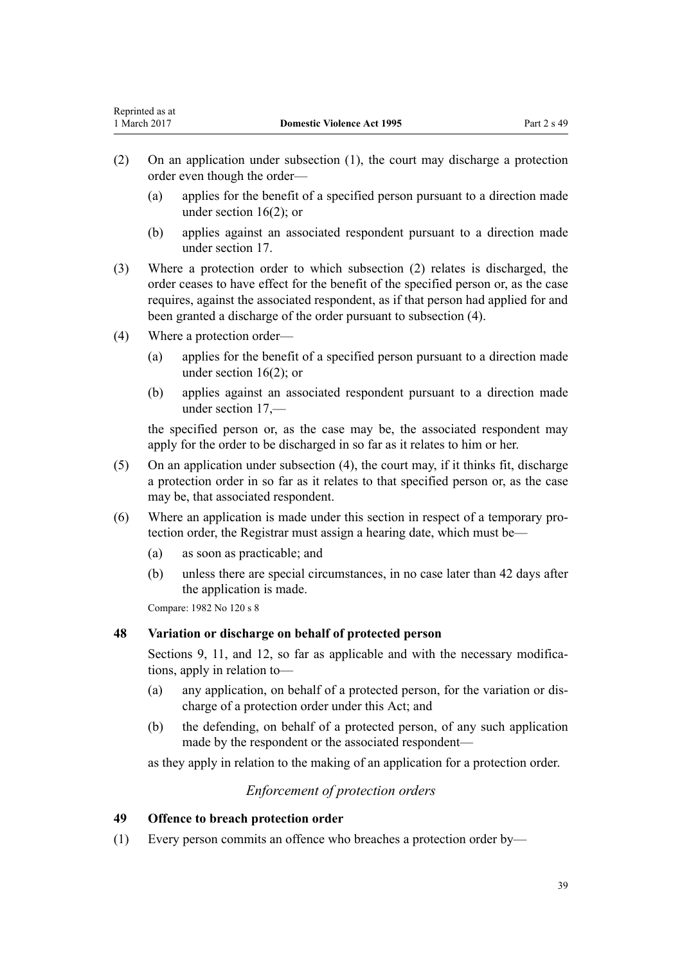- (2) On an application under subsection (1), the court may discharge a protection order even though the order—
	- (a) applies for the benefit of a specified person pursuant to a direction made under [section 16\(2\);](#page-21-0) or
	- (b) applies against an associated respondent pursuant to a direction made under [section 17](#page-22-0).
- (3) Where a protection order to which subsection (2) relates is discharged, the order ceases to have effect for the benefit of the specified person or, as the case requires, against the associated respondent, as if that person had applied for and been granted a discharge of the order pursuant to subsection (4).
- (4) Where a protection order—
	- (a) applies for the benefit of a specified person pursuant to a direction made under [section 16\(2\);](#page-21-0) or
	- (b) applies against an associated respondent pursuant to a direction made under [section 17](#page-22-0),—

the specified person or, as the case may be, the associated respondent may apply for the order to be discharged in so far as it relates to him or her.

- (5) On an application under subsection (4), the court may, if it thinks fit, discharge a protection order in so far as it relates to that specified person or, as the case may be, that associated respondent.
- (6) Where an application is made under this section in respect of a temporary protection order, the Registrar must assign a hearing date, which must be—
	- (a) as soon as practicable; and
	- (b) unless there are special circumstances, in no case later than 42 days after the application is made.

Compare: 1982 No 120 s 8

## **48 Variation or discharge on behalf of protected person**

[Sections 9](#page-15-0), [11](#page-17-0), and [12](#page-17-0), so far as applicable and with the necessary modifications, apply in relation to—

- (a) any application, on behalf of a protected person, for the variation or discharge of a protection order under this Act; and
- (b) the defending, on behalf of a protected person, of any such application made by the respondent or the associated respondent—

as they apply in relation to the making of an application for a protection order.

## *Enforcement of protection orders*

### **49 Offence to breach protection order**

(1) Every person commits an offence who breaches a protection order by—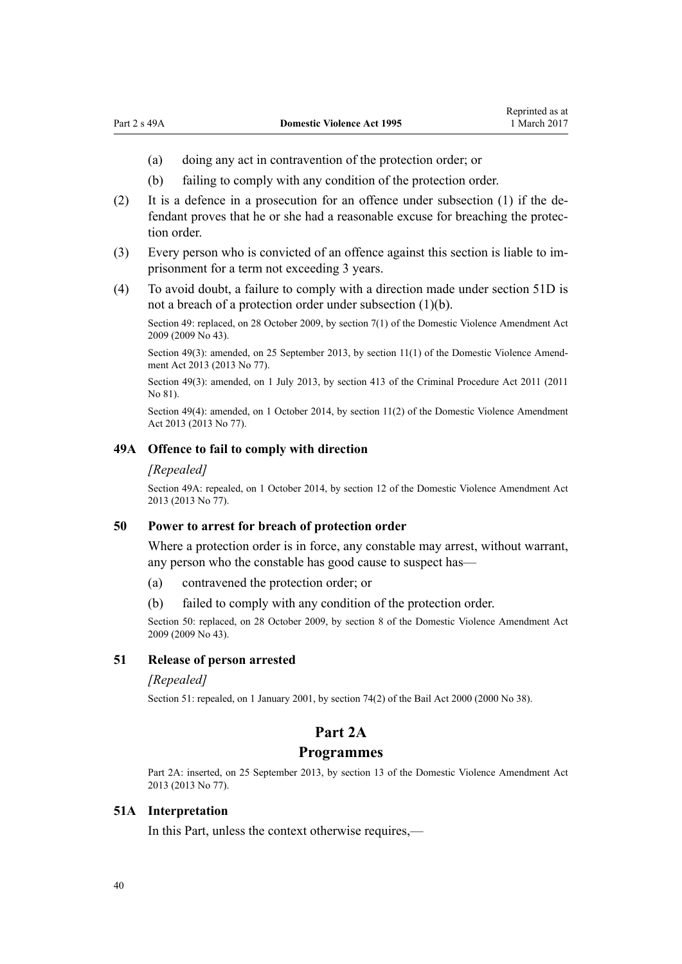- (a) doing any act in contravention of the protection order; or
- (b) failing to comply with any condition of the protection order.
- (2) It is a defence in a prosecution for an offence under subsection (1) if the defendant proves that he or she had a reasonable excuse for breaching the protection order.
- (3) Every person who is convicted of an offence against this section is liable to imprisonment for a term not exceeding 3 years.
- (4) To avoid doubt, a failure to comply with a direction made under [section 51D](#page-42-0) is not a breach of a protection order under subsection (1)(b).

Section 49: replaced, on 28 October 2009, by [section 7\(1\)](http://prd-lgnz-nlb.prd.pco.net.nz/pdflink.aspx?id=DLM1774213) of the Domestic Violence Amendment Act 2009 (2009 No 43).

Section 49(3): amended, on 25 September 2013, by [section 11\(1\)](http://prd-lgnz-nlb.prd.pco.net.nz/pdflink.aspx?id=DLM5615657) of the Domestic Violence Amendment Act 2013 (2013 No 77).

Section 49(3): amended, on 1 July 2013, by [section 413](http://prd-lgnz-nlb.prd.pco.net.nz/pdflink.aspx?id=DLM3360714) of the Criminal Procedure Act 2011 (2011 No 81).

Section 49(4): amended, on 1 October 2014, by [section 11\(2\)](http://prd-lgnz-nlb.prd.pco.net.nz/pdflink.aspx?id=DLM5615657) of the Domestic Violence Amendment Act 2013 (2013 No 77).

#### **49A Offence to fail to comply with direction**

#### *[Repealed]*

Section 49A: repealed, on 1 October 2014, by [section 12](http://prd-lgnz-nlb.prd.pco.net.nz/pdflink.aspx?id=DLM5615658) of the Domestic Violence Amendment Act 2013 (2013 No 77).

## **50 Power to arrest for breach of protection order**

Where a protection order is in force, any constable may arrest, without warrant, any person who the constable has good cause to suspect has—

- (a) contravened the protection order; or
- (b) failed to comply with any condition of the protection order.

Section 50: replaced, on 28 October 2009, by [section 8](http://prd-lgnz-nlb.prd.pco.net.nz/pdflink.aspx?id=DLM1774216) of the Domestic Violence Amendment Act 2009 (2009 No 43).

### **51 Release of person arrested**

#### *[Repealed]*

Section 51: repealed, on 1 January 2001, by [section 74\(2\)](http://prd-lgnz-nlb.prd.pco.net.nz/pdflink.aspx?id=DLM69643) of the Bail Act 2000 (2000 No 38).

## **Part 2A**

#### **Programmes**

Part 2A: inserted, on 25 September 2013, by [section 13](http://prd-lgnz-nlb.prd.pco.net.nz/pdflink.aspx?id=DLM5615659) of the Domestic Violence Amendment Act 2013 (2013 No 77).

### **51A Interpretation**

In this Part, unless the context otherwise requires,—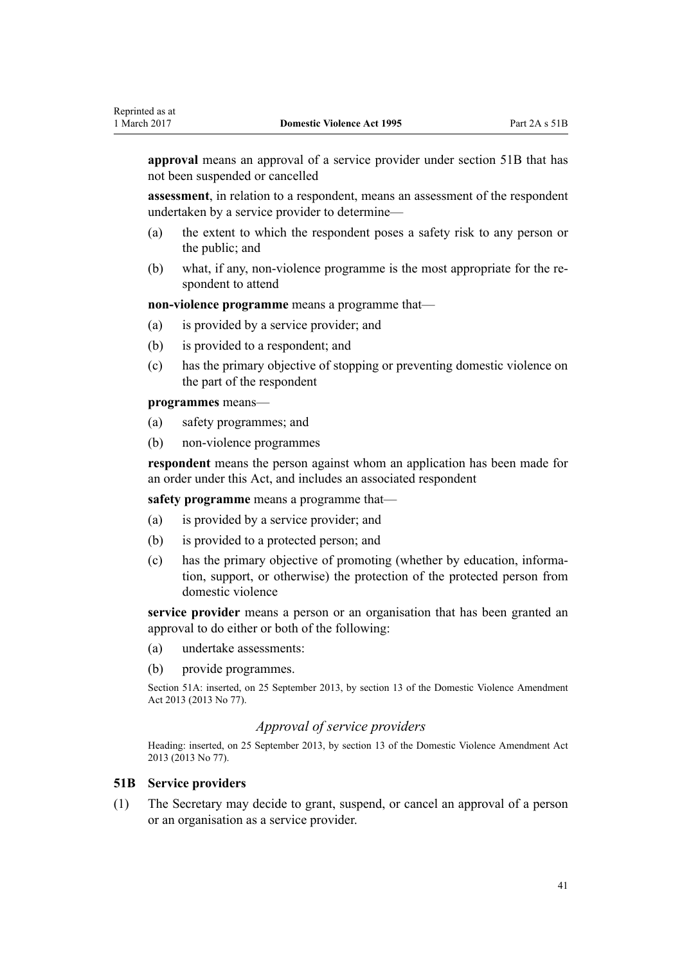**approval** means an approval of a service provider under section 51B that has not been suspended or cancelled

**assessment**, in relation to a respondent, means an assessment of the respondent undertaken by a service provider to determine—

- (a) the extent to which the respondent poses a safety risk to any person or the public; and
- (b) what, if any, non-violence programme is the most appropriate for the respondent to attend

**non-violence programme** means a programme that—

- (a) is provided by a service provider; and
- (b) is provided to a respondent; and
- (c) has the primary objective of stopping or preventing domestic violence on the part of the respondent

**programmes** means—

- (a) safety programmes; and
- (b) non-violence programmes

**respondent** means the person against whom an application has been made for an order under this Act, and includes an associated respondent

**safety programme** means a programme that—

- (a) is provided by a service provider; and
- (b) is provided to a protected person; and
- (c) has the primary objective of promoting (whether by education, information, support, or otherwise) the protection of the protected person from domestic violence

**service provider** means a person or an organisation that has been granted an approval to do either or both of the following:

- (a) undertake assessments:
- (b) provide programmes.

Section 51A: inserted, on 25 September 2013, by [section 13](http://prd-lgnz-nlb.prd.pco.net.nz/pdflink.aspx?id=DLM5615659) of the Domestic Violence Amendment Act 2013 (2013 No 77).

### *Approval of service providers*

Heading: inserted, on 25 September 2013, by [section 13](http://prd-lgnz-nlb.prd.pco.net.nz/pdflink.aspx?id=DLM5615659) of the Domestic Violence Amendment Act 2013 (2013 No 77).

#### **51B Service providers**

(1) The Secretary may decide to grant, suspend, or cancel an approval of a person or an organisation as a service provider.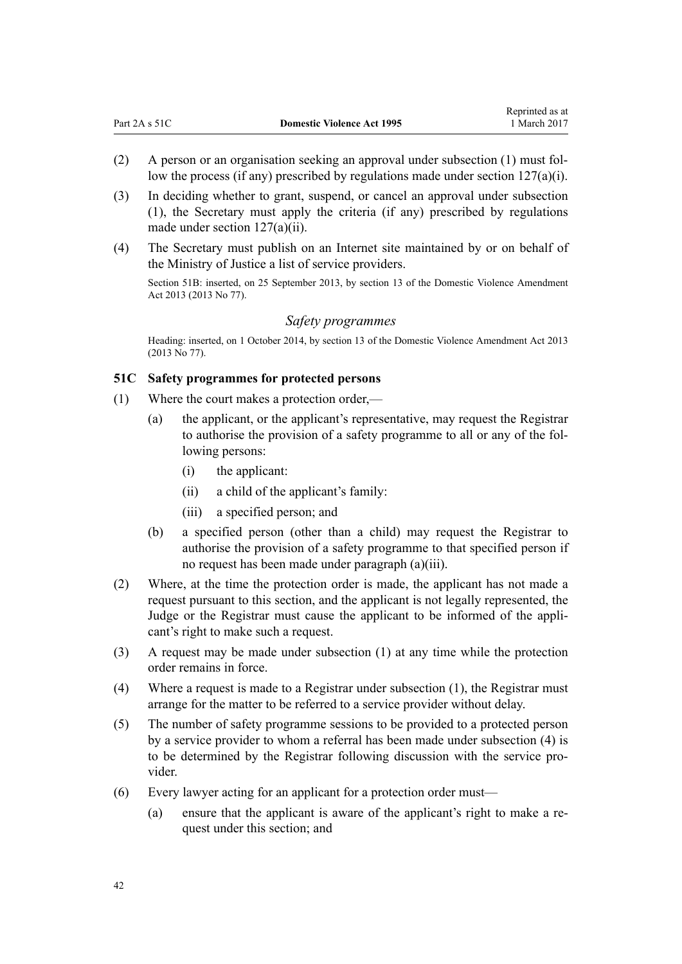- (2) A person or an organisation seeking an approval under subsection (1) must follow the process (if any) prescribed by regulations made under section  $127(a)(i)$ .
- (3) In deciding whether to grant, suspend, or cancel an approval under subsection (1), the Secretary must apply the criteria (if any) prescribed by regulations made under [section 127\(a\)\(ii\).](#page-95-0)
- (4) The Secretary must publish on an Internet site maintained by or on behalf of the Ministry of Justice a list of service providers.

Section 51B: inserted, on 25 September 2013, by [section 13](http://prd-lgnz-nlb.prd.pco.net.nz/pdflink.aspx?id=DLM5615659) of the Domestic Violence Amendment Act 2013 (2013 No 77).

#### *Safety programmes*

Heading: inserted, on 1 October 2014, by [section 13](http://prd-lgnz-nlb.prd.pco.net.nz/pdflink.aspx?id=DLM5615659) of the Domestic Violence Amendment Act 2013 (2013 No 77).

#### **51C Safety programmes for protected persons**

- (1) Where the court makes a protection order,—
	- (a) the applicant, or the applicant's representative, may request the Registrar to authorise the provision of a safety programme to all or any of the following persons:
		- (i) the applicant:
		- (ii) a child of the applicant's family:
		- (iii) a specified person; and
	- (b) a specified person (other than a child) may request the Registrar to authorise the provision of a safety programme to that specified person if no request has been made under paragraph (a)(iii).
- (2) Where, at the time the protection order is made, the applicant has not made a request pursuant to this section, and the applicant is not legally represented, the Judge or the Registrar must cause the applicant to be informed of the applicant's right to make such a request.
- (3) A request may be made under subsection (1) at any time while the protection order remains in force.
- (4) Where a request is made to a Registrar under subsection (1), the Registrar must arrange for the matter to be referred to a service provider without delay.
- (5) The number of safety programme sessions to be provided to a protected person by a service provider to whom a referral has been made under subsection (4) is to be determined by the Registrar following discussion with the service provider.
- (6) Every lawyer acting for an applicant for a protection order must—
	- (a) ensure that the applicant is aware of the applicant's right to make a request under this section; and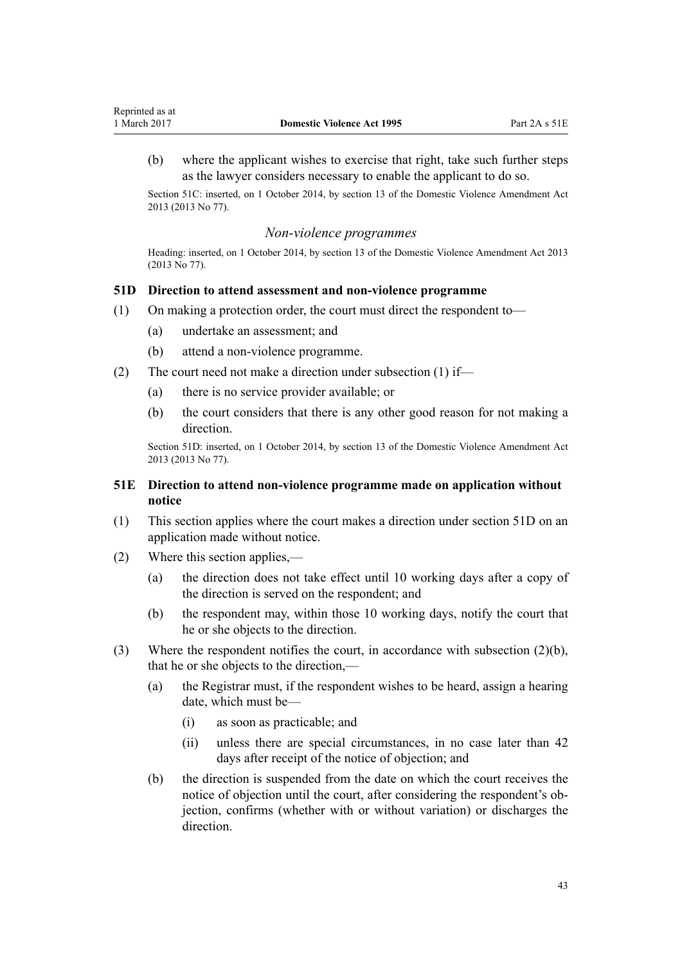<span id="page-42-0"></span>(b) where the applicant wishes to exercise that right, take such further steps as the lawyer considers necessary to enable the applicant to do so.

Section 51C: inserted, on 1 October 2014, by [section 13](http://prd-lgnz-nlb.prd.pco.net.nz/pdflink.aspx?id=DLM5615659) of the Domestic Violence Amendment Act 2013 (2013 No 77).

#### *Non-violence programmes*

Heading: inserted, on 1 October 2014, by [section 13](http://prd-lgnz-nlb.prd.pco.net.nz/pdflink.aspx?id=DLM5615659) of the Domestic Violence Amendment Act 2013 (2013 No 77).

### **51D Direction to attend assessment and non-violence programme**

- (1) On making a protection order, the court must direct the respondent to—
	- (a) undertake an assessment; and
	- (b) attend a non-violence programme.
- (2) The court need not make a direction under subsection (1) if—
	- (a) there is no service provider available; or
	- (b) the court considers that there is any other good reason for not making a direction.

Section 51D: inserted, on 1 October 2014, by [section 13](http://prd-lgnz-nlb.prd.pco.net.nz/pdflink.aspx?id=DLM5615659) of the Domestic Violence Amendment Act 2013 (2013 No 77).

### **51E Direction to attend non-violence programme made on application without notice**

- (1) This section applies where the court makes a direction under section 51D on an application made without notice.
- (2) Where this section applies,—
	- (a) the direction does not take effect until 10 working days after a copy of the direction is served on the respondent; and
	- (b) the respondent may, within those 10 working days, notify the court that he or she objects to the direction.
- (3) Where the respondent notifies the court, in accordance with subsection (2)(b), that he or she objects to the direction,—
	- (a) the Registrar must, if the respondent wishes to be heard, assign a hearing date, which must be—
		- (i) as soon as practicable; and
		- (ii) unless there are special circumstances, in no case later than 42 days after receipt of the notice of objection; and
	- (b) the direction is suspended from the date on which the court receives the notice of objection until the court, after considering the respondent's objection, confirms (whether with or without variation) or discharges the direction.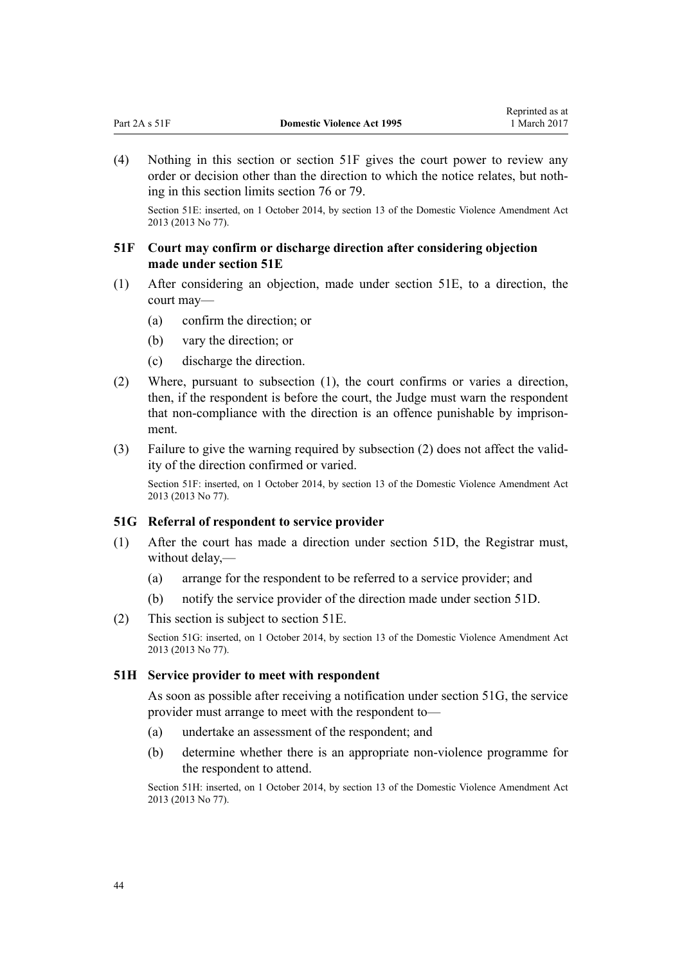<span id="page-43-0"></span>(4) Nothing in this section or section 51F gives the court power to review any order or decision other than the direction to which the notice relates, but nothing in this section limits [section 76](#page-61-0) or [79](#page-63-0).

Section 51E: inserted, on 1 October 2014, by [section 13](http://prd-lgnz-nlb.prd.pco.net.nz/pdflink.aspx?id=DLM5615659) of the Domestic Violence Amendment Act 2013 (2013 No 77).

### **51F Court may confirm or discharge direction after considering objection made under section 51E**

- (1) After considering an objection, made under [section 51E](#page-42-0), to a direction, the court may—
	- (a) confirm the direction; or
	- (b) vary the direction; or
	- (c) discharge the direction.
- (2) Where, pursuant to subsection (1), the court confirms or varies a direction, then, if the respondent is before the court, the Judge must warn the respondent that non-compliance with the direction is an offence punishable by imprisonment.
- (3) Failure to give the warning required by subsection (2) does not affect the validity of the direction confirmed or varied.

Section 51F: inserted, on 1 October 2014, by [section 13](http://prd-lgnz-nlb.prd.pco.net.nz/pdflink.aspx?id=DLM5615659) of the Domestic Violence Amendment Act 2013 (2013 No 77).

#### **51G Referral of respondent to service provider**

- (1) After the court has made a direction under [section 51D,](#page-42-0) the Registrar must, without delay,—
	- (a) arrange for the respondent to be referred to a service provider; and
	- (b) notify the service provider of the direction made under [section 51D.](#page-42-0)
- (2) This section is subject to [section 51E.](#page-42-0)

Section 51G: inserted, on 1 October 2014, by [section 13](http://prd-lgnz-nlb.prd.pco.net.nz/pdflink.aspx?id=DLM5615659) of the Domestic Violence Amendment Act 2013 (2013 No 77).

#### **51H Service provider to meet with respondent**

As soon as possible after receiving a notification under section 51G, the service provider must arrange to meet with the respondent to—

- (a) undertake an assessment of the respondent; and
- (b) determine whether there is an appropriate non-violence programme for the respondent to attend.

Section 51H: inserted, on 1 October 2014, by [section 13](http://prd-lgnz-nlb.prd.pco.net.nz/pdflink.aspx?id=DLM5615659) of the Domestic Violence Amendment Act 2013 (2013 No 77).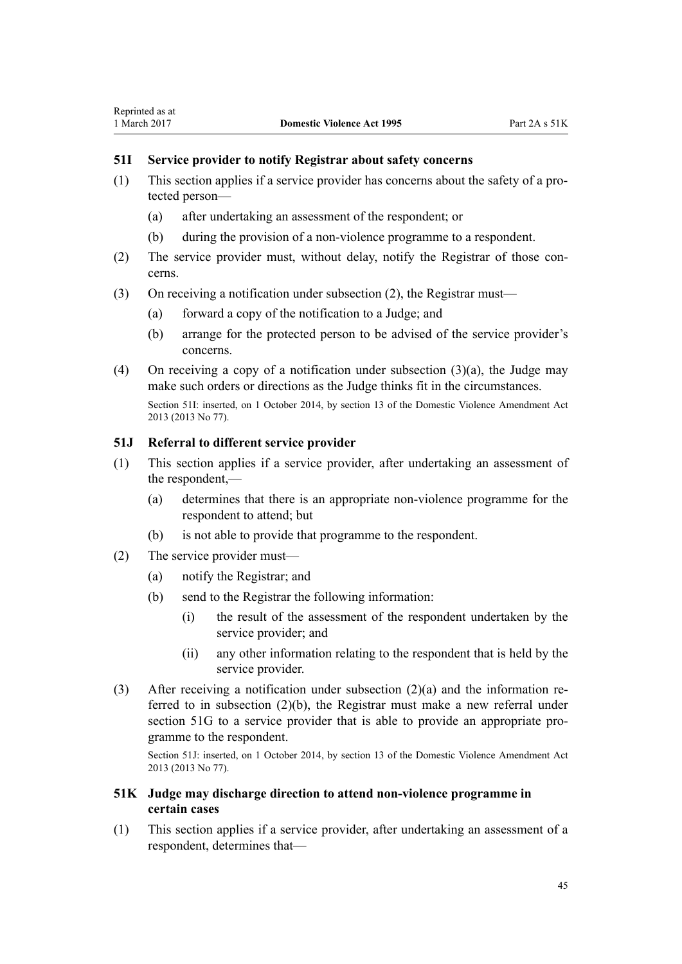## <span id="page-44-0"></span>**51I Service provider to notify Registrar about safety concerns**

- (1) This section applies if a service provider has concerns about the safety of a protected person—
	- (a) after undertaking an assessment of the respondent; or
	- (b) during the provision of a non-violence programme to a respondent.
- (2) The service provider must, without delay, notify the Registrar of those concerns.
- (3) On receiving a notification under subsection (2), the Registrar must—
	- (a) forward a copy of the notification to a Judge; and
	- (b) arrange for the protected person to be advised of the service provider's concerns.
- (4) On receiving a copy of a notification under subsection (3)(a), the Judge may make such orders or directions as the Judge thinks fit in the circumstances. Section 51I: inserted, on 1 October 2014, by [section 13](http://prd-lgnz-nlb.prd.pco.net.nz/pdflink.aspx?id=DLM5615659) of the Domestic Violence Amendment Act 2013 (2013 No 77).

### **51J Referral to different service provider**

- (1) This section applies if a service provider, after undertaking an assessment of the respondent,—
	- (a) determines that there is an appropriate non-violence programme for the respondent to attend; but
	- (b) is not able to provide that programme to the respondent.
- (2) The service provider must—
	- (a) notify the Registrar; and
	- (b) send to the Registrar the following information:
		- (i) the result of the assessment of the respondent undertaken by the service provider; and
		- (ii) any other information relating to the respondent that is held by the service provider.
- (3) After receiving a notification under subsection (2)(a) and the information referred to in subsection (2)(b), the Registrar must make a new referral under [section 51G](#page-43-0) to a service provider that is able to provide an appropriate programme to the respondent.

Section 51J: inserted, on 1 October 2014, by [section 13](http://prd-lgnz-nlb.prd.pco.net.nz/pdflink.aspx?id=DLM5615659) of the Domestic Violence Amendment Act 2013 (2013 No 77).

## **51K Judge may discharge direction to attend non-violence programme in certain cases**

(1) This section applies if a service provider, after undertaking an assessment of a respondent, determines that—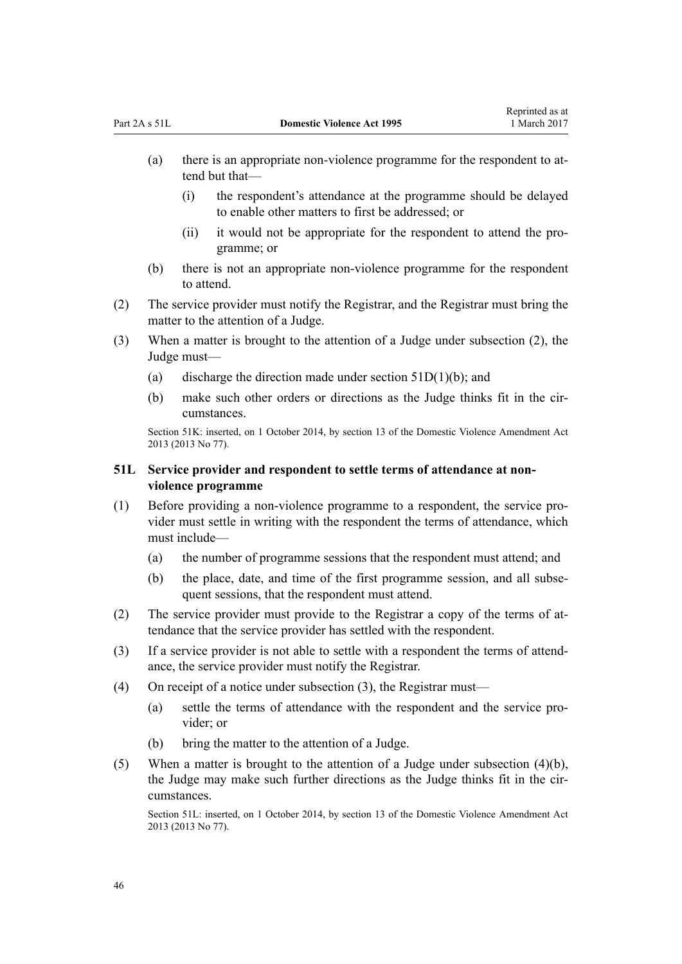- <span id="page-45-0"></span>(a) there is an appropriate non-violence programme for the respondent to attend but that—
	- (i) the respondent's attendance at the programme should be delayed to enable other matters to first be addressed; or
	- (ii) it would not be appropriate for the respondent to attend the programme; or
- (b) there is not an appropriate non-violence programme for the respondent to attend.
- (2) The service provider must notify the Registrar, and the Registrar must bring the matter to the attention of a Judge.
- (3) When a matter is brought to the attention of a Judge under subsection (2), the Judge must—
	- (a) discharge the direction made under section  $51D(1)(b)$ ; and
	- (b) make such other orders or directions as the Judge thinks fit in the circumstances.

Section 51K: inserted, on 1 October 2014, by [section 13](http://prd-lgnz-nlb.prd.pco.net.nz/pdflink.aspx?id=DLM5615659) of the Domestic Violence Amendment Act 2013 (2013 No 77).

## **51L Service provider and respondent to settle terms of attendance at nonviolence programme**

- (1) Before providing a non-violence programme to a respondent, the service provider must settle in writing with the respondent the terms of attendance, which must include—
	- (a) the number of programme sessions that the respondent must attend; and
	- (b) the place, date, and time of the first programme session, and all subsequent sessions, that the respondent must attend.
- (2) The service provider must provide to the Registrar a copy of the terms of attendance that the service provider has settled with the respondent.
- (3) If a service provider is not able to settle with a respondent the terms of attendance, the service provider must notify the Registrar.
- (4) On receipt of a notice under subsection (3), the Registrar must—
	- (a) settle the terms of attendance with the respondent and the service provider; or
	- (b) bring the matter to the attention of a Judge.
- (5) When a matter is brought to the attention of a Judge under subsection (4)(b), the Judge may make such further directions as the Judge thinks fit in the circumstances.

Section 51L: inserted, on 1 October 2014, by [section 13](http://prd-lgnz-nlb.prd.pco.net.nz/pdflink.aspx?id=DLM5615659) of the Domestic Violence Amendment Act 2013 (2013 No 77).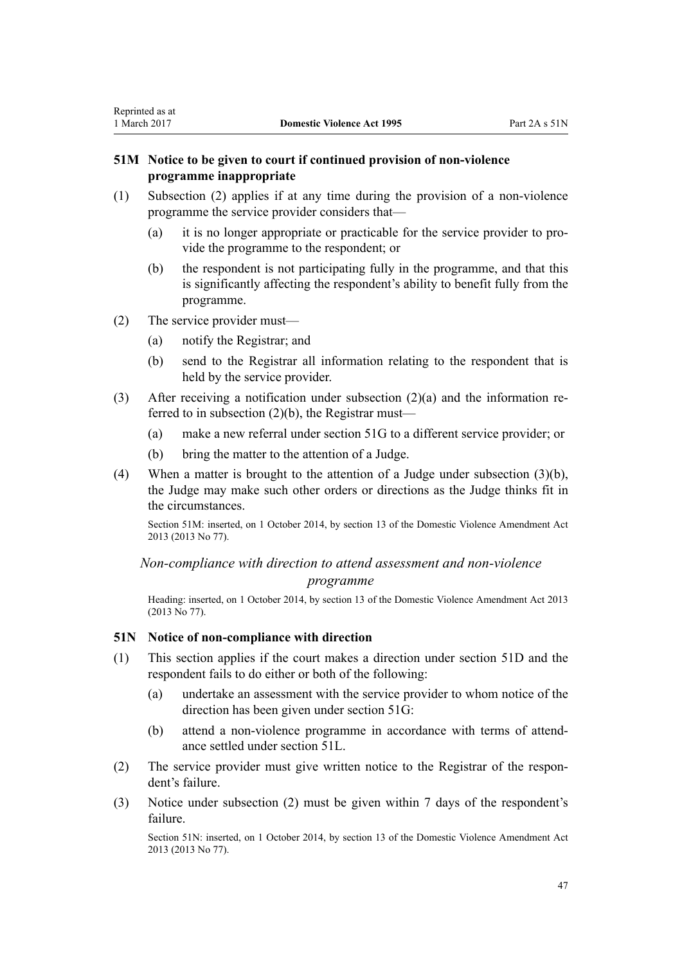### <span id="page-46-0"></span>**51M Notice to be given to court if continued provision of non-violence programme inappropriate**

- (1) Subsection (2) applies if at any time during the provision of a non-violence programme the service provider considers that—
	- (a) it is no longer appropriate or practicable for the service provider to provide the programme to the respondent; or
	- (b) the respondent is not participating fully in the programme, and that this is significantly affecting the respondent's ability to benefit fully from the programme.
- (2) The service provider must—
	- (a) notify the Registrar; and
	- (b) send to the Registrar all information relating to the respondent that is held by the service provider.
- (3) After receiving a notification under subsection (2)(a) and the information referred to in subsection (2)(b), the Registrar must—
	- (a) make a new referral under [section 51G](#page-43-0) to a different service provider; or
	- (b) bring the matter to the attention of a Judge.
- (4) When a matter is brought to the attention of a Judge under subsection (3)(b), the Judge may make such other orders or directions as the Judge thinks fit in the circumstances.

Section 51M: inserted, on 1 October 2014, by [section 13](http://prd-lgnz-nlb.prd.pco.net.nz/pdflink.aspx?id=DLM5615659) of the Domestic Violence Amendment Act 2013 (2013 No 77).

*Non-compliance with direction to attend assessment and non-violence programme*

Heading: inserted, on 1 October 2014, by [section 13](http://prd-lgnz-nlb.prd.pco.net.nz/pdflink.aspx?id=DLM5615659) of the Domestic Violence Amendment Act 2013 (2013 No 77).

### **51N Notice of non-compliance with direction**

- (1) This section applies if the court makes a direction under [section 51D](#page-42-0) and the respondent fails to do either or both of the following:
	- (a) undertake an assessment with the service provider to whom notice of the direction has been given under [section 51G](#page-43-0):
	- (b) attend a non-violence programme in accordance with terms of attendance settled under [section 51L](#page-45-0).
- (2) The service provider must give written notice to the Registrar of the respondent's failure.
- (3) Notice under subsection (2) must be given within 7 days of the respondent's failure.

Section 51N: inserted, on 1 October 2014, by [section 13](http://prd-lgnz-nlb.prd.pco.net.nz/pdflink.aspx?id=DLM5615659) of the Domestic Violence Amendment Act 2013 (2013 No 77).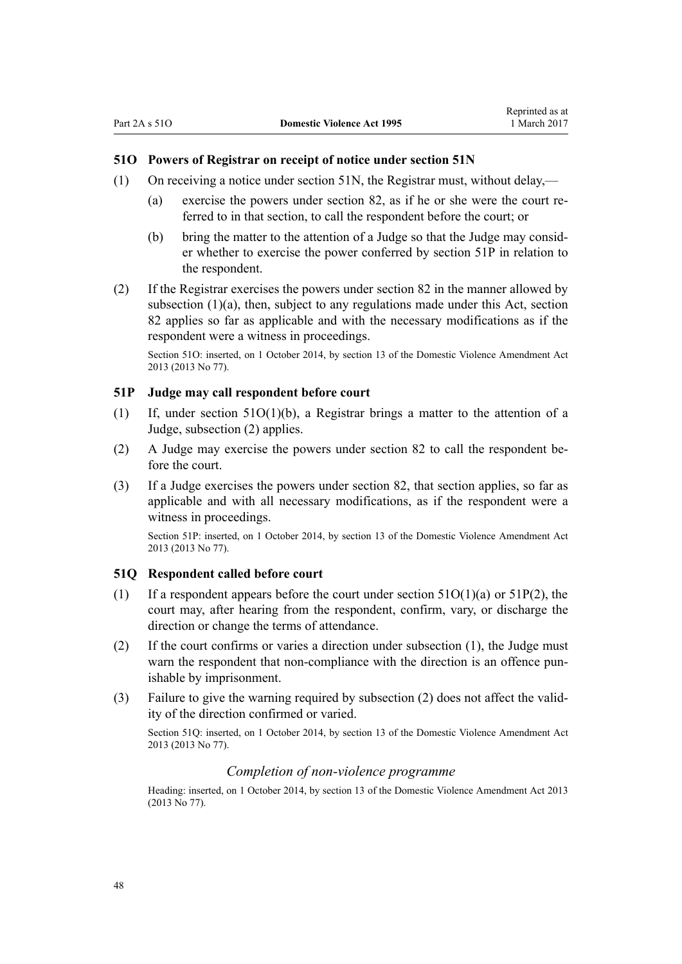### <span id="page-47-0"></span>**51O Powers of Registrar on receipt of notice under section 51N**

- (1) On receiving a notice under [section 51N](#page-46-0), the Registrar must, without delay,—
	- (a) exercise the powers under [section 82,](#page-66-0) as if he or she were the court referred to in that section, to call the respondent before the court; or
	- (b) bring the matter to the attention of a Judge so that the Judge may consider whether to exercise the power conferred by section 51P in relation to the respondent.
- (2) If the Registrar exercises the powers under [section 82](#page-66-0) in the manner allowed by subsection (1)(a), then, subject to any regulations made under this Act, section 82 applies so far as applicable and with the necessary modifications as if the respondent were a witness in proceedings.

Section 51O: inserted, on 1 October 2014, by [section 13](http://prd-lgnz-nlb.prd.pco.net.nz/pdflink.aspx?id=DLM5615659) of the Domestic Violence Amendment Act 2013 (2013 No 77).

#### **51P Judge may call respondent before court**

- (1) If, under section 51O(1)(b), a Registrar brings a matter to the attention of a Judge, subsection (2) applies.
- (2) A Judge may exercise the powers under [section 82](#page-66-0) to call the respondent before the court.
- (3) If a Judge exercises the powers under [section 82](#page-66-0), that section applies, so far as applicable and with all necessary modifications, as if the respondent were a witness in proceedings.

Section 51P: inserted, on 1 October 2014, by [section 13](http://prd-lgnz-nlb.prd.pco.net.nz/pdflink.aspx?id=DLM5615659) of the Domestic Violence Amendment Act 2013 (2013 No 77).

### **51Q Respondent called before court**

- (1) If a respondent appears before the court under section  $51O(1)(a)$  or  $51P(2)$ , the court may, after hearing from the respondent, confirm, vary, or discharge the direction or change the terms of attendance.
- (2) If the court confirms or varies a direction under subsection (1), the Judge must warn the respondent that non-compliance with the direction is an offence punishable by imprisonment.
- (3) Failure to give the warning required by subsection (2) does not affect the validity of the direction confirmed or varied.

Section 51Q: inserted, on 1 October 2014, by [section 13](http://prd-lgnz-nlb.prd.pco.net.nz/pdflink.aspx?id=DLM5615659) of the Domestic Violence Amendment Act 2013 (2013 No 77).

#### *Completion of non-violence programme*

Heading: inserted, on 1 October 2014, by [section 13](http://prd-lgnz-nlb.prd.pco.net.nz/pdflink.aspx?id=DLM5615659) of the Domestic Violence Amendment Act 2013 (2013 No 77).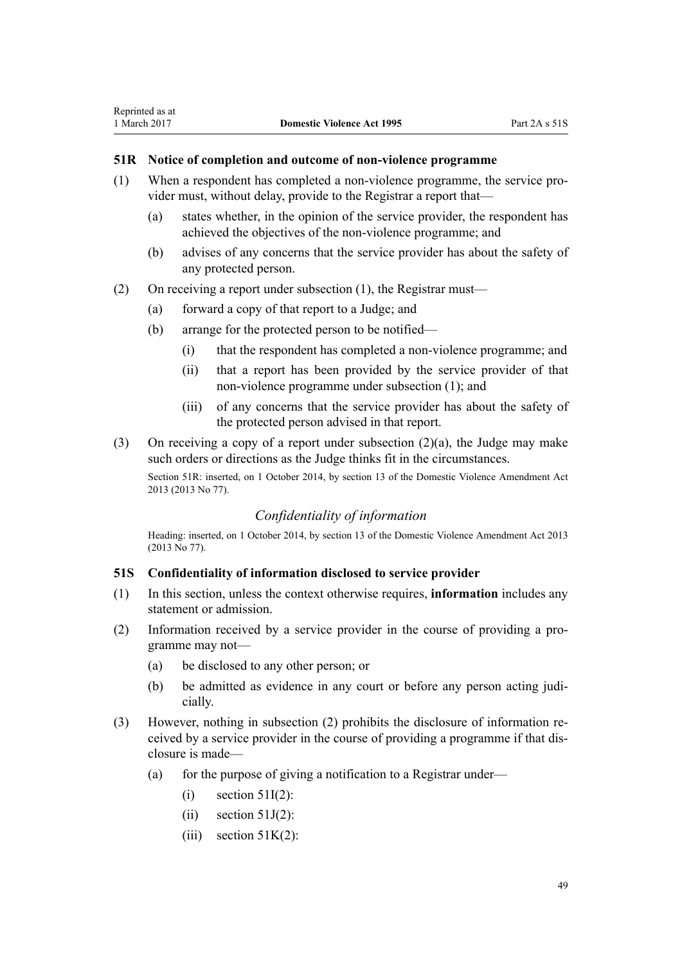### **51R Notice of completion and outcome of non-violence programme**

- (1) When a respondent has completed a non-violence programme, the service provider must, without delay, provide to the Registrar a report that—
	- (a) states whether, in the opinion of the service provider, the respondent has achieved the objectives of the non-violence programme; and
	- (b) advises of any concerns that the service provider has about the safety of any protected person.
- (2) On receiving a report under subsection (1), the Registrar must—
	- (a) forward a copy of that report to a Judge; and
	- (b) arrange for the protected person to be notified—
		- (i) that the respondent has completed a non-violence programme; and
		- (ii) that a report has been provided by the service provider of that non-violence programme under subsection (1); and
		- (iii) of any concerns that the service provider has about the safety of the protected person advised in that report.
- (3) On receiving a copy of a report under subsection (2)(a), the Judge may make such orders or directions as the Judge thinks fit in the circumstances.

Section 51R: inserted, on 1 October 2014, by [section 13](http://prd-lgnz-nlb.prd.pco.net.nz/pdflink.aspx?id=DLM5615659) of the Domestic Violence Amendment Act 2013 (2013 No 77).

### *Confidentiality of information*

Heading: inserted, on 1 October 2014, by [section 13](http://prd-lgnz-nlb.prd.pco.net.nz/pdflink.aspx?id=DLM5615659) of the Domestic Violence Amendment Act 2013 (2013 No 77).

### **51S Confidentiality of information disclosed to service provider**

- (1) In this section, unless the context otherwise requires, **information** includes any statement or admission.
- (2) Information received by a service provider in the course of providing a programme may not—
	- (a) be disclosed to any other person; or
	- (b) be admitted as evidence in any court or before any person acting judicially.
- (3) However, nothing in subsection (2) prohibits the disclosure of information received by a service provider in the course of providing a programme if that disclosure is made—
	- (a) for the purpose of giving a notification to a Registrar under—
		- $(i)$  [section 51I\(2\)](#page-44-0):
		- $(ii)$  [section 51J\(2\)](#page-44-0):
		- (iii) section  $51K(2)$ :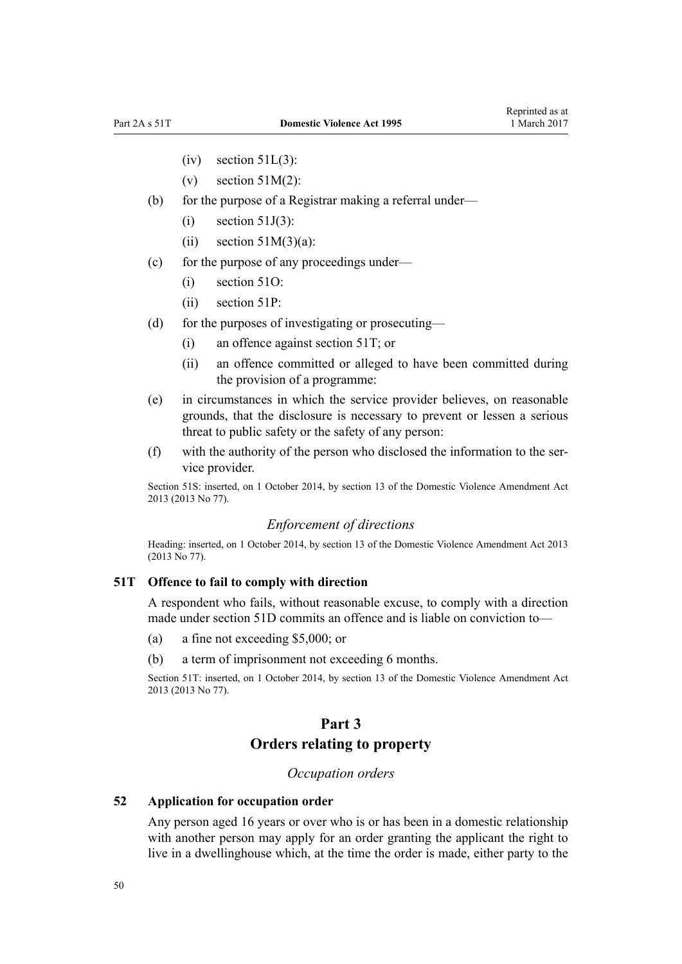- <span id="page-49-0"></span> $(iv)$  [section 51L\(3\):](#page-45-0)
- (v) section  $51M(2)$ :
- (b) for the purpose of a Registrar making a referral under—
	- $(i)$  [section 51J\(3\)](#page-44-0):
	- (ii) section  $51M(3)(a)$ :
- (c) for the purpose of any proceedings under—
	- (i) [section 51O](#page-47-0):
	- (ii) [section 51P:](#page-47-0)
- (d) for the purposes of investigating or prosecuting—
	- (i) an offence against section 51T; or
	- (ii) an offence committed or alleged to have been committed during the provision of a programme:
- (e) in circumstances in which the service provider believes, on reasonable grounds, that the disclosure is necessary to prevent or lessen a serious threat to public safety or the safety of any person:
- (f) with the authority of the person who disclosed the information to the service provider.

Section 51S: inserted, on 1 October 2014, by [section 13](http://prd-lgnz-nlb.prd.pco.net.nz/pdflink.aspx?id=DLM5615659) of the Domestic Violence Amendment Act 2013 (2013 No 77).

## *Enforcement of directions*

Heading: inserted, on 1 October 2014, by [section 13](http://prd-lgnz-nlb.prd.pco.net.nz/pdflink.aspx?id=DLM5615659) of the Domestic Violence Amendment Act 2013 (2013 No 77).

#### **51T Offence to fail to comply with direction**

A respondent who fails, without reasonable excuse, to comply with a direction made under [section 51D](#page-42-0) commits an offence and is liable on conviction to—

- (a) a fine not exceeding \$5,000; or
- (b) a term of imprisonment not exceeding 6 months.

Section 51T: inserted, on 1 October 2014, by [section 13](http://prd-lgnz-nlb.prd.pco.net.nz/pdflink.aspx?id=DLM5615659) of the Domestic Violence Amendment Act 2013 (2013 No 77).

# **Part 3 Orders relating to property**

## *Occupation orders*

#### **52 Application for occupation order**

Any person aged 16 years or over who is or has been in a domestic relationship with another person may apply for an order granting the applicant the right to live in a dwellinghouse which, at the time the order is made, either party to the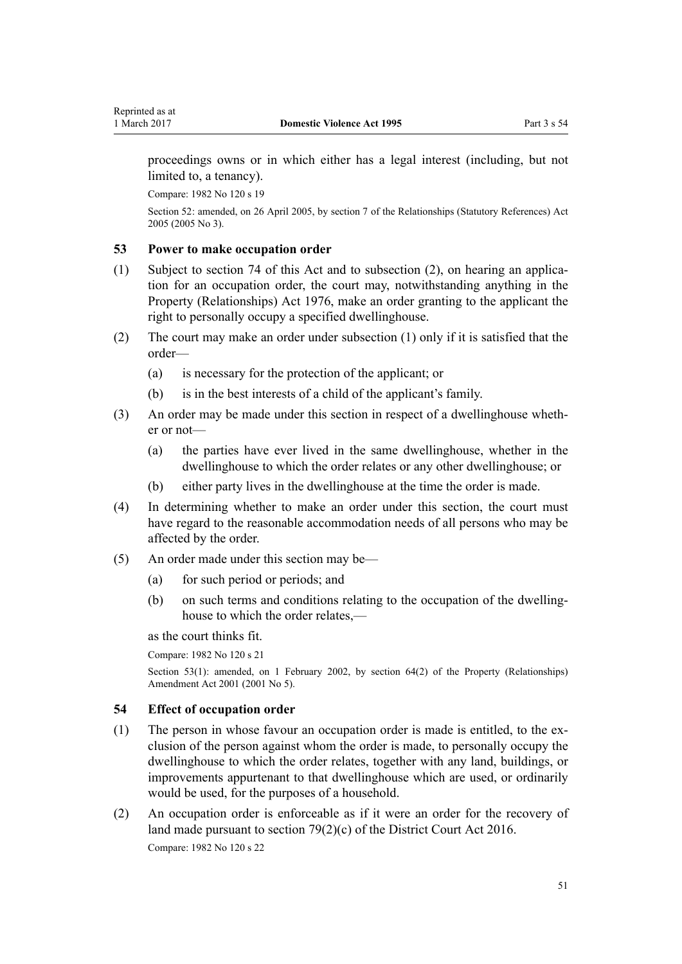<span id="page-50-0"></span>proceedings owns or in which either has a legal interest (including, but not limited to, a tenancy).

Compare: 1982 No 120 s 19

Section 52: amended, on 26 April 2005, by [section 7](http://prd-lgnz-nlb.prd.pco.net.nz/pdflink.aspx?id=DLM333795) of the Relationships (Statutory References) Act 2005 (2005 No 3).

### **53 Power to make occupation order**

- (1) Subject to [section 74](#page-60-0) of this Act and to subsection (2), on hearing an application for an occupation order, the court may, notwithstanding anything in the [Property \(Relationships\) Act 1976,](http://prd-lgnz-nlb.prd.pco.net.nz/pdflink.aspx?id=DLM440944) make an order granting to the applicant the right to personally occupy a specified dwellinghouse.
- (2) The court may make an order under subsection (1) only if it is satisfied that the order—
	- (a) is necessary for the protection of the applicant; or
	- (b) is in the best interests of a child of the applicant's family.
- (3) An order may be made under this section in respect of a dwellinghouse whether or not—
	- (a) the parties have ever lived in the same dwellinghouse, whether in the dwellinghouse to which the order relates or any other dwellinghouse; or
	- (b) either party lives in the dwellinghouse at the time the order is made.
- (4) In determining whether to make an order under this section, the court must have regard to the reasonable accommodation needs of all persons who may be affected by the order.
- (5) An order made under this section may be—
	- (a) for such period or periods; and
	- (b) on such terms and conditions relating to the occupation of the dwellinghouse to which the order relates,—

as the court thinks fit.

Compare: 1982 No 120 s 21

Section 53(1): amended, on 1 February 2002, by [section 64\(2\)](http://prd-lgnz-nlb.prd.pco.net.nz/pdflink.aspx?id=DLM87570) of the Property (Relationships) Amendment Act 2001 (2001 No 5).

### **54 Effect of occupation order**

- (1) The person in whose favour an occupation order is made is entitled, to the exclusion of the person against whom the order is made, to personally occupy the dwellinghouse to which the order relates, together with any land, buildings, or improvements appurtenant to that dwellinghouse which are used, or ordinarily would be used, for the purposes of a household.
- (2) An occupation order is enforceable as if it were an order for the recovery of land made pursuant to [section 79\(2\)\(c\)](http://prd-lgnz-nlb.prd.pco.net.nz/pdflink.aspx?id=DLM6942376) of the District Court Act 2016. Compare: 1982 No 120 s 22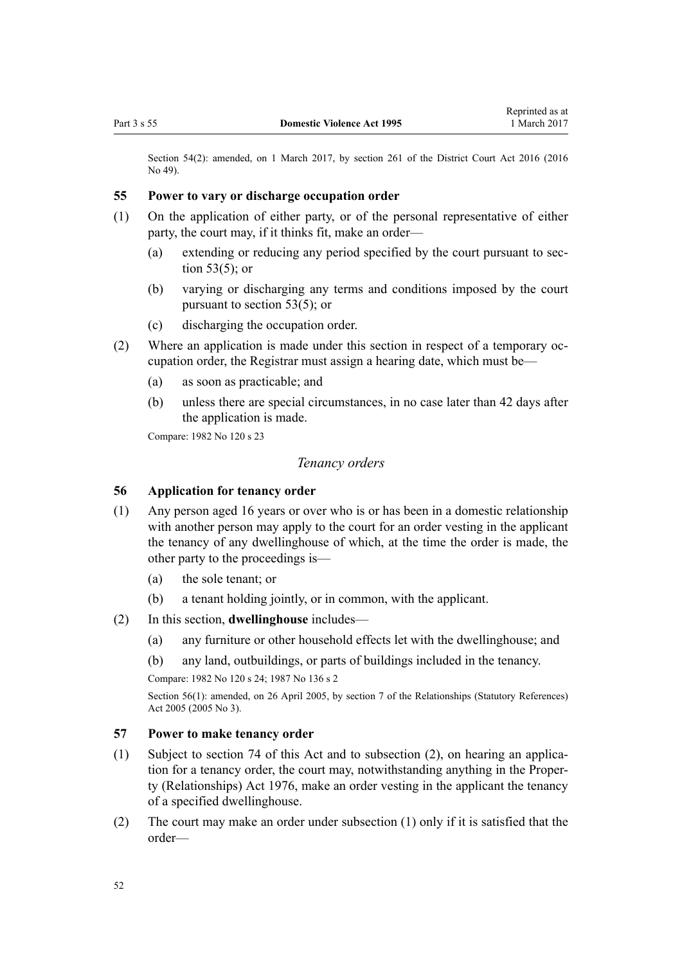<span id="page-51-0"></span>Section 54(2): amended, on 1 March 2017, by [section 261](http://prd-lgnz-nlb.prd.pco.net.nz/pdflink.aspx?id=DLM6942680) of the District Court Act 2016 (2016) No 49).

#### **55 Power to vary or discharge occupation order**

- (1) On the application of either party, or of the personal representative of either party, the court may, if it thinks fit, make an order—
	- (a) extending or reducing any period specified by the court pursuant to [sec](#page-50-0)[tion 53\(5\);](#page-50-0) or
	- (b) varying or discharging any terms and conditions imposed by the court pursuant to [section 53\(5\);](#page-50-0) or
	- (c) discharging the occupation order.
- (2) Where an application is made under this section in respect of a temporary occupation order, the Registrar must assign a hearing date, which must be—
	- (a) as soon as practicable; and
	- (b) unless there are special circumstances, in no case later than 42 days after the application is made.

Compare: 1982 No 120 s 23

#### *Tenancy orders*

#### **56 Application for tenancy order**

- (1) Any person aged 16 years or over who is or has been in a domestic relationship with another person may apply to the court for an order vesting in the applicant the tenancy of any dwellinghouse of which, at the time the order is made, the other party to the proceedings is—
	- (a) the sole tenant; or
	- (b) a tenant holding jointly, or in common, with the applicant.
- (2) In this section, **dwellinghouse** includes—
	- (a) any furniture or other household effects let with the dwellinghouse; and
	- (b) any land, outbuildings, or parts of buildings included in the tenancy.

Compare: 1982 No 120 s 24; 1987 No 136 s 2

Section 56(1): amended, on 26 April 2005, by [section 7](http://prd-lgnz-nlb.prd.pco.net.nz/pdflink.aspx?id=DLM333795) of the Relationships (Statutory References) Act 2005 (2005 No 3).

#### **57 Power to make tenancy order**

- (1) Subject to [section 74](#page-60-0) of this Act and to subsection (2), on hearing an application for a tenancy order, the court may, notwithstanding anything in the [Proper](http://prd-lgnz-nlb.prd.pco.net.nz/pdflink.aspx?id=DLM440944)[ty \(Relationships\) Act 1976](http://prd-lgnz-nlb.prd.pco.net.nz/pdflink.aspx?id=DLM440944), make an order vesting in the applicant the tenancy of a specified dwellinghouse.
- (2) The court may make an order under subsection (1) only if it is satisfied that the order—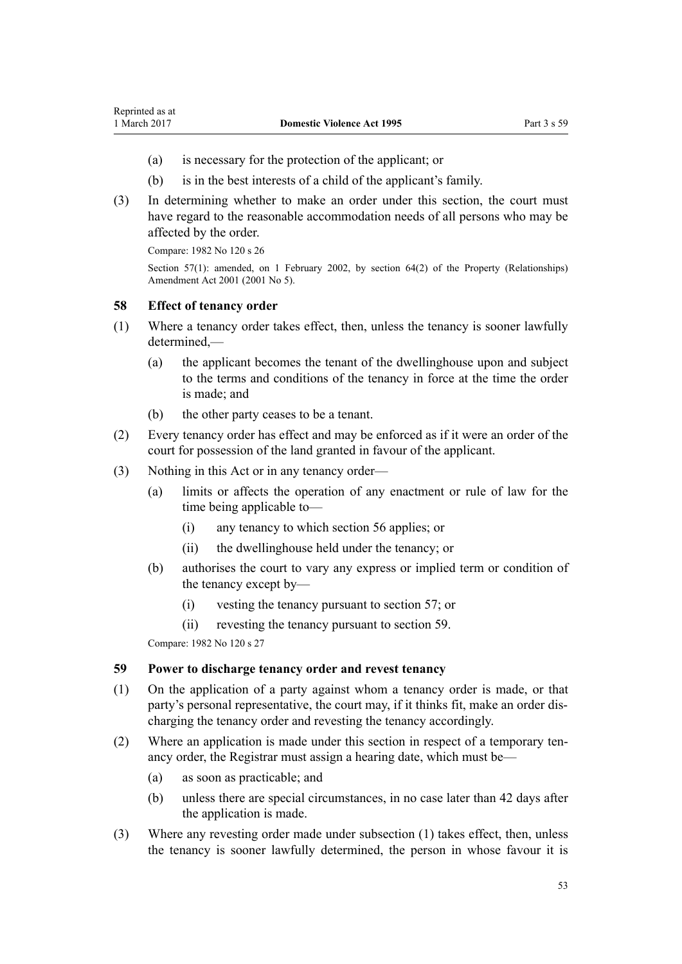- <span id="page-52-0"></span>(a) is necessary for the protection of the applicant; or
- (b) is in the best interests of a child of the applicant's family.
- (3) In determining whether to make an order under this section, the court must have regard to the reasonable accommodation needs of all persons who may be affected by the order.

Compare: 1982 No 120 s 26

Section 57(1): amended, on 1 February 2002, by [section 64\(2\)](http://prd-lgnz-nlb.prd.pco.net.nz/pdflink.aspx?id=DLM87570) of the Property (Relationships) Amendment Act 2001 (2001 No 5).

### **58 Effect of tenancy order**

- (1) Where a tenancy order takes effect, then, unless the tenancy is sooner lawfully  $d$ etermined $-$ 
	- (a) the applicant becomes the tenant of the dwellinghouse upon and subject to the terms and conditions of the tenancy in force at the time the order is made; and
	- (b) the other party ceases to be a tenant.
- (2) Every tenancy order has effect and may be enforced as if it were an order of the court for possession of the land granted in favour of the applicant.
- (3) Nothing in this Act or in any tenancy order—
	- (a) limits or affects the operation of any enactment or rule of law for the time being applicable to—
		- (i) any tenancy to which [section 56](#page-51-0) applies; or
		- (ii) the dwellinghouse held under the tenancy; or
	- (b) authorises the court to vary any express or implied term or condition of the tenancy except by—
		- (i) vesting the tenancy pursuant to [section 57](#page-51-0); or
		- (ii) revesting the tenancy pursuant to section 59.

Compare: 1982 No 120 s 27

### **59 Power to discharge tenancy order and revest tenancy**

- (1) On the application of a party against whom a tenancy order is made, or that party's personal representative, the court may, if it thinks fit, make an order discharging the tenancy order and revesting the tenancy accordingly.
- (2) Where an application is made under this section in respect of a temporary tenancy order, the Registrar must assign a hearing date, which must be—
	- (a) as soon as practicable; and
	- (b) unless there are special circumstances, in no case later than 42 days after the application is made.
- (3) Where any revesting order made under subsection (1) takes effect, then, unless the tenancy is sooner lawfully determined, the person in whose favour it is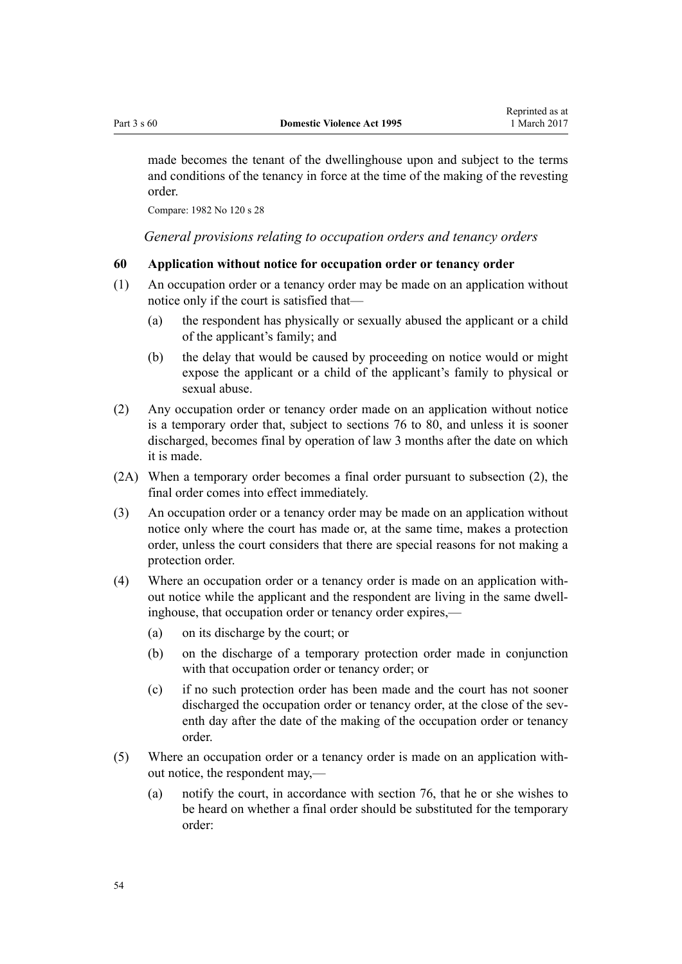made becomes the tenant of the dwellinghouse upon and subject to the terms and conditions of the tenancy in force at the time of the making of the revesting order.

Compare: 1982 No 120 s 28

*General provisions relating to occupation orders and tenancy orders*

#### **60 Application without notice for occupation order or tenancy order**

- (1) An occupation order or a tenancy order may be made on an application without notice only if the court is satisfied that—
	- (a) the respondent has physically or sexually abused the applicant or a child of the applicant's family; and
	- (b) the delay that would be caused by proceeding on notice would or might expose the applicant or a child of the applicant's family to physical or sexual abuse.
- (2) Any occupation order or tenancy order made on an application without notice is a temporary order that, subject to [sections 76 to 80](#page-61-0), and unless it is sooner discharged, becomes final by operation of law 3 months after the date on which it is made.
- (2A) When a temporary order becomes a final order pursuant to subsection (2), the final order comes into effect immediately.
- (3) An occupation order or a tenancy order may be made on an application without notice only where the court has made or, at the same time, makes a protection order, unless the court considers that there are special reasons for not making a protection order.
- (4) Where an occupation order or a tenancy order is made on an application without notice while the applicant and the respondent are living in the same dwellinghouse, that occupation order or tenancy order expires,—
	- (a) on its discharge by the court; or
	- (b) on the discharge of a temporary protection order made in conjunction with that occupation order or tenancy order; or
	- (c) if no such protection order has been made and the court has not sooner discharged the occupation order or tenancy order, at the close of the seventh day after the date of the making of the occupation order or tenancy order.
- (5) Where an occupation order or a tenancy order is made on an application without notice, the respondent may,—
	- (a) notify the court, in accordance with [section 76,](#page-61-0) that he or she wishes to be heard on whether a final order should be substituted for the temporary order: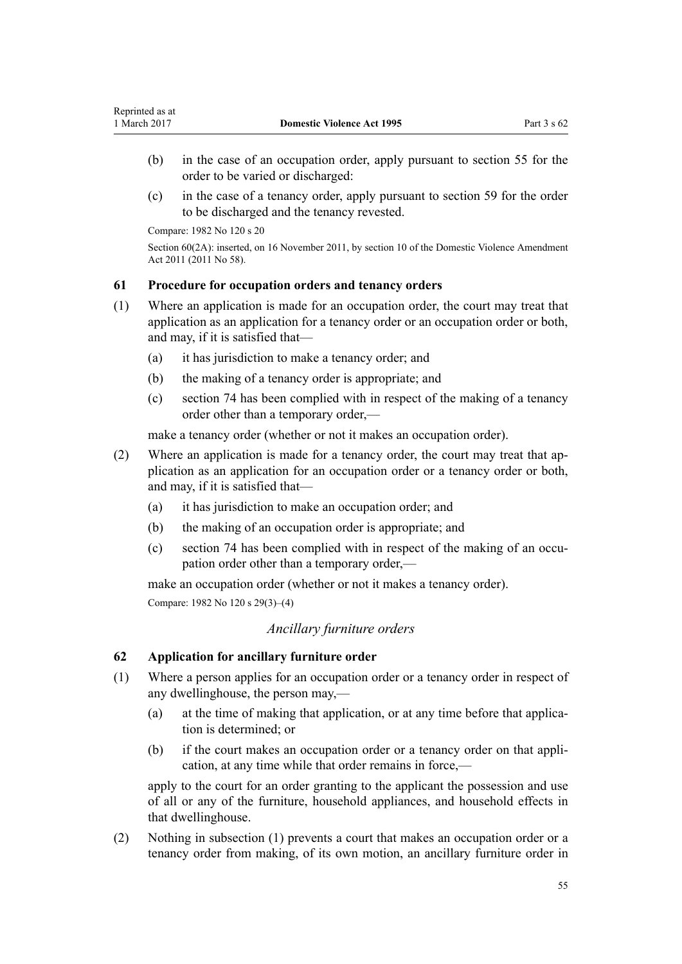- (b) in the case of an occupation order, apply pursuant to [section 55](#page-51-0) for the order to be varied or discharged:
- (c) in the case of a tenancy order, apply pursuant to [section 59](#page-52-0) for the order to be discharged and the tenancy revested.

Compare: 1982 No 120 s 20

Section 60(2A): inserted, on 16 November 2011, by [section 10](http://prd-lgnz-nlb.prd.pco.net.nz/pdflink.aspx?id=DLM1955523) of the Domestic Violence Amendment Act 2011 (2011 No 58).

## **61 Procedure for occupation orders and tenancy orders**

- (1) Where an application is made for an occupation order, the court may treat that application as an application for a tenancy order or an occupation order or both, and may, if it is satisfied that—
	- (a) it has jurisdiction to make a tenancy order; and
	- (b) the making of a tenancy order is appropriate; and
	- (c) [section 74](#page-60-0) has been complied with in respect of the making of a tenancy order other than a temporary order,—

make a tenancy order (whether or not it makes an occupation order).

- (2) Where an application is made for a tenancy order, the court may treat that application as an application for an occupation order or a tenancy order or both, and may, if it is satisfied that—
	- (a) it has jurisdiction to make an occupation order; and
	- (b) the making of an occupation order is appropriate; and
	- (c) [section 74](#page-60-0) has been complied with in respect of the making of an occupation order other than a temporary order,—

make an occupation order (whether or not it makes a tenancy order). Compare: 1982 No 120 s 29(3)–(4)

## *Ancillary furniture orders*

### **62 Application for ancillary furniture order**

- (1) Where a person applies for an occupation order or a tenancy order in respect of any dwellinghouse, the person may,—
	- (a) at the time of making that application, or at any time before that application is determined; or
	- (b) if the court makes an occupation order or a tenancy order on that application, at any time while that order remains in force,—

apply to the court for an order granting to the applicant the possession and use of all or any of the furniture, household appliances, and household effects in that dwellinghouse.

(2) Nothing in subsection (1) prevents a court that makes an occupation order or a tenancy order from making, of its own motion, an ancillary furniture order in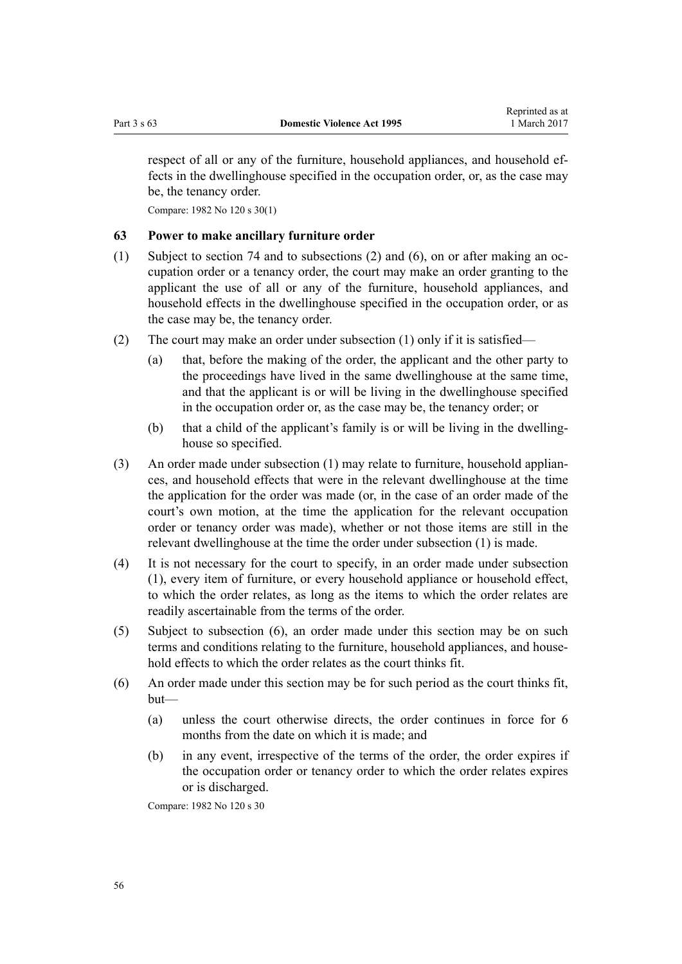<span id="page-55-0"></span>respect of all or any of the furniture, household appliances, and household effects in the dwellinghouse specified in the occupation order, or, as the case may be, the tenancy order.

Compare: 1982 No 120 s 30(1)

#### **63 Power to make ancillary furniture order**

- (1) Subject to [section 74](#page-60-0) and to subsections (2) and (6), on or after making an occupation order or a tenancy order, the court may make an order granting to the applicant the use of all or any of the furniture, household appliances, and household effects in the dwellinghouse specified in the occupation order, or as the case may be, the tenancy order.
- (2) The court may make an order under subsection (1) only if it is satisfied—
	- (a) that, before the making of the order, the applicant and the other party to the proceedings have lived in the same dwellinghouse at the same time, and that the applicant is or will be living in the dwellinghouse specified in the occupation order or, as the case may be, the tenancy order; or
	- (b) that a child of the applicant's family is or will be living in the dwellinghouse so specified.
- (3) An order made under subsection (1) may relate to furniture, household appliances, and household effects that were in the relevant dwellinghouse at the time the application for the order was made (or, in the case of an order made of the court's own motion, at the time the application for the relevant occupation order or tenancy order was made), whether or not those items are still in the relevant dwellinghouse at the time the order under subsection (1) is made.
- (4) It is not necessary for the court to specify, in an order made under subsection (1), every item of furniture, or every household appliance or household effect, to which the order relates, as long as the items to which the order relates are readily ascertainable from the terms of the order.
- (5) Subject to subsection (6), an order made under this section may be on such terms and conditions relating to the furniture, household appliances, and household effects to which the order relates as the court thinks fit.
- (6) An order made under this section may be for such period as the court thinks fit, but—
	- (a) unless the court otherwise directs, the order continues in force for 6 months from the date on which it is made; and
	- (b) in any event, irrespective of the terms of the order, the order expires if the occupation order or tenancy order to which the order relates expires or is discharged.

Compare: 1982 No 120 s 30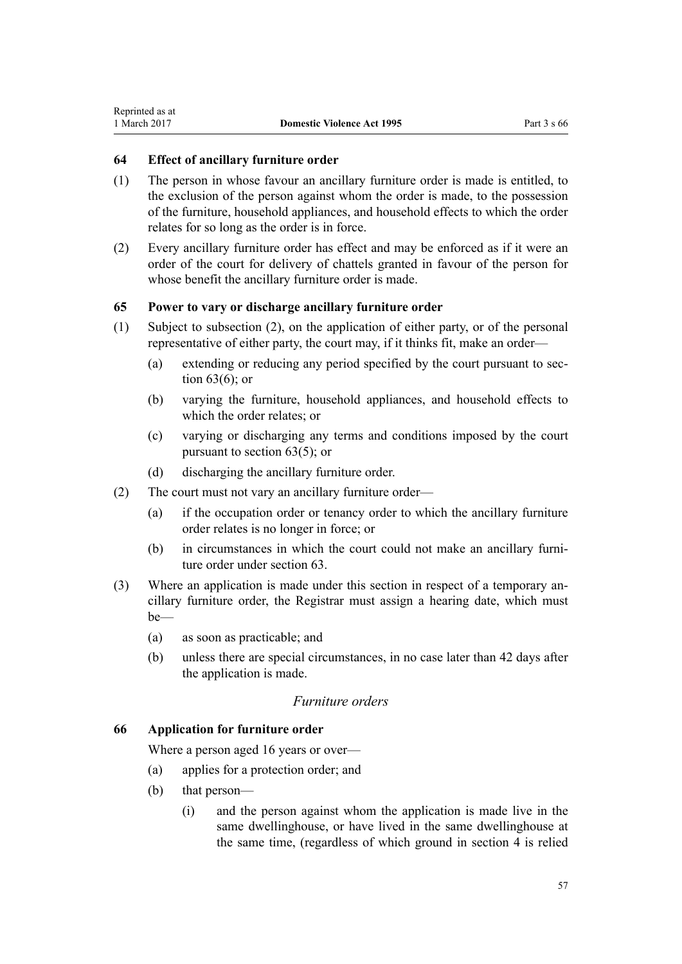<span id="page-56-0"></span>Reprinted as at

## **64 Effect of ancillary furniture order**

- (1) The person in whose favour an ancillary furniture order is made is entitled, to the exclusion of the person against whom the order is made, to the possession of the furniture, household appliances, and household effects to which the order relates for so long as the order is in force.
- (2) Every ancillary furniture order has effect and may be enforced as if it were an order of the court for delivery of chattels granted in favour of the person for whose benefit the ancillary furniture order is made.

## **65 Power to vary or discharge ancillary furniture order**

- (1) Subject to subsection (2), on the application of either party, or of the personal representative of either party, the court may, if it thinks fit, make an order—
	- (a) extending or reducing any period specified by the court pursuant to [sec](#page-55-0)[tion 63\(6\);](#page-55-0) or
	- (b) varying the furniture, household appliances, and household effects to which the order relates; or
	- (c) varying or discharging any terms and conditions imposed by the court pursuant to [section 63\(5\);](#page-55-0) or
	- (d) discharging the ancillary furniture order.
- (2) The court must not vary an ancillary furniture order—
	- (a) if the occupation order or tenancy order to which the ancillary furniture order relates is no longer in force; or
	- (b) in circumstances in which the court could not make an ancillary furniture order under [section 63](#page-55-0).
- (3) Where an application is made under this section in respect of a temporary ancillary furniture order, the Registrar must assign a hearing date, which must be—
	- (a) as soon as practicable; and
	- (b) unless there are special circumstances, in no case later than 42 days after the application is made.

## *Furniture orders*

### **66 Application for furniture order**

Where a person aged 16 years or over—

- (a) applies for a protection order; and
- (b) that person—
	- (i) and the person against whom the application is made live in the same dwellinghouse, or have lived in the same dwellinghouse at the same time, (regardless of which ground in [section 4](#page-13-0) is relied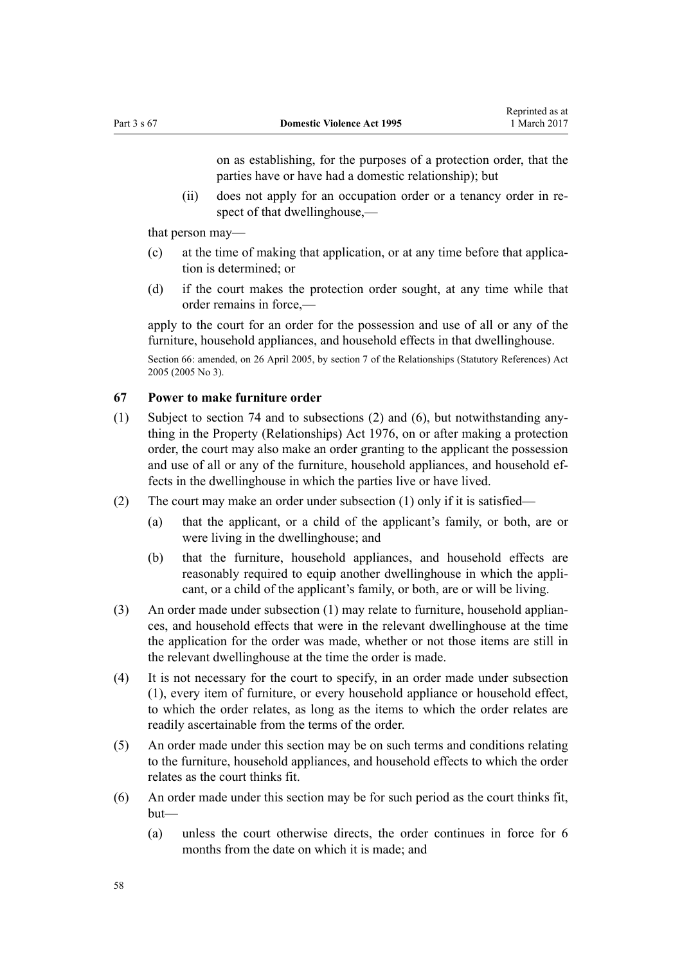on as establishing, for the purposes of a protection order, that the parties have or have had a domestic relationship); but

<span id="page-57-0"></span>(ii) does not apply for an occupation order or a tenancy order in respect of that dwellinghouse,—

that person may—

- (c) at the time of making that application, or at any time before that application is determined; or
- (d) if the court makes the protection order sought, at any time while that order remains in force,—

apply to the court for an order for the possession and use of all or any of the furniture, household appliances, and household effects in that dwellinghouse.

Section 66: amended, on 26 April 2005, by [section 7](http://prd-lgnz-nlb.prd.pco.net.nz/pdflink.aspx?id=DLM333795) of the Relationships (Statutory References) Act 2005 (2005 No 3).

## **67 Power to make furniture order**

- (1) Subject to [section 74](#page-60-0) and to subsections (2) and (6), but notwithstanding anything in the [Property \(Relationships\) Act 1976](http://prd-lgnz-nlb.prd.pco.net.nz/pdflink.aspx?id=DLM440944), on or after making a protection order, the court may also make an order granting to the applicant the possession and use of all or any of the furniture, household appliances, and household effects in the dwellinghouse in which the parties live or have lived.
- (2) The court may make an order under subsection (1) only if it is satisfied—
	- (a) that the applicant, or a child of the applicant's family, or both, are or were living in the dwellinghouse; and
	- (b) that the furniture, household appliances, and household effects are reasonably required to equip another dwellinghouse in which the applicant, or a child of the applicant's family, or both, are or will be living.
- (3) An order made under subsection (1) may relate to furniture, household appliances, and household effects that were in the relevant dwellinghouse at the time the application for the order was made, whether or not those items are still in the relevant dwellinghouse at the time the order is made.
- (4) It is not necessary for the court to specify, in an order made under subsection (1), every item of furniture, or every household appliance or household effect, to which the order relates, as long as the items to which the order relates are readily ascertainable from the terms of the order.
- (5) An order made under this section may be on such terms and conditions relating to the furniture, household appliances, and household effects to which the order relates as the court thinks fit.
- (6) An order made under this section may be for such period as the court thinks fit, but—
	- (a) unless the court otherwise directs, the order continues in force for 6 months from the date on which it is made; and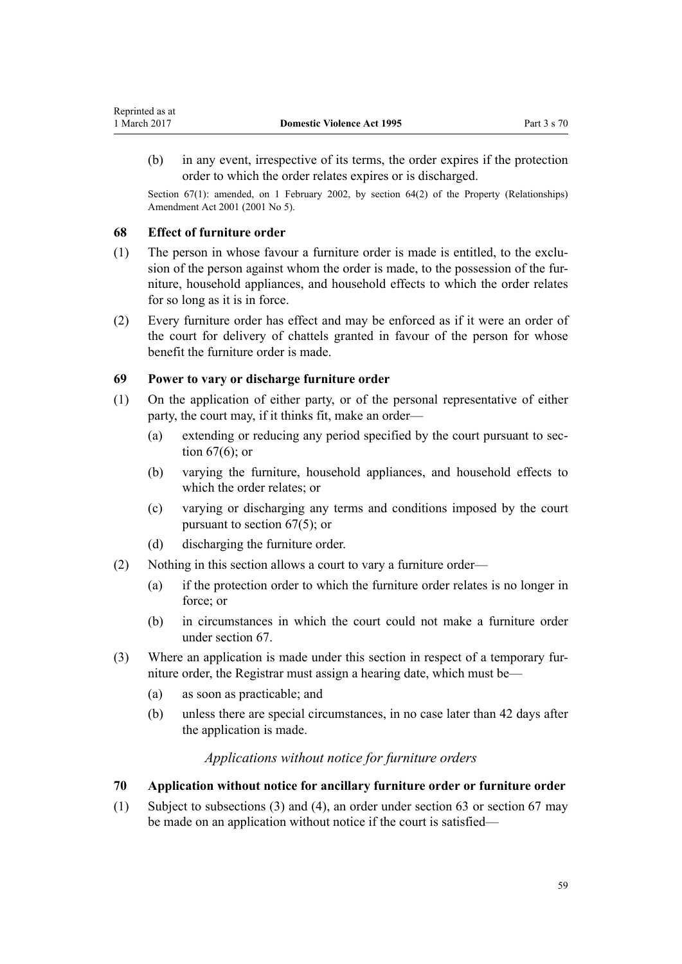<span id="page-58-0"></span>(b) in any event, irrespective of its terms, the order expires if the protection order to which the order relates expires or is discharged.

Section 67(1): amended, on 1 February 2002, by [section 64\(2\)](http://prd-lgnz-nlb.prd.pco.net.nz/pdflink.aspx?id=DLM87570) of the Property (Relationships) Amendment Act 2001 (2001 No 5).

## **68 Effect of furniture order**

- (1) The person in whose favour a furniture order is made is entitled, to the exclusion of the person against whom the order is made, to the possession of the furniture, household appliances, and household effects to which the order relates for so long as it is in force.
- (2) Every furniture order has effect and may be enforced as if it were an order of the court for delivery of chattels granted in favour of the person for whose benefit the furniture order is made.

## **69 Power to vary or discharge furniture order**

- (1) On the application of either party, or of the personal representative of either party, the court may, if it thinks fit, make an order—
	- (a) extending or reducing any period specified by the court pursuant to [sec](#page-57-0)[tion 67\(6\);](#page-57-0) or
	- (b) varying the furniture, household appliances, and household effects to which the order relates; or
	- (c) varying or discharging any terms and conditions imposed by the court pursuant to [section 67\(5\);](#page-57-0) or
	- (d) discharging the furniture order.
- (2) Nothing in this section allows a court to vary a furniture order—
	- (a) if the protection order to which the furniture order relates is no longer in force; or
	- (b) in circumstances in which the court could not make a furniture order under [section 67](#page-57-0).
- (3) Where an application is made under this section in respect of a temporary furniture order, the Registrar must assign a hearing date, which must be—
	- (a) as soon as practicable; and
	- (b) unless there are special circumstances, in no case later than 42 days after the application is made.

## *Applications without notice for furniture orders*

## **70 Application without notice for ancillary furniture order or furniture order**

(1) Subject to subsections (3) and (4), an order under [section 63](#page-55-0) or [section 67](#page-57-0) may be made on an application without notice if the court is satisfied—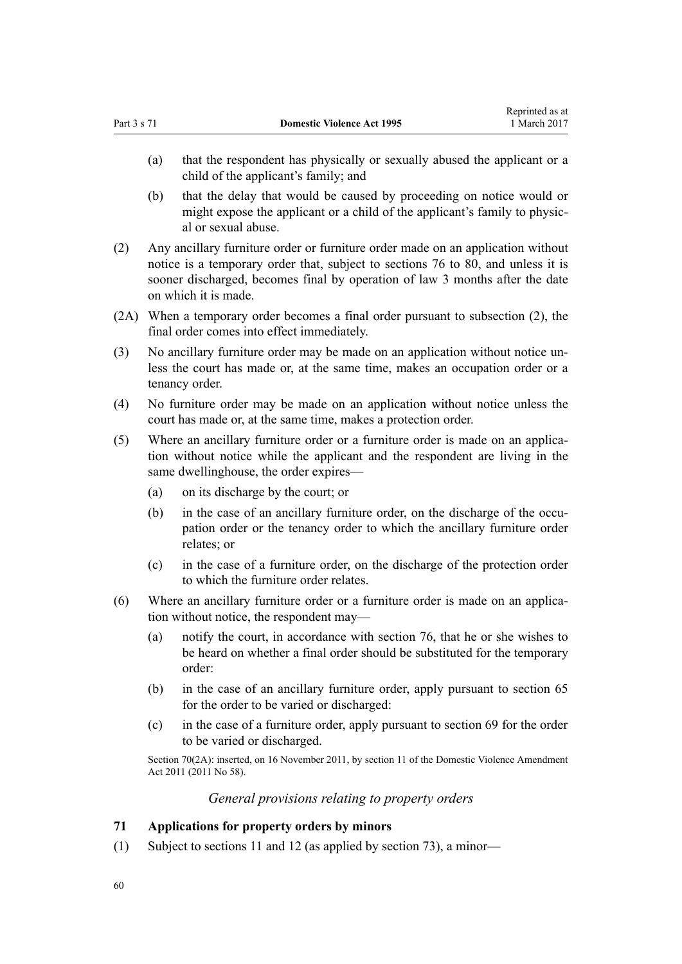Reprinted as at

- (a) that the respondent has physically or sexually abused the applicant or a child of the applicant's family; and
- (b) that the delay that would be caused by proceeding on notice would or might expose the applicant or a child of the applicant's family to physical or sexual abuse.
- (2) Any ancillary furniture order or furniture order made on an application without notice is a temporary order that, subject to [sections 76 to 80](#page-61-0), and unless it is sooner discharged, becomes final by operation of law 3 months after the date on which it is made.
- (2A) When a temporary order becomes a final order pursuant to subsection (2), the final order comes into effect immediately.
- (3) No ancillary furniture order may be made on an application without notice unless the court has made or, at the same time, makes an occupation order or a tenancy order.
- (4) No furniture order may be made on an application without notice unless the court has made or, at the same time, makes a protection order.
- (5) Where an ancillary furniture order or a furniture order is made on an application without notice while the applicant and the respondent are living in the same dwellinghouse, the order expires—
	- (a) on its discharge by the court; or
	- (b) in the case of an ancillary furniture order, on the discharge of the occupation order or the tenancy order to which the ancillary furniture order relates; or
	- (c) in the case of a furniture order, on the discharge of the protection order to which the furniture order relates.
- (6) Where an ancillary furniture order or a furniture order is made on an application without notice, the respondent may—
	- (a) notify the court, in accordance with [section 76](#page-61-0), that he or she wishes to be heard on whether a final order should be substituted for the temporary order:
	- (b) in the case of an ancillary furniture order, apply pursuant to [section 65](#page-56-0) for the order to be varied or discharged:
	- (c) in the case of a furniture order, apply pursuant to [section 69](#page-58-0) for the order to be varied or discharged.

Section 70(2A): inserted, on 16 November 2011, by [section 11](http://prd-lgnz-nlb.prd.pco.net.nz/pdflink.aspx?id=DLM1955524) of the Domestic Violence Amendment Act 2011 (2011 No 58).

*General provisions relating to property orders*

### **71 Applications for property orders by minors**

(1) Subject to [sections 11](#page-17-0) and [12](#page-17-0) (as applied by [section 73](#page-60-0)), a minor—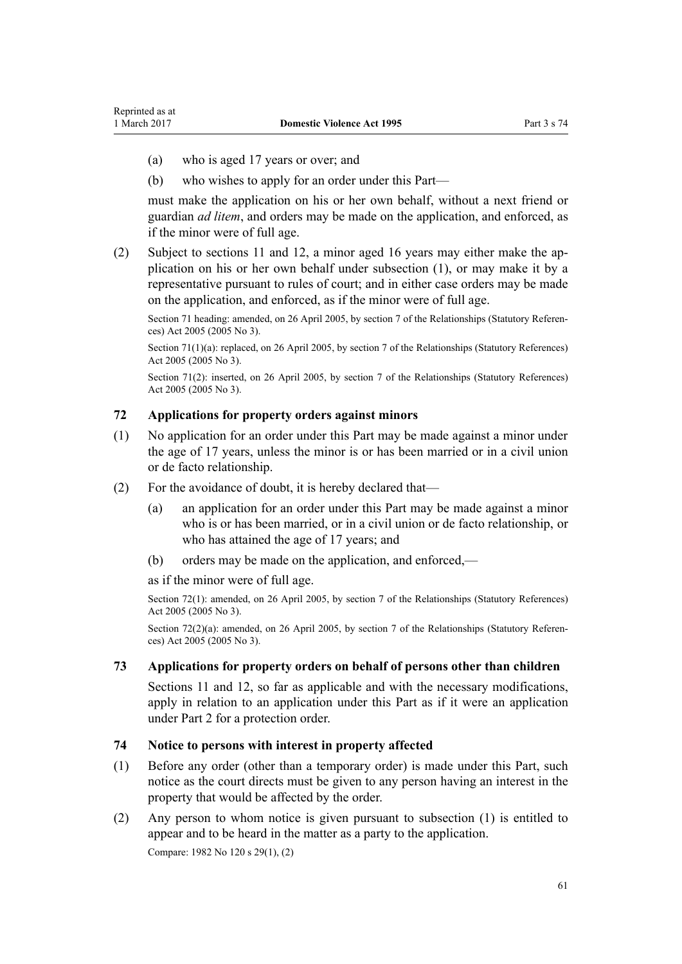- <span id="page-60-0"></span>(a) who is aged 17 years or over; and
- (b) who wishes to apply for an order under this Part—

must make the application on his or her own behalf, without a next friend or guardian *ad litem*, and orders may be made on the application, and enforced, as if the minor were of full age.

(2) Subject to [sections 11](#page-17-0) and [12](#page-17-0), a minor aged 16 years may either make the application on his or her own behalf under subsection (1), or may make it by a representative pursuant to rules of court; and in either case orders may be made on the application, and enforced, as if the minor were of full age.

Section 71 heading: amended, on 26 April 2005, by [section 7](http://prd-lgnz-nlb.prd.pco.net.nz/pdflink.aspx?id=DLM333795) of the Relationships (Statutory References) Act 2005 (2005 No 3).

Section 71(1)(a): replaced, on 26 April 2005, by [section 7](http://prd-lgnz-nlb.prd.pco.net.nz/pdflink.aspx?id=DLM333795) of the Relationships (Statutory References) Act 2005 (2005 No 3).

Section 71(2): inserted, on 26 April 2005, by [section 7](http://prd-lgnz-nlb.prd.pco.net.nz/pdflink.aspx?id=DLM333795) of the Relationships (Statutory References) Act 2005 (2005 No 3).

#### **72 Applications for property orders against minors**

- (1) No application for an order under this Part may be made against a minor under the age of 17 years, unless the minor is or has been married or in a civil union or de facto relationship.
- (2) For the avoidance of doubt, it is hereby declared that—
	- (a) an application for an order under this Part may be made against a minor who is or has been married, or in a civil union or de facto relationship, or who has attained the age of 17 years; and
	- (b) orders may be made on the application, and enforced,—

as if the minor were of full age.

Section 72(1): amended, on 26 April 2005, by [section 7](http://prd-lgnz-nlb.prd.pco.net.nz/pdflink.aspx?id=DLM333795) of the Relationships (Statutory References) Act 2005 (2005 No 3).

Section 72(2)(a): amended, on 26 April 2005, by [section 7](http://prd-lgnz-nlb.prd.pco.net.nz/pdflink.aspx?id=DLM333795) of the Relationships (Statutory References) Act 2005 (2005 No 3).

#### **73 Applications for property orders on behalf of persons other than children**

[Sections 11](#page-17-0) and [12](#page-17-0), so far as applicable and with the necessary modifications, apply in relation to an application under this Part as if it were an application under [Part 2](#page-15-0) for a protection order.

#### **74 Notice to persons with interest in property affected**

- (1) Before any order (other than a temporary order) is made under this Part, such notice as the court directs must be given to any person having an interest in the property that would be affected by the order.
- (2) Any person to whom notice is given pursuant to subsection (1) is entitled to appear and to be heard in the matter as a party to the application.

Compare: 1982 No 120 s 29(1), (2)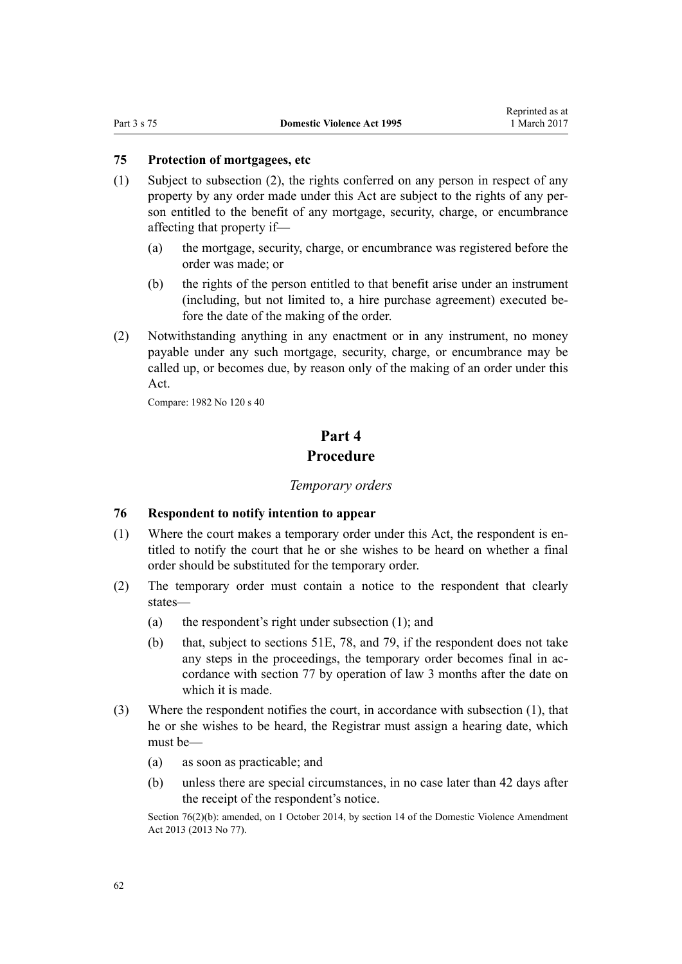### <span id="page-61-0"></span>**75 Protection of mortgagees, etc**

- (1) Subject to subsection (2), the rights conferred on any person in respect of any property by any order made under this Act are subject to the rights of any person entitled to the benefit of any mortgage, security, charge, or encumbrance affecting that property if—
	- (a) the mortgage, security, charge, or encumbrance was registered before the order was made; or
	- (b) the rights of the person entitled to that benefit arise under an instrument (including, but not limited to, a hire purchase agreement) executed before the date of the making of the order.
- (2) Notwithstanding anything in any enactment or in any instrument, no money payable under any such mortgage, security, charge, or encumbrance may be called up, or becomes due, by reason only of the making of an order under this Act.

Compare: 1982 No 120 s 40

# **Part 4 Procedure**

#### *Temporary orders*

#### **76 Respondent to notify intention to appear**

- (1) Where the court makes a temporary order under this Act, the respondent is entitled to notify the court that he or she wishes to be heard on whether a final order should be substituted for the temporary order.
- (2) The temporary order must contain a notice to the respondent that clearly states—
	- (a) the respondent's right under subsection (1); and
	- (b) that, subject to [sections 51E](#page-42-0), [78](#page-62-0), and [79,](#page-63-0) if the respondent does not take any steps in the proceedings, the temporary order becomes final in accordance with [section 77](#page-62-0) by operation of law 3 months after the date on which it is made.
- (3) Where the respondent notifies the court, in accordance with subsection (1), that he or she wishes to be heard, the Registrar must assign a hearing date, which must be—
	- (a) as soon as practicable; and
	- (b) unless there are special circumstances, in no case later than 42 days after the receipt of the respondent's notice.

Section 76(2)(b): amended, on 1 October 2014, by [section 14](http://prd-lgnz-nlb.prd.pco.net.nz/pdflink.aspx?id=DLM5616703) of the Domestic Violence Amendment Act 2013 (2013 No 77).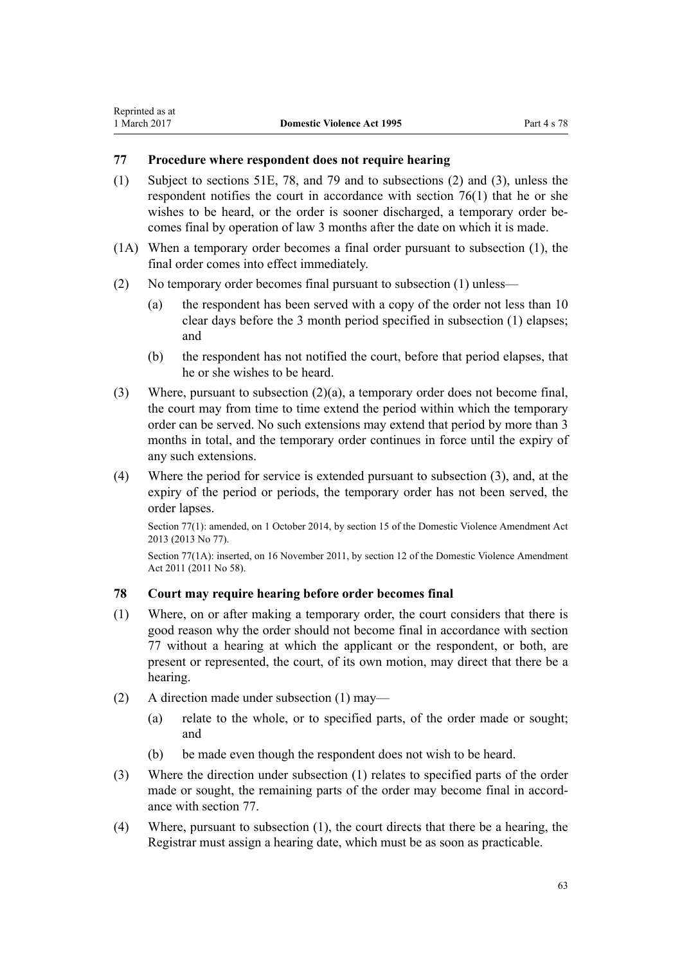## <span id="page-62-0"></span>**77 Procedure where respondent does not require hearing**

- (1) Subject to [sections 51E,](#page-42-0) 78, and [79](#page-63-0) and to subsections (2) and (3), unless the respondent notifies the court in accordance with [section 76\(1\)](#page-61-0) that he or she wishes to be heard, or the order is sooner discharged, a temporary order becomes final by operation of law 3 months after the date on which it is made.
- (1A) When a temporary order becomes a final order pursuant to subsection (1), the final order comes into effect immediately.
- (2) No temporary order becomes final pursuant to subsection (1) unless—
	- (a) the respondent has been served with a copy of the order not less than 10 clear days before the 3 month period specified in subsection (1) elapses; and
	- (b) the respondent has not notified the court, before that period elapses, that he or she wishes to be heard.
- (3) Where, pursuant to subsection (2)(a), a temporary order does not become final, the court may from time to time extend the period within which the temporary order can be served. No such extensions may extend that period by more than 3 months in total, and the temporary order continues in force until the expiry of any such extensions.
- (4) Where the period for service is extended pursuant to subsection (3), and, at the expiry of the period or periods, the temporary order has not been served, the order lapses.

Section 77(1): amended, on 1 October 2014, by [section 15](http://prd-lgnz-nlb.prd.pco.net.nz/pdflink.aspx?id=DLM5616704) of the Domestic Violence Amendment Act 2013 (2013 No 77).

Section 77(1A): inserted, on 16 November 2011, by [section 12](http://prd-lgnz-nlb.prd.pco.net.nz/pdflink.aspx?id=DLM1955525) of the Domestic Violence Amendment Act 2011 (2011 No 58).

### **78 Court may require hearing before order becomes final**

- (1) Where, on or after making a temporary order, the court considers that there is good reason why the order should not become final in accordance with section 77 without a hearing at which the applicant or the respondent, or both, are present or represented, the court, of its own motion, may direct that there be a hearing.
- (2) A direction made under subsection (1) may—
	- (a) relate to the whole, or to specified parts, of the order made or sought; and
	- (b) be made even though the respondent does not wish to be heard.
- (3) Where the direction under subsection (1) relates to specified parts of the order made or sought, the remaining parts of the order may become final in accordance with section 77.
- (4) Where, pursuant to subsection (1), the court directs that there be a hearing, the Registrar must assign a hearing date, which must be as soon as practicable.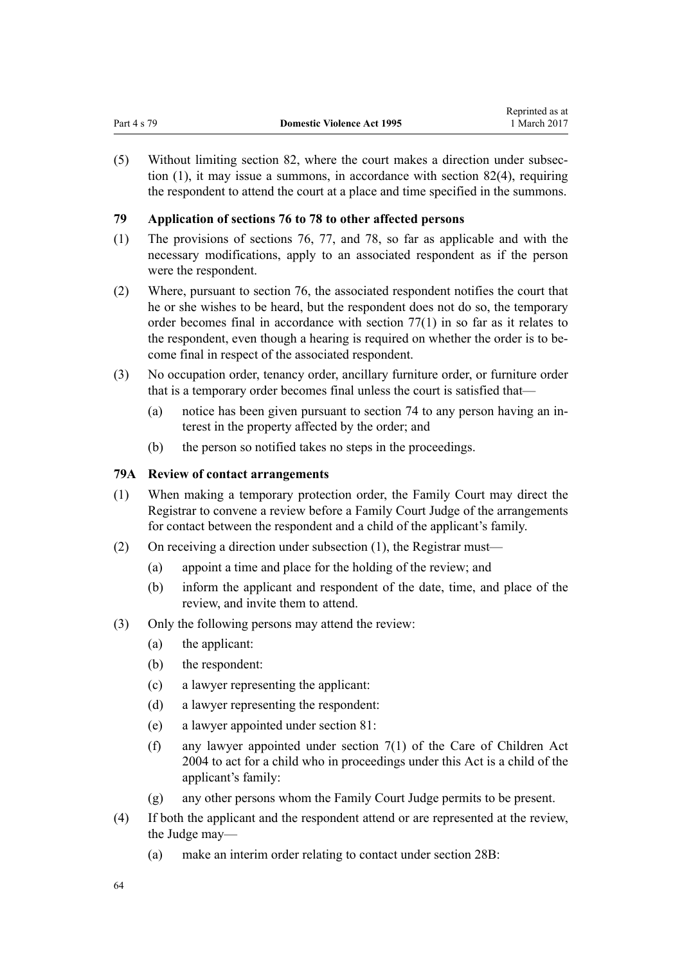<span id="page-63-0"></span>(5) Without limiting [section 82](#page-66-0), where the court makes a direction under subsection (1), it may issue a summons, in accordance with [section 82\(4\),](#page-66-0) requiring the respondent to attend the court at a place and time specified in the summons.

## **79 Application of sections 76 to 78 to other affected persons**

- (1) The provisions of [sections 76](#page-61-0), [77](#page-62-0), and [78](#page-62-0), so far as applicable and with the necessary modifications, apply to an associated respondent as if the person were the respondent.
- (2) Where, pursuant to [section 76,](#page-61-0) the associated respondent notifies the court that he or she wishes to be heard, but the respondent does not do so, the temporary order becomes final in accordance with [section 77\(1\)](#page-62-0) in so far as it relates to the respondent, even though a hearing is required on whether the order is to become final in respect of the associated respondent.
- (3) No occupation order, tenancy order, ancillary furniture order, or furniture order that is a temporary order becomes final unless the court is satisfied that—
	- (a) notice has been given pursuant to [section 74](#page-60-0) to any person having an interest in the property affected by the order; and
	- (b) the person so notified takes no steps in the proceedings.

## **79A Review of contact arrangements**

- (1) When making a temporary protection order, the Family Court may direct the Registrar to convene a review before a Family Court Judge of the arrangements for contact between the respondent and a child of the applicant's family.
- (2) On receiving a direction under subsection (1), the Registrar must—
	- (a) appoint a time and place for the holding of the review; and
	- (b) inform the applicant and respondent of the date, time, and place of the review, and invite them to attend.
- (3) Only the following persons may attend the review:
	- (a) the applicant:
	- (b) the respondent:
	- (c) a lawyer representing the applicant:
	- (d) a lawyer representing the respondent:
	- (e) a lawyer appointed under [section 81:](#page-65-0)
	- (f) any lawyer appointed under [section 7\(1\)](http://prd-lgnz-nlb.prd.pco.net.nz/pdflink.aspx?id=DLM317243) of the Care of Children Act 2004 to act for a child who in proceedings under this Act is a child of the applicant's family:
	- (g) any other persons whom the Family Court Judge permits to be present.
- (4) If both the applicant and the respondent attend or are represented at the review, the Judge may—
	- (a) make an interim order relating to contact under [section 28B:](#page-33-0)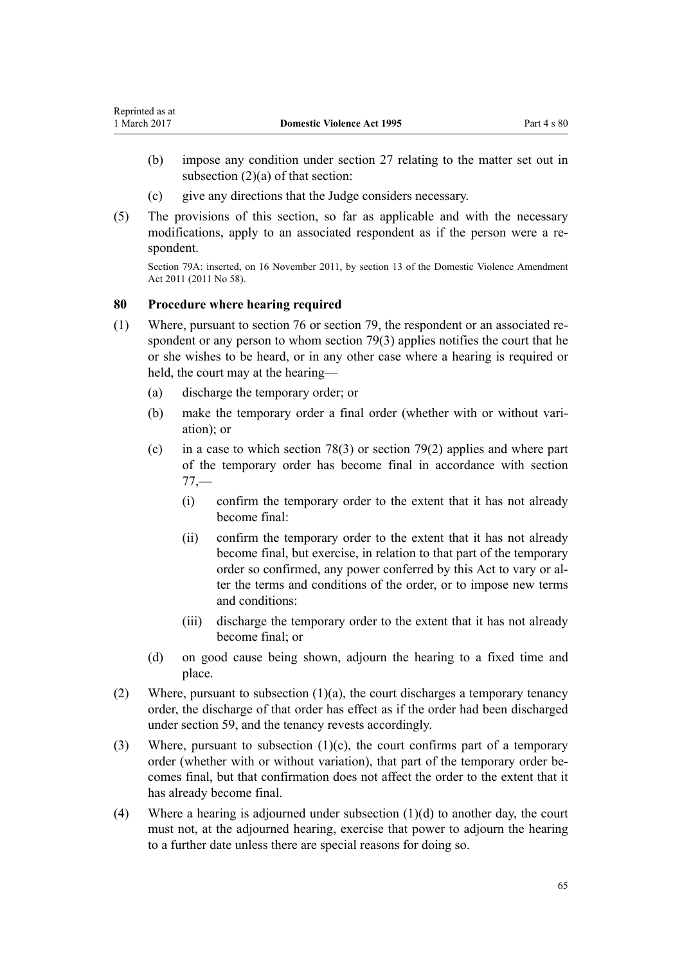- <span id="page-64-0"></span>(b) impose any condition under [section 27](#page-32-0) relating to the matter set out in subsection  $(2)(a)$  of that section:
- (c) give any directions that the Judge considers necessary.
- (5) The provisions of this section, so far as applicable and with the necessary modifications, apply to an associated respondent as if the person were a respondent.

Section 79A: inserted, on 16 November 2011, by [section 13](http://prd-lgnz-nlb.prd.pco.net.nz/pdflink.aspx?id=DLM1955526) of the Domestic Violence Amendment Act 2011 (2011 No 58).

#### **80 Procedure where hearing required**

- (1) Where, pursuant to [section 76](#page-61-0) or section [79](#page-63-0), the respondent or an associated respondent or any person to whom section 79(3) applies notifies the court that he or she wishes to be heard, or in any other case where a hearing is required or held, the court may at the hearing—
	- (a) discharge the temporary order; or
	- (b) make the temporary order a final order (whether with or without variation); or
	- (c) in a case to which [section 78\(3\)](#page-62-0) or [section 79\(2\)](#page-63-0) applies and where part of the temporary order has become final in accordance with [section](#page-62-0)  $77 -$ 
		- (i) confirm the temporary order to the extent that it has not already become final:
		- (ii) confirm the temporary order to the extent that it has not already become final, but exercise, in relation to that part of the temporary order so confirmed, any power conferred by this Act to vary or alter the terms and conditions of the order, or to impose new terms and conditions:
		- (iii) discharge the temporary order to the extent that it has not already become final; or
	- (d) on good cause being shown, adjourn the hearing to a fixed time and place.
- (2) Where, pursuant to subsection  $(1)(a)$ , the court discharges a temporary tenancy order, the discharge of that order has effect as if the order had been discharged under [section 59](#page-52-0), and the tenancy revests accordingly.
- (3) Where, pursuant to subsection  $(1)(c)$ , the court confirms part of a temporary order (whether with or without variation), that part of the temporary order becomes final, but that confirmation does not affect the order to the extent that it has already become final.
- (4) Where a hearing is adjourned under subsection  $(1)(d)$  to another day, the court must not, at the adjourned hearing, exercise that power to adjourn the hearing to a further date unless there are special reasons for doing so.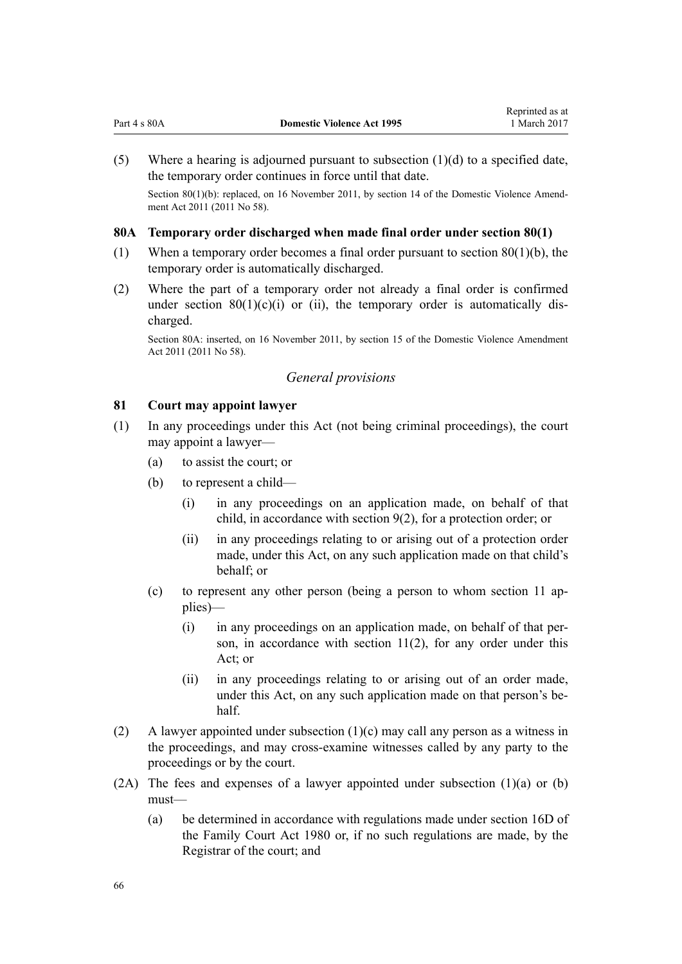<span id="page-65-0"></span>

|  |  |  | Part 4 s 80A |
|--|--|--|--------------|
|--|--|--|--------------|

(5) Where a hearing is adjourned pursuant to subsection  $(1)(d)$  to a specified date, the temporary order continues in force until that date.

Section 80(1)(b): replaced, on 16 November 2011, by [section 14](http://prd-lgnz-nlb.prd.pco.net.nz/pdflink.aspx?id=DLM1955528) of the Domestic Violence Amendment Act 2011 (2011 No 58).

#### **80A Temporary order discharged when made final order under section 80(1)**

- (1) When a temporary order becomes a final order pursuant to [section 80\(1\)\(b\)](#page-64-0), the temporary order is automatically discharged.
- (2) Where the part of a temporary order not already a final order is confirmed under section  $80(1)(c)(i)$  or (ii), the temporary order is automatically discharged.

Section 80A: inserted, on 16 November 2011, by [section 15](http://prd-lgnz-nlb.prd.pco.net.nz/pdflink.aspx?id=DLM1955529) of the Domestic Violence Amendment Act 2011 (2011 No 58).

### *General provisions*

### **81 Court may appoint lawyer**

- (1) In any proceedings under this Act (not being criminal proceedings), the court may appoint a lawyer—
	- (a) to assist the court; or
	- (b) to represent a child—
		- (i) in any proceedings on an application made, on behalf of that child, in accordance with [section 9\(2\)](#page-15-0), for a protection order; or
		- (ii) in any proceedings relating to or arising out of a protection order made, under this Act, on any such application made on that child's behalf; or
	- (c) to represent any other person (being a person to whom [section 11](#page-17-0) applies)—
		- (i) in any proceedings on an application made, on behalf of that person, in accordance with [section 11\(2\)](#page-17-0), for any order under this Act; or
		- (ii) in any proceedings relating to or arising out of an order made, under this Act, on any such application made on that person's behalf.
- (2) A lawyer appointed under subsection (1)(c) may call any person as a witness in the proceedings, and may cross-examine witnesses called by any party to the proceedings or by the court.
- (2A) The fees and expenses of a lawyer appointed under subsection (1)(a) or (b) must—
	- (a) be determined in accordance with regulations made under [section 16D](http://prd-lgnz-nlb.prd.pco.net.nz/pdflink.aspx?id=DLM6025512) of the Family Court Act 1980 or, if no such regulations are made, by the Registrar of the court; and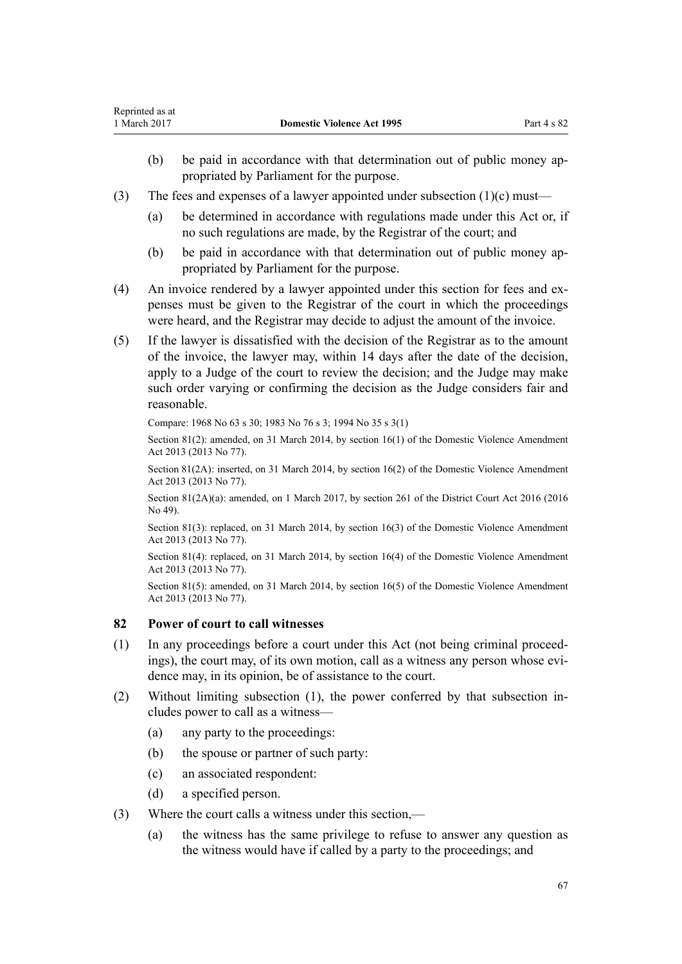- <span id="page-66-0"></span>(b) be paid in accordance with that determination out of public money appropriated by Parliament for the purpose.
- (3) The fees and expenses of a lawyer appointed under subsection  $(1)(c)$  must—
	- (a) be determined in accordance with regulations made under this Act or, if no such regulations are made, by the Registrar of the court; and
	- (b) be paid in accordance with that determination out of public money appropriated by Parliament for the purpose.
- (4) An invoice rendered by a lawyer appointed under this section for fees and expenses must be given to the Registrar of the court in which the proceedings were heard, and the Registrar may decide to adjust the amount of the invoice.
- (5) If the lawyer is dissatisfied with the decision of the Registrar as to the amount of the invoice, the lawyer may, within 14 days after the date of the decision, apply to a Judge of the court to review the decision; and the Judge may make such order varying or confirming the decision as the Judge considers fair and reasonable.

Compare: 1968 No 63 s 30; 1983 No 76 s 3; 1994 No 35 [s 3\(1\)](http://prd-lgnz-nlb.prd.pco.net.nz/pdflink.aspx?id=DLM185488)

Section 81(2): amended, on 31 March 2014, by [section 16\(1\)](http://prd-lgnz-nlb.prd.pco.net.nz/pdflink.aspx?id=DLM5616705) of the Domestic Violence Amendment Act 2013 (2013 No 77).

Section 81(2A): inserted, on 31 March 2014, by [section 16\(2\)](http://prd-lgnz-nlb.prd.pco.net.nz/pdflink.aspx?id=DLM5616705) of the Domestic Violence Amendment Act 2013 (2013 No 77).

Section 81(2A)(a): amended, on 1 March 2017, by [section 261](http://prd-lgnz-nlb.prd.pco.net.nz/pdflink.aspx?id=DLM6942680) of the District Court Act 2016 (2016 No 49).

Section 81(3): replaced, on 31 March 2014, by [section 16\(3\)](http://prd-lgnz-nlb.prd.pco.net.nz/pdflink.aspx?id=DLM5616705) of the Domestic Violence Amendment Act 2013 (2013 No 77).

Section 81(4): replaced, on 31 March 2014, by [section 16\(4\)](http://prd-lgnz-nlb.prd.pco.net.nz/pdflink.aspx?id=DLM5616705) of the Domestic Violence Amendment Act 2013 (2013 No 77).

Section 81(5): amended, on 31 March 2014, by [section 16\(5\)](http://prd-lgnz-nlb.prd.pco.net.nz/pdflink.aspx?id=DLM5616705) of the Domestic Violence Amendment Act 2013 (2013 No 77).

### **82 Power of court to call witnesses**

- (1) In any proceedings before a court under this Act (not being criminal proceedings), the court may, of its own motion, call as a witness any person whose evidence may, in its opinion, be of assistance to the court.
- (2) Without limiting subsection (1), the power conferred by that subsection includes power to call as a witness—
	- (a) any party to the proceedings:
	- (b) the spouse or partner of such party:
	- (c) an associated respondent:
	- (d) a specified person.
- (3) Where the court calls a witness under this section,—
	- (a) the witness has the same privilege to refuse to answer any question as the witness would have if called by a party to the proceedings; and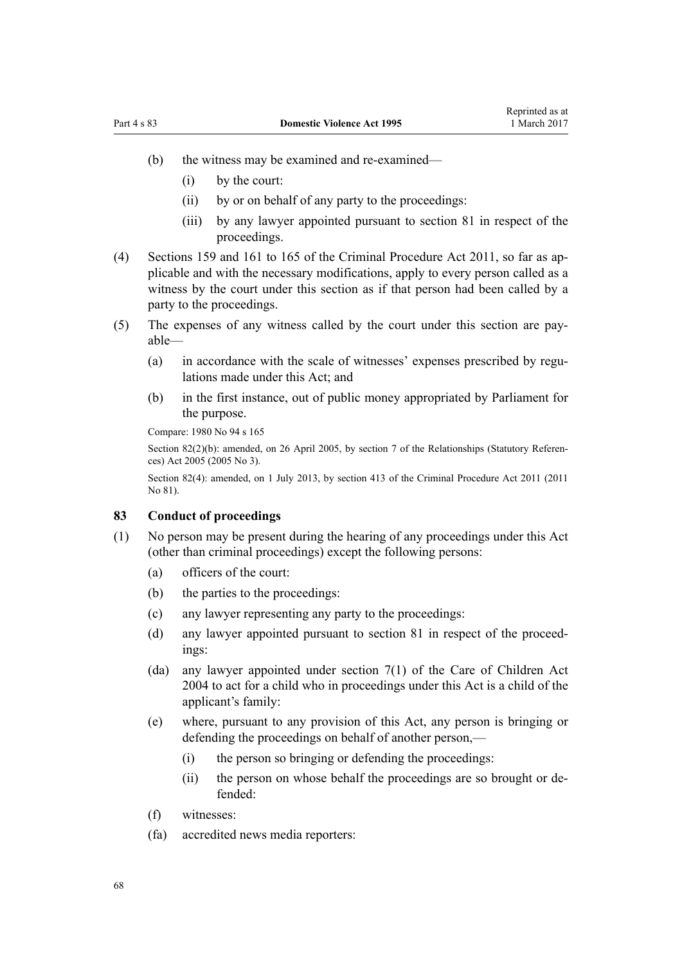- (b) the witness may be examined and re-examined—
	- (i) by the court:
	- (ii) by or on behalf of any party to the proceedings:
	- (iii) by any lawyer appointed pursuant to [section 81](#page-65-0) in respect of the proceedings.
- (4) [Sections 159](http://prd-lgnz-nlb.prd.pco.net.nz/pdflink.aspx?id=DLM3360276) and [161 to 165](http://prd-lgnz-nlb.prd.pco.net.nz/pdflink.aspx?id=DLM3360278) of the Criminal Procedure Act 2011, so far as applicable and with the necessary modifications, apply to every person called as a witness by the court under this section as if that person had been called by a party to the proceedings.
- (5) The expenses of any witness called by the court under this section are payable—
	- (a) in accordance with the scale of witnesses' expenses prescribed by regulations made under this Act; and
	- (b) in the first instance, out of public money appropriated by Parliament for the purpose.

Compare: [1980 No 94](http://prd-lgnz-nlb.prd.pco.net.nz/pdflink.aspx?id=DLM39722) s [165](http://prd-lgnz-nlb.prd.pco.net.nz/pdflink.aspx?id=DLM41848)

Section 82(2)(b): amended, on 26 April 2005, by [section 7](http://prd-lgnz-nlb.prd.pco.net.nz/pdflink.aspx?id=DLM333795) of the Relationships (Statutory References) Act 2005 (2005 No 3).

Section 82(4): amended, on 1 July 2013, by [section 413](http://prd-lgnz-nlb.prd.pco.net.nz/pdflink.aspx?id=DLM3360714) of the Criminal Procedure Act 2011 (2011 No 81).

#### **83 Conduct of proceedings**

- (1) No person may be present during the hearing of any proceedings under this Act (other than criminal proceedings) except the following persons:
	- (a) officers of the court:
	- (b) the parties to the proceedings:
	- (c) any lawyer representing any party to the proceedings:
	- (d) any lawyer appointed pursuant to [section 81](#page-65-0) in respect of the proceedings:
	- (da) any lawyer appointed under [section 7\(1\)](http://prd-lgnz-nlb.prd.pco.net.nz/pdflink.aspx?id=DLM317243) of the Care of Children Act 2004 to act for a child who in proceedings under this Act is a child of the applicant's family:
	- (e) where, pursuant to any provision of this Act, any person is bringing or defending the proceedings on behalf of another person,—
		- (i) the person so bringing or defending the proceedings:
		- (ii) the person on whose behalf the proceedings are so brought or defended:
	- (f) witnesses:
	- (fa) accredited news media reporters: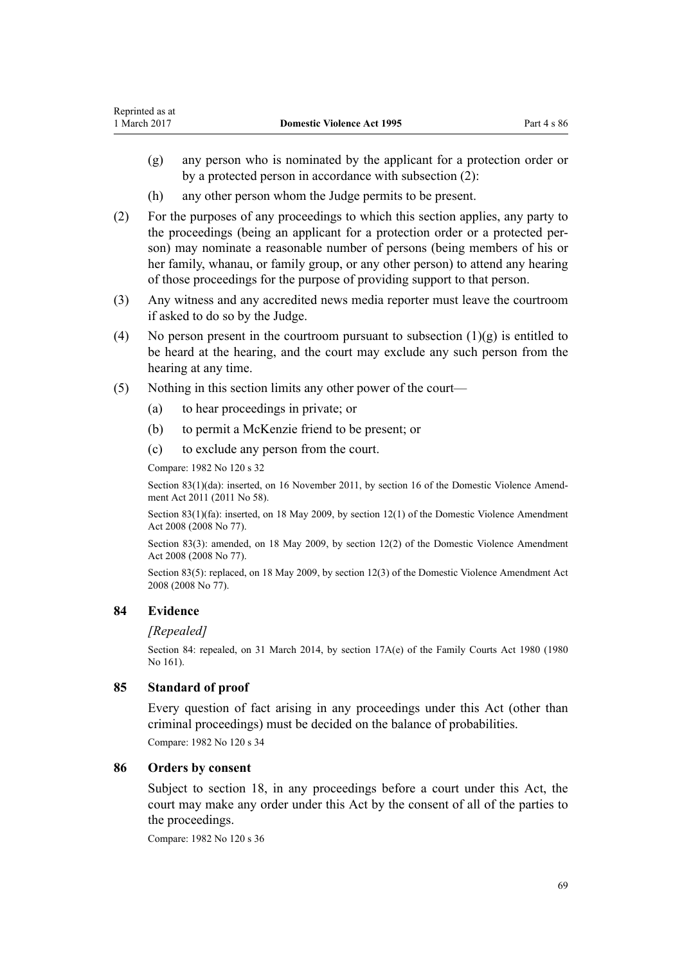- (g) any person who is nominated by the applicant for a protection order or by a protected person in accordance with subsection (2):
- (h) any other person whom the Judge permits to be present.
- (2) For the purposes of any proceedings to which this section applies, any party to the proceedings (being an applicant for a protection order or a protected person) may nominate a reasonable number of persons (being members of his or her family, whanau, or family group, or any other person) to attend any hearing of those proceedings for the purpose of providing support to that person.
- (3) Any witness and any accredited news media reporter must leave the courtroom if asked to do so by the Judge.
- (4) No person present in the courtroom pursuant to subsection  $(1)(g)$  is entitled to be heard at the hearing, and the court may exclude any such person from the hearing at any time.
- (5) Nothing in this section limits any other power of the court—
	- (a) to hear proceedings in private; or
	- (b) to permit a McKenzie friend to be present; or
	- (c) to exclude any person from the court.

Compare: 1982 No 120 s 32

Section 83(1)(da): inserted, on 16 November 2011, by [section 16](http://prd-lgnz-nlb.prd.pco.net.nz/pdflink.aspx?id=DLM1955531) of the Domestic Violence Amendment Act 2011 (2011 No 58).

Section 83(1)(fa): inserted, on 18 May 2009, by [section 12\(1\)](http://prd-lgnz-nlb.prd.pco.net.nz/pdflink.aspx?id=DLM1302124) of the Domestic Violence Amendment Act 2008 (2008 No 77).

Section 83(3): amended, on 18 May 2009, by [section 12\(2\)](http://prd-lgnz-nlb.prd.pco.net.nz/pdflink.aspx?id=DLM1302124) of the Domestic Violence Amendment Act 2008 (2008 No 77).

Section 83(5): replaced, on 18 May 2009, by [section 12\(3\)](http://prd-lgnz-nlb.prd.pco.net.nz/pdflink.aspx?id=DLM1302124) of the Domestic Violence Amendment Act 2008 (2008 No 77).

## **84 Evidence**

### *[Repealed]*

Section 84: repealed, on 31 March 2014, by [section 17A\(e\)](http://prd-lgnz-nlb.prd.pco.net.nz/pdflink.aspx?id=DLM6025517) of the Family Courts Act 1980 (1980) No 161).

### **85 Standard of proof**

Every question of fact arising in any proceedings under this Act (other than criminal proceedings) must be decided on the balance of probabilities.

Compare: 1982 No 120 s 34

### **86 Orders by consent**

Subject to [section 18,](#page-22-0) in any proceedings before a court under this Act, the court may make any order under this Act by the consent of all of the parties to the proceedings.

Compare: 1982 No 120 s 36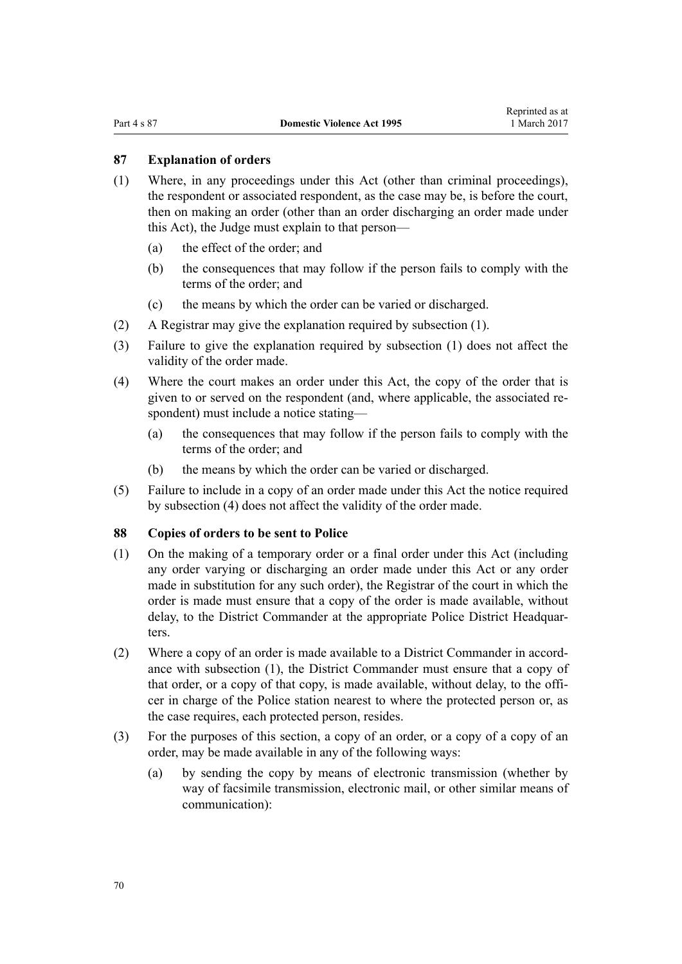## <span id="page-69-0"></span>**87 Explanation of orders**

- (1) Where, in any proceedings under this Act (other than criminal proceedings), the respondent or associated respondent, as the case may be, is before the court, then on making an order (other than an order discharging an order made under this Act), the Judge must explain to that person—
	- (a) the effect of the order; and
	- (b) the consequences that may follow if the person fails to comply with the terms of the order; and
	- (c) the means by which the order can be varied or discharged.
- (2) A Registrar may give the explanation required by subsection (1).
- (3) Failure to give the explanation required by subsection (1) does not affect the validity of the order made.
- (4) Where the court makes an order under this Act, the copy of the order that is given to or served on the respondent (and, where applicable, the associated respondent) must include a notice stating—
	- (a) the consequences that may follow if the person fails to comply with the terms of the order; and
	- (b) the means by which the order can be varied or discharged.
- (5) Failure to include in a copy of an order made under this Act the notice required by subsection (4) does not affect the validity of the order made.

### **88 Copies of orders to be sent to Police**

- (1) On the making of a temporary order or a final order under this Act (including any order varying or discharging an order made under this Act or any order made in substitution for any such order), the Registrar of the court in which the order is made must ensure that a copy of the order is made available, without delay, to the District Commander at the appropriate Police District Headquarters.
- (2) Where a copy of an order is made available to a District Commander in accordance with subsection (1), the District Commander must ensure that a copy of that order, or a copy of that copy, is made available, without delay, to the officer in charge of the Police station nearest to where the protected person or, as the case requires, each protected person, resides.
- (3) For the purposes of this section, a copy of an order, or a copy of a copy of an order, may be made available in any of the following ways:
	- (a) by sending the copy by means of electronic transmission (whether by way of facsimile transmission, electronic mail, or other similar means of communication):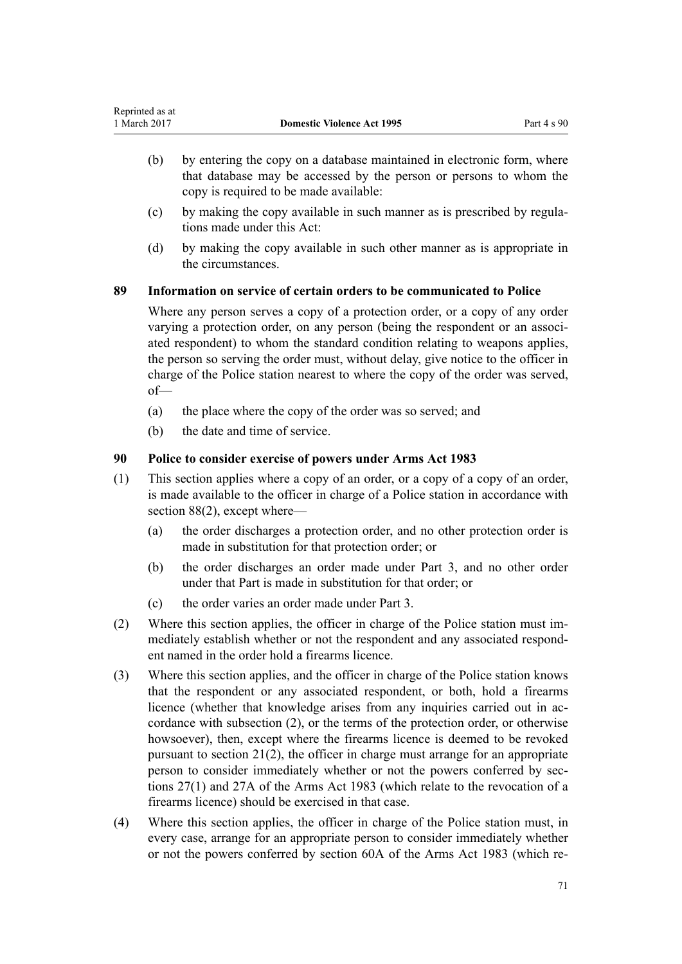- (b) by entering the copy on a database maintained in electronic form, where that database may be accessed by the person or persons to whom the copy is required to be made available:
- (c) by making the copy available in such manner as is prescribed by regulations made under this Act:
- (d) by making the copy available in such other manner as is appropriate in the circumstances.

## **89 Information on service of certain orders to be communicated to Police**

Where any person serves a copy of a protection order, or a copy of any order varying a protection order, on any person (being the respondent or an associated respondent) to whom the standard condition relating to weapons applies, the person so serving the order must, without delay, give notice to the officer in charge of the Police station nearest to where the copy of the order was served, of—

- (a) the place where the copy of the order was so served; and
- (b) the date and time of service.

## **90 Police to consider exercise of powers under Arms Act 1983**

- (1) This section applies where a copy of an order, or a copy of a copy of an order, is made available to the officer in charge of a Police station in accordance with [section 88\(2\),](#page-69-0) except where—
	- (a) the order discharges a protection order, and no other protection order is made in substitution for that protection order; or
	- (b) the order discharges an order made under [Part 3,](#page-49-0) and no other order under that Part is made in substitution for that order; or
	- (c) the order varies an order made under [Part 3](#page-49-0).
- (2) Where this section applies, the officer in charge of the Police station must immediately establish whether or not the respondent and any associated respondent named in the order hold a firearms licence.
- (3) Where this section applies, and the officer in charge of the Police station knows that the respondent or any associated respondent, or both, hold a firearms licence (whether that knowledge arises from any inquiries carried out in accordance with subsection (2), or the terms of the protection order, or otherwise howsoever), then, except where the firearms licence is deemed to be revoked pursuant to section  $21(2)$ , the officer in charge must arrange for an appropriate person to consider immediately whether or not the powers conferred by [sec](http://prd-lgnz-nlb.prd.pco.net.nz/pdflink.aspx?id=DLM72928)[tions 27\(1\)](http://prd-lgnz-nlb.prd.pco.net.nz/pdflink.aspx?id=DLM72928) and [27A](http://prd-lgnz-nlb.prd.pco.net.nz/pdflink.aspx?id=DLM72929) of the Arms Act 1983 (which relate to the revocation of a firearms licence) should be exercised in that case.
- (4) Where this section applies, the officer in charge of the Police station must, in every case, arrange for an appropriate person to consider immediately whether or not the powers conferred by [section 60A](http://prd-lgnz-nlb.prd.pco.net.nz/pdflink.aspx?id=DLM73314) of the Arms Act 1983 (which re-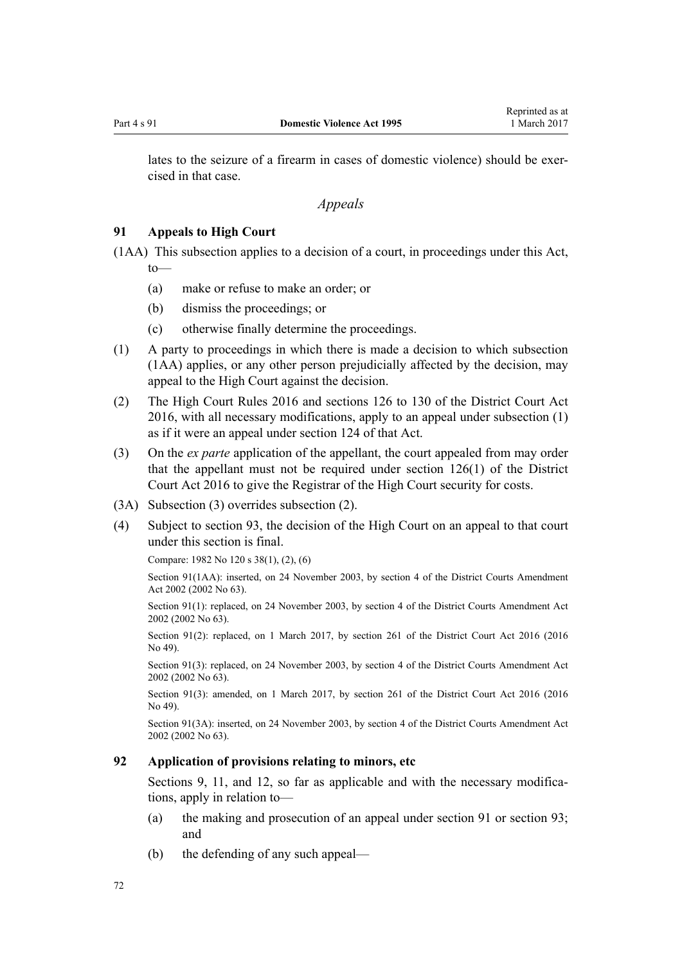lates to the seizure of a firearm in cases of domestic violence) should be exercised in that case.

*Appeals*

### **91 Appeals to High Court**

(1AA) This subsection applies to a decision of a court, in proceedings under this Act, to—

- (a) make or refuse to make an order; or
- (b) dismiss the proceedings; or
- (c) otherwise finally determine the proceedings.
- (1) A party to proceedings in which there is made a decision to which subsection (1AA) applies, or any other person prejudicially affected by the decision, may appeal to the High Court against the decision.
- (2) The [High Court Rules 2016](http://prd-lgnz-nlb.prd.pco.net.nz/pdflink.aspx?id=DLM6959800) and [sections 126 to 130](http://prd-lgnz-nlb.prd.pco.net.nz/pdflink.aspx?id=DLM6942449) of the District Court Act 2016, with all necessary modifications, apply to an appeal under subsection (1) as if it were an appeal under [section 124](http://prd-lgnz-nlb.prd.pco.net.nz/pdflink.aspx?id=DLM6942447) of that Act.
- (3) On the *ex parte* application of the appellant, the court appealed from may order that the appellant must not be required under [section 126\(1\)](http://prd-lgnz-nlb.prd.pco.net.nz/pdflink.aspx?id=DLM6942449) of the District Court Act 2016 to give the Registrar of the High Court security for costs.
- (3A) Subsection (3) overrides subsection (2).
- (4) Subject to [section 93,](#page-72-0) the decision of the High Court on an appeal to that court under this section is final.

Compare: 1982 No 120 s 38(1), (2), (6)

Section 91(1AA): inserted, on 24 November 2003, by [section 4](http://prd-lgnz-nlb.prd.pco.net.nz/pdflink.aspx?id=DLM168713) of the District Courts Amendment Act 2002 (2002 No 63).

Section 91(1): replaced, on 24 November 2003, by [section 4](http://prd-lgnz-nlb.prd.pco.net.nz/pdflink.aspx?id=DLM168713) of the District Courts Amendment Act 2002 (2002 No 63).

Section 91(2): replaced, on 1 March 2017, by [section 261](http://prd-lgnz-nlb.prd.pco.net.nz/pdflink.aspx?id=DLM6942680) of the District Court Act 2016 (2016) No 49).

Section 91(3): replaced, on 24 November 2003, by [section 4](http://prd-lgnz-nlb.prd.pco.net.nz/pdflink.aspx?id=DLM168713) of the District Courts Amendment Act 2002 (2002 No 63).

Section 91(3): amended, on 1 March 2017, by [section 261](http://prd-lgnz-nlb.prd.pco.net.nz/pdflink.aspx?id=DLM6942680) of the District Court Act 2016 (2016) No 49).

Section 91(3A): inserted, on 24 November 2003, by [section 4](http://prd-lgnz-nlb.prd.pco.net.nz/pdflink.aspx?id=DLM168713) of the District Courts Amendment Act 2002 (2002 No 63).

### **92 Application of provisions relating to minors, etc**

[Sections 9](#page-15-0), [11](#page-17-0), and [12](#page-17-0), so far as applicable and with the necessary modifications, apply in relation to—

- (a) the making and prosecution of an appeal under section 91 or [section 93;](#page-72-0) and
- (b) the defending of any such appeal—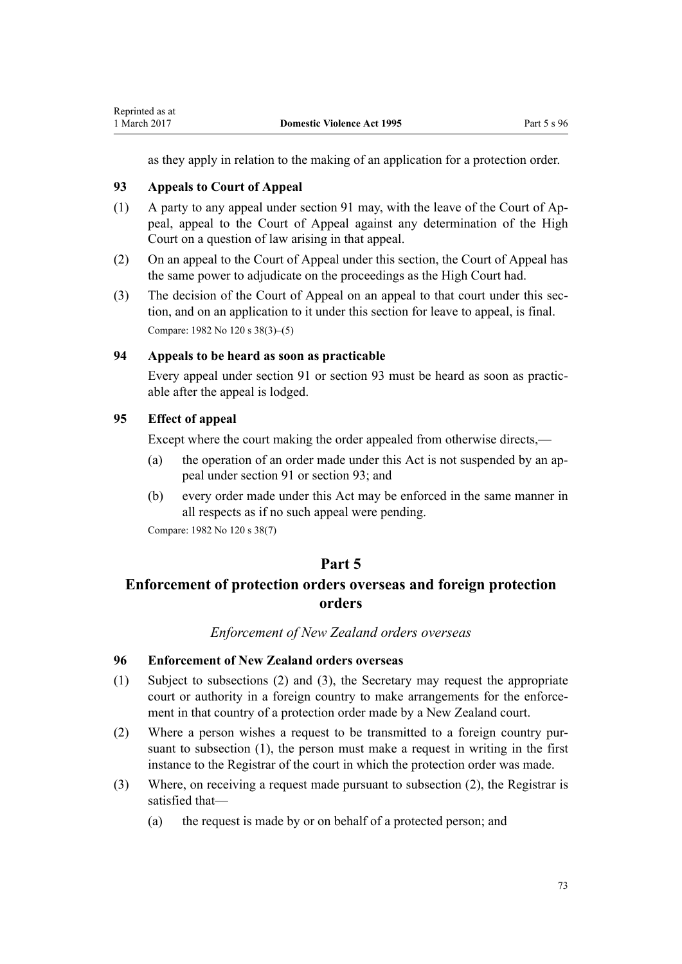<span id="page-72-0"></span>as they apply in relation to the making of an application for a protection order.

## **93 Appeals to Court of Appeal**

- (1) A party to any appeal under [section 91](#page-71-0) may, with the leave of the Court of Appeal, appeal to the Court of Appeal against any determination of the High Court on a question of law arising in that appeal.
- (2) On an appeal to the Court of Appeal under this section, the Court of Appeal has the same power to adjudicate on the proceedings as the High Court had.
- (3) The decision of the Court of Appeal on an appeal to that court under this section, and on an application to it under this section for leave to appeal, is final. Compare: 1982 No 120 s 38(3)–(5)

## **94 Appeals to be heard as soon as practicable**

Every appeal under [section 91](#page-71-0) or section 93 must be heard as soon as practicable after the appeal is lodged.

## **95 Effect of appeal**

Except where the court making the order appealed from otherwise directs,—

- (a) the operation of an order made under this Act is not suspended by an appeal under [section 91](#page-71-0) or section 93; and
- (b) every order made under this Act may be enforced in the same manner in all respects as if no such appeal were pending.

Compare: 1982 No 120 s 38(7)

## **Part 5**

# **Enforcement of protection orders overseas and foreign protection orders**

### *Enforcement of New Zealand orders overseas*

## **96 Enforcement of New Zealand orders overseas**

- (1) Subject to subsections (2) and (3), the Secretary may request the appropriate court or authority in a foreign country to make arrangements for the enforcement in that country of a protection order made by a New Zealand court.
- (2) Where a person wishes a request to be transmitted to a foreign country pursuant to subsection (1), the person must make a request in writing in the first instance to the Registrar of the court in which the protection order was made.
- (3) Where, on receiving a request made pursuant to subsection (2), the Registrar is satisfied that—
	- (a) the request is made by or on behalf of a protected person; and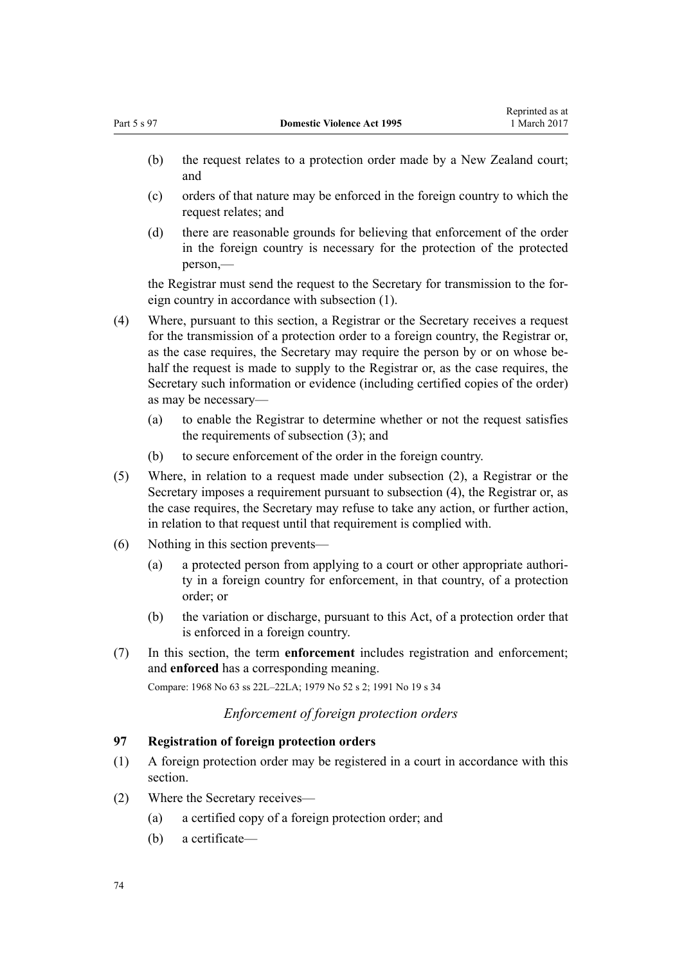- <span id="page-73-0"></span>(b) the request relates to a protection order made by a New Zealand court; and
- (c) orders of that nature may be enforced in the foreign country to which the request relates; and
- (d) there are reasonable grounds for believing that enforcement of the order in the foreign country is necessary for the protection of the protected person,—

the Registrar must send the request to the Secretary for transmission to the foreign country in accordance with subsection (1).

- (4) Where, pursuant to this section, a Registrar or the Secretary receives a request for the transmission of a protection order to a foreign country, the Registrar or, as the case requires, the Secretary may require the person by or on whose behalf the request is made to supply to the Registrar or, as the case requires, the Secretary such information or evidence (including certified copies of the order) as may be necessary—
	- (a) to enable the Registrar to determine whether or not the request satisfies the requirements of subsection (3); and
	- (b) to secure enforcement of the order in the foreign country.
- (5) Where, in relation to a request made under subsection (2), a Registrar or the Secretary imposes a requirement pursuant to subsection (4), the Registrar or, as the case requires, the Secretary may refuse to take any action, or further action, in relation to that request until that requirement is complied with.
- (6) Nothing in this section prevents—
	- (a) a protected person from applying to a court or other appropriate authority in a foreign country for enforcement, in that country, of a protection order; or
	- (b) the variation or discharge, pursuant to this Act, of a protection order that is enforced in a foreign country.
- (7) In this section, the term **enforcement** includes registration and enforcement; and **enforced** has a corresponding meaning.

Compare: 1968 No 63 ss 22L–22LA; 1979 No 52 s 2; 1991 No 19 s 34

## *Enforcement of foreign protection orders*

### **97 Registration of foreign protection orders**

- (1) A foreign protection order may be registered in a court in accordance with this section.
- (2) Where the Secretary receives—
	- (a) a certified copy of a foreign protection order; and
	- (b) a certificate—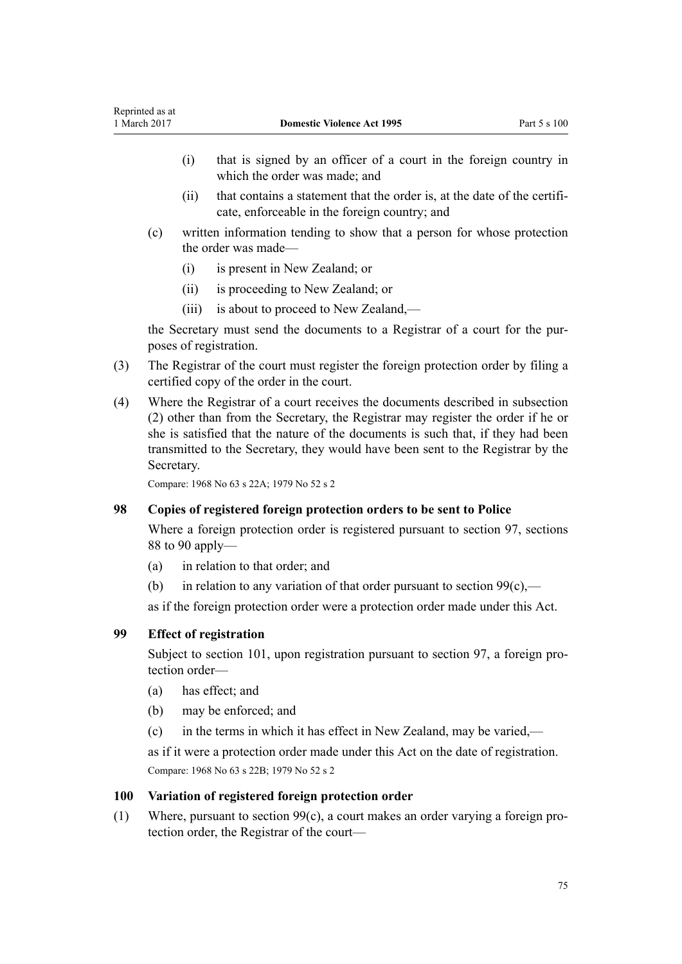- <span id="page-74-0"></span>(i) that is signed by an officer of a court in the foreign country in which the order was made; and
- (ii) that contains a statement that the order is, at the date of the certificate, enforceable in the foreign country; and
- (c) written information tending to show that a person for whose protection the order was made—
	- (i) is present in New Zealand; or
	- (ii) is proceeding to New Zealand; or
	- (iii) is about to proceed to New Zealand,—

the Secretary must send the documents to a Registrar of a court for the purposes of registration.

- (3) The Registrar of the court must register the foreign protection order by filing a certified copy of the order in the court.
- (4) Where the Registrar of a court receives the documents described in subsection (2) other than from the Secretary, the Registrar may register the order if he or she is satisfied that the nature of the documents is such that, if they had been transmitted to the Secretary, they would have been sent to the Registrar by the Secretary.

Compare: 1968 No 63 s 22A; 1979 No 52 s 2

## **98 Copies of registered foreign protection orders to be sent to Police**

Where a foreign protection order is registered pursuant to [section 97](#page-73-0), [sections](#page-69-0) [88 to 90](#page-69-0) apply—

- (a) in relation to that order; and
- (b) in relation to any variation of that order pursuant to section  $99(c)$ ,—

as if the foreign protection order were a protection order made under this Act.

## **99 Effect of registration**

Subject to [section 101](#page-75-0), upon registration pursuant to [section 97](#page-73-0), a foreign protection order—

- (a) has effect; and
- (b) may be enforced; and
- (c) in the terms in which it has effect in New Zealand, may be varied,—

as if it were a protection order made under this Act on the date of registration. Compare: 1968 No 63 s 22B; 1979 No 52 s 2

### **100 Variation of registered foreign protection order**

(1) Where, pursuant to section 99(c), a court makes an order varying a foreign protection order, the Registrar of the court—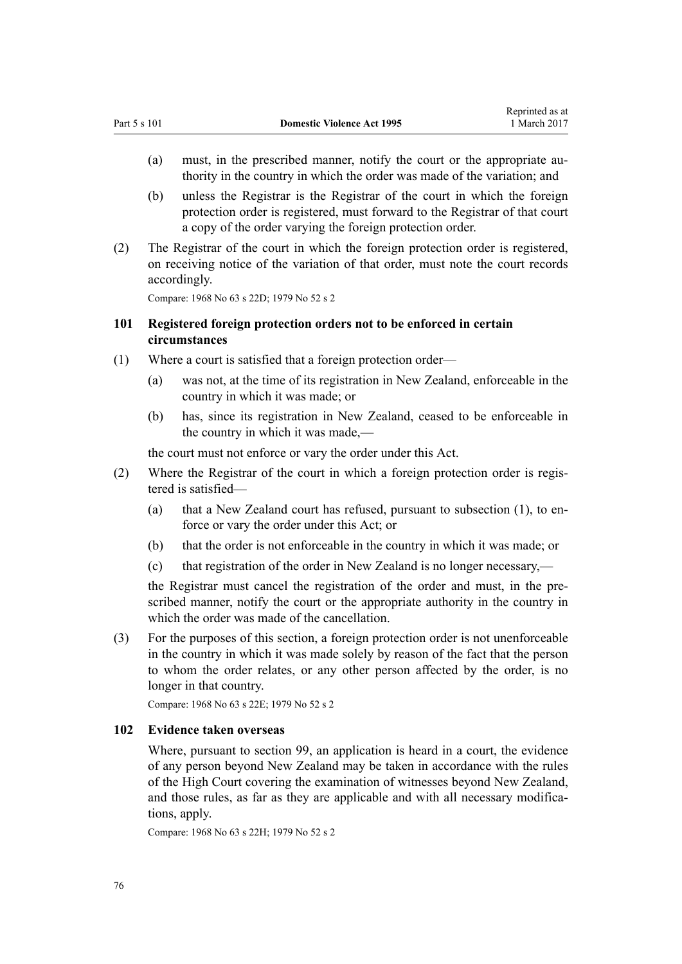- <span id="page-75-0"></span>(a) must, in the prescribed manner, notify the court or the appropriate authority in the country in which the order was made of the variation; and
- (b) unless the Registrar is the Registrar of the court in which the foreign protection order is registered, must forward to the Registrar of that court a copy of the order varying the foreign protection order.
- (2) The Registrar of the court in which the foreign protection order is registered, on receiving notice of the variation of that order, must note the court records accordingly.

Compare: 1968 No 63 s 22D; 1979 No 52 s 2

## **101 Registered foreign protection orders not to be enforced in certain circumstances**

- (1) Where a court is satisfied that a foreign protection order—
	- (a) was not, at the time of its registration in New Zealand, enforceable in the country in which it was made; or
	- (b) has, since its registration in New Zealand, ceased to be enforceable in the country in which it was made,—

the court must not enforce or vary the order under this Act.

- (2) Where the Registrar of the court in which a foreign protection order is registered is satisfied—
	- (a) that a New Zealand court has refused, pursuant to subsection (1), to enforce or vary the order under this Act; or
	- (b) that the order is not enforceable in the country in which it was made; or
	- (c) that registration of the order in New Zealand is no longer necessary,—

the Registrar must cancel the registration of the order and must, in the prescribed manner, notify the court or the appropriate authority in the country in which the order was made of the cancellation.

(3) For the purposes of this section, a foreign protection order is not unenforceable in the country in which it was made solely by reason of the fact that the person to whom the order relates, or any other person affected by the order, is no longer in that country.

Compare: 1968 No 63 s 22E; 1979 No 52 s 2

#### **102 Evidence taken overseas**

Where, pursuant to [section 99,](#page-74-0) an application is heard in a court, the evidence of any person beyond New Zealand may be taken in accordance with the rules of the High Court covering the examination of witnesses beyond New Zealand, and those rules, as far as they are applicable and with all necessary modifications, apply.

Compare: 1968 No 63 s 22H; 1979 No 52 s 2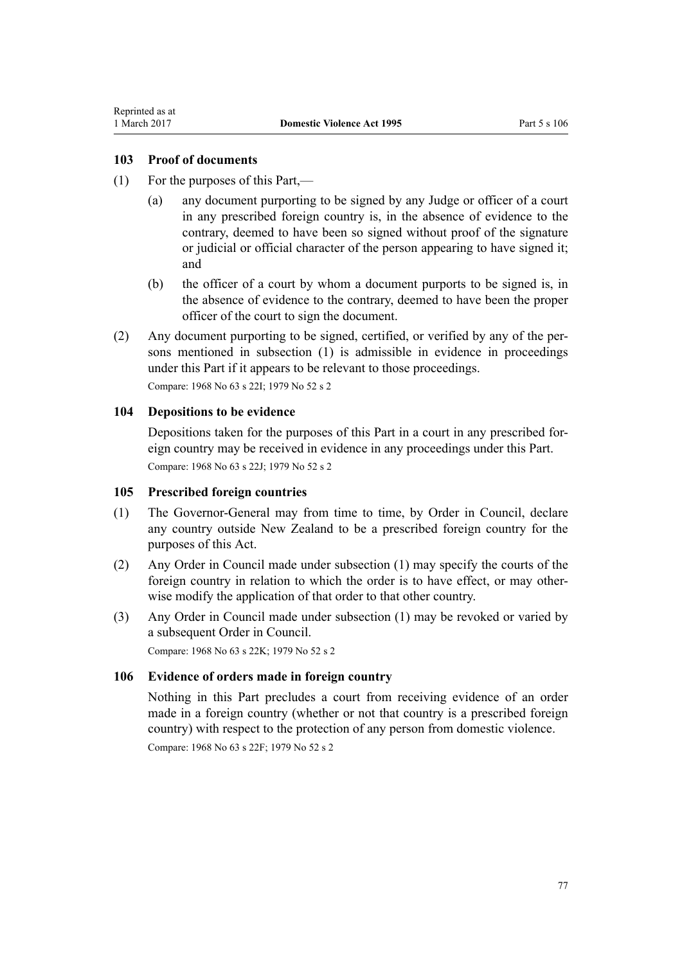## **103 Proof of documents**

- (1) For the purposes of this Part,—
	- (a) any document purporting to be signed by any Judge or officer of a court in any prescribed foreign country is, in the absence of evidence to the contrary, deemed to have been so signed without proof of the signature or judicial or official character of the person appearing to have signed it; and
	- (b) the officer of a court by whom a document purports to be signed is, in the absence of evidence to the contrary, deemed to have been the proper officer of the court to sign the document.
- (2) Any document purporting to be signed, certified, or verified by any of the persons mentioned in subsection (1) is admissible in evidence in proceedings under this Part if it appears to be relevant to those proceedings.

Compare: 1968 No 63 s 22I; 1979 No 52 s 2

## **104 Depositions to be evidence**

Depositions taken for the purposes of this Part in a court in any prescribed foreign country may be received in evidence in any proceedings under this Part. Compare: 1968 No 63 s 22J; 1979 No 52 s 2

### **105 Prescribed foreign countries**

- (1) The Governor-General may from time to time, by Order in Council, declare any country outside New Zealand to be a prescribed foreign country for the purposes of this Act.
- (2) Any Order in Council made under subsection (1) may specify the courts of the foreign country in relation to which the order is to have effect, or may otherwise modify the application of that order to that other country.
- (3) Any Order in Council made under subsection (1) may be revoked or varied by a subsequent Order in Council.

Compare: 1968 No 63 s 22K; 1979 No 52 s 2

## **106 Evidence of orders made in foreign country**

Nothing in this Part precludes a court from receiving evidence of an order made in a foreign country (whether or not that country is a prescribed foreign country) with respect to the protection of any person from domestic violence.

Compare: 1968 No 63 s 22F; 1979 No 52 s 2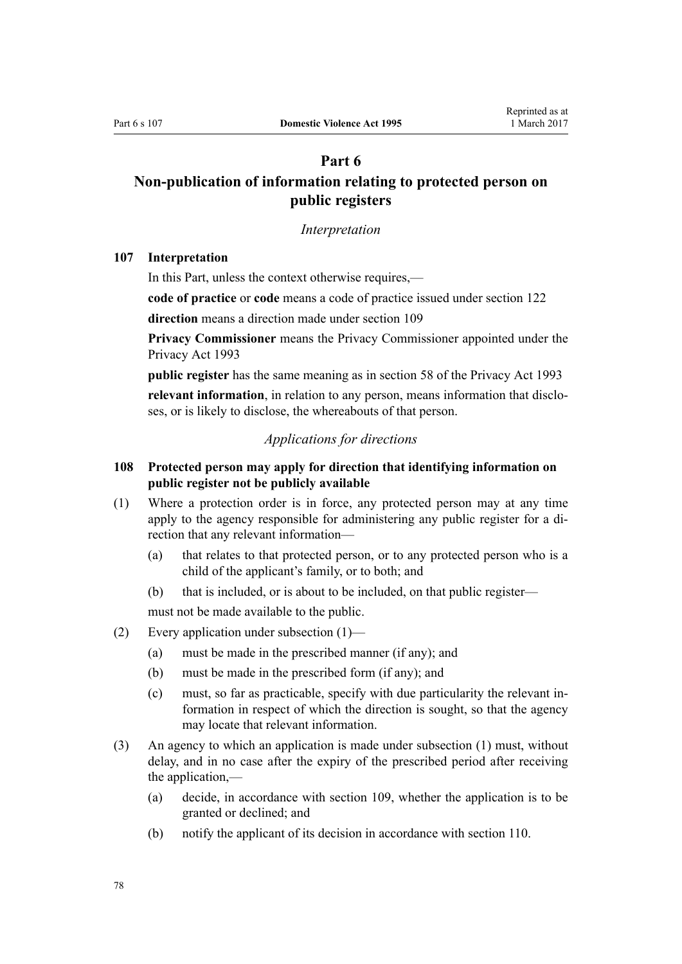## **Part 6**

# <span id="page-77-0"></span>**Non-publication of information relating to protected person on public registers**

#### *Interpretation*

### **107 Interpretation**

In this Part, unless the context otherwise requires,—

**code of practice** or **code** means a code of practice issued under [section 122](#page-83-0)

**direction** means a direction made under [section 109](#page-78-0)

**Privacy Commissioner** means the Privacy Commissioner appointed under the [Privacy Act 1993](http://prd-lgnz-nlb.prd.pco.net.nz/pdflink.aspx?id=DLM296638)

**public register** has the same meaning as in [section 58](http://prd-lgnz-nlb.prd.pco.net.nz/pdflink.aspx?id=DLM297424) of the Privacy Act 1993

**relevant information**, in relation to any person, means information that discloses, or is likely to disclose, the whereabouts of that person.

## *Applications for directions*

## **108 Protected person may apply for direction that identifying information on public register not be publicly available**

- (1) Where a protection order is in force, any protected person may at any time apply to the agency responsible for administering any public register for a direction that any relevant information—
	- (a) that relates to that protected person, or to any protected person who is a child of the applicant's family, or to both; and
	- (b) that is included, or is about to be included, on that public register—

must not be made available to the public.

- (2) Every application under subsection (1)—
	- (a) must be made in the prescribed manner (if any); and
	- (b) must be made in the prescribed form (if any); and
	- (c) must, so far as practicable, specify with due particularity the relevant information in respect of which the direction is sought, so that the agency may locate that relevant information.
- (3) An agency to which an application is made under subsection (1) must, without delay, and in no case after the expiry of the prescribed period after receiving the application,—
	- (a) decide, in accordance with [section 109](#page-78-0), whether the application is to be granted or declined; and
	- (b) notify the applicant of its decision in accordance with [section 110.](#page-78-0)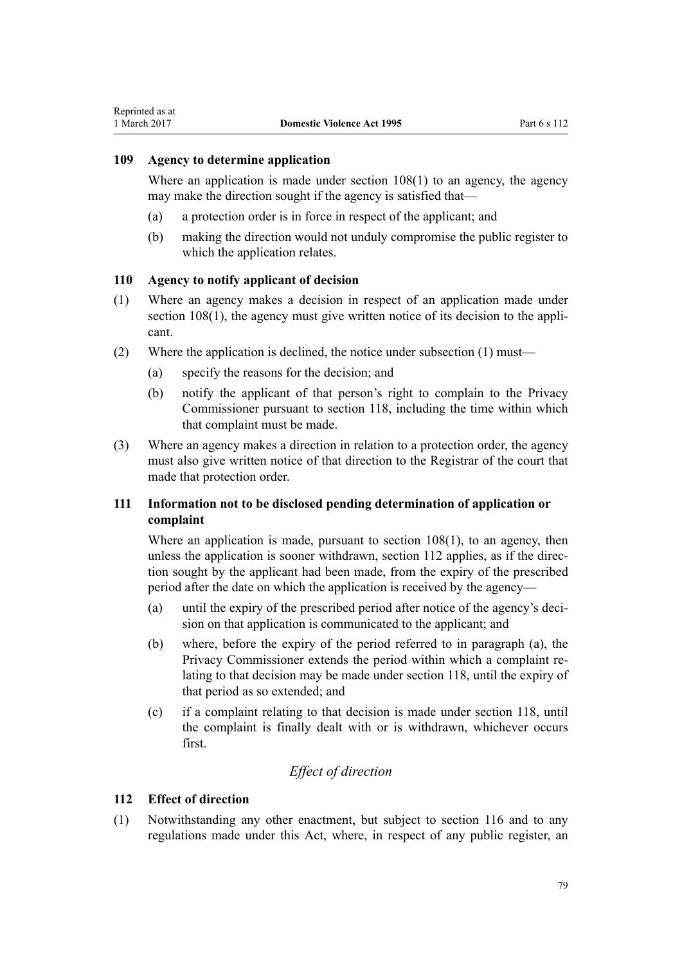### <span id="page-78-0"></span>**109 Agency to determine application**

Where an application is made under [section 108\(1\)](#page-77-0) to an agency, the agency may make the direction sought if the agency is satisfied that—

- (a) a protection order is in force in respect of the applicant; and
- (b) making the direction would not unduly compromise the public register to which the application relates.

### **110 Agency to notify applicant of decision**

- (1) Where an agency makes a decision in respect of an application made under [section 108\(1\),](#page-77-0) the agency must give written notice of its decision to the applicant.
- (2) Where the application is declined, the notice under subsection (1) must—
	- (a) specify the reasons for the decision; and
	- (b) notify the applicant of that person's right to complain to the Privacy Commissioner pursuant to [section 118](#page-82-0), including the time within which that complaint must be made.
- (3) Where an agency makes a direction in relation to a protection order, the agency must also give written notice of that direction to the Registrar of the court that made that protection order.

## **111 Information not to be disclosed pending determination of application or complaint**

Where an application is made, pursuant to section  $108(1)$ , to an agency, then unless the application is sooner withdrawn, section 112 applies, as if the direction sought by the applicant had been made, from the expiry of the prescribed period after the date on which the application is received by the agency—

- (a) until the expiry of the prescribed period after notice of the agency's decision on that application is communicated to the applicant; and
- (b) where, before the expiry of the period referred to in paragraph (a), the Privacy Commissioner extends the period within which a complaint relating to that decision may be made under [section 118](#page-82-0), until the expiry of that period as so extended; and
- (c) if a complaint relating to that decision is made under [section 118](#page-82-0), until the complaint is finally dealt with or is withdrawn, whichever occurs first.

## *Effect of direction*

### **112 Effect of direction**

(1) Notwithstanding any other enactment, but subject to [section 116](#page-81-0) and to any regulations made under this Act, where, in respect of any public register, an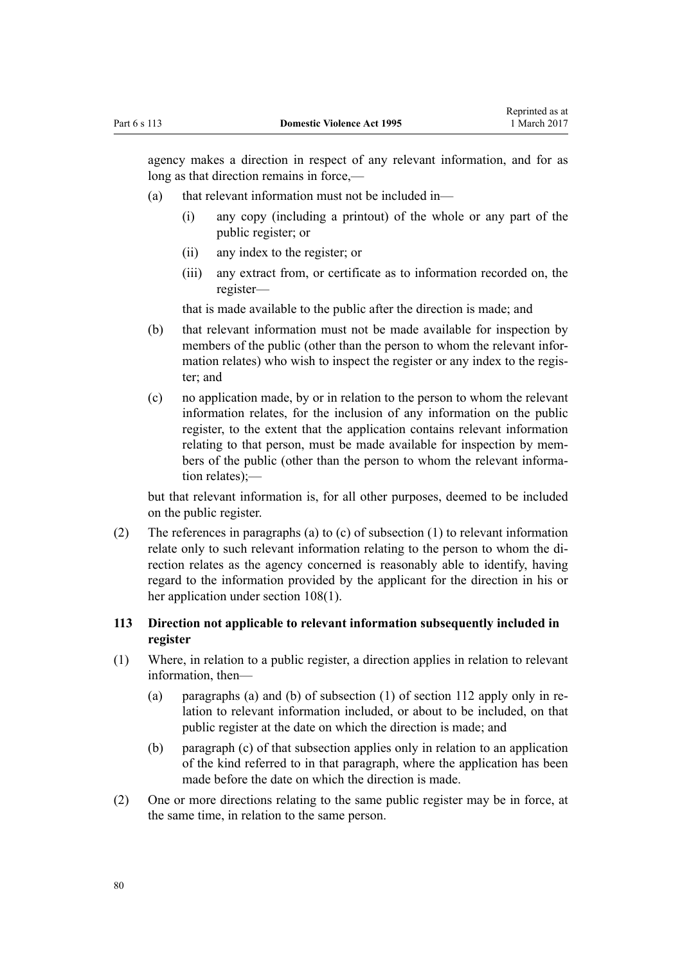<span id="page-79-0"></span>agency makes a direction in respect of any relevant information, and for as long as that direction remains in force,—

- (a) that relevant information must not be included in—
	- (i) any copy (including a printout) of the whole or any part of the public register; or
	- (ii) any index to the register; or
	- (iii) any extract from, or certificate as to information recorded on, the register—

that is made available to the public after the direction is made; and

- (b) that relevant information must not be made available for inspection by members of the public (other than the person to whom the relevant information relates) who wish to inspect the register or any index to the register; and
- (c) no application made, by or in relation to the person to whom the relevant information relates, for the inclusion of any information on the public register, to the extent that the application contains relevant information relating to that person, must be made available for inspection by members of the public (other than the person to whom the relevant information relates);—

but that relevant information is, for all other purposes, deemed to be included on the public register.

(2) The references in paragraphs (a) to (c) of subsection (1) to relevant information relate only to such relevant information relating to the person to whom the direction relates as the agency concerned is reasonably able to identify, having regard to the information provided by the applicant for the direction in his or her application under [section 108\(1\).](#page-77-0)

## **113 Direction not applicable to relevant information subsequently included in register**

- (1) Where, in relation to a public register, a direction applies in relation to relevant information, then—
	- (a) paragraphs (a) and (b) of subsection (1) of [section 112](#page-78-0) apply only in relation to relevant information included, or about to be included, on that public register at the date on which the direction is made; and
	- (b) paragraph (c) of that subsection applies only in relation to an application of the kind referred to in that paragraph, where the application has been made before the date on which the direction is made.
- (2) One or more directions relating to the same public register may be in force, at the same time, in relation to the same person.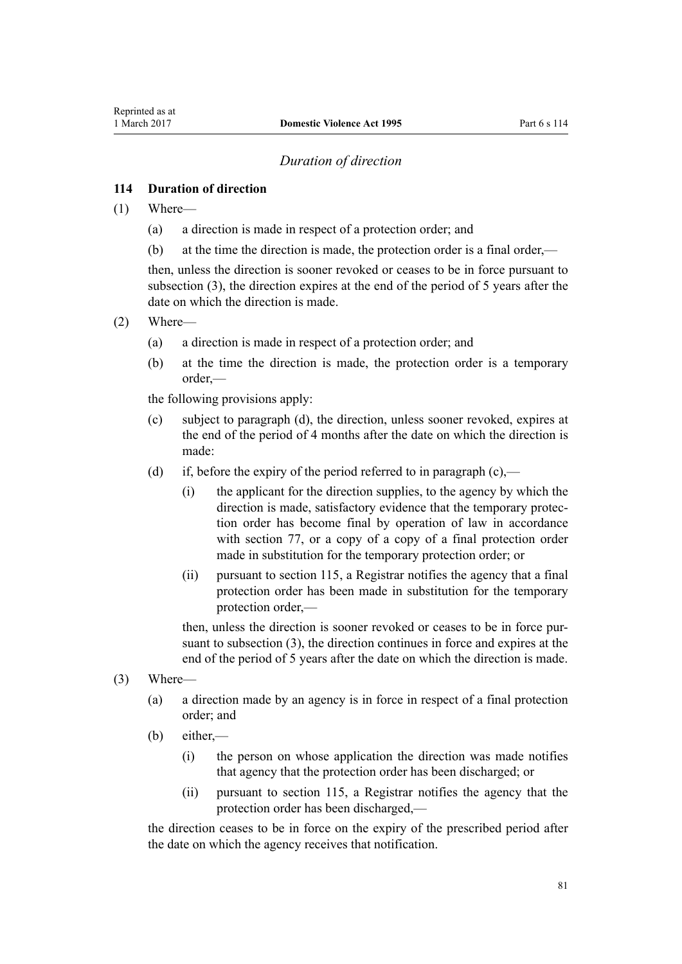## *Duration of direction*

## <span id="page-80-0"></span>**114 Duration of direction**

- (1) Where—
	- (a) a direction is made in respect of a protection order; and
	- (b) at the time the direction is made, the protection order is a final order,—

then, unless the direction is sooner revoked or ceases to be in force pursuant to subsection (3), the direction expires at the end of the period of 5 years after the date on which the direction is made.

- (2) Where—
	- (a) a direction is made in respect of a protection order; and
	- (b) at the time the direction is made, the protection order is a temporary order,—

the following provisions apply:

- (c) subject to paragraph (d), the direction, unless sooner revoked, expires at the end of the period of 4 months after the date on which the direction is made:
- (d) if, before the expiry of the period referred to in paragraph (c),—
	- (i) the applicant for the direction supplies, to the agency by which the direction is made, satisfactory evidence that the temporary protection order has become final by operation of law in accordance with [section 77,](#page-62-0) or a copy of a copy of a final protection order made in substitution for the temporary protection order; or
	- (ii) pursuant to [section 115](#page-81-0), a Registrar notifies the agency that a final protection order has been made in substitution for the temporary protection order,—

then, unless the direction is sooner revoked or ceases to be in force pursuant to subsection (3), the direction continues in force and expires at the end of the period of 5 years after the date on which the direction is made.

- (3) Where—
	- (a) a direction made by an agency is in force in respect of a final protection order; and
	- (b) either,—
		- (i) the person on whose application the direction was made notifies that agency that the protection order has been discharged; or
		- (ii) pursuant to [section 115](#page-81-0), a Registrar notifies the agency that the protection order has been discharged,—

the direction ceases to be in force on the expiry of the prescribed period after the date on which the agency receives that notification.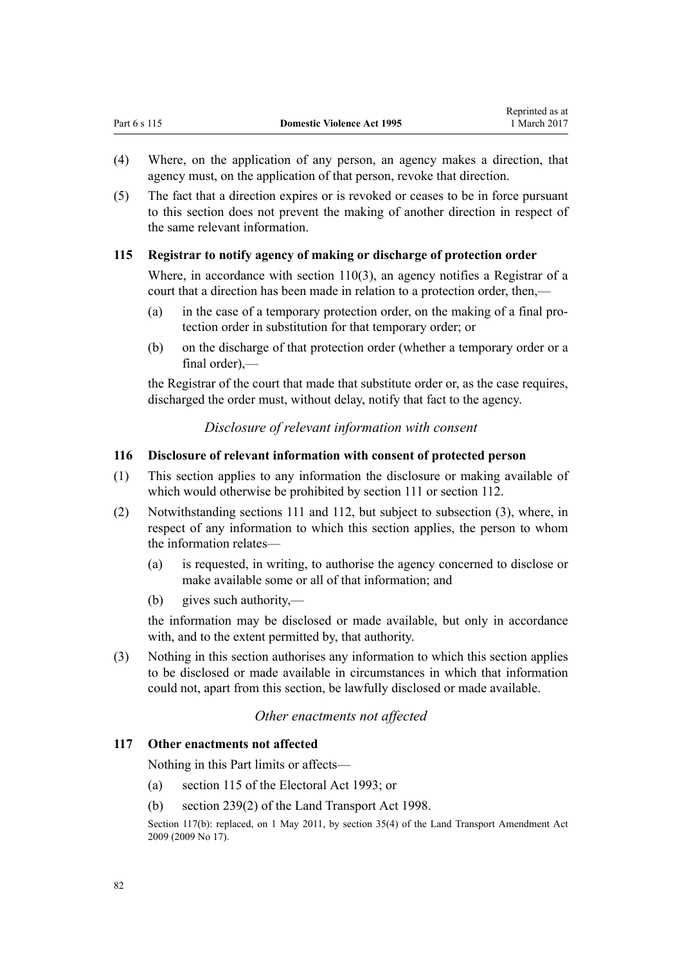- <span id="page-81-0"></span>(4) Where, on the application of any person, an agency makes a direction, that agency must, on the application of that person, revoke that direction.
- (5) The fact that a direction expires or is revoked or ceases to be in force pursuant to this section does not prevent the making of another direction in respect of the same relevant information.

## **115 Registrar to notify agency of making or discharge of protection order**

Where, in accordance with [section 110\(3\)](#page-78-0), an agency notifies a Registrar of a court that a direction has been made in relation to a protection order, then,—

- (a) in the case of a temporary protection order, on the making of a final protection order in substitution for that temporary order; or
- (b) on the discharge of that protection order (whether a temporary order or a  $final order)$  —

the Registrar of the court that made that substitute order or, as the case requires, discharged the order must, without delay, notify that fact to the agency.

*Disclosure of relevant information with consent*

## **116 Disclosure of relevant information with consent of protected person**

- (1) This section applies to any information the disclosure or making available of which would otherwise be prohibited by [section 111](#page-78-0) or [section 112](#page-78-0).
- (2) Notwithstanding [sections 111](#page-78-0) and [112](#page-78-0), but subject to subsection (3), where, in respect of any information to which this section applies, the person to whom the information relates—
	- (a) is requested, in writing, to authorise the agency concerned to disclose or make available some or all of that information; and
	- (b) gives such authority,—

the information may be disclosed or made available, but only in accordance with, and to the extent permitted by, that authority.

(3) Nothing in this section authorises any information to which this section applies to be disclosed or made available in circumstances in which that information could not, apart from this section, be lawfully disclosed or made available.

## *Other enactments not affected*

## **117 Other enactments not affected**

Nothing in this Part limits or affects—

- (a) [section 115](http://prd-lgnz-nlb.prd.pco.net.nz/pdflink.aspx?id=DLM309404) of the Electoral Act 1993; or
- (b) [section 239\(2\)](http://prd-lgnz-nlb.prd.pco.net.nz/pdflink.aspx?id=DLM3701415) of the Land Transport Act 1998.

Section 117(b): replaced, on 1 May 2011, by [section 35\(4\)](http://prd-lgnz-nlb.prd.pco.net.nz/pdflink.aspx?id=DLM2015063) of the Land Transport Amendment Act 2009 (2009 No 17).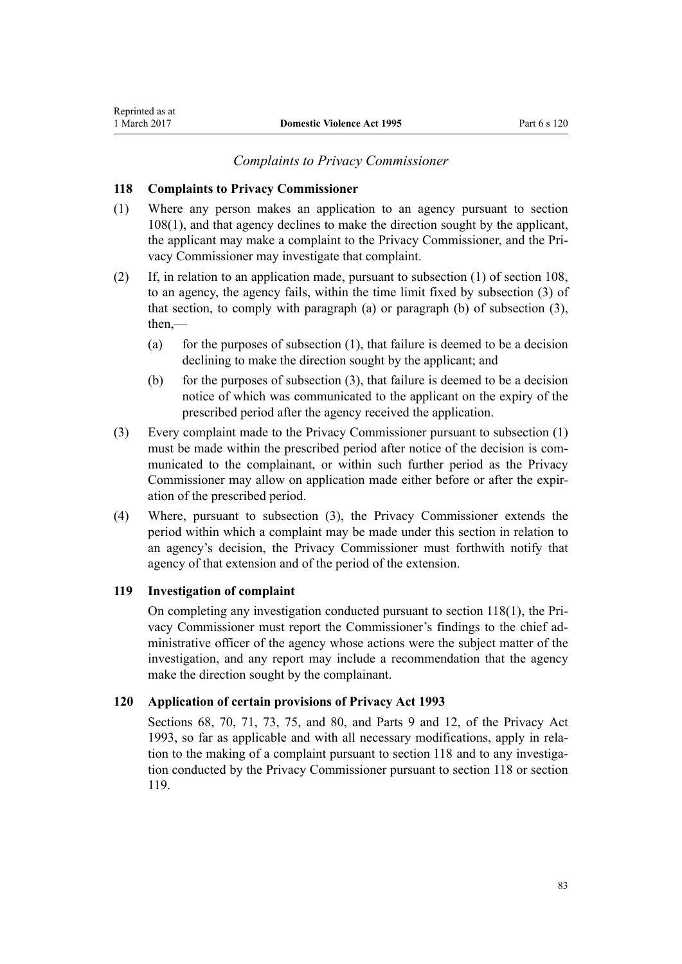### **118 Complaints to Privacy Commissioner**

<span id="page-82-0"></span>Reprinted as at

- (1) Where any person makes an application to an agency pursuant to [section](#page-77-0) [108\(1\),](#page-77-0) and that agency declines to make the direction sought by the applicant, the applicant may make a complaint to the Privacy Commissioner, and the Privacy Commissioner may investigate that complaint.
- (2) If, in relation to an application made, pursuant to subsection (1) of [section 108](#page-77-0), to an agency, the agency fails, within the time limit fixed by subsection (3) of that section, to comply with paragraph (a) or paragraph (b) of subsection (3), then,—
	- (a) for the purposes of subsection  $(1)$ , that failure is deemed to be a decision declining to make the direction sought by the applicant; and
	- (b) for the purposes of subsection (3), that failure is deemed to be a decision notice of which was communicated to the applicant on the expiry of the prescribed period after the agency received the application.
- (3) Every complaint made to the Privacy Commissioner pursuant to subsection (1) must be made within the prescribed period after notice of the decision is communicated to the complainant, or within such further period as the Privacy Commissioner may allow on application made either before or after the expiration of the prescribed period.
- (4) Where, pursuant to subsection (3), the Privacy Commissioner extends the period within which a complaint may be made under this section in relation to an agency's decision, the Privacy Commissioner must forthwith notify that agency of that extension and of the period of the extension.

### **119 Investigation of complaint**

On completing any investigation conducted pursuant to section 118(1), the Privacy Commissioner must report the Commissioner's findings to the chief administrative officer of the agency whose actions were the subject matter of the investigation, and any report may include a recommendation that the agency make the direction sought by the complainant.

### **120 Application of certain provisions of Privacy Act 1993**

[Sections 68](http://prd-lgnz-nlb.prd.pco.net.nz/pdflink.aspx?id=DLM297444), [70](http://prd-lgnz-nlb.prd.pco.net.nz/pdflink.aspx?id=DLM297447), [71](http://prd-lgnz-nlb.prd.pco.net.nz/pdflink.aspx?id=DLM297448), [73](http://prd-lgnz-nlb.prd.pco.net.nz/pdflink.aspx?id=DLM297455), [75](http://prd-lgnz-nlb.prd.pco.net.nz/pdflink.aspx?id=DLM297457), and [80](http://prd-lgnz-nlb.prd.pco.net.nz/pdflink.aspx?id=DLM297463), and [Parts 9](http://prd-lgnz-nlb.prd.pco.net.nz/pdflink.aspx?id=DLM297902) and [12](http://prd-lgnz-nlb.prd.pco.net.nz/pdflink.aspx?id=DLM298408), of the Privacy Act 1993, so far as applicable and with all necessary modifications, apply in relation to the making of a complaint pursuant to section 118 and to any investigation conducted by the Privacy Commissioner pursuant to section 118 or section 119.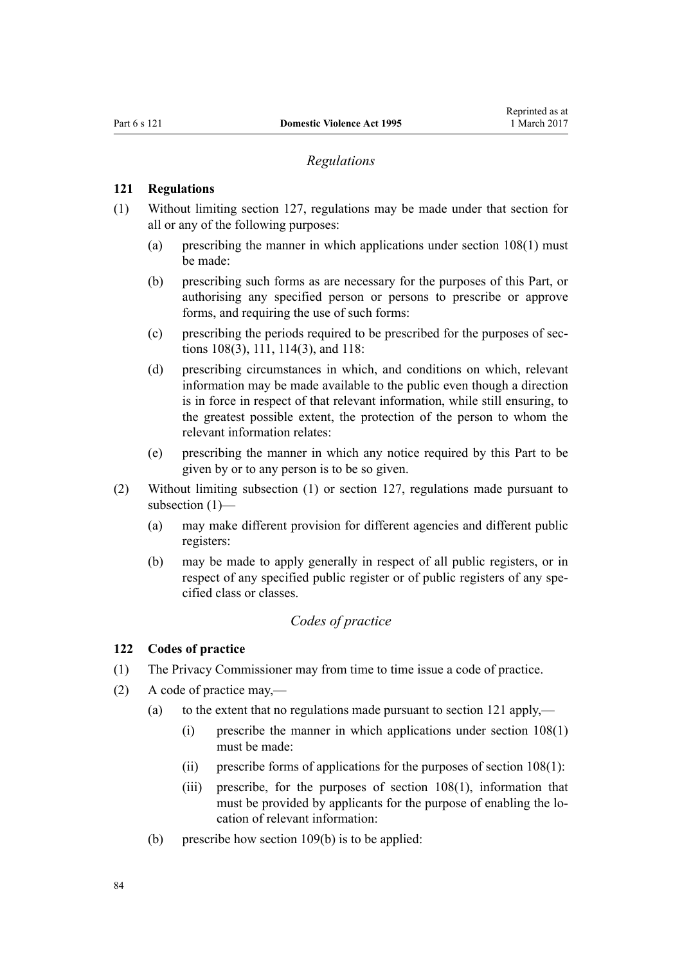### *Regulations*

### <span id="page-83-0"></span>**121 Regulations**

- (1) Without limiting [section 127,](#page-95-0) regulations may be made under that section for all or any of the following purposes:
	- (a) prescribing the manner in which applications under [section 108\(1\)](#page-77-0) must be made:
	- (b) prescribing such forms as are necessary for the purposes of this Part, or authorising any specified person or persons to prescribe or approve forms, and requiring the use of such forms:
	- (c) prescribing the periods required to be prescribed for the purposes of [sec](#page-77-0)[tions 108\(3\)](#page-77-0), [111](#page-78-0), [114\(3\)](#page-80-0), and [118](#page-82-0):
	- (d) prescribing circumstances in which, and conditions on which, relevant information may be made available to the public even though a direction is in force in respect of that relevant information, while still ensuring, to the greatest possible extent, the protection of the person to whom the relevant information relates:
	- (e) prescribing the manner in which any notice required by this Part to be given by or to any person is to be so given.
- (2) Without limiting subsection (1) or [section 127,](#page-95-0) regulations made pursuant to subsection (1)—
	- (a) may make different provision for different agencies and different public registers:
	- (b) may be made to apply generally in respect of all public registers, or in respect of any specified public register or of public registers of any specified class or classes.

## *Codes of practice*

#### **122 Codes of practice**

- (1) The Privacy Commissioner may from time to time issue a code of practice.
- (2) A code of practice may,—
	- (a) to the extent that no regulations made pursuant to section 121 apply,—
		- (i) prescribe the manner in which applications under [section 108\(1\)](#page-77-0) must be made:
		- (ii) prescribe forms of applications for the purposes of section  $108(1)$ :
		- (iii) prescribe, for the purposes of [section 108\(1\)](#page-77-0), information that must be provided by applicants for the purpose of enabling the location of relevant information:
	- (b) prescribe how [section 109\(b\)](#page-78-0) is to be applied: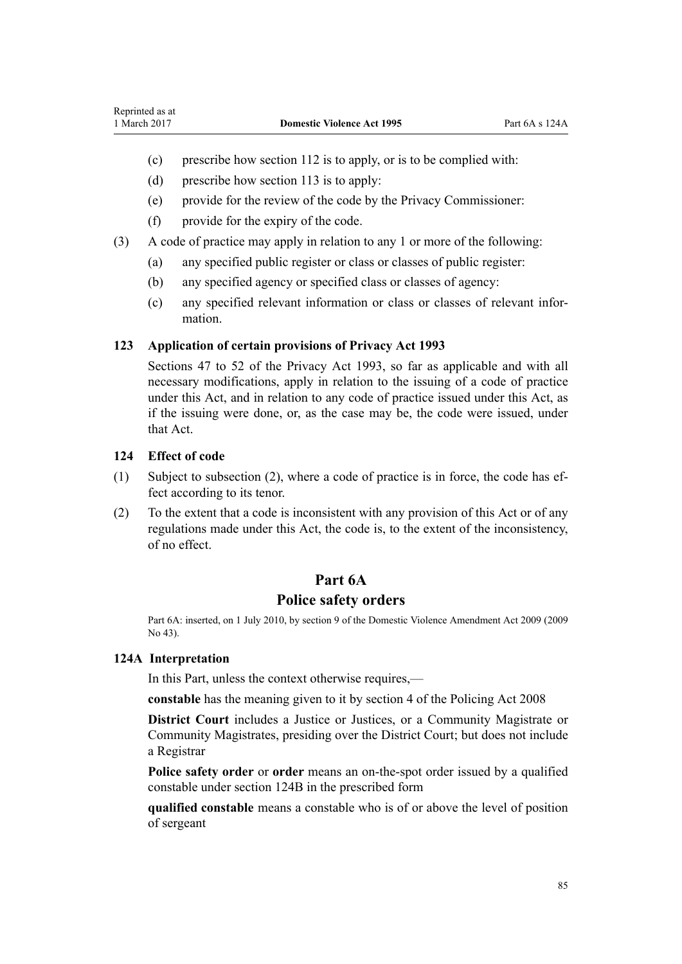- (c) prescribe how [section 112](#page-78-0) is to apply, or is to be complied with:
- (d) prescribe how [section 113](#page-79-0) is to apply:
- (e) provide for the review of the code by the Privacy Commissioner:
- (f) provide for the expiry of the code.
- (3) A code of practice may apply in relation to any 1 or more of the following:
	- (a) any specified public register or class or classes of public register:
	- (b) any specified agency or specified class or classes of agency:
	- (c) any specified relevant information or class or classes of relevant information.

## **123 Application of certain provisions of Privacy Act 1993**

[Sections 47 to 52](http://prd-lgnz-nlb.prd.pco.net.nz/pdflink.aspx?id=DLM297411) of the Privacy Act 1993, so far as applicable and with all necessary modifications, apply in relation to the issuing of a code of practice under this Act, and in relation to any code of practice issued under this Act, as if the issuing were done, or, as the case may be, the code were issued, under that Act.

## **124 Effect of code**

- (1) Subject to subsection (2), where a code of practice is in force, the code has effect according to its tenor.
- (2) To the extent that a code is inconsistent with any provision of this Act or of any regulations made under this Act, the code is, to the extent of the inconsistency, of no effect.

## **Part 6A**

## **Police safety orders**

Part 6A: inserted, on 1 July 2010, by [section 9](http://prd-lgnz-nlb.prd.pco.net.nz/pdflink.aspx?id=DLM1774218) of the Domestic Violence Amendment Act 2009 (2009 No 43).

### **124A Interpretation**

In this Part, unless the context otherwise requires,—

**constable** has the meaning given to it by [section 4](http://prd-lgnz-nlb.prd.pco.net.nz/pdflink.aspx?id=DLM1102132) of the Policing Act 2008

**District Court** includes a Justice or Justices, or a Community Magistrate or Community Magistrates, presiding over the District Court; but does not include a Registrar

**Police safety order** or **order** means an on-the-spot order issued by a qualified constable under [section 124B](#page-85-0) in the prescribed form

**qualified constable** means a constable who is of or above the level of position of sergeant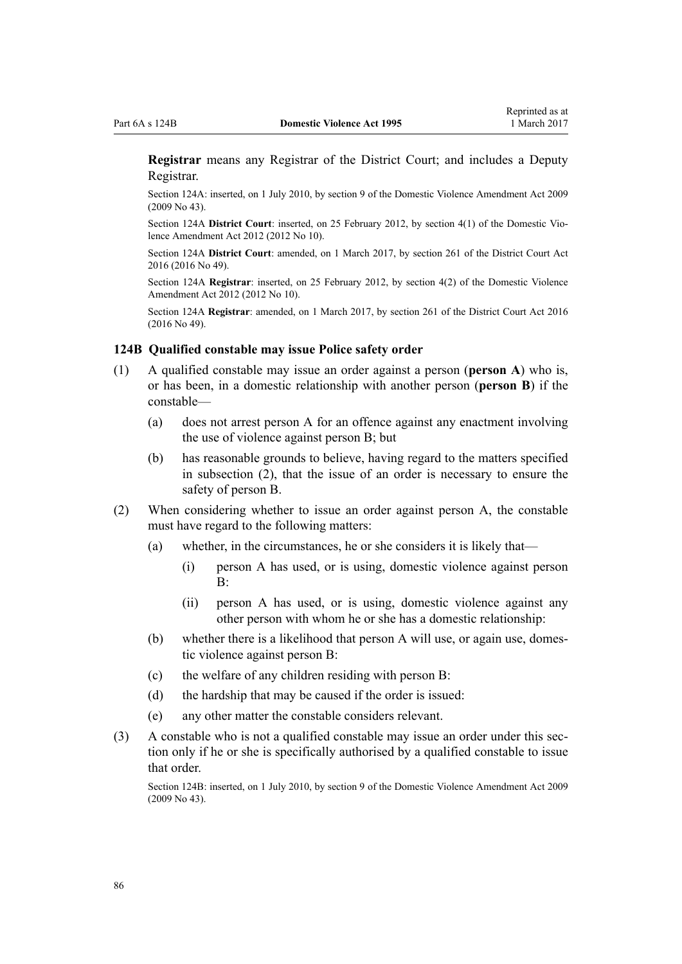<span id="page-85-0"></span>**Registrar** means any Registrar of the District Court; and includes a Deputy Registrar.

Section 124A: inserted, on 1 July 2010, by [section 9](http://prd-lgnz-nlb.prd.pco.net.nz/pdflink.aspx?id=DLM1774218) of the Domestic Violence Amendment Act 2009 (2009 No 43).

Section 124A **District Court**: inserted, on 25 February 2012, by [section 4\(1\)](http://prd-lgnz-nlb.prd.pco.net.nz/pdflink.aspx?id=DLM4014207) of the Domestic Violence Amendment Act 2012 (2012 No 10).

Section 124A **District Court**: amended, on 1 March 2017, by [section 261](http://prd-lgnz-nlb.prd.pco.net.nz/pdflink.aspx?id=DLM6942680) of the District Court Act 2016 (2016 No 49).

Section 124A **Registrar**: inserted, on 25 February 2012, by [section 4\(2\)](http://prd-lgnz-nlb.prd.pco.net.nz/pdflink.aspx?id=DLM4014207) of the Domestic Violence Amendment Act 2012 (2012 No 10).

Section 124A **Registrar**: amended, on 1 March 2017, by [section 261](http://prd-lgnz-nlb.prd.pco.net.nz/pdflink.aspx?id=DLM6942680) of the District Court Act 2016 (2016 No 49).

#### **124B Qualified constable may issue Police safety order**

- (1) A qualified constable may issue an order against a person (**person A**) who is, or has been, in a domestic relationship with another person (**person B**) if the constable—
	- (a) does not arrest person A for an offence against any enactment involving the use of violence against person B; but
	- (b) has reasonable grounds to believe, having regard to the matters specified in subsection (2), that the issue of an order is necessary to ensure the safety of person B.
- (2) When considering whether to issue an order against person A, the constable must have regard to the following matters:
	- (a) whether, in the circumstances, he or she considers it is likely that—
		- (i) person A has used, or is using, domestic violence against person  $\mathbf{R}$
		- (ii) person A has used, or is using, domestic violence against any other person with whom he or she has a domestic relationship:
	- (b) whether there is a likelihood that person A will use, or again use, domestic violence against person B:
	- (c) the welfare of any children residing with person B:
	- (d) the hardship that may be caused if the order is issued:
	- (e) any other matter the constable considers relevant.
- (3) A constable who is not a qualified constable may issue an order under this section only if he or she is specifically authorised by a qualified constable to issue that order.

Section 124B: inserted, on 1 July 2010, by [section 9](http://prd-lgnz-nlb.prd.pco.net.nz/pdflink.aspx?id=DLM1774218) of the Domestic Violence Amendment Act 2009 (2009 No 43).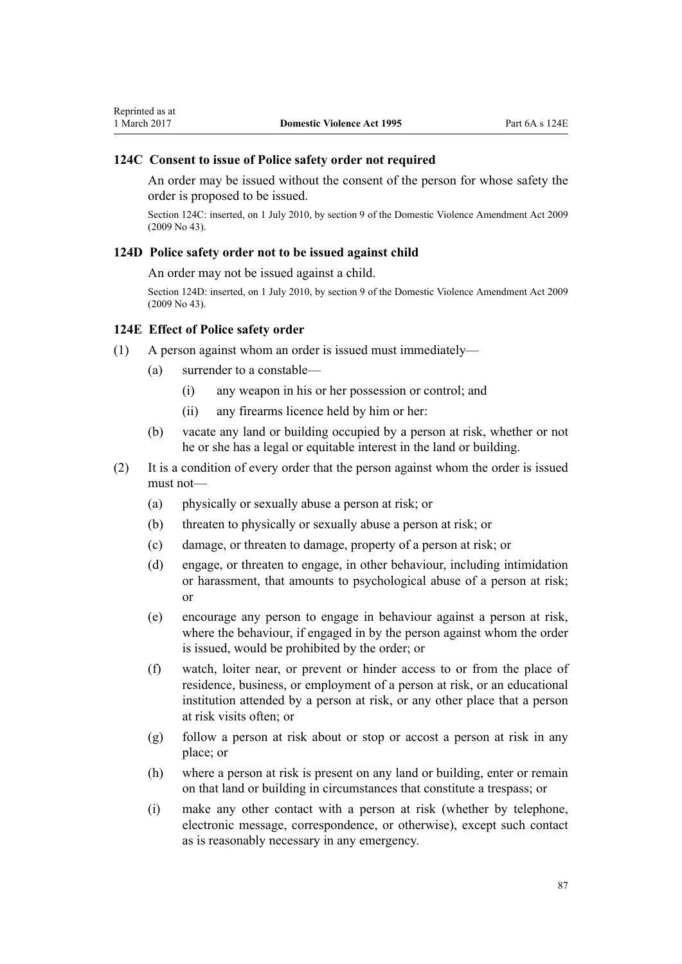### **124C Consent to issue of Police safety order not required**

An order may be issued without the consent of the person for whose safety the order is proposed to be issued.

Section 124C: inserted, on 1 July 2010, by [section 9](http://prd-lgnz-nlb.prd.pco.net.nz/pdflink.aspx?id=DLM1774218) of the Domestic Violence Amendment Act 2009 (2009 No 43).

#### **124D Police safety order not to be issued against child**

An order may not be issued against a child.

Section 124D: inserted, on 1 July 2010, by [section 9](http://prd-lgnz-nlb.prd.pco.net.nz/pdflink.aspx?id=DLM1774218) of the Domestic Violence Amendment Act 2009 (2009 No 43).

#### **124E Effect of Police safety order**

- (1) A person against whom an order is issued must immediately—
	- (a) surrender to a constable—
		- (i) any weapon in his or her possession or control; and
		- (ii) any firearms licence held by him or her:
	- (b) vacate any land or building occupied by a person at risk, whether or not he or she has a legal or equitable interest in the land or building.
- (2) It is a condition of every order that the person against whom the order is issued must not—
	- (a) physically or sexually abuse a person at risk; or
	- (b) threaten to physically or sexually abuse a person at risk; or
	- (c) damage, or threaten to damage, property of a person at risk; or
	- (d) engage, or threaten to engage, in other behaviour, including intimidation or harassment, that amounts to psychological abuse of a person at risk; or
	- (e) encourage any person to engage in behaviour against a person at risk, where the behaviour, if engaged in by the person against whom the order is issued, would be prohibited by the order; or
	- (f) watch, loiter near, or prevent or hinder access to or from the place of residence, business, or employment of a person at risk, or an educational institution attended by a person at risk, or any other place that a person at risk visits often; or
	- (g) follow a person at risk about or stop or accost a person at risk in any place; or
	- (h) where a person at risk is present on any land or building, enter or remain on that land or building in circumstances that constitute a trespass; or
	- (i) make any other contact with a person at risk (whether by telephone, electronic message, correspondence, or otherwise), except such contact as is reasonably necessary in any emergency.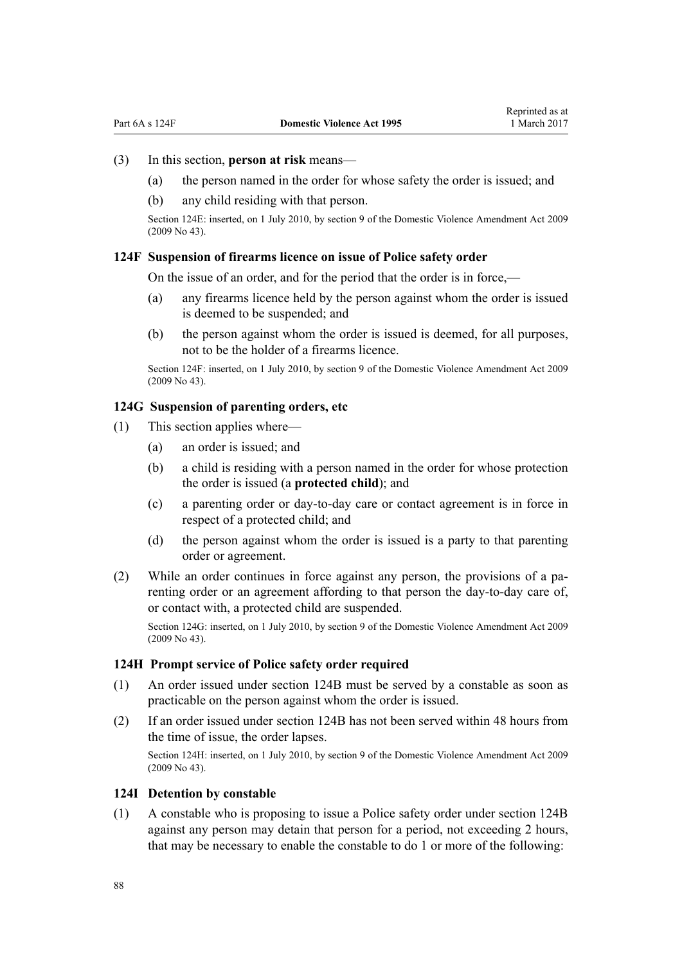### (3) In this section, **person at risk** means—

- (a) the person named in the order for whose safety the order is issued; and
- (b) any child residing with that person.

Section 124E: inserted, on 1 July 2010, by [section 9](http://prd-lgnz-nlb.prd.pco.net.nz/pdflink.aspx?id=DLM1774218) of the Domestic Violence Amendment Act 2009 (2009 No 43).

### **124F Suspension of firearms licence on issue of Police safety order**

On the issue of an order, and for the period that the order is in force,—

- (a) any firearms licence held by the person against whom the order is issued is deemed to be suspended; and
- (b) the person against whom the order is issued is deemed, for all purposes, not to be the holder of a firearms licence.

Section 124F: inserted, on 1 July 2010, by [section 9](http://prd-lgnz-nlb.prd.pco.net.nz/pdflink.aspx?id=DLM1774218) of the Domestic Violence Amendment Act 2009 (2009 No 43).

## **124G Suspension of parenting orders, etc**

- (1) This section applies where—
	- (a) an order is issued; and
	- (b) a child is residing with a person named in the order for whose protection the order is issued (a **protected child**); and
	- (c) a parenting order or day-to-day care or contact agreement is in force in respect of a protected child; and
	- (d) the person against whom the order is issued is a party to that parenting order or agreement.
- (2) While an order continues in force against any person, the provisions of a parenting order or an agreement affording to that person the day-to-day care of, or contact with, a protected child are suspended.

Section 124G: inserted, on 1 July 2010, by [section 9](http://prd-lgnz-nlb.prd.pco.net.nz/pdflink.aspx?id=DLM1774218) of the Domestic Violence Amendment Act 2009 (2009 No 43).

#### **124H Prompt service of Police safety order required**

- (1) An order issued under [section 124B](#page-85-0) must be served by a constable as soon as practicable on the person against whom the order is issued.
- (2) If an order issued under [section 124B](#page-85-0) has not been served within 48 hours from the time of issue, the order lapses.

Section 124H: inserted, on 1 July 2010, by [section 9](http://prd-lgnz-nlb.prd.pco.net.nz/pdflink.aspx?id=DLM1774218) of the Domestic Violence Amendment Act 2009 (2009 No 43).

#### **124I Detention by constable**

(1) A constable who is proposing to issue a Police safety order under [section 124B](#page-85-0) against any person may detain that person for a period, not exceeding 2 hours, that may be necessary to enable the constable to do 1 or more of the following: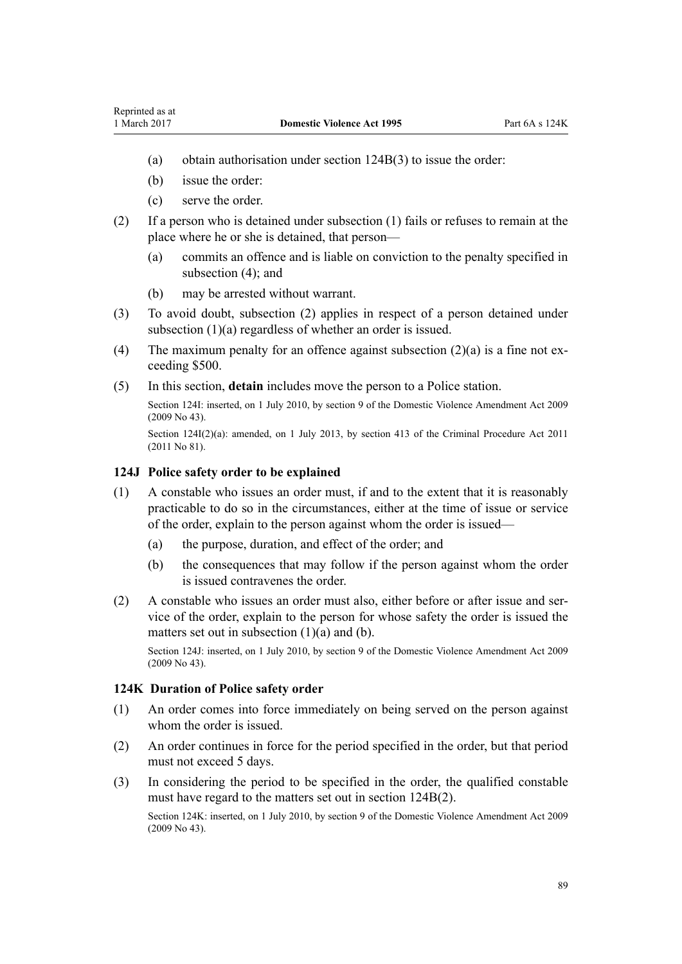- (a) obtain authorisation under [section 124B\(3\)](#page-85-0) to issue the order:
- (b) issue the order:
- (c) serve the order.
- (2) If a person who is detained under subsection (1) fails or refuses to remain at the place where he or she is detained, that person—
	- (a) commits an offence and is liable on conviction to the penalty specified in subsection  $(4)$ ; and
	- (b) may be arrested without warrant.
- (3) To avoid doubt, subsection (2) applies in respect of a person detained under subsection (1)(a) regardless of whether an order is issued.
- (4) The maximum penalty for an offence against subsection  $(2)(a)$  is a fine not exceeding \$500.
- (5) In this section, **detain** includes move the person to a Police station.

Section 124I: inserted, on 1 July 2010, by [section 9](http://prd-lgnz-nlb.prd.pco.net.nz/pdflink.aspx?id=DLM1774218) of the Domestic Violence Amendment Act 2009 (2009 No 43).

Section  $124I(2)(a)$ : amended, on 1 July 2013, by [section 413](http://prd-lgnz-nlb.prd.pco.net.nz/pdflink.aspx?id=DLM3360714) of the Criminal Procedure Act 2011 (2011 No 81).

### **124J Police safety order to be explained**

- (1) A constable who issues an order must, if and to the extent that it is reasonably practicable to do so in the circumstances, either at the time of issue or service of the order, explain to the person against whom the order is issued—
	- (a) the purpose, duration, and effect of the order; and
	- (b) the consequences that may follow if the person against whom the order is issued contravenes the order.
- (2) A constable who issues an order must also, either before or after issue and service of the order, explain to the person for whose safety the order is issued the matters set out in subsection (1)(a) and (b).

Section 124J: inserted, on 1 July 2010, by [section 9](http://prd-lgnz-nlb.prd.pco.net.nz/pdflink.aspx?id=DLM1774218) of the Domestic Violence Amendment Act 2009 (2009 No 43).

#### **124K Duration of Police safety order**

- (1) An order comes into force immediately on being served on the person against whom the order is issued.
- (2) An order continues in force for the period specified in the order, but that period must not exceed 5 days.
- (3) In considering the period to be specified in the order, the qualified constable must have regard to the matters set out in [section 124B\(2\).](#page-85-0)

Section 124K: inserted, on 1 July 2010, by [section 9](http://prd-lgnz-nlb.prd.pco.net.nz/pdflink.aspx?id=DLM1774218) of the Domestic Violence Amendment Act 2009 (2009 No 43).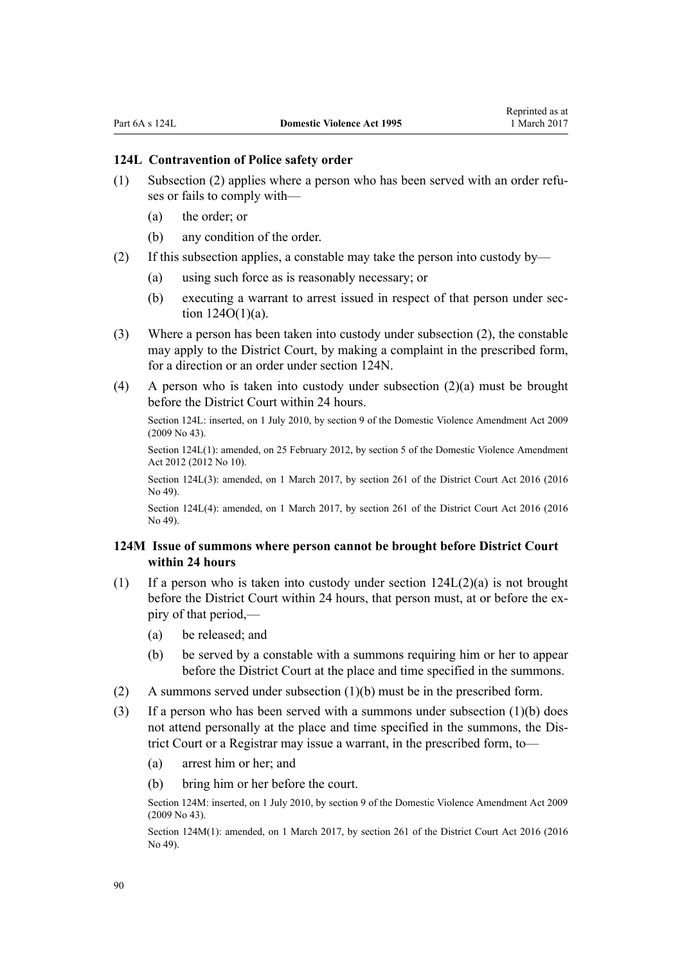### **124L Contravention of Police safety order**

- (1) Subsection (2) applies where a person who has been served with an order refuses or fails to comply with—
	- (a) the order; or
	- (b) any condition of the order.
- (2) If this subsection applies, a constable may take the person into custody by—
	- (a) using such force as is reasonably necessary; or
	- (b) executing a warrant to arrest issued in respect of that person under [sec](#page-91-0)tion  $124O(1)(a)$ .
- (3) Where a person has been taken into custody under subsection (2), the constable may apply to the District Court, by making a complaint in the prescribed form, for a direction or an order under [section 124N.](#page-90-0)
- (4) A person who is taken into custody under subsection (2)(a) must be brought before the District Court within 24 hours.

Section 124L: inserted, on 1 July 2010, by [section 9](http://prd-lgnz-nlb.prd.pco.net.nz/pdflink.aspx?id=DLM1774218) of the Domestic Violence Amendment Act 2009 (2009 No 43).

Section 124L(1): amended, on 25 February 2012, by [section 5](http://prd-lgnz-nlb.prd.pco.net.nz/pdflink.aspx?id=DLM4014212) of the Domestic Violence Amendment Act 2012 (2012 No 10).

Section 124L(3): amended, on 1 March 2017, by [section 261](http://prd-lgnz-nlb.prd.pco.net.nz/pdflink.aspx?id=DLM6942680) of the District Court Act 2016 (2016) No 49).

Section 124L(4): amended, on 1 March 2017, by [section 261](http://prd-lgnz-nlb.prd.pco.net.nz/pdflink.aspx?id=DLM6942680) of the District Court Act 2016 (2016 No 49).

### **124M Issue of summons where person cannot be brought before District Court within 24 hours**

- (1) If a person who is taken into custody under section  $124L(2)(a)$  is not brought before the District Court within 24 hours, that person must, at or before the expiry of that period,—
	- (a) be released; and
	- (b) be served by a constable with a summons requiring him or her to appear before the District Court at the place and time specified in the summons.
- (2) A summons served under subsection (1)(b) must be in the prescribed form.
- (3) If a person who has been served with a summons under subsection  $(1)(b)$  does not attend personally at the place and time specified in the summons, the District Court or a Registrar may issue a warrant, in the prescribed form, to—
	- (a) arrest him or her; and
	- (b) bring him or her before the court.

Section 124M: inserted, on 1 July 2010, by [section 9](http://prd-lgnz-nlb.prd.pco.net.nz/pdflink.aspx?id=DLM1774218) of the Domestic Violence Amendment Act 2009 (2009 No 43).

Section 124M(1): amended, on 1 March 2017, by [section 261](http://prd-lgnz-nlb.prd.pco.net.nz/pdflink.aspx?id=DLM6942680) of the District Court Act 2016 (2016 No 49).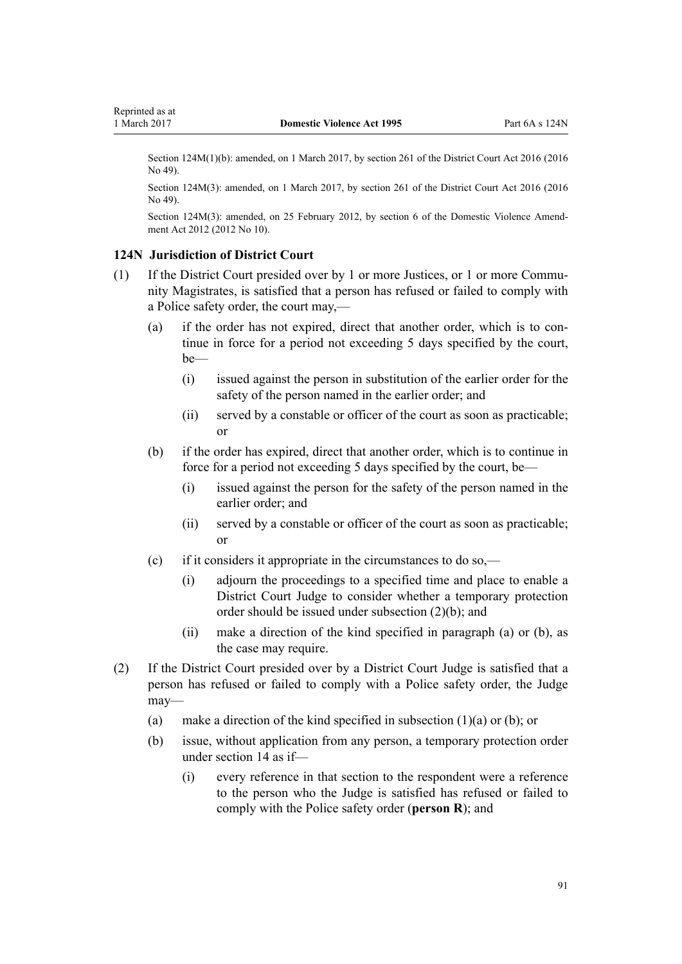<span id="page-90-0"></span>Section 124M(1)(b): amended, on 1 March 2017, by [section 261](http://prd-lgnz-nlb.prd.pco.net.nz/pdflink.aspx?id=DLM6942680) of the District Court Act 2016 (2016) No 49).

Section 124M(3): amended, on 1 March 2017, by [section 261](http://prd-lgnz-nlb.prd.pco.net.nz/pdflink.aspx?id=DLM6942680) of the District Court Act 2016 (2016 No 49).

Section 124M(3): amended, on 25 February 2012, by [section 6](http://prd-lgnz-nlb.prd.pco.net.nz/pdflink.aspx?id=DLM4014213) of the Domestic Violence Amendment Act 2012 (2012 No 10).

#### **124N Jurisdiction of District Court**

- (1) If the District Court presided over by 1 or more Justices, or 1 or more Community Magistrates, is satisfied that a person has refused or failed to comply with a Police safety order, the court may,—
	- (a) if the order has not expired, direct that another order, which is to continue in force for a period not exceeding 5 days specified by the court, be—
		- (i) issued against the person in substitution of the earlier order for the safety of the person named in the earlier order; and
		- (ii) served by a constable or officer of the court as soon as practicable; or
	- (b) if the order has expired, direct that another order, which is to continue in force for a period not exceeding 5 days specified by the court, be—
		- (i) issued against the person for the safety of the person named in the earlier order; and
		- (ii) served by a constable or officer of the court as soon as practicable; or
	- (c) if it considers it appropriate in the circumstances to do so,—
		- (i) adjourn the proceedings to a specified time and place to enable a District Court Judge to consider whether a temporary protection order should be issued under subsection (2)(b); and
		- (ii) make a direction of the kind specified in paragraph (a) or (b), as the case may require.
- (2) If the District Court presided over by a District Court Judge is satisfied that a person has refused or failed to comply with a Police safety order, the Judge may—
	- (a) make a direction of the kind specified in subsection (1)(a) or (b); or
	- (b) issue, without application from any person, a temporary protection order under [section 14](#page-20-0) as if—
		- (i) every reference in that section to the respondent were a reference to the person who the Judge is satisfied has refused or failed to comply with the Police safety order (**person R**); and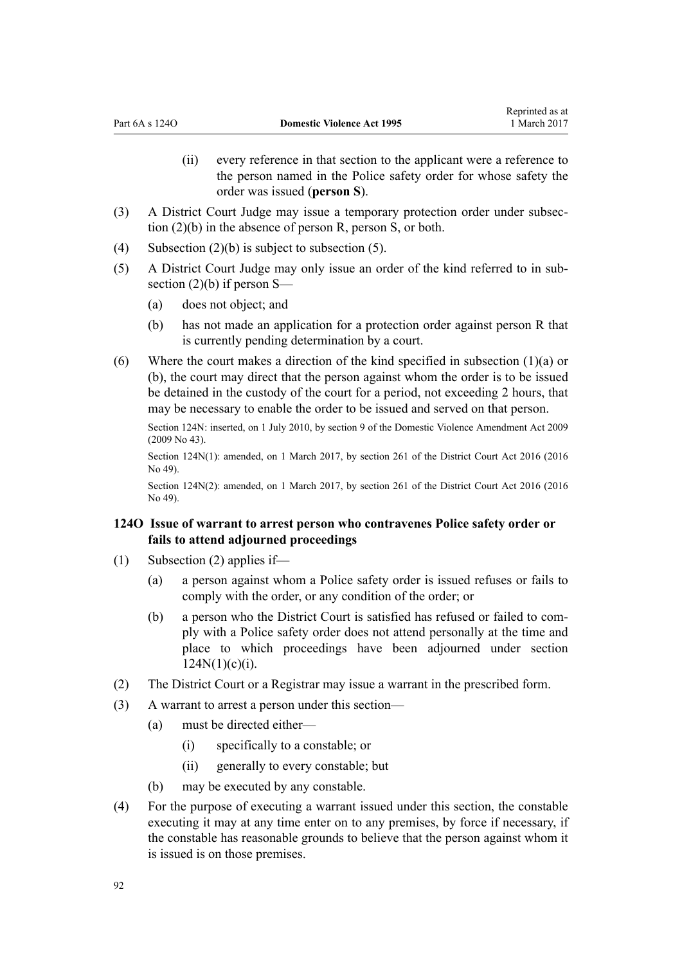- (ii) every reference in that section to the applicant were a reference to the person named in the Police safety order for whose safety the order was issued (**person S**).
- <span id="page-91-0"></span>(3) A District Court Judge may issue a temporary protection order under subsection (2)(b) in the absence of person R, person S, or both.
- (4) Subsection  $(2)(b)$  is subject to subsection (5).
- (5) A District Court Judge may only issue an order of the kind referred to in subsection  $(2)(b)$  if person S—
	- (a) does not object; and
	- (b) has not made an application for a protection order against person R that is currently pending determination by a court.
- (6) Where the court makes a direction of the kind specified in subsection (1)(a) or (b), the court may direct that the person against whom the order is to be issued be detained in the custody of the court for a period, not exceeding 2 hours, that may be necessary to enable the order to be issued and served on that person.

Section 124N: inserted, on 1 July 2010, by [section 9](http://prd-lgnz-nlb.prd.pco.net.nz/pdflink.aspx?id=DLM1774218) of the Domestic Violence Amendment Act 2009 (2009 No 43).

Section 124N(1): amended, on 1 March 2017, by [section 261](http://prd-lgnz-nlb.prd.pco.net.nz/pdflink.aspx?id=DLM6942680) of the District Court Act 2016 (2016 No 49).

Section 124N(2): amended, on 1 March 2017, by [section 261](http://prd-lgnz-nlb.prd.pco.net.nz/pdflink.aspx?id=DLM6942680) of the District Court Act 2016 (2016)  $N_0$  49).

## **124O Issue of warrant to arrest person who contravenes Police safety order or fails to attend adjourned proceedings**

- (1) Subsection (2) applies if—
	- (a) a person against whom a Police safety order is issued refuses or fails to comply with the order, or any condition of the order; or
	- (b) a person who the District Court is satisfied has refused or failed to comply with a Police safety order does not attend personally at the time and place to which proceedings have been adjourned under [section](#page-90-0)  $124N(1)(c)(i)$ .
- (2) The District Court or a Registrar may issue a warrant in the prescribed form.
- (3) A warrant to arrest a person under this section—
	- (a) must be directed either—
		- (i) specifically to a constable; or
		- (ii) generally to every constable; but
	- (b) may be executed by any constable.
- (4) For the purpose of executing a warrant issued under this section, the constable executing it may at any time enter on to any premises, by force if necessary, if the constable has reasonable grounds to believe that the person against whom it is issued is on those premises.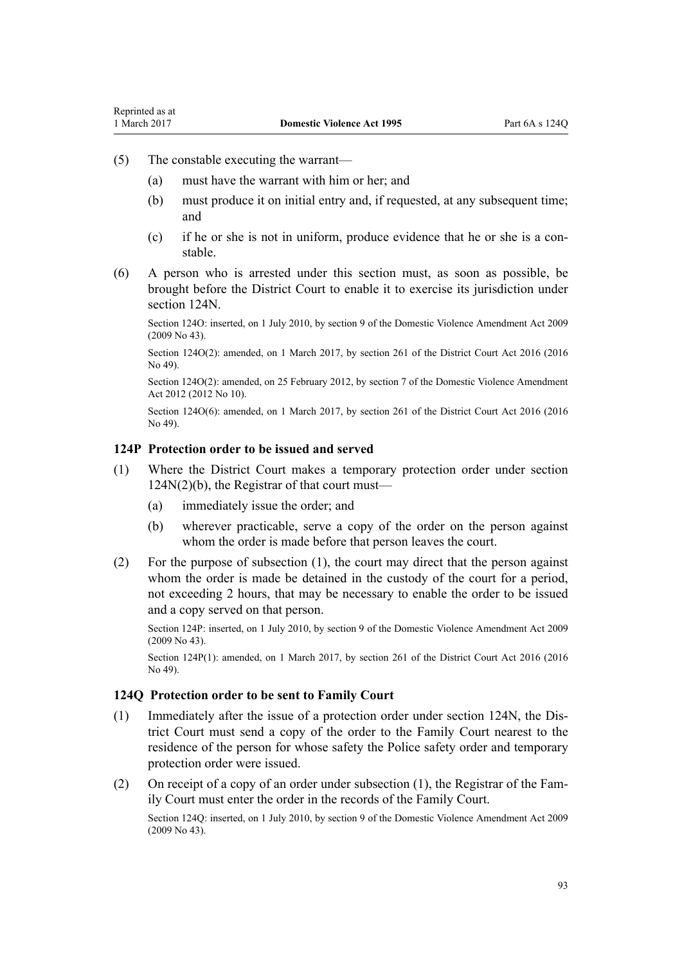- <span id="page-92-0"></span>(5) The constable executing the warrant—
	- (a) must have the warrant with him or her; and
	- (b) must produce it on initial entry and, if requested, at any subsequent time; and
	- (c) if he or she is not in uniform, produce evidence that he or she is a constable.
- (6) A person who is arrested under this section must, as soon as possible, be brought before the District Court to enable it to exercise its jurisdiction under [section 124N](#page-90-0).

Section 124O: inserted, on 1 July 2010, by [section 9](http://prd-lgnz-nlb.prd.pco.net.nz/pdflink.aspx?id=DLM1774218) of the Domestic Violence Amendment Act 2009 (2009 No 43).

Section 124O(2): amended, on 1 March 2017, by [section 261](http://prd-lgnz-nlb.prd.pco.net.nz/pdflink.aspx?id=DLM6942680) of the District Court Act 2016 (2016) No 49).

Section 124O(2): amended, on 25 February 2012, by [section 7](http://prd-lgnz-nlb.prd.pco.net.nz/pdflink.aspx?id=DLM4014214) of the Domestic Violence Amendment Act 2012 (2012 No 10).

Section 124O(6): amended, on 1 March 2017, by [section 261](http://prd-lgnz-nlb.prd.pco.net.nz/pdflink.aspx?id=DLM6942680) of the District Court Act 2016 (2016) No 49).

### **124P Protection order to be issued and served**

- (1) Where the District Court makes a temporary protection order under [section](#page-90-0) [124N\(2\)\(b\),](#page-90-0) the Registrar of that court must—
	- (a) immediately issue the order; and
	- (b) wherever practicable, serve a copy of the order on the person against whom the order is made before that person leaves the court.
- (2) For the purpose of subsection (1), the court may direct that the person against whom the order is made be detained in the custody of the court for a period, not exceeding 2 hours, that may be necessary to enable the order to be issued and a copy served on that person.

Section 124P: inserted, on 1 July 2010, by [section 9](http://prd-lgnz-nlb.prd.pco.net.nz/pdflink.aspx?id=DLM1774218) of the Domestic Violence Amendment Act 2009 (2009 No 43).

Section 124P(1): amended, on 1 March 2017, by [section 261](http://prd-lgnz-nlb.prd.pco.net.nz/pdflink.aspx?id=DLM6942680) of the District Court Act 2016 (2016 No 49).

### **124Q Protection order to be sent to Family Court**

- (1) Immediately after the issue of a protection order under [section 124N,](#page-90-0) the District Court must send a copy of the order to the Family Court nearest to the residence of the person for whose safety the Police safety order and temporary protection order were issued.
- (2) On receipt of a copy of an order under subsection (1), the Registrar of the Family Court must enter the order in the records of the Family Court.

Section 124Q: inserted, on 1 July 2010, by [section 9](http://prd-lgnz-nlb.prd.pco.net.nz/pdflink.aspx?id=DLM1774218) of the Domestic Violence Amendment Act 2009 (2009 No 43).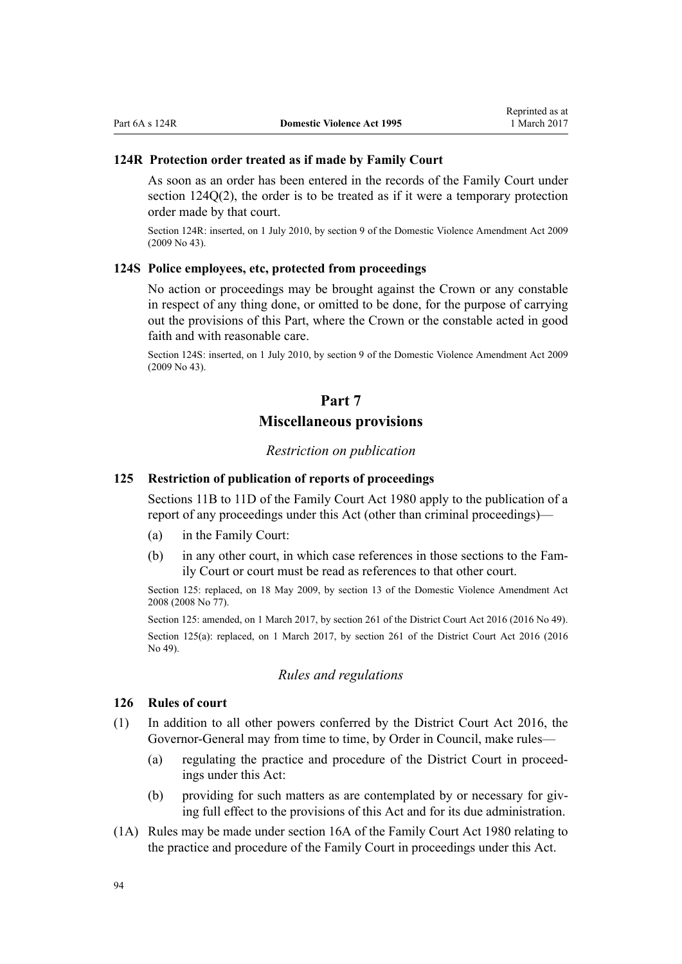### **124R Protection order treated as if made by Family Court**

As soon as an order has been entered in the records of the Family Court under [section 124Q\(2\)](#page-92-0), the order is to be treated as if it were a temporary protection order made by that court.

Section 124R: inserted, on 1 July 2010, by [section 9](http://prd-lgnz-nlb.prd.pco.net.nz/pdflink.aspx?id=DLM1774218) of the Domestic Violence Amendment Act 2009 (2009 No 43).

## **124S Police employees, etc, protected from proceedings**

No action or proceedings may be brought against the Crown or any constable in respect of any thing done, or omitted to be done, for the purpose of carrying out the provisions of this Part, where the Crown or the constable acted in good faith and with reasonable care.

Section 124S: inserted, on 1 July 2010, by [section 9](http://prd-lgnz-nlb.prd.pco.net.nz/pdflink.aspx?id=DLM1774218) of the Domestic Violence Amendment Act 2009 (2009 No 43).

## **Part 7**

## **Miscellaneous provisions**

### *Restriction on publication*

### **125 Restriction of publication of reports of proceedings**

[Sections 11B to 11D](http://prd-lgnz-nlb.prd.pco.net.nz/pdflink.aspx?id=DLM2061203) of the Family Court Act 1980 apply to the publication of a report of any proceedings under this Act (other than criminal proceedings)—

- (a) in the Family Court:
- (b) in any other court, in which case references in those sections to the Family Court or court must be read as references to that other court.

Section 125: replaced, on 18 May 2009, by [section 13](http://prd-lgnz-nlb.prd.pco.net.nz/pdflink.aspx?id=DLM1302125) of the Domestic Violence Amendment Act 2008 (2008 No 77).

Section 125: amended, on 1 March 2017, by [section 261](http://prd-lgnz-nlb.prd.pco.net.nz/pdflink.aspx?id=DLM6942680) of the District Court Act 2016 (2016 No 49). Section 125(a): replaced, on 1 March 2017, by [section 261](http://prd-lgnz-nlb.prd.pco.net.nz/pdflink.aspx?id=DLM6942680) of the District Court Act 2016 (2016) No 49).

### *Rules and regulations*

### **126 Rules of court**

- (1) In addition to all other powers conferred by the [District Court Act 2016,](http://prd-lgnz-nlb.prd.pco.net.nz/pdflink.aspx?id=DLM6942200) the Governor-General may from time to time, by Order in Council, make rules—
	- (a) regulating the practice and procedure of the District Court in proceedings under this Act:
	- (b) providing for such matters as are contemplated by or necessary for giving full effect to the provisions of this Act and for its due administration.
- (1A) Rules may be made under [section 16A](http://prd-lgnz-nlb.prd.pco.net.nz/pdflink.aspx?id=DLM42296) of the Family Court Act 1980 relating to the practice and procedure of the Family Court in proceedings under this Act.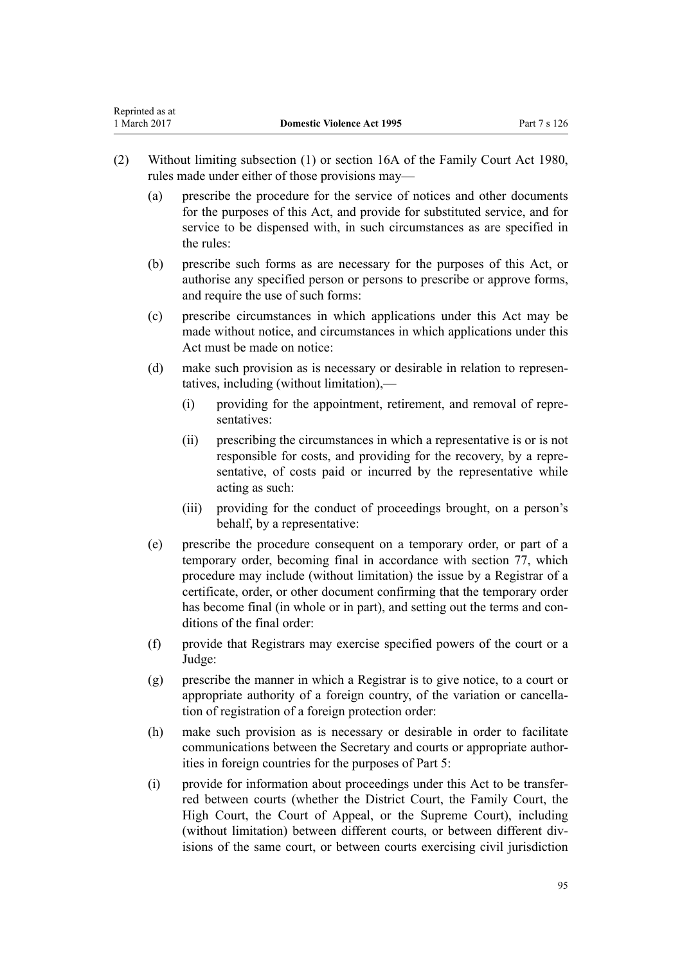- (2) Without limiting subsection (1) or [section 16A](http://prd-lgnz-nlb.prd.pco.net.nz/pdflink.aspx?id=DLM42296) of the Family Court Act 1980, rules made under either of those provisions may—
	- (a) prescribe the procedure for the service of notices and other documents for the purposes of this Act, and provide for substituted service, and for service to be dispensed with, in such circumstances as are specified in the rules:
	- (b) prescribe such forms as are necessary for the purposes of this Act, or authorise any specified person or persons to prescribe or approve forms, and require the use of such forms:
	- (c) prescribe circumstances in which applications under this Act may be made without notice, and circumstances in which applications under this Act must be made on notice:
	- (d) make such provision as is necessary or desirable in relation to representatives, including (without limitation),—
		- (i) providing for the appointment, retirement, and removal of representatives:
		- (ii) prescribing the circumstances in which a representative is or is not responsible for costs, and providing for the recovery, by a representative, of costs paid or incurred by the representative while acting as such:
		- (iii) providing for the conduct of proceedings brought, on a person's behalf, by a representative:
	- (e) prescribe the procedure consequent on a temporary order, or part of a temporary order, becoming final in accordance with [section 77,](#page-62-0) which procedure may include (without limitation) the issue by a Registrar of a certificate, order, or other document confirming that the temporary order has become final (in whole or in part), and setting out the terms and conditions of the final order:
	- (f) provide that Registrars may exercise specified powers of the court or a Judge:
	- (g) prescribe the manner in which a Registrar is to give notice, to a court or appropriate authority of a foreign country, of the variation or cancellation of registration of a foreign protection order:
	- (h) make such provision as is necessary or desirable in order to facilitate communications between the Secretary and courts or appropriate authorities in foreign countries for the purposes of [Part 5:](#page-72-0)
	- (i) provide for information about proceedings under this Act to be transferred between courts (whether the District Court, the Family Court, the High Court, the Court of Appeal, or the Supreme Court), including (without limitation) between different courts, or between different divisions of the same court, or between courts exercising civil jurisdiction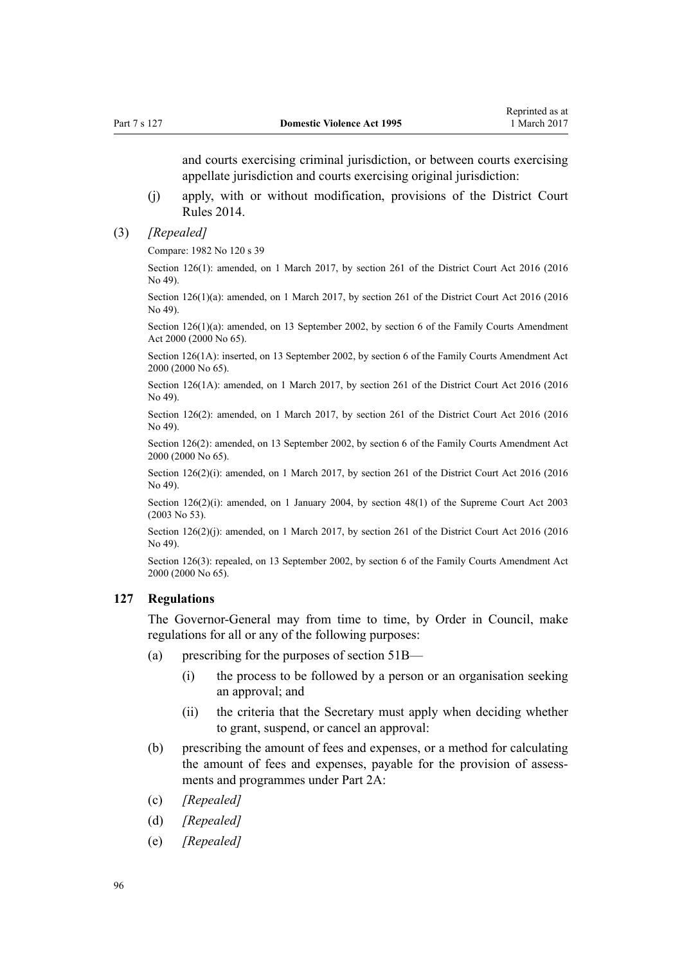<span id="page-95-0"></span>and courts exercising criminal jurisdiction, or between courts exercising appellate jurisdiction and courts exercising original jurisdiction:

- (j) apply, with or without modification, provisions of the [District Court](http://prd-lgnz-nlb.prd.pco.net.nz/pdflink.aspx?id=DLM6129566) [Rules 2014](http://prd-lgnz-nlb.prd.pco.net.nz/pdflink.aspx?id=DLM6129566).
- (3) *[Repealed]*

Compare: 1982 No 120 s 39

Section 126(1): amended, on 1 March 2017, by [section 261](http://prd-lgnz-nlb.prd.pco.net.nz/pdflink.aspx?id=DLM6942680) of the District Court Act 2016 (2016 No 49).

Section 126(1)(a): amended, on 1 March 2017, by [section 261](http://prd-lgnz-nlb.prd.pco.net.nz/pdflink.aspx?id=DLM6942680) of the District Court Act 2016 (2016) No 49).

Section 126(1)(a): amended, on 13 September 2002, by [section 6](http://prd-lgnz-nlb.prd.pco.net.nz/pdflink.aspx?id=DLM76831) of the Family Courts Amendment Act 2000 (2000 No 65).

Section 126(1A): inserted, on 13 September 2002, by [section 6](http://prd-lgnz-nlb.prd.pco.net.nz/pdflink.aspx?id=DLM76831) of the Family Courts Amendment Act 2000 (2000 No 65).

Section 126(1A): amended, on 1 March 2017, by [section 261](http://prd-lgnz-nlb.prd.pco.net.nz/pdflink.aspx?id=DLM6942680) of the District Court Act 2016 (2016 No 49).

Section 126(2): amended, on 1 March 2017, by [section 261](http://prd-lgnz-nlb.prd.pco.net.nz/pdflink.aspx?id=DLM6942680) of the District Court Act 2016 (2016 No 49).

Section 126(2): amended, on 13 September 2002, by [section 6](http://prd-lgnz-nlb.prd.pco.net.nz/pdflink.aspx?id=DLM76831) of the Family Courts Amendment Act 2000 (2000 No 65).

Section 126(2)(i): amended, on 1 March 2017, by [section 261](http://prd-lgnz-nlb.prd.pco.net.nz/pdflink.aspx?id=DLM6942680) of the District Court Act 2016 (2016) No 49).

Section 126(2)(i): amended, on 1 January 2004, by [section 48\(1\)](http://prd-lgnz-nlb.prd.pco.net.nz/pdflink.aspx?id=DLM214522) of the Supreme Court Act 2003 (2003 No 53).

Section 126(2)(j): amended, on 1 March 2017, by [section 261](http://prd-lgnz-nlb.prd.pco.net.nz/pdflink.aspx?id=DLM6942680) of the District Court Act 2016 (2016) No 49).

Section 126(3): repealed, on 13 September 2002, by [section 6](http://prd-lgnz-nlb.prd.pco.net.nz/pdflink.aspx?id=DLM76831) of the Family Courts Amendment Act 2000 (2000 No 65).

### **127 Regulations**

The Governor-General may from time to time, by Order in Council, make regulations for all or any of the following purposes:

- (a) prescribing for the purposes of [section 51B—](#page-40-0)
	- (i) the process to be followed by a person or an organisation seeking an approval; and
	- (ii) the criteria that the Secretary must apply when deciding whether to grant, suspend, or cancel an approval:
- (b) prescribing the amount of fees and expenses, or a method for calculating the amount of fees and expenses, payable for the provision of assessments and programmes under [Part 2A:](#page-39-0)
- (c) *[Repealed]*
- (d) *[Repealed]*
- (e) *[Repealed]*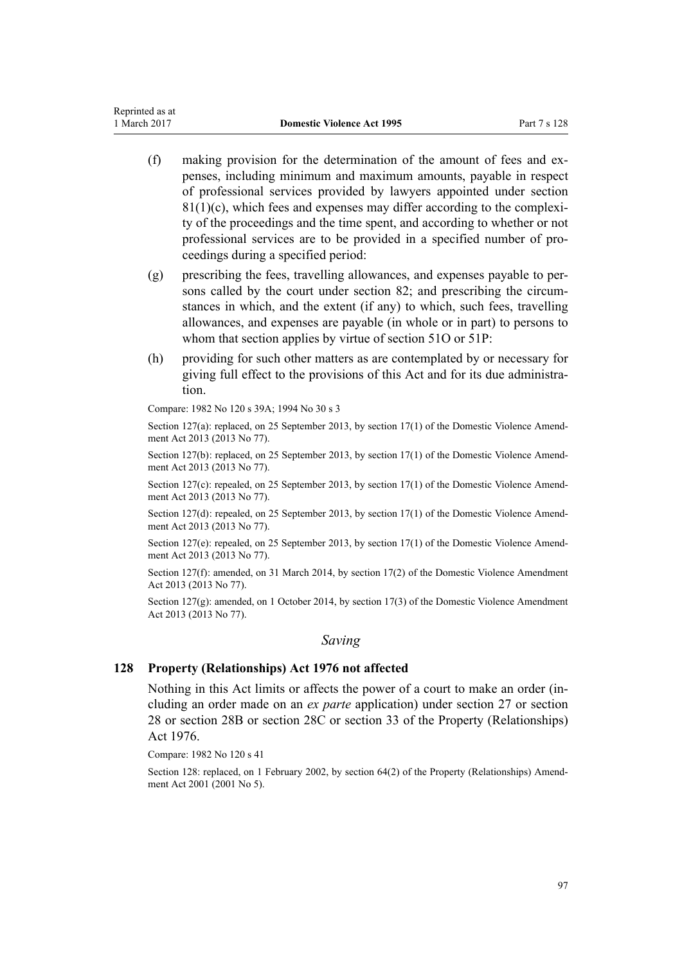- (f) making provision for the determination of the amount of fees and expenses, including minimum and maximum amounts, payable in respect of professional services provided by lawyers appointed under [section](#page-65-0)  $81(1)(c)$ , which fees and expenses may differ according to the complexity of the proceedings and the time spent, and according to whether or not professional services are to be provided in a specified number of proceedings during a specified period:
- (g) prescribing the fees, travelling allowances, and expenses payable to persons called by the court under [section 82](#page-66-0); and prescribing the circumstances in which, and the extent (if any) to which, such fees, travelling allowances, and expenses are payable (in whole or in part) to persons to whom that section applies by virtue of [section 51O](#page-47-0) or [51P:](#page-47-0)
- (h) providing for such other matters as are contemplated by or necessary for giving full effect to the provisions of this Act and for its due administration.

Compare: 1982 No 120 s 39A; 1994 No 30 s 3

Section 127(a): replaced, on 25 September 2013, by [section 17\(1\)](http://prd-lgnz-nlb.prd.pco.net.nz/pdflink.aspx?id=DLM5616706) of the Domestic Violence Amendment Act 2013 (2013 No 77).

Section 127(b): replaced, on 25 September 2013, by [section 17\(1\)](http://prd-lgnz-nlb.prd.pco.net.nz/pdflink.aspx?id=DLM5616706) of the Domestic Violence Amendment Act 2013 (2013 No 77).

Section 127(c): repealed, on 25 September 2013, by [section 17\(1\)](http://prd-lgnz-nlb.prd.pco.net.nz/pdflink.aspx?id=DLM5616706) of the Domestic Violence Amendment Act 2013 (2013 No 77).

Section 127(d): repealed, on 25 September 2013, by [section 17\(1\)](http://prd-lgnz-nlb.prd.pco.net.nz/pdflink.aspx?id=DLM5616706) of the Domestic Violence Amendment Act 2013 (2013 No 77).

Section 127(e): repealed, on 25 September 2013, by [section 17\(1\)](http://prd-lgnz-nlb.prd.pco.net.nz/pdflink.aspx?id=DLM5616706) of the Domestic Violence Amendment Act 2013 (2013 No 77).

Section 127(f): amended, on 31 March 2014, by [section 17\(2\)](http://prd-lgnz-nlb.prd.pco.net.nz/pdflink.aspx?id=DLM5616706) of the Domestic Violence Amendment Act 2013 (2013 No 77).

Section 127(g): amended, on 1 October 2014, by [section 17\(3\)](http://prd-lgnz-nlb.prd.pco.net.nz/pdflink.aspx?id=DLM5616706) of the Domestic Violence Amendment Act 2013 (2013 No 77).

#### *Saving*

## **128 Property (Relationships) Act 1976 not affected**

Nothing in this Act limits or affects the power of a court to make an order (including an order made on an *ex parte* application) under [section 27](http://prd-lgnz-nlb.prd.pco.net.nz/pdflink.aspx?id=DLM441483) or [section](http://prd-lgnz-nlb.prd.pco.net.nz/pdflink.aspx?id=DLM441495) [28](http://prd-lgnz-nlb.prd.pco.net.nz/pdflink.aspx?id=DLM441495) or [section 28B](http://prd-lgnz-nlb.prd.pco.net.nz/pdflink.aspx?id=DLM441616) or [section 28C](http://prd-lgnz-nlb.prd.pco.net.nz/pdflink.aspx?id=DLM441619) or [section 33](http://prd-lgnz-nlb.prd.pco.net.nz/pdflink.aspx?id=DLM441660) of the Property (Relationships) Act 1976.

Compare: 1982 No 120 s 41

Section 128: replaced, on 1 February 2002, by [section 64\(2\)](http://prd-lgnz-nlb.prd.pco.net.nz/pdflink.aspx?id=DLM87570) of the Property (Relationships) Amendment Act 2001 (2001 No 5).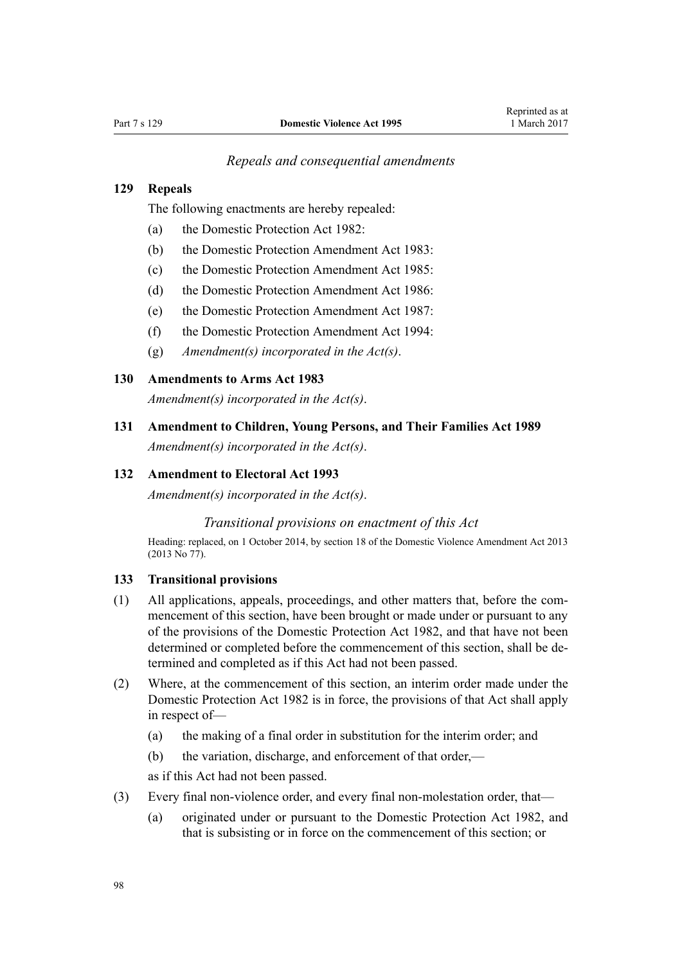### *Repeals and consequential amendments*

## **129 Repeals**

The following enactments are hereby repealed:

- (a) the Domestic Protection Act 1982:
- (b) the Domestic Protection Amendment Act 1983:
- (c) the Domestic Protection Amendment Act 1985:
- (d) the Domestic Protection Amendment Act 1986:
- (e) the Domestic Protection Amendment Act 1987:
- (f) the Domestic Protection Amendment Act 1994:
- (g) *Amendment(s) incorporated in the [Act\(s\)](http://prd-lgnz-nlb.prd.pco.net.nz/pdflink.aspx?id=DLM367240)*.

#### **130 Amendments to Arms Act 1983**

*Amendment(s) incorporated in the [Act\(s\)](http://prd-lgnz-nlb.prd.pco.net.nz/pdflink.aspx?id=DLM72929)*.

**131 Amendment to Children, Young Persons, and Their Families Act 1989**

*Amendment(s) incorporated in the [Act\(s\)](http://prd-lgnz-nlb.prd.pco.net.nz/pdflink.aspx?id=DLM151079)*.

## **132 Amendment to Electoral Act 1993**

*Amendment(s) incorporated in the [Act\(s\)](http://prd-lgnz-nlb.prd.pco.net.nz/pdflink.aspx?id=DLM309404)*.

### *Transitional provisions on enactment of this Act*

Heading: replaced, on 1 October 2014, by [section 18](http://prd-lgnz-nlb.prd.pco.net.nz/pdflink.aspx?id=DLM5616707) of the Domestic Violence Amendment Act 2013 (2013 No 77).

#### **133 Transitional provisions**

- (1) All applications, appeals, proceedings, and other matters that, before the commencement of this section, have been brought or made under or pursuant to any of the provisions of the Domestic Protection Act 1982, and that have not been determined or completed before the commencement of this section, shall be determined and completed as if this Act had not been passed.
- (2) Where, at the commencement of this section, an interim order made under the Domestic Protection Act 1982 is in force, the provisions of that Act shall apply in respect of—
	- (a) the making of a final order in substitution for the interim order; and
	- (b) the variation, discharge, and enforcement of that order,—

as if this Act had not been passed.

- (3) Every final non-violence order, and every final non-molestation order, that—
	- (a) originated under or pursuant to the Domestic Protection Act 1982, and that is subsisting or in force on the commencement of this section; or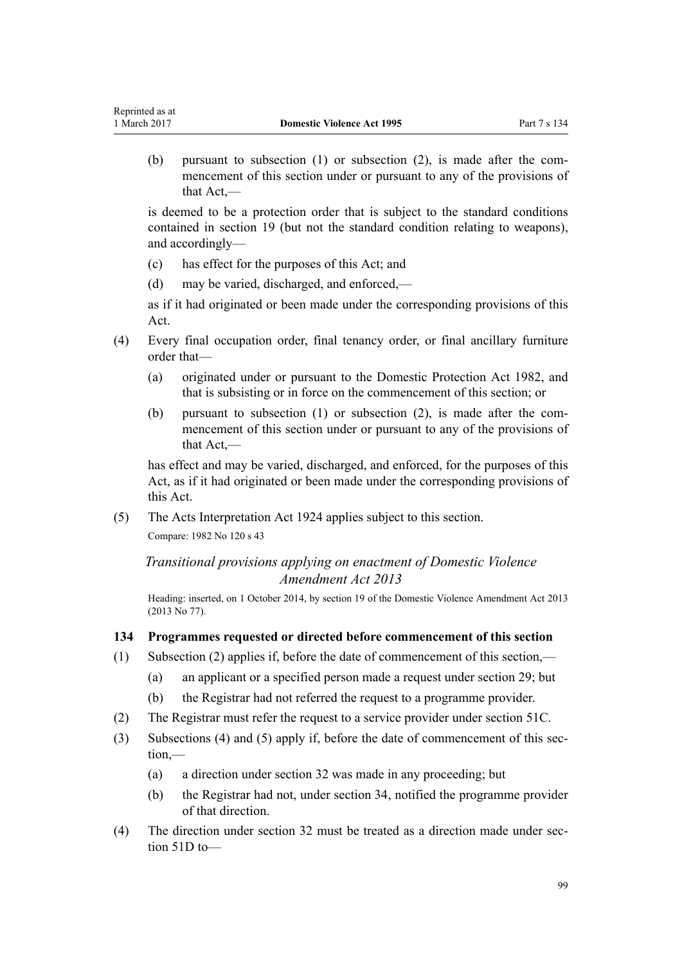(b) pursuant to subsection (1) or subsection (2), is made after the commencement of this section under or pursuant to any of the provisions of that Act,—

is deemed to be a protection order that is subject to the standard conditions contained in [section 19](#page-23-0) (but not the standard condition relating to weapons), and accordingly—

(c) has effect for the purposes of this Act; and

Reprinted as at

(d) may be varied, discharged, and enforced,—

as if it had originated or been made under the corresponding provisions of this Act.

- (4) Every final occupation order, final tenancy order, or final ancillary furniture order that—
	- (a) originated under or pursuant to the Domestic Protection Act 1982, and that is subsisting or in force on the commencement of this section; or
	- (b) pursuant to subsection (1) or subsection (2), is made after the commencement of this section under or pursuant to any of the provisions of that Act,—

has effect and may be varied, discharged, and enforced, for the purposes of this Act, as if it had originated or been made under the corresponding provisions of this Act.

(5) The Acts Interpretation Act 1924 applies subject to this section. Compare: 1982 No 120 s 43

*Transitional provisions applying on enactment of Domestic Violence Amendment Act 2013*

Heading: inserted, on 1 October 2014, by [section 19](http://prd-lgnz-nlb.prd.pco.net.nz/pdflink.aspx?id=DLM5616709) of the Domestic Violence Amendment Act 2013 (2013 No 77).

### **134 Programmes requested or directed before commencement of this section**

- (1) Subsection (2) applies if, before the date of commencement of this section,—
	- (a) an applicant or a specified person made a request under [section 29](#page-34-0); but
		- (b) the Registrar had not referred the request to a programme provider.
- (2) The Registrar must refer the request to a service provider under [section 51C.](#page-41-0)
- (3) Subsections (4) and (5) apply if, before the date of commencement of this section,—
	- (a) a direction under [section 32](#page-34-0) was made in any proceeding; but
	- (b) the Registrar had not, under [section 34,](#page-35-0) notified the programme provider of that direction.
- (4) The direction under [section 32](#page-34-0) must be treated as a direction made under [sec](#page-42-0)[tion 51D](#page-42-0) to—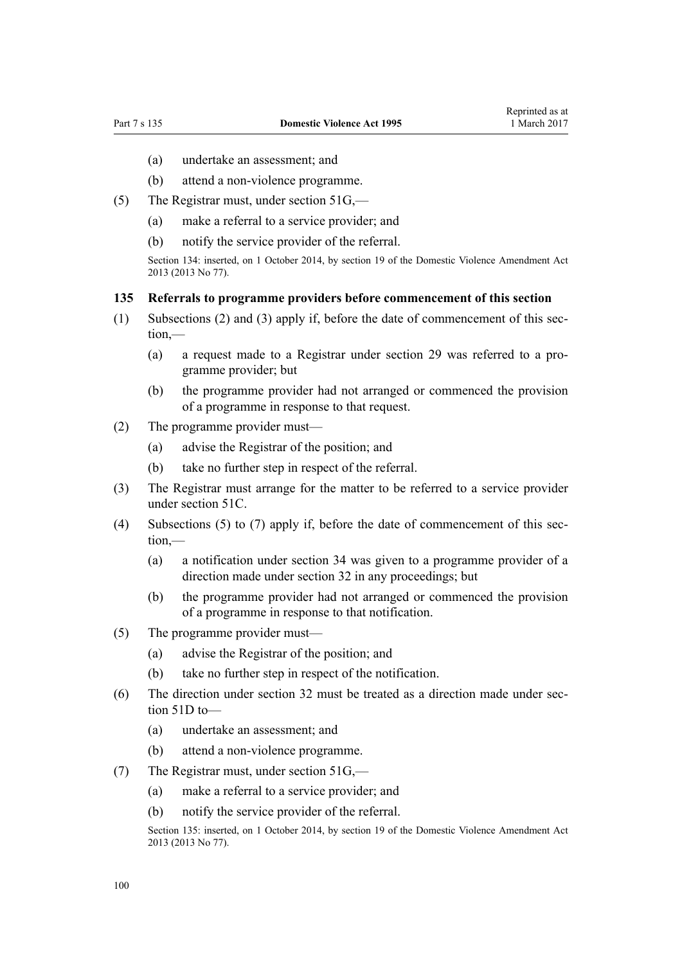- (a) undertake an assessment; and
- (b) attend a non-violence programme.
- (5) The Registrar must, under [section 51G](#page-43-0),—
	- (a) make a referral to a service provider; and
	- (b) notify the service provider of the referral.

Section 134: inserted, on 1 October 2014, by [section 19](http://prd-lgnz-nlb.prd.pco.net.nz/pdflink.aspx?id=DLM5616709) of the Domestic Violence Amendment Act 2013 (2013 No 77).

#### **135 Referrals to programme providers before commencement of this section**

- (1) Subsections (2) and (3) apply if, before the date of commencement of this section,—
	- (a) a request made to a Registrar under [section 29](#page-34-0) was referred to a programme provider; but
	- (b) the programme provider had not arranged or commenced the provision of a programme in response to that request.
- (2) The programme provider must—
	- (a) advise the Registrar of the position; and
	- (b) take no further step in respect of the referral.
- (3) The Registrar must arrange for the matter to be referred to a service provider under [section 51C.](#page-41-0)
- (4) Subsections (5) to (7) apply if, before the date of commencement of this section,—
	- (a) a notification under [section 34](#page-35-0) was given to a programme provider of a direction made under [section 32](#page-34-0) in any proceedings; but
	- (b) the programme provider had not arranged or commenced the provision of a programme in response to that notification.
- (5) The programme provider must—
	- (a) advise the Registrar of the position; and
	- (b) take no further step in respect of the notification.
- (6) The direction under [section 32](#page-34-0) must be treated as a direction made under [sec](#page-42-0)[tion 51D](#page-42-0) to—
	- (a) undertake an assessment; and
	- (b) attend a non-violence programme.
- (7) The Registrar must, under [section 51G](#page-43-0),—
	- (a) make a referral to a service provider; and
	- (b) notify the service provider of the referral.

Section 135: inserted, on 1 October 2014, by [section 19](http://prd-lgnz-nlb.prd.pco.net.nz/pdflink.aspx?id=DLM5616709) of the Domestic Violence Amendment Act 2013 (2013 No 77).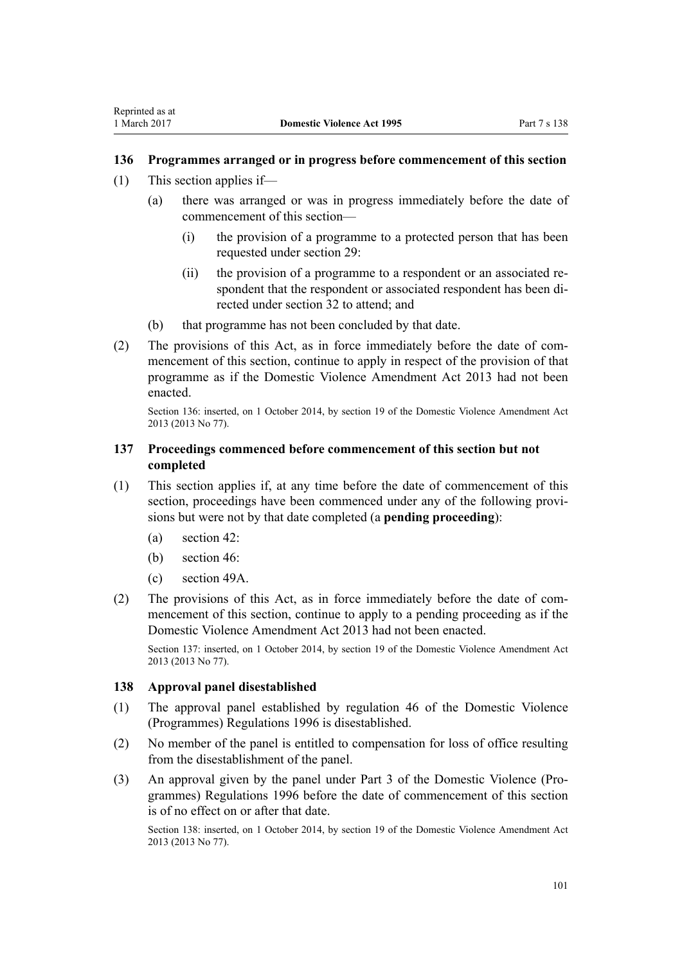## **136 Programmes arranged or in progress before commencement of this section**

- (1) This section applies if—
	- (a) there was arranged or was in progress immediately before the date of commencement of this section—
		- (i) the provision of a programme to a protected person that has been requested under [section 29](#page-34-0):
		- (ii) the provision of a programme to a respondent or an associated respondent that the respondent or associated respondent has been directed under [section 32](#page-34-0) to attend; and
	- (b) that programme has not been concluded by that date.
- (2) The provisions of this Act, as in force immediately before the date of commencement of this section, continue to apply in respect of the provision of that programme as if the [Domestic Violence Amendment Act 2013](http://prd-lgnz-nlb.prd.pco.net.nz/pdflink.aspx?id=DLM5615636) had not been enacted.

Section 136: inserted, on 1 October 2014, by [section 19](http://prd-lgnz-nlb.prd.pco.net.nz/pdflink.aspx?id=DLM5616709) of the Domestic Violence Amendment Act 2013 (2013 No 77).

## **137 Proceedings commenced before commencement of this section but not completed**

- (1) This section applies if, at any time before the date of commencement of this section, proceedings have been commenced under any of the following provisions but were not by that date completed (a **pending proceeding**):
	- (a) [section 42](#page-36-0):
	- (b) [section 46](#page-36-0):
	- (c) [section 49A](#page-39-0).
- (2) The provisions of this Act, as in force immediately before the date of commencement of this section, continue to apply to a pending proceeding as if the [Domestic Violence Amendment Act 2013](http://prd-lgnz-nlb.prd.pco.net.nz/pdflink.aspx?id=DLM5615636) had not been enacted.

Section 137: inserted, on 1 October 2014, by [section 19](http://prd-lgnz-nlb.prd.pco.net.nz/pdflink.aspx?id=DLM5616709) of the Domestic Violence Amendment Act 2013 (2013 No 77).

### **138 Approval panel disestablished**

- (1) The approval panel established by [regulation 46](http://prd-lgnz-nlb.prd.pco.net.nz/pdflink.aspx?id=DLM214897) of the Domestic Violence (Programmes) Regulations 1996 is disestablished.
- (2) No member of the panel is entitled to compensation for loss of office resulting from the disestablishment of the panel.
- (3) An approval given by the panel under [Part 3](http://prd-lgnz-nlb.prd.pco.net.nz/pdflink.aspx?id=DLM214806) of the Domestic Violence (Programmes) Regulations 1996 before the date of commencement of this section is of no effect on or after that date.

Section 138: inserted, on 1 October 2014, by [section 19](http://prd-lgnz-nlb.prd.pco.net.nz/pdflink.aspx?id=DLM5616709) of the Domestic Violence Amendment Act 2013 (2013 No 77).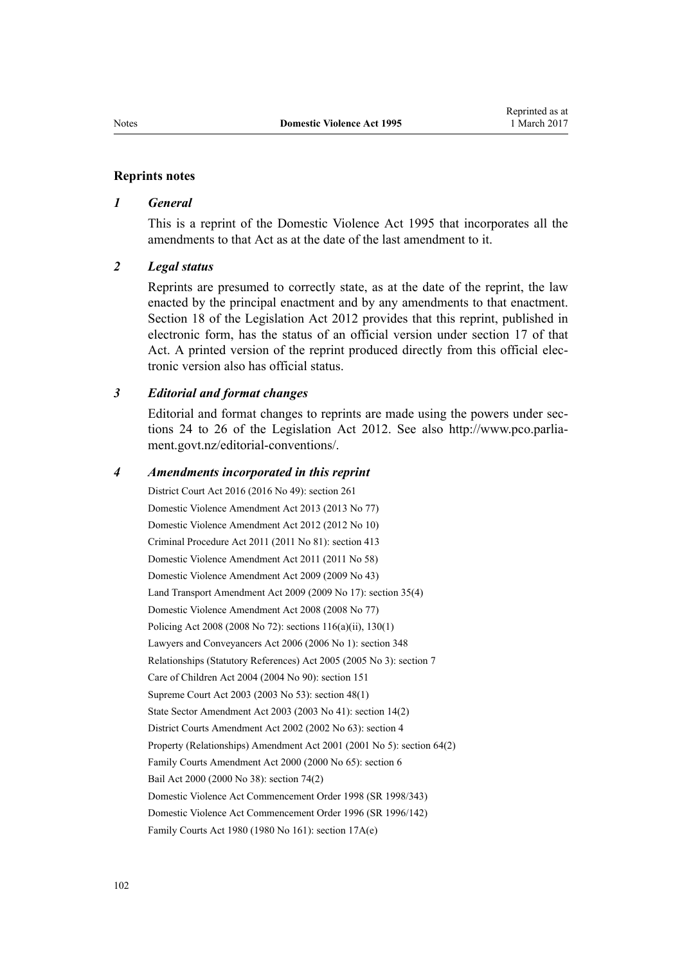#### **Reprints notes**

#### *1 General*

This is a reprint of the Domestic Violence Act 1995 that incorporates all the amendments to that Act as at the date of the last amendment to it.

#### *2 Legal status*

Reprints are presumed to correctly state, as at the date of the reprint, the law enacted by the principal enactment and by any amendments to that enactment. [Section 18](http://prd-lgnz-nlb.prd.pco.net.nz/pdflink.aspx?id=DLM2998516) of the Legislation Act 2012 provides that this reprint, published in electronic form, has the status of an official version under [section 17](http://prd-lgnz-nlb.prd.pco.net.nz/pdflink.aspx?id=DLM2998515) of that Act. A printed version of the reprint produced directly from this official electronic version also has official status.

### *3 Editorial and format changes*

Editorial and format changes to reprints are made using the powers under [sec](http://prd-lgnz-nlb.prd.pco.net.nz/pdflink.aspx?id=DLM2998532)[tions 24 to 26](http://prd-lgnz-nlb.prd.pco.net.nz/pdflink.aspx?id=DLM2998532) of the Legislation Act 2012. See also [http://www.pco.parlia](http://www.pco.parliament.govt.nz/editorial-conventions/)[ment.govt.nz/editorial-conventions/](http://www.pco.parliament.govt.nz/editorial-conventions/).

#### *4 Amendments incorporated in this reprint*

District Court Act 2016 (2016 No 49): [section 261](http://prd-lgnz-nlb.prd.pco.net.nz/pdflink.aspx?id=DLM6942680) [Domestic Violence Amendment Act 2013](http://prd-lgnz-nlb.prd.pco.net.nz/pdflink.aspx?id=DLM5615636) (2013 No 77) [Domestic Violence Amendment Act 2012](http://prd-lgnz-nlb.prd.pco.net.nz/pdflink.aspx?id=DLM4014200) (2012 No 10) Criminal Procedure Act 2011 (2011 No 81): [section 413](http://prd-lgnz-nlb.prd.pco.net.nz/pdflink.aspx?id=DLM3360714) [Domestic Violence Amendment Act 2011](http://prd-lgnz-nlb.prd.pco.net.nz/pdflink.aspx?id=DLM2295900) (2011 No 58) [Domestic Violence Amendment Act 2009](http://prd-lgnz-nlb.prd.pco.net.nz/pdflink.aspx?id=DLM1774200) (2009 No 43) Land Transport Amendment Act 2009 (2009 No 17): [section 35\(4\)](http://prd-lgnz-nlb.prd.pco.net.nz/pdflink.aspx?id=DLM2015063) [Domestic Violence Amendment Act 2008](http://prd-lgnz-nlb.prd.pco.net.nz/pdflink.aspx?id=DLM1302102) (2008 No 77) Policing Act 2008 (2008 No 72): [sections 116\(a\)\(ii\),](http://prd-lgnz-nlb.prd.pco.net.nz/pdflink.aspx?id=DLM1102349) [130\(1\)](http://prd-lgnz-nlb.prd.pco.net.nz/pdflink.aspx?id=DLM1102383) Lawyers and Conveyancers Act 2006 (2006 No 1): [section 348](http://prd-lgnz-nlb.prd.pco.net.nz/pdflink.aspx?id=DLM367849) Relationships (Statutory References) Act 2005 (2005 No 3): [section 7](http://prd-lgnz-nlb.prd.pco.net.nz/pdflink.aspx?id=DLM333795) Care of Children Act 2004 (2004 No 90): [section 151](http://prd-lgnz-nlb.prd.pco.net.nz/pdflink.aspx?id=DLM317988) Supreme Court Act 2003 (2003 No 53): [section 48\(1\)](http://prd-lgnz-nlb.prd.pco.net.nz/pdflink.aspx?id=DLM214522) State Sector Amendment Act 2003 (2003 No 41): [section 14\(2\)](http://prd-lgnz-nlb.prd.pco.net.nz/pdflink.aspx?id=DLM201378) District Courts Amendment Act 2002 (2002 No 63): [section 4](http://prd-lgnz-nlb.prd.pco.net.nz/pdflink.aspx?id=DLM168713) Property (Relationships) Amendment Act 2001 (2001 No 5): [section 64\(2\)](http://prd-lgnz-nlb.prd.pco.net.nz/pdflink.aspx?id=DLM87570) Family Courts Amendment Act 2000 (2000 No 65): [section 6](http://prd-lgnz-nlb.prd.pco.net.nz/pdflink.aspx?id=DLM76831) Bail Act 2000 (2000 No 38): [section 74\(2\)](http://prd-lgnz-nlb.prd.pco.net.nz/pdflink.aspx?id=DLM69643) [Domestic Violence Act Commencement Order 1998](http://prd-lgnz-nlb.prd.pco.net.nz/pdflink.aspx?id=DLM264465) (SR 1998/343) [Domestic Violence Act Commencement Order 1996](http://prd-lgnz-nlb.prd.pco.net.nz/pdflink.aspx?id=DLM212125) (SR 1996/142) Family Courts Act 1980 (1980 No 161): [section 17A\(e\)](http://prd-lgnz-nlb.prd.pco.net.nz/pdflink.aspx?id=DLM6025517)